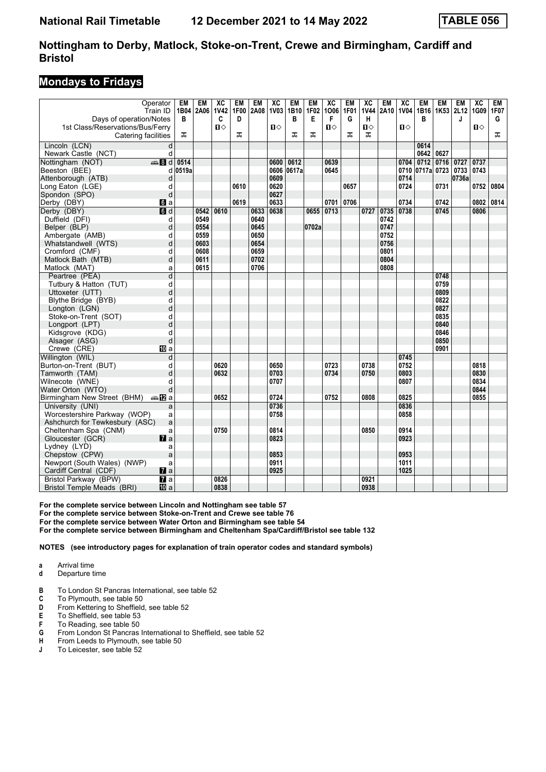#### **Mondays to Fridays**

| Days of operation/Notes           | Operator<br>Train ID | EM<br>В | <b>EM</b><br>1B04 2A06 | $\overline{AC}$<br>1V42<br>C | <b>EM</b><br>1F00<br>D | EM<br>2A08 | $\overline{X}C$<br><b>1V03</b> | <b>EM</b><br>1B <sub>10</sub><br>B | <b>EM</b><br>1F02<br>Е | $\overline{X}C$<br>1006<br>F | <b>EM</b><br><b>1F01</b><br>G | $\overline{X}C$<br><b>1V44</b><br>н | <b>EM</b><br>2A10 | $\overline{X}C$<br>1V04 | EM<br>в              | <b>EM</b><br>1B16   1K53   2L12 | <b>EM</b><br>J | $\overline{X}C$<br>1G09 1F07 | EM<br>G |
|-----------------------------------|----------------------|---------|------------------------|------------------------------|------------------------|------------|--------------------------------|------------------------------------|------------------------|------------------------------|-------------------------------|-------------------------------------|-------------------|-------------------------|----------------------|---------------------------------|----------------|------------------------------|---------|
| 1st Class/Reservations/Bus/Ferry  |                      |         |                        | $\mathbf{u}$                 |                        |            | $\P$                           |                                    |                        | $\mathbf{u}$                 |                               | $\mathbf{u}$                        |                   | $\mathbf{u}$            |                      |                                 |                | $\mathbf{n}$                 |         |
| Catering facilities               |                      | ᅚ       |                        |                              | ᅚ                      |            |                                | ᠼ                                  | ᅚ                      |                              | ㅈ                             | ᅚ                                   |                   |                         |                      |                                 |                |                              | ᠼ       |
| Lincoln (LCN)                     | d                    |         |                        |                              |                        |            |                                |                                    |                        |                              |                               |                                     |                   |                         | 0614                 |                                 |                |                              |         |
| Newark Castle (NCT)               | d                    |         |                        |                              |                        |            |                                |                                    |                        |                              |                               |                                     |                   |                         | 0642                 | 0627                            |                |                              |         |
| Nottingham (NOT)                  | <b>第8d</b>           | 0514    |                        |                              |                        |            | 0600                           | 0612                               |                        | 0639                         |                               |                                     |                   | 0704                    | 0712                 | 0716                            | 0727           | 0737                         |         |
| Beeston (BEE)                     | d                    | 0519a   |                        |                              |                        |            | 0606                           | 0617a                              |                        | 0645                         |                               |                                     |                   |                         | 0710 0717a 0723 0733 |                                 |                | 0743                         |         |
| Attenborough (ATB)                | d                    |         |                        |                              |                        |            | 0609                           |                                    |                        |                              |                               |                                     |                   | 0714                    |                      |                                 | 0736a          |                              |         |
| Long Eaton (LGE)                  | d                    |         |                        |                              | 0610                   |            | 0620                           |                                    |                        |                              | 0657                          |                                     |                   | 0724                    |                      | 0731                            |                | 0752                         | 0804    |
| Spondon (SPO)                     | d                    |         |                        |                              |                        |            | 0627                           |                                    |                        |                              |                               |                                     |                   |                         |                      |                                 |                |                              |         |
| Derby (DBY)                       | $a$                  |         |                        |                              | 0619                   |            | 0633                           |                                    |                        | 0701                         | 0706                          |                                     |                   | 0734                    |                      | 0742                            |                | 0802                         | 0814    |
| Derby (DBY)                       | d                    |         | 0542                   | 0610                         |                        | 0633       | 0638                           |                                    | 0655                   | 0713                         |                               | 0727                                | 0735              | 0738                    |                      | 0745                            |                | 0806                         |         |
| Duffield (DFI)                    | d                    |         | 0549                   |                              |                        | 0640       |                                |                                    |                        |                              |                               |                                     | 0742              |                         |                      |                                 |                |                              |         |
| Belper (BLP)                      | d                    |         | 0554                   |                              |                        | 0645       |                                |                                    | 0702a                  |                              |                               |                                     | 0747              |                         |                      |                                 |                |                              |         |
| Ambergate (AMB)                   | d                    |         | 0559                   |                              |                        | 0650       |                                |                                    |                        |                              |                               |                                     | 0752              |                         |                      |                                 |                |                              |         |
| Whatstandwell (WTS)               | d                    |         | 0603                   |                              |                        | 0654       |                                |                                    |                        |                              |                               |                                     | 0756              |                         |                      |                                 |                |                              |         |
| Cromford (CMF)                    | d                    |         | 0608                   |                              |                        | 0659       |                                |                                    |                        |                              |                               |                                     | 0801              |                         |                      |                                 |                |                              |         |
| Matlock Bath (MTB)                | d                    |         | 0611                   |                              |                        | 0702       |                                |                                    |                        |                              |                               |                                     | 0804              |                         |                      |                                 |                |                              |         |
| Matlock (MAT)                     | a                    |         | 0615                   |                              |                        | 0706       |                                |                                    |                        |                              |                               |                                     | 0808              |                         |                      |                                 |                |                              |         |
| Peartree (PEA)                    | d                    |         |                        |                              |                        |            |                                |                                    |                        |                              |                               |                                     |                   |                         |                      | 0748                            |                |                              |         |
| Tutbury & Hatton (TUT)            | d                    |         |                        |                              |                        |            |                                |                                    |                        |                              |                               |                                     |                   |                         |                      | 0759                            |                |                              |         |
| Uttoxeter (UTT)                   | d                    |         |                        |                              |                        |            |                                |                                    |                        |                              |                               |                                     |                   |                         |                      | 0809                            |                |                              |         |
| Blythe Bridge (BYB)               | d                    |         |                        |                              |                        |            |                                |                                    |                        |                              |                               |                                     |                   |                         |                      | 0822                            |                |                              |         |
| Longton (LGN)                     | d                    |         |                        |                              |                        |            |                                |                                    |                        |                              |                               |                                     |                   |                         |                      | 0827                            |                |                              |         |
| Stoke-on-Trent (SOT)              | d                    |         |                        |                              |                        |            |                                |                                    |                        |                              |                               |                                     |                   |                         |                      | 0835                            |                |                              |         |
| Longport (LPT)                    | d                    |         |                        |                              |                        |            |                                |                                    |                        |                              |                               |                                     |                   |                         |                      | 0840                            |                |                              |         |
| Kidsgrove (KDG)                   | d                    |         |                        |                              |                        |            |                                |                                    |                        |                              |                               |                                     |                   |                         |                      | 0846                            |                |                              |         |
| Alsager (ASG)                     | d                    |         |                        |                              |                        |            |                                |                                    |                        |                              |                               |                                     |                   |                         |                      | 0850                            |                |                              |         |
| Crewe (CRE)                       | <b>四</b> a           |         |                        |                              |                        |            |                                |                                    |                        |                              |                               |                                     |                   |                         |                      | 0901                            |                |                              |         |
| Willington (WIL)                  | d                    |         |                        |                              |                        |            |                                |                                    |                        |                              |                               |                                     |                   | 0745                    |                      |                                 |                |                              |         |
| Burton-on-Trent (BUT)             | d                    |         |                        | 0620                         |                        |            | 0650                           |                                    |                        | 0723                         |                               | 0738                                |                   | 0752                    |                      |                                 |                | 0818                         |         |
| Tamworth (TAM)                    | d                    |         |                        | 0632                         |                        |            | 0703                           |                                    |                        | 0734                         |                               | 0750                                |                   | 0803                    |                      |                                 |                | 0830                         |         |
| Wilnecote (WNE)                   | d                    |         |                        |                              |                        |            | 0707                           |                                    |                        |                              |                               |                                     |                   | 0807                    |                      |                                 |                | 0834                         |         |
| Water Orton (WTO)                 | d                    |         |                        |                              |                        |            |                                |                                    |                        |                              |                               |                                     |                   |                         |                      |                                 |                | 0844                         |         |
| Birmingham New Street (BHM)       | dan Da               |         |                        | 0652                         |                        |            | 0724                           |                                    |                        | 0752                         |                               | 0808                                |                   | 0825                    |                      |                                 |                | 0855                         |         |
| University (UNI)                  | a                    |         |                        |                              |                        |            | 0736                           |                                    |                        |                              |                               |                                     |                   | 0836                    |                      |                                 |                |                              |         |
| Worcestershire Parkway (WOP)      | a                    |         |                        |                              |                        |            | 0758                           |                                    |                        |                              |                               |                                     |                   | 0858                    |                      |                                 |                |                              |         |
| Ashchurch for Tewkesbury (ASC)    | a                    |         |                        |                              |                        |            |                                |                                    |                        |                              |                               |                                     |                   |                         |                      |                                 |                |                              |         |
| Cheltenham Spa (CNM)              | a                    |         |                        | 0750                         |                        |            | 0814                           |                                    |                        |                              |                               | 0850                                |                   | 0914                    |                      |                                 |                |                              |         |
| Gloucester (GCR)                  | $\mathbf{z}$         |         |                        |                              |                        |            | 0823                           |                                    |                        |                              |                               |                                     |                   | 0923                    |                      |                                 |                |                              |         |
| Lydney (LYD)                      | a                    |         |                        |                              |                        |            |                                |                                    |                        |                              |                               |                                     |                   |                         |                      |                                 |                |                              |         |
| Chepstow (CPW)                    | a                    |         |                        |                              |                        |            | 0853                           |                                    |                        |                              |                               |                                     |                   | 0953                    |                      |                                 |                |                              |         |
| Newport (South Wales) (NWP)       | a                    |         |                        |                              |                        |            | 0911                           |                                    |                        |                              |                               |                                     |                   | 1011                    |                      |                                 |                |                              |         |
| Cardiff Central (CDF)             | $\mathbf{z}$ a       |         |                        |                              |                        |            | 0925                           |                                    |                        |                              |                               |                                     |                   | 1025                    |                      |                                 |                |                              |         |
| Bristol Parkway (BPW)             | $\overline{a}$       |         |                        | 0826                         |                        |            |                                |                                    |                        |                              |                               | 0921                                |                   |                         |                      |                                 |                |                              |         |
| <b>Bristol Temple Meads (BRI)</b> | <b>ID</b> a          |         |                        | 0838                         |                        |            |                                |                                    |                        |                              |                               | 0938                                |                   |                         |                      |                                 |                |                              |         |

**For the complete service between Lincoln and Nottingham see table** 

For the complete service between Stoke-on-Trent and Crewe see table 76

**For the complete service between Water Orton and Birmingham see table 4**

**For the complete service between Birmingham and Cheltenham Spa/Cardiff/Bristol see table 12**

**NOTES (see introductory pages for explanation of train operator codes and standard symbols)**

**a** Arrival time<br>**d** Departure t

- **d** Departure time
- **B** To London St Pancras International, see table 52 **C** To Plymouth, see table 50
- **C** To Plymouth, see table 50<br>**D** From Kettering to Sheffield
- From Kettering to Sheffield, see table 52
- **E** To Sheffield, see table 53
- **F** To Reading, see table 50<br>**G** From London St Pancras
- From London St Pancras International to Sheffield, see table 52
- **+** From Leeds to Plymouth, see table 50
- **J** To Leicester, see table 52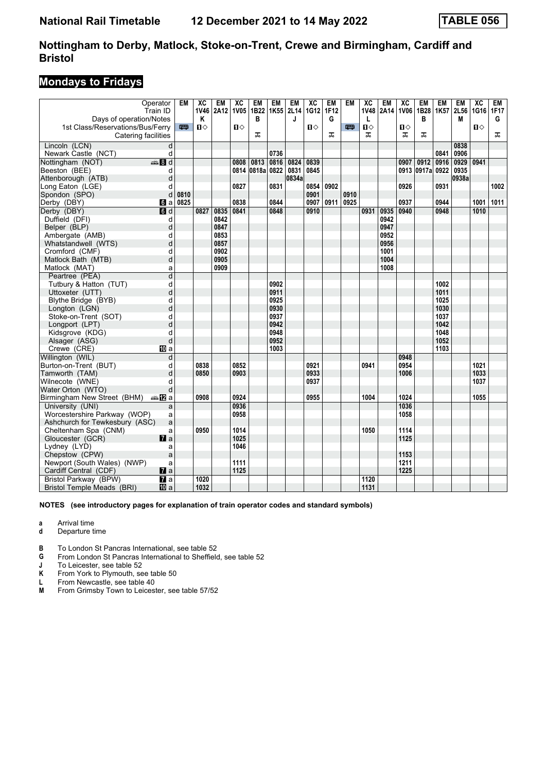## **Mondays to Fridays**

|                                  | Operator<br>Train ID | <b>EM</b> | $\overline{AC}$<br>1V46 | EM<br>2A12 | $\overline{X}C$<br><b>1V05</b> | EM<br>1B22 | <b>EM</b><br>1K <sub>55</sub> | <b>EM</b><br>2L14 | $\overline{AC}$<br>1G12 | <b>EM</b><br>1F12 | <b>EM</b> | $\overline{X}C$<br>1V48 | <b>EM</b><br>2A14 | $\overline{X}C$<br><b>1V06</b> | <b>EM</b><br>1B28 | <b>EM</b><br>1K57 | <b>EM</b><br>2L56 | $\overline{X}C$<br>1G16 1F17 | EM   |
|----------------------------------|----------------------|-----------|-------------------------|------------|--------------------------------|------------|-------------------------------|-------------------|-------------------------|-------------------|-----------|-------------------------|-------------------|--------------------------------|-------------------|-------------------|-------------------|------------------------------|------|
| Days of operation/Notes          |                      |           | Κ                       |            |                                | в          |                               | J                 |                         | G                 |           | L                       |                   |                                | В                 |                   | М                 |                              | G    |
| 1st Class/Reservations/Bus/Ferry |                      | 罒         | $\mathbf{u}$            |            | Ⅱ♦                             |            |                               |                   | П⇔                      |                   | 罒         | $\mathbf{u}$            |                   | п⇔                             |                   |                   |                   | $\mathbf{u}$                 |      |
| Catering facilities              |                      |           |                         |            |                                | ᠼ          |                               |                   |                         | ᠼ                 |           | ᠼ                       |                   | ᠼ                              | ᠼ                 |                   |                   |                              | ᠼ    |
| Lincoln (LCN)                    | d                    |           |                         |            |                                |            |                               |                   |                         |                   |           |                         |                   |                                |                   |                   | 0838              |                              |      |
| Newark Castle (NCT)              | d                    |           |                         |            |                                |            | 0736                          |                   |                         |                   |           |                         |                   |                                |                   | 0841              | 0906              |                              |      |
| Nottingham (NOT)                 | $\bigoplus$ 8 d      |           |                         |            | 0808                           | 0813       | 0816                          | 0824              | 0839                    |                   |           |                         |                   | 0907                           | 0912              | 0916              | 0929              | 0941                         |      |
| Beeston (BEE)                    | d                    |           |                         |            |                                | 0814 0818a | 0822                          | 0831              | 0845                    |                   |           |                         |                   |                                | 0913 0917a 0922   |                   | 0935              |                              |      |
| Attenborough (ATB)               | d                    |           |                         |            |                                |            |                               | 0834a             |                         |                   |           |                         |                   |                                |                   |                   | 0938a             |                              |      |
| Long Eaton (LGE)                 | d                    |           |                         |            | 0827                           |            | 0831                          |                   | 0854                    | 0902              |           |                         |                   | 0926                           |                   | 0931              |                   |                              | 1002 |
| Spondon (SPO)                    | d                    | 0810      |                         |            |                                |            |                               |                   | 0901                    |                   | 0910      |                         |                   |                                |                   |                   |                   |                              |      |
| Derby (DBY)                      | 61 a                 | 0825      |                         |            | 0838                           |            | 0844                          |                   | 0907                    | 0911              | 0925      |                         |                   | 0937                           |                   | 0944              |                   | 1001                         | 1011 |
| Derby (DBY)                      | <b>d</b> d           |           | 0827                    | 0835       | 0841                           |            | 0848                          |                   | 0910                    |                   |           | 0931                    | 0935              | 0940                           |                   | 0948              |                   | 1010                         |      |
| Duffield (DFI)                   | d                    |           |                         | 0842       |                                |            |                               |                   |                         |                   |           |                         | 0942              |                                |                   |                   |                   |                              |      |
| Belper (BLP)                     | d                    |           |                         | 0847       |                                |            |                               |                   |                         |                   |           |                         | 0947              |                                |                   |                   |                   |                              |      |
| Ambergate (AMB)                  | d                    |           |                         | 0853       |                                |            |                               |                   |                         |                   |           |                         | 0952              |                                |                   |                   |                   |                              |      |
| Whatstandwell (WTS)              | d                    |           |                         | 0857       |                                |            |                               |                   |                         |                   |           |                         | 0956              |                                |                   |                   |                   |                              |      |
| Cromford (CMF)                   | d                    |           |                         | 0902       |                                |            |                               |                   |                         |                   |           |                         | 1001              |                                |                   |                   |                   |                              |      |
| Matlock Bath (MTB)               | d                    |           |                         | 0905       |                                |            |                               |                   |                         |                   |           |                         | 1004              |                                |                   |                   |                   |                              |      |
| Matlock (MAT)                    | a                    |           |                         | 0909       |                                |            |                               |                   |                         |                   |           |                         | 1008              |                                |                   |                   |                   |                              |      |
| Peartree (PEA)                   | d                    |           |                         |            |                                |            |                               |                   |                         |                   |           |                         |                   |                                |                   |                   |                   |                              |      |
| Tutbury & Hatton (TUT)           | d                    |           |                         |            |                                |            | 0902                          |                   |                         |                   |           |                         |                   |                                |                   | 1002              |                   |                              |      |
| Uttoxeter (UTT)                  | d                    |           |                         |            |                                |            | 0911                          |                   |                         |                   |           |                         |                   |                                |                   | 1011              |                   |                              |      |
| Blythe Bridge (BYB)              | d                    |           |                         |            |                                |            | 0925                          |                   |                         |                   |           |                         |                   |                                |                   | 1025              |                   |                              |      |
| Longton (LGN)                    | d                    |           |                         |            |                                |            | 0930                          |                   |                         |                   |           |                         |                   |                                |                   | 1030              |                   |                              |      |
| Stoke-on-Trent (SOT)             | d                    |           |                         |            |                                |            | 0937                          |                   |                         |                   |           |                         |                   |                                |                   | 1037              |                   |                              |      |
| Longport (LPT)                   | d                    |           |                         |            |                                |            | 0942                          |                   |                         |                   |           |                         |                   |                                |                   | 1042              |                   |                              |      |
| Kidsgrove (KDG)                  | d                    |           |                         |            |                                |            | 0948                          |                   |                         |                   |           |                         |                   |                                |                   | 1048              |                   |                              |      |
| Alsager (ASG)                    | d                    |           |                         |            |                                |            | 0952                          |                   |                         |                   |           |                         |                   |                                |                   | 1052              |                   |                              |      |
| Crewe (CRE)                      | 囮 a                  |           |                         |            |                                |            | 1003                          |                   |                         |                   |           |                         |                   |                                |                   | 1103              |                   |                              |      |
| Willington (WIL)                 | d                    |           |                         |            |                                |            |                               |                   |                         |                   |           |                         |                   | 0948                           |                   |                   |                   |                              |      |
| Burton-on-Trent (BUT)            | d                    |           | 0838                    |            | 0852                           |            |                               |                   | 0921                    |                   |           | 0941                    |                   | 0954                           |                   |                   |                   | 1021                         |      |
| Tamworth (TAM)                   | d                    |           | 0850                    |            | 0903                           |            |                               |                   | 0933                    |                   |           |                         |                   | 1006                           |                   |                   |                   | 1033                         |      |
| Wilnecote (WNE)                  | d                    |           |                         |            |                                |            |                               |                   | 0937                    |                   |           |                         |                   |                                |                   |                   |                   | 1037                         |      |
| Water Orton (WTO)                | d                    |           |                         |            |                                |            |                               |                   |                         |                   |           |                         |                   |                                |                   |                   |                   |                              |      |
| Birmingham New Street (BHM)      | dan Ma               |           | 0908                    |            | 0924                           |            |                               |                   | 0955                    |                   |           | 1004                    |                   | 1024                           |                   |                   |                   | 1055                         |      |
| University (UNI)                 | a                    |           |                         |            | 0936                           |            |                               |                   |                         |                   |           |                         |                   | 1036                           |                   |                   |                   |                              |      |
| Worcestershire Parkway (WOP)     | a                    |           |                         |            | 0958                           |            |                               |                   |                         |                   |           |                         |                   | 1058                           |                   |                   |                   |                              |      |
| Ashchurch for Tewkesbury (ASC)   | a                    |           |                         |            |                                |            |                               |                   |                         |                   |           |                         |                   |                                |                   |                   |                   |                              |      |
| Cheltenham Spa (CNM)             | a                    |           | 0950                    |            | 1014                           |            |                               |                   |                         |                   |           | 1050                    |                   | 1114                           |                   |                   |                   |                              |      |
| Gloucester (GCR)                 | $\mathbf{z}$ a       |           |                         |            | 1025                           |            |                               |                   |                         |                   |           |                         |                   | 1125                           |                   |                   |                   |                              |      |
| Lydney (LYD)                     | a                    |           |                         |            | 1046                           |            |                               |                   |                         |                   |           |                         |                   |                                |                   |                   |                   |                              |      |
| Chepstow (CPW)                   | a                    |           |                         |            |                                |            |                               |                   |                         |                   |           |                         |                   | 1153                           |                   |                   |                   |                              |      |
| Newport (South Wales) (NWP)      | a                    |           |                         |            | 1111                           |            |                               |                   |                         |                   |           |                         |                   | 1211                           |                   |                   |                   |                              |      |
| Cardiff Central (CDF)            | $\mathbf{z}$ a       |           |                         |            | 1125                           |            |                               |                   |                         |                   |           |                         |                   | 1225                           |                   |                   |                   |                              |      |
| Bristol Parkway (BPW)            | $\overline{a}$       |           | 1020                    |            |                                |            |                               |                   |                         |                   |           | 1120                    |                   |                                |                   |                   |                   |                              |      |
| Bristol Temple Meads (BRI)       | 10 a                 |           | 1032                    |            |                                |            |                               |                   |                         |                   |           | 1131                    |                   |                                |                   |                   |                   |                              |      |

#### **NOTES (see introductory pages for explanation of train operator codes and standard symbols)**

**a** Arrival time<br>**d** Departure t

- **d** Departure time
- **B** To London St Pancras International, see table 52
- **4** From London St Pancras International to Sheffield, see table 52<br>**1** To Leicester, see table 52

**J** To Leicester, see table 52<br>**K** From York to Plymouth, se

From York to Plymouth, see table 50

**L** From Newcastle, see table 40<br>M From Grimsby Town to Leices

From Grimsby Town to Leicester, see table 57/52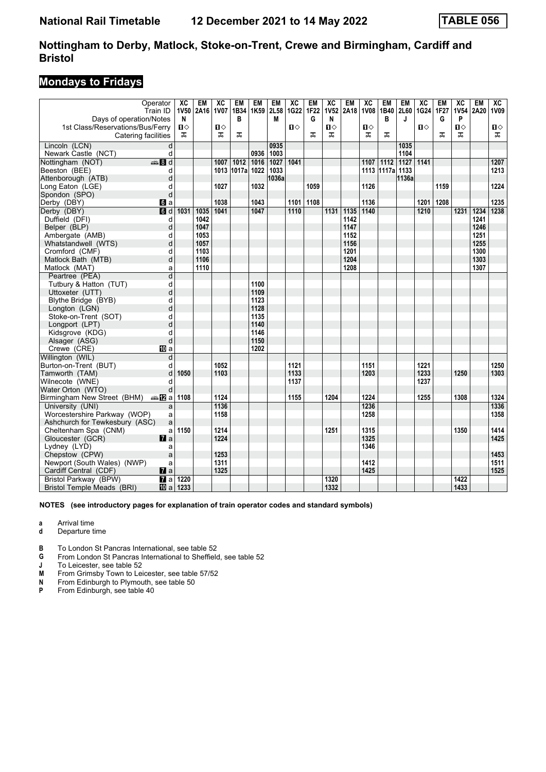## **Mondays to Fridays**

|                                  | Operator                 | $\overline{AC}$ | <b>EM</b> | $\overline{X}C$ | <b>EM</b>         | EM   | <b>EM</b> | $\overline{AC}$ | <b>EM</b>             | $\overline{\text{xc}}$ | <b>EM</b> | $\overline{AC}$ | <b>EM</b>        | <b>EM</b>        | $\overline{X}C$ | <b>EM</b>        | $\overline{X}C$ | <b>EM</b> | $\overline{AC}$ |
|----------------------------------|--------------------------|-----------------|-----------|-----------------|-------------------|------|-----------|-----------------|-----------------------|------------------------|-----------|-----------------|------------------|------------------|-----------------|------------------|-----------------|-----------|-----------------|
| Days of operation/Notes          | Train ID                 | N               | 1V50 2A16 | 1V07            | 1B34<br>В         | 1K59 | 2L58<br>М | 1G22            | 1F <sub>22</sub><br>G | <b>1V52</b><br>N       | 2A18      | <b>1V08</b>     | 1B40<br>В        | 2L60<br>J        | 1G24            | <b>1F27</b><br>G | 1V54<br>P       | 2A20      | <b>1V09</b>     |
| 1st Class/Reservations/Bus/Ferry |                          | О               |           | Ⅱ♦              |                   |      |           | $\mathbf{u}$    |                       | $\mathbf{u}$           |           | $\mathbf{u}$    |                  |                  | $\mathbf{u}$    |                  | $\mathbf{u}$    |           | $\mathbf{u}$    |
| Catering facilities              |                          | ᠼ               |           | ᠼ               | ᠼ                 |      |           |                 | ᠼ                     | ᠼ                      |           | ᠼ               | ᠼ                |                  |                 | ᠼ                | ᠼ               |           | ᠼ               |
|                                  |                          |                 |           |                 |                   |      |           |                 |                       |                        |           |                 |                  |                  |                 |                  |                 |           |                 |
| Lincoln (LCN)                    | d                        |                 |           |                 |                   |      | 0935      |                 |                       |                        |           |                 |                  | 1035             |                 |                  |                 |           |                 |
| Newark Castle (NCT)              | d                        |                 |           |                 |                   | 0936 | 1003      |                 |                       |                        |           |                 |                  | 1104             |                 |                  |                 |           |                 |
| Nottingham (NOT)                 | $\frac{1}{2}$ 8 d        |                 |           | 1007            | $\frac{1012}{20}$ | 1016 | 1027      | 1041            |                       |                        |           | 1107            | $\frac{1112}{2}$ | $\frac{1127}{ }$ | 1141            |                  |                 |           | 1207            |
| Beeston (BEE)                    | d                        |                 |           |                 | 1013 1017a        | 1022 | 1033      |                 |                       |                        |           |                 | 1113 1117a       | 1133             |                 |                  |                 |           | 1213            |
| Attenborough (ATB)               | d                        |                 |           |                 |                   | 1032 | 1036a     |                 |                       |                        |           |                 |                  | 1136a            |                 | 1159             |                 |           | 1224            |
| Long Eaton (LGE)                 | d<br>d                   |                 |           | 1027            |                   |      |           |                 | 1059                  |                        |           | 1126            |                  |                  |                 |                  |                 |           |                 |
| Spondon (SPO)<br>Derby (DBY)     |                          |                 |           | 1038            |                   | 1043 |           | 1101            | 1108                  |                        |           | 1136            |                  |                  |                 | 1201 1208        |                 |           | 1235            |
| Derby (DBY)                      | <b>G</b> a<br><b>d</b> d | 1031            | 1035      | 1041            |                   | 1047 |           | 1110            |                       | 1131                   | 1135      | 1140            |                  |                  | 1210            |                  | 1231            | 1234      | 1238            |
| Duffield (DFI)                   | d                        |                 | 1042      |                 |                   |      |           |                 |                       |                        | 1142      |                 |                  |                  |                 |                  |                 | 1241      |                 |
| Belper (BLP)                     | d                        |                 | 1047      |                 |                   |      |           |                 |                       |                        | 1147      |                 |                  |                  |                 |                  |                 | 1246      |                 |
| Ambergate (AMB)                  | d                        |                 | 1053      |                 |                   |      |           |                 |                       |                        | 1152      |                 |                  |                  |                 |                  |                 | 1251      |                 |
| Whatstandwell (WTS)              | d                        |                 | 1057      |                 |                   |      |           |                 |                       |                        | 1156      |                 |                  |                  |                 |                  |                 | 1255      |                 |
| Cromford (CMF)                   | d                        |                 | 1103      |                 |                   |      |           |                 |                       |                        | 1201      |                 |                  |                  |                 |                  |                 | 1300      |                 |
| Matlock Bath (MTB)               | d                        |                 | 1106      |                 |                   |      |           |                 |                       |                        | 1204      |                 |                  |                  |                 |                  |                 | 1303      |                 |
| Matlock (MAT)                    | a                        |                 | 1110      |                 |                   |      |           |                 |                       |                        | 1208      |                 |                  |                  |                 |                  |                 | 1307      |                 |
| Peartree (PEA)                   | d                        |                 |           |                 |                   |      |           |                 |                       |                        |           |                 |                  |                  |                 |                  |                 |           |                 |
| Tutbury & Hatton (TUT)           | d                        |                 |           |                 |                   | 1100 |           |                 |                       |                        |           |                 |                  |                  |                 |                  |                 |           |                 |
| Uttoxeter (UTT)                  | d                        |                 |           |                 |                   | 1109 |           |                 |                       |                        |           |                 |                  |                  |                 |                  |                 |           |                 |
| Blythe Bridge (BYB)              | d                        |                 |           |                 |                   | 1123 |           |                 |                       |                        |           |                 |                  |                  |                 |                  |                 |           |                 |
| Longton (LGN)                    | d                        |                 |           |                 |                   | 1128 |           |                 |                       |                        |           |                 |                  |                  |                 |                  |                 |           |                 |
| Stoke-on-Trent (SOT)             | d                        |                 |           |                 |                   | 1135 |           |                 |                       |                        |           |                 |                  |                  |                 |                  |                 |           |                 |
| Longport (LPT)                   | d                        |                 |           |                 |                   | 1140 |           |                 |                       |                        |           |                 |                  |                  |                 |                  |                 |           |                 |
| Kidsgrove (KDG)                  | d                        |                 |           |                 |                   | 1146 |           |                 |                       |                        |           |                 |                  |                  |                 |                  |                 |           |                 |
| Alsager (ASG)                    | d                        |                 |           |                 |                   | 1150 |           |                 |                       |                        |           |                 |                  |                  |                 |                  |                 |           |                 |
| Crewe (CRE)                      | IIII a                   |                 |           |                 |                   | 1202 |           |                 |                       |                        |           |                 |                  |                  |                 |                  |                 |           |                 |
| Willington (WIL)                 | d                        |                 |           |                 |                   |      |           |                 |                       |                        |           |                 |                  |                  |                 |                  |                 |           |                 |
| Burton-on-Trent (BUT)            | d                        |                 |           | 1052            |                   |      |           | 1121            |                       |                        |           | 1151            |                  |                  | 1221            |                  |                 |           | 1250            |
| Tamworth (TAM)                   | d                        | 1050            |           | 1103            |                   |      |           | 1133            |                       |                        |           | 1203            |                  |                  | 1233            |                  | 1250            |           | 1303            |
| Wilnecote (WNE)                  | d                        |                 |           |                 |                   |      |           | 1137            |                       |                        |           |                 |                  |                  | 1237            |                  |                 |           |                 |
| Water Orton (WTO)                | d                        |                 |           |                 |                   |      |           |                 |                       |                        |           |                 |                  |                  |                 |                  |                 |           |                 |
| Birmingham New Street (BHM)      | ana Maral                | 1108            |           | 1124            |                   |      |           | 1155            |                       | 1204                   |           | 1224            |                  |                  | 1255            |                  | 1308            |           | 1324            |
| University (UNI)                 | a                        |                 |           | 1136            |                   |      |           |                 |                       |                        |           | 1236            |                  |                  |                 |                  |                 |           | 1336            |
| Worcestershire Parkway (WOP)     | a                        |                 |           | 1158            |                   |      |           |                 |                       |                        |           | 1258            |                  |                  |                 |                  |                 |           | 1358            |
| Ashchurch for Tewkesbury (ASC)   | a                        |                 |           |                 |                   |      |           |                 |                       |                        |           |                 |                  |                  |                 |                  |                 |           |                 |
| Cheltenham Spa (CNM)             | a                        | 1150            |           | 1214            |                   |      |           |                 |                       | 1251                   |           | 1315            |                  |                  |                 |                  | 1350            |           | 1414            |
| Gloucester (GCR)                 | $\mathbf{z}$ a           |                 |           | 1224            |                   |      |           |                 |                       |                        |           | 1325            |                  |                  |                 |                  |                 |           | 1425            |
| Lydney (LYD)                     | a                        |                 |           |                 |                   |      |           |                 |                       |                        |           | 1346            |                  |                  |                 |                  |                 |           |                 |
| Chepstow (CPW)                   | a                        |                 |           | 1253            |                   |      |           |                 |                       |                        |           |                 |                  |                  |                 |                  |                 |           | 1453            |
| Newport (South Wales) (NWP)      | a                        |                 |           | 1311            |                   |      |           |                 |                       |                        |           | 1412            |                  |                  |                 |                  |                 |           | 1511            |
| Cardiff Central (CDF)            | $\mathbf{z}$ a           |                 |           | 1325            |                   |      |           |                 |                       |                        |           | 1425            |                  |                  |                 |                  |                 |           | 1525            |
| <b>Bristol Parkway (BPW)</b>     | $\overline{a}$           | 1220            |           |                 |                   |      |           |                 |                       | 1320                   |           |                 |                  |                  |                 |                  | 1422            |           |                 |
| Bristol Temple Meads (BRI)       | <b>ID</b> a              | 1233            |           |                 |                   |      |           |                 |                       | 1332                   |           |                 |                  |                  |                 |                  | 1433            |           |                 |

**NOTES (see introductory pages for explanation of train operator codes and standard symbols)**

**a** Arrival time<br>**d** Departure t

- **d** Departure time
- **B** To London St Pancras International, see table 52
- **4** From London St Pancras International to Sheffield, see table 52<br>**1** To Leicester, see table 52

**J** To Leicester, see table 52<br>**M** From Grimsby Town to Lei

**M** From Grimsby Town to Leicester, see table 57/52<br>**N** From Edinburgh to Plymouth, see table 50

**N** From Edinburgh to Plymouth, see table 50

**P** From Edinburgh, see table 40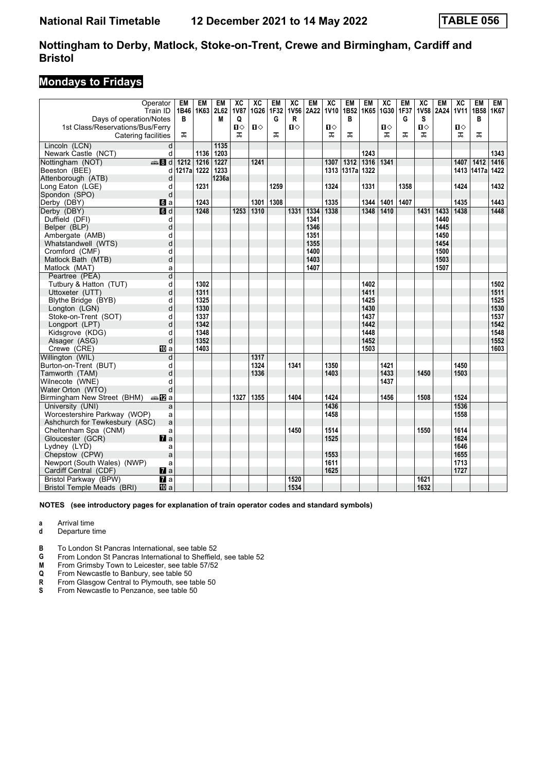## **Mondays to Fridays**

| Days of operation/Notes                                 | Operator<br>Train ID   | EM<br>В      | <b>EM</b><br>1B46 1K63 | EM<br>2L62<br>М | $\overline{X}C$<br><b>1V87</b><br>Q | $\overline{X}C$<br>1G26 | <b>EM</b><br>1F32<br>G | $\overline{X}C$<br><b>1V56</b><br>R | <b>EM</b><br>2A22 | $\overline{X}C$<br><b>1V10</b> | <b>EM</b><br>1B52<br>B | <b>EM</b><br>1K65 | $\overline{AC}$<br>1G30 | EM<br>1F37<br>G | $\overline{X}C$<br>1V58<br>s | <b>EM</b><br>2A24 | $\overline{AC}$<br>1V11 | <b>EM</b><br>1B58<br>в | <b>EM</b><br>1K67 |
|---------------------------------------------------------|------------------------|--------------|------------------------|-----------------|-------------------------------------|-------------------------|------------------------|-------------------------------------|-------------------|--------------------------------|------------------------|-------------------|-------------------------|-----------------|------------------------------|-------------------|-------------------------|------------------------|-------------------|
| 1st Class/Reservations/Bus/Ferry<br>Catering facilities |                        | ᅚ            |                        |                 | $\mathbf{u}$<br>ㅈ                   | Ⅱ♦                      | ᠼ                      | $\mathbf{u}$                        |                   | $\mathbf{u}$<br>ㅈ              | ㅈ                      |                   | п⇔<br>ᇁ                 | ᠼ               | $\mathbf{u}$<br>ᠼ            |                   | $\mathbf{u}$<br>ᅚ       | ᠼ                      |                   |
| Lincoln (LCN)                                           | d                      |              |                        | 1135            |                                     |                         |                        |                                     |                   |                                |                        |                   |                         |                 |                              |                   |                         |                        |                   |
| Newark Castle (NCT)                                     | d                      |              | 1136                   | 1203            |                                     |                         |                        |                                     |                   |                                |                        | 1243              |                         |                 |                              |                   |                         |                        | 1343              |
| Nottingham (NOT)                                        | $\bigoplus$ 8 d        | 1212         | 1216                   | 1227            |                                     | 1241                    |                        |                                     |                   | 1307                           | 1312                   | 1316              | 1341                    |                 |                              |                   | 1407                    | 1412                   | 1416              |
| Beeston (BEE)                                           |                        | d 1217a 1222 |                        | 1233            |                                     |                         |                        |                                     |                   | 1313                           | 1317al                 | 1322              |                         |                 |                              |                   |                         | 1413 1417a             | 1422              |
| Attenborough (ATB)                                      | d                      |              |                        | 1236a           |                                     |                         |                        |                                     |                   |                                |                        |                   |                         |                 |                              |                   |                         |                        |                   |
| Long Eaton (LGE)                                        | d                      |              | 1231                   |                 |                                     |                         | 1259                   |                                     |                   | 1324                           |                        | 1331              |                         | 1358            |                              |                   | 1424                    |                        | 1432              |
| Spondon (SPO)                                           | d                      |              |                        |                 |                                     |                         |                        |                                     |                   |                                |                        |                   |                         |                 |                              |                   |                         |                        |                   |
| Derby (DBY)                                             | $\mathbf{d}$ a         |              | 1243                   |                 |                                     | 1301                    | 1308                   |                                     |                   | 1335                           |                        | 1344              | 1401                    | 1407            |                              |                   | 1435                    |                        | 1443              |
| Derby (DBY)                                             | d                      |              | 1248                   |                 | 1253                                | 1310                    |                        | 1331                                | 1334              | 1338                           |                        | 1348              | 1410                    |                 | 1431                         | 1433              | 1438                    |                        | 1448              |
| Duffield (DFI)                                          | d                      |              |                        |                 |                                     |                         |                        |                                     | 1341              |                                |                        |                   |                         |                 |                              | 1440              |                         |                        |                   |
| Belper (BLP)                                            | d                      |              |                        |                 |                                     |                         |                        |                                     | 1346              |                                |                        |                   |                         |                 |                              | 1445              |                         |                        |                   |
| Ambergate (AMB)                                         | d                      |              |                        |                 |                                     |                         |                        |                                     | 1351              |                                |                        |                   |                         |                 |                              | 1450              |                         |                        |                   |
| Whatstandwell (WTS)                                     | d                      |              |                        |                 |                                     |                         |                        |                                     | 1355              |                                |                        |                   |                         |                 |                              | 1454              |                         |                        |                   |
| Cromford (CMF)                                          | d                      |              |                        |                 |                                     |                         |                        |                                     | 1400              |                                |                        |                   |                         |                 |                              | 1500              |                         |                        |                   |
| Matlock Bath (MTB)                                      | d                      |              |                        |                 |                                     |                         |                        |                                     | 1403              |                                |                        |                   |                         |                 |                              | 1503              |                         |                        |                   |
| Matlock (MAT)                                           | a                      |              |                        |                 |                                     |                         |                        |                                     | 1407              |                                |                        |                   |                         |                 |                              | 1507              |                         |                        |                   |
| Peartree (PEA)                                          | $\overline{d}$         |              |                        |                 |                                     |                         |                        |                                     |                   |                                |                        |                   |                         |                 |                              |                   |                         |                        |                   |
| Tutbury & Hatton (TUT)                                  | d                      |              | 1302                   |                 |                                     |                         |                        |                                     |                   |                                |                        | 1402              |                         |                 |                              |                   |                         |                        | 1502              |
| Uttoxeter (UTT)                                         | d                      |              | 1311                   |                 |                                     |                         |                        |                                     |                   |                                |                        | 1411              |                         |                 |                              |                   |                         |                        | 1511              |
| Blythe Bridge (BYB)                                     | d                      |              | 1325                   |                 |                                     |                         |                        |                                     |                   |                                |                        | 1425              |                         |                 |                              |                   |                         |                        | 1525              |
| Longton (LGN)                                           | d                      |              | 1330                   |                 |                                     |                         |                        |                                     |                   |                                |                        | 1430              |                         |                 |                              |                   |                         |                        | 1530              |
| Stoke-on-Trent (SOT)                                    | d                      |              | 1337                   |                 |                                     |                         |                        |                                     |                   |                                |                        | 1437              |                         |                 |                              |                   |                         |                        | 1537              |
| Longport (LPT)                                          | d                      |              | 1342                   |                 |                                     |                         |                        |                                     |                   |                                |                        | 1442              |                         |                 |                              |                   |                         |                        | 1542              |
| Kidsgrove (KDG)                                         | d                      |              | 1348                   |                 |                                     |                         |                        |                                     |                   |                                |                        | 1448              |                         |                 |                              |                   |                         |                        | 1548              |
| Alsager (ASG)                                           | d                      |              | 1352                   |                 |                                     |                         |                        |                                     |                   |                                |                        | 1452              |                         |                 |                              |                   |                         |                        | 1552              |
| Crewe (CRE)                                             | <b>四</b> a             |              | 1403                   |                 |                                     |                         |                        |                                     |                   |                                |                        | 1503              |                         |                 |                              |                   |                         |                        | 1603              |
| Willington (WIL)                                        | d                      |              |                        |                 |                                     | 1317                    |                        |                                     |                   |                                |                        |                   |                         |                 |                              |                   |                         |                        |                   |
| Burton-on-Trent (BUT)                                   | d                      |              |                        |                 |                                     | 1324                    |                        | 1341                                |                   | 1350                           |                        |                   | 1421                    |                 |                              |                   | 1450                    |                        |                   |
| Tamworth (TAM)                                          | d                      |              |                        |                 |                                     | 1336                    |                        |                                     |                   | 1403                           |                        |                   | 1433                    |                 | 1450                         |                   | 1503                    |                        |                   |
| Wilnecote (WNE)                                         | d                      |              |                        |                 |                                     |                         |                        |                                     |                   |                                |                        |                   | 1437                    |                 |                              |                   |                         |                        |                   |
| Water Orton (WTO)                                       | d                      |              |                        |                 |                                     |                         |                        |                                     |                   |                                |                        |                   |                         |                 |                              |                   |                         |                        |                   |
| Birmingham New Street (BHM)                             | dan <mark>a</mark> M⊡a |              |                        |                 | 1327                                | 1355                    |                        | 1404                                |                   | 1424                           |                        |                   | 1456                    |                 | 1508                         |                   | 1524                    |                        |                   |
| University (UNI)                                        | a                      |              |                        |                 |                                     |                         |                        |                                     |                   | 1436                           |                        |                   |                         |                 |                              |                   | 1536                    |                        |                   |
| Worcestershire Parkway (WOP)                            | a                      |              |                        |                 |                                     |                         |                        |                                     |                   | 1458                           |                        |                   |                         |                 |                              |                   | 1558                    |                        |                   |
| Ashchurch for Tewkesbury (ASC)                          | a                      |              |                        |                 |                                     |                         |                        |                                     |                   |                                |                        |                   |                         |                 |                              |                   |                         |                        |                   |
| Cheltenham Spa (CNM)                                    | a                      |              |                        |                 |                                     |                         |                        | 1450                                |                   | 1514                           |                        |                   |                         |                 | 1550                         |                   | 1614                    |                        |                   |
| Gloucester (GCR)                                        | $\mathbf{z}$           |              |                        |                 |                                     |                         |                        |                                     |                   | 1525                           |                        |                   |                         |                 |                              |                   | 1624                    |                        |                   |
| Lydney (LYD)                                            | a                      |              |                        |                 |                                     |                         |                        |                                     |                   |                                |                        |                   |                         |                 |                              |                   | 1646                    |                        |                   |
| Chepstow (CPW)                                          | a                      |              |                        |                 |                                     |                         |                        |                                     |                   | 1553                           |                        |                   |                         |                 |                              |                   | 1655                    |                        |                   |
| Newport (South Wales) (NWP)                             | a                      |              |                        |                 |                                     |                         |                        |                                     |                   | 1611<br>1625                   |                        |                   |                         |                 |                              |                   | 1713<br>1727            |                        |                   |
| Cardiff Central (CDF)                                   | $\mathbf{z}$ a         |              |                        |                 |                                     |                         |                        | 1520                                |                   |                                |                        |                   |                         |                 |                              |                   |                         |                        |                   |
| Bristol Parkway (BPW)                                   | $\overline{a}$         |              |                        |                 |                                     |                         |                        | 1534                                |                   |                                |                        |                   |                         |                 | 1621                         |                   |                         |                        |                   |
| <b>Bristol Temple Meads (BRI)</b>                       | <b>ID</b> a            |              |                        |                 |                                     |                         |                        |                                     |                   |                                |                        |                   |                         |                 | 1632                         |                   |                         |                        |                   |

**NOTES (see introductory pages for explanation of train operator codes and standard symbols)**

**a** Arrival time<br>**d** Departure t

**d** Departure time

**B** To London St Pancras International, see table 52

**4** From London St Pancras International to Sheffield, see table 52<br>**M** From Grimsby Town to Leicester, see table 57/52

**M** From Grimsby Town to Leicester, see table 57/52<br>**Q** From Newcastle to Banbury, see table 50

**4** From Newcastle to Banbury, see table 50<br>**R** From Glasgow Central to Plymouth, see to S<br>**5** From Newcastle to Penzance, see table 5 From Glasgow Central to Plymouth, see table 50

From Newcastle to Penzance, see table 50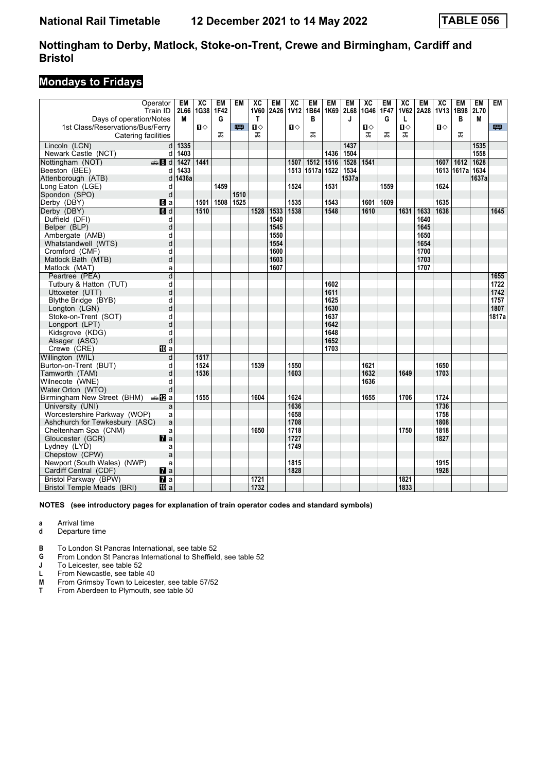## **Mondays to Fridays**

|                                  | Operator                  | EM    | $\overline{AC}$ | <b>EM</b> | <b>EM</b> | $\overline{X}C$       | <b>EM</b> | $\overline{X}C$ | <b>EM</b> | <b>EM</b> | <b>EM</b> | $\overline{AC}$ | <b>EM</b> | $\overline{X}C$ | <b>EM</b> | $\overline{X}C$  | <b>EM</b>        | <b>EM</b> | <b>EM</b> |
|----------------------------------|---------------------------|-------|-----------------|-----------|-----------|-----------------------|-----------|-----------------|-----------|-----------|-----------|-----------------|-----------|-----------------|-----------|------------------|------------------|-----------|-----------|
|                                  | Train ID                  | 2L66  | 1G38 1F42       |           |           | <b>1V60</b>           | 2A26      | <b>1V12</b>     | 1B64      | 1K69      | 2L68      | 1G46            | 1F47      | 1V62            | 2A28      | 1V <sub>13</sub> | 1B98             | 2L70      |           |
| Days of operation/Notes          |                           | М     |                 | G         |           | T                     |           |                 | B         |           | J         |                 | G         | L               |           |                  | в                | M         |           |
| 1st Class/Reservations/Bus/Ferry |                           |       | $\mathbf{u}$    |           | 四         | $\mathbf{D} \diamond$ |           | $\mathbf{u}$    |           |           |           | Ⅱ♦              |           | $\blacksquare$  |           | $\mathbf{u}$     |                  |           | 罒         |
| Catering facilities              |                           |       |                 | ᠼ         |           | ᠼ                     |           |                 | ᠼ         |           |           | ᠼ               | ᠼ         | ᠼ               |           |                  | ᠼ                |           |           |
| Lincoln (LCN)                    | d l                       | 1335  |                 |           |           |                       |           |                 |           |           | 1437      |                 |           |                 |           |                  |                  | 1535      |           |
| Newark Castle (NCT)              | d                         | 1403  |                 |           |           |                       |           |                 |           | 1436      | 1504      |                 |           |                 |           |                  |                  | 1558      |           |
| Nottingham (NOT)                 | <b>美Bd</b>                | 1427  | 1441            |           |           |                       |           | 1507            | 1512      | 1516      | 1528      | 1541            |           |                 |           | 1607             | $\frac{1612}{2}$ | 1628      |           |
| Beeston (BEE)                    | d                         | 1433  |                 |           |           |                       |           | 1513            | 1517a     | 1522      | 1534      |                 |           |                 |           |                  | 1613 1617a 1634  |           |           |
| Attenborough (ATB)               | d                         | 1436a |                 |           |           |                       |           |                 |           |           | 1537a     |                 |           |                 |           |                  |                  | 1637a     |           |
| Long Eaton (LGE)                 | d                         |       |                 | 1459      |           |                       |           | 1524            |           | 1531      |           |                 | 1559      |                 |           | 1624             |                  |           |           |
| Spondon (SPO)                    | d                         |       |                 |           | 1510      |                       |           |                 |           |           |           |                 |           |                 |           |                  |                  |           |           |
| Derby (DBY)                      | $\mathbf{d}$ a            |       | 1501            | 1508      | 1525      |                       |           | 1535            |           | 1543      |           | 1601            | 1609      |                 |           | 1635             |                  |           |           |
| Derby (DBY)                      | $\overline{a}$            |       | 1510            |           |           | 1528                  | 1533      | 1538            |           | 1548      |           | 1610            |           | 1631            | 1633      | 1638             |                  |           | 1645      |
| Duffield (DFI)                   | d                         |       |                 |           |           |                       | 1540      |                 |           |           |           |                 |           |                 | 1640      |                  |                  |           |           |
| Belper (BLP)                     | d                         |       |                 |           |           |                       | 1545      |                 |           |           |           |                 |           |                 | 1645      |                  |                  |           |           |
| Ambergate (AMB)                  | d                         |       |                 |           |           |                       | 1550      |                 |           |           |           |                 |           |                 | 1650      |                  |                  |           |           |
| Whatstandwell (WTS)              | d                         |       |                 |           |           |                       | 1554      |                 |           |           |           |                 |           |                 | 1654      |                  |                  |           |           |
| Cromford (CMF)                   | d                         |       |                 |           |           |                       | 1600      |                 |           |           |           |                 |           |                 | 1700      |                  |                  |           |           |
| Matlock Bath (MTB)               | d                         |       |                 |           |           |                       | 1603      |                 |           |           |           |                 |           |                 | 1703      |                  |                  |           |           |
| Matlock (MAT)                    | a                         |       |                 |           |           |                       | 1607      |                 |           |           |           |                 |           |                 | 1707      |                  |                  |           |           |
| Peartree (PEA)                   | d                         |       |                 |           |           |                       |           |                 |           |           |           |                 |           |                 |           |                  |                  |           | 1655      |
| Tutbury & Hatton (TUT)           | d                         |       |                 |           |           |                       |           |                 |           | 1602      |           |                 |           |                 |           |                  |                  |           | 1722      |
| Uttoxeter (UTT)                  | d                         |       |                 |           |           |                       |           |                 |           | 1611      |           |                 |           |                 |           |                  |                  |           | 1742      |
| Blythe Bridge (BYB)              | d                         |       |                 |           |           |                       |           |                 |           | 1625      |           |                 |           |                 |           |                  |                  |           | 1757      |
| Longton (LGN)                    | d                         |       |                 |           |           |                       |           |                 |           | 1630      |           |                 |           |                 |           |                  |                  |           | 1807      |
| Stoke-on-Trent (SOT)             | d                         |       |                 |           |           |                       |           |                 |           | 1637      |           |                 |           |                 |           |                  |                  |           | 1817a     |
| Longport (LPT)                   | d                         |       |                 |           |           |                       |           |                 |           | 1642      |           |                 |           |                 |           |                  |                  |           |           |
| Kidsgrove (KDG)                  | d                         |       |                 |           |           |                       |           |                 |           | 1648      |           |                 |           |                 |           |                  |                  |           |           |
| Alsager (ASG)                    | d                         |       |                 |           |           |                       |           |                 |           | 1652      |           |                 |           |                 |           |                  |                  |           |           |
| Crewe (CRE)                      | 囮 a                       |       |                 |           |           |                       |           |                 |           | 1703      |           |                 |           |                 |           |                  |                  |           |           |
| Willington (WIL)                 | d                         |       | 1517            |           |           |                       |           |                 |           |           |           |                 |           |                 |           |                  |                  |           |           |
| Burton-on-Trent (BUT)            | d                         |       | 1524            |           |           | 1539                  |           | 1550            |           |           |           | 1621            |           |                 |           | 1650             |                  |           |           |
| Tamworth (TAM)                   | d                         |       | 1536            |           |           |                       |           | 1603            |           |           |           | 1632            |           | 1649            |           | 1703             |                  |           |           |
| Wilnecote (WNE)                  | d                         |       |                 |           |           |                       |           |                 |           |           |           | 1636            |           |                 |           |                  |                  |           |           |
| Water Orton (WTO)                | d                         |       |                 |           |           |                       |           |                 |           |           |           |                 |           |                 |           |                  |                  |           |           |
| Birmingham New Street (BHM)      | dan Ma                    |       | 1555            |           |           | 1604                  |           | 1624            |           |           |           | 1655            |           | 1706            |           | 1724             |                  |           |           |
| University (UNI)                 | a                         |       |                 |           |           |                       |           | 1636            |           |           |           |                 |           |                 |           | 1736             |                  |           |           |
| Worcestershire Parkway (WOP)     | a                         |       |                 |           |           |                       |           | 1658            |           |           |           |                 |           |                 |           | 1758             |                  |           |           |
| Ashchurch for Tewkesbury (ASC)   | a                         |       |                 |           |           |                       |           | 1708            |           |           |           |                 |           |                 |           | 1808             |                  |           |           |
| Cheltenham Spa (CNM)             | a                         |       |                 |           |           | 1650                  |           | 1718            |           |           |           |                 |           | 1750            |           | 1818             |                  |           |           |
| Gloucester (GCR)                 | $\mathbf{z}$              |       |                 |           |           |                       |           | 1727            |           |           |           |                 |           |                 |           | 1827             |                  |           |           |
| Lydney (LYD)                     | a                         |       |                 |           |           |                       |           | 1749            |           |           |           |                 |           |                 |           |                  |                  |           |           |
| Chepstow (CPW)                   | a                         |       |                 |           |           |                       |           |                 |           |           |           |                 |           |                 |           |                  |                  |           |           |
| Newport (South Wales) (NWP)      | a                         |       |                 |           |           |                       |           | 1815            |           |           |           |                 |           |                 |           | 1915             |                  |           |           |
| Cardiff Central (CDF)            | $\mathbf{z}$ a            |       |                 |           |           |                       |           | 1828            |           |           |           |                 |           |                 |           | 1928             |                  |           |           |
| Bristol Parkway (BPW)            | $\overline{\mathbf{a}}$ a |       |                 |           |           | 1721                  |           |                 |           |           |           |                 |           | 1821            |           |                  |                  |           |           |
| Bristol Temple Meads (BRI)       | 10 a                      |       |                 |           |           | 1732                  |           |                 |           |           |           |                 |           | 1833            |           |                  |                  |           |           |

**NOTES (see introductory pages for explanation of train operator codes and standard symbols)**

**a** Arrival time<br>**d** Departure t

**d** Departure time

**B** To London St Pancras International, see table 52

**4** From London St Pancras International to Sheffield, see table 52<br>**1** To Leicester, see table 52

**J** To Leicester, see table 52<br>**L** From Newcastle, see table

**L** From Newcastle, see table 40<br>**M** From Grimsby Town to Leices<br>**T** From Aberdeen to Plymouth, s From Grimsby Town to Leicester, see table 57/52

**The Company Profit to Editorial State**<br>From Aberdeen to Plymouth, see table 50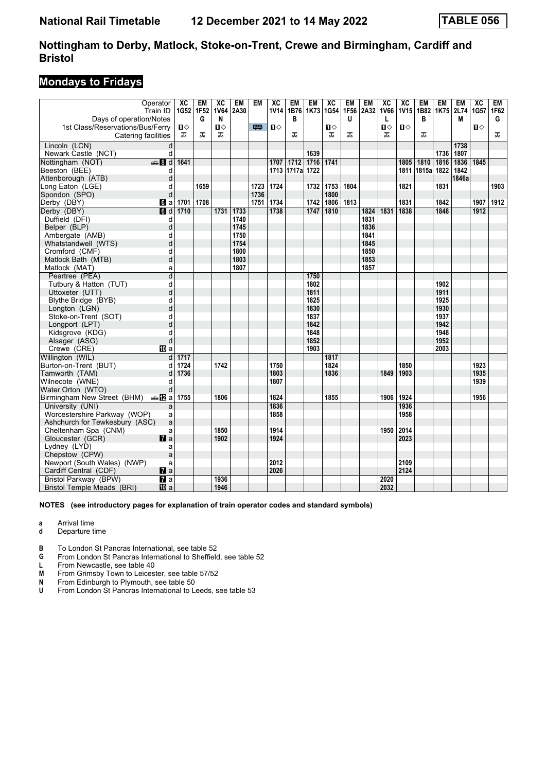# **Mondays to Fridays**

|                                  | Operator               | $\overline{X}C$ | <b>EM</b> | ХC          | EM   | <b>EM</b> | $\overline{X}C$ | <b>EM</b> | <b>EM</b> | $\overline{X}C$ | <b>EM</b> | <b>EM</b> | $\overline{AC}$ | $\overline{X}C$ | EM         | <b>EM</b> | EM    | $\overline{X}C$ | EM   |
|----------------------------------|------------------------|-----------------|-----------|-------------|------|-----------|-----------------|-----------|-----------|-----------------|-----------|-----------|-----------------|-----------------|------------|-----------|-------|-----------------|------|
|                                  | Train ID               | 1G52 1F52       |           | <b>1V64</b> | 2A30 |           | <b>1V14</b>     | 1B76      | 1K73      | 1G54            | 1F56      | 2A32      | <b>1V66</b>     | <b>1V15</b>     | 1B82       | 1K75      | 2L74  | 1G57            | 1F62 |
| Days of operation/Notes          |                        |                 | G         | N           |      |           |                 | B         |           |                 | u         |           | L               |                 | в          |           | М     |                 | G    |
| 1st Class/Reservations/Bus/Ferry |                        | П⇔<br>ᅚ         | ᠼ         | Ⅱ♦          |      | 罒         | п⇔              |           |           | п⇔              |           |           | П⇔              | $\mathbf{u}$    |            |           |       | $\mathbf{u}$    |      |
| Catering facilities              |                        |                 |           | ᠼ           |      |           |                 | ᠼ         |           | ᠼ               | ᠼ         |           | ᅚ               |                 | ᠼ          |           |       |                 | ᠼ    |
| Lincoln (LCN)                    | d                      |                 |           |             |      |           |                 |           |           |                 |           |           |                 |                 |            |           | 1738  |                 |      |
| Newark Castle (NCT)              | d                      |                 |           |             |      |           |                 |           | 1639      |                 |           |           |                 |                 |            | 1736      | 1807  |                 |      |
| Nottingham (NOT)                 | <b>第8d</b>             | 1641            |           |             |      |           | 1707            | 1712      | 1716      | 1741            |           |           |                 | 1805            | 1810       | 1816      | 1836  | 1845            |      |
| Beeston (BEE)                    | d                      |                 |           |             |      |           | 1713            | 1717a     | 1722      |                 |           |           |                 | 1811            | 1815a 1822 |           | 1842  |                 |      |
| Attenborough (ATB)               | d                      |                 |           |             |      |           |                 |           |           |                 |           |           |                 |                 |            |           | 1846a |                 |      |
| Long Eaton (LGE)                 | d                      |                 | 1659      |             |      | 1723      | 1724            |           | 1732      | 1753            | 1804      |           |                 | 1821            |            | 1831      |       |                 | 1903 |
| Spondon (SPO)                    | d                      |                 |           |             |      | 1736      |                 |           |           | 1800            |           |           |                 |                 |            |           |       |                 |      |
| Derby (DBY)                      | $\blacksquare$         | 1701            | 1708      |             |      | 1751      | 1734            |           | 1742      | 1806            | 1813      |           |                 | 1831            |            | 1842      |       | 1907            | 1912 |
| Derby (DBY)                      | $\blacksquare$         | 1710            |           | 1731        | 1733 |           | 1738            |           | 1747      | 1810            |           | 1824      | 1831            | 1838            |            | 1848      |       | 1912            |      |
| Duffield (DFI)                   | d                      |                 |           |             | 1740 |           |                 |           |           |                 |           | 1831      |                 |                 |            |           |       |                 |      |
| Belper (BLP)                     | d                      |                 |           |             | 1745 |           |                 |           |           |                 |           | 1836      |                 |                 |            |           |       |                 |      |
| Ambergate (AMB)                  | d                      |                 |           |             | 1750 |           |                 |           |           |                 |           | 1841      |                 |                 |            |           |       |                 |      |
| Whatstandwell (WTS)              | d                      |                 |           |             | 1754 |           |                 |           |           |                 |           | 1845      |                 |                 |            |           |       |                 |      |
| Cromford (CMF)                   | d                      |                 |           |             | 1800 |           |                 |           |           |                 |           | 1850      |                 |                 |            |           |       |                 |      |
| Matlock Bath (MTB)               | d                      |                 |           |             | 1803 |           |                 |           |           |                 |           | 1853      |                 |                 |            |           |       |                 |      |
| Matlock (MAT)                    | a                      |                 |           |             | 1807 |           |                 |           |           |                 |           | 1857      |                 |                 |            |           |       |                 |      |
| Peartree (PEA)                   | d                      |                 |           |             |      |           |                 |           | 1750      |                 |           |           |                 |                 |            |           |       |                 |      |
| Tutbury & Hatton (TUT)           | d                      |                 |           |             |      |           |                 |           | 1802      |                 |           |           |                 |                 |            | 1902      |       |                 |      |
| Uttoxeter (UTT)                  | d                      |                 |           |             |      |           |                 |           | 1811      |                 |           |           |                 |                 |            | 1911      |       |                 |      |
| Blythe Bridge (BYB)              | d                      |                 |           |             |      |           |                 |           | 1825      |                 |           |           |                 |                 |            | 1925      |       |                 |      |
| Longton (LGN)                    | d                      |                 |           |             |      |           |                 |           | 1830      |                 |           |           |                 |                 |            | 1930      |       |                 |      |
| Stoke-on-Trent (SOT)             | d                      |                 |           |             |      |           |                 |           | 1837      |                 |           |           |                 |                 |            | 1937      |       |                 |      |
| Longport (LPT)                   | d                      |                 |           |             |      |           |                 |           | 1842      |                 |           |           |                 |                 |            | 1942      |       |                 |      |
| Kidsgrove (KDG)                  | d                      |                 |           |             |      |           |                 |           | 1848      |                 |           |           |                 |                 |            | 1948      |       |                 |      |
| Alsager (ASG)                    | d                      |                 |           |             |      |           |                 |           | 1852      |                 |           |           |                 |                 |            | 1952      |       |                 |      |
| Crewe (CRE)                      | <b>ID</b> a            |                 |           |             |      |           |                 |           | 1903      |                 |           |           |                 |                 |            | 2003      |       |                 |      |
| Willington (WIL)                 | d                      | 1717            |           |             |      |           |                 |           |           | 1817            |           |           |                 |                 |            |           |       |                 |      |
| Burton-on-Trent (BUT)            | d                      | 1724            |           | 1742        |      |           | 1750            |           |           | 1824            |           |           |                 | 1850            |            |           |       | 1923            |      |
| Tamworth (TAM)                   | d                      | 1736            |           |             |      |           | 1803            |           |           | 1836            |           |           | 1849            | 1903            |            |           |       | 1935            |      |
| Wilnecote (WNE)                  | d                      |                 |           |             |      |           | 1807            |           |           |                 |           |           |                 |                 |            |           |       | 1939            |      |
| Water Orton (WTO)                | d                      |                 |           |             |      |           |                 |           |           |                 |           |           |                 |                 |            |           |       |                 |      |
| Birmingham New Street (BHM)      | dan <mark>ma</mark> Ωa | 1755            |           | 1806        |      |           | 1824            |           |           | 1855            |           |           | 1906            | 1924            |            |           |       | 1956            |      |
| University (UNI)                 | a                      |                 |           |             |      |           | 1836            |           |           |                 |           |           |                 | 1936            |            |           |       |                 |      |
| Worcestershire Parkway (WOP)     | a                      |                 |           |             |      |           | 1858            |           |           |                 |           |           |                 | 1958            |            |           |       |                 |      |
| Ashchurch for Tewkesbury (ASC)   | a                      |                 |           |             |      |           |                 |           |           |                 |           |           |                 |                 |            |           |       |                 |      |
| Cheltenham Spa (CNM)             | a                      |                 |           | 1850        |      |           | 1914            |           |           |                 |           |           | 1950            | 2014            |            |           |       |                 |      |
| Gloucester (GCR)                 | $\mathbf{z}$           |                 |           | 1902        |      |           | 1924            |           |           |                 |           |           |                 | 2023            |            |           |       |                 |      |
| Lydney (LYD)                     | a                      |                 |           |             |      |           |                 |           |           |                 |           |           |                 |                 |            |           |       |                 |      |
| Chepstow (CPW)                   | a                      |                 |           |             |      |           |                 |           |           |                 |           |           |                 |                 |            |           |       |                 |      |
| Newport (South Wales) (NWP)      | a                      |                 |           |             |      |           | 2012            |           |           |                 |           |           |                 | 2109            |            |           |       |                 |      |
| Cardiff Central (CDF)            | $\mathbf{z}$ a         |                 |           |             |      |           | 2026            |           |           |                 |           |           |                 | 2124            |            |           |       |                 |      |
| Bristol Parkway (BPW)            | $\overline{a}$         |                 |           | 1936        |      |           |                 |           |           |                 |           |           | 2020            |                 |            |           |       |                 |      |
| Bristol Temple Meads (BRI)       | 10 a                   |                 |           | 1946        |      |           |                 |           |           |                 |           |           | 2032            |                 |            |           |       |                 |      |

#### **NOTES (see introductory pages for explanation of train operator codes and standard symbols)**

**a** Arrival time

- **d** Departure time
- **B** To London St Pancras International, see table 52
- **4** From London St Pancras International to Sheffield, see table 52<br>**L** From Newcastle, see table 40

**L** From Newcastle, see table 40<br>**M** From Grimsby Town to Leicest

**M** From Grimsby Town to Leicester, see table 57/52<br>**N** From Edinburgh to Plymouth, see table 50

**N** From Edinburgh to Plymouth, see table 50

**U** From London St Pancras International to Leeds, see table 53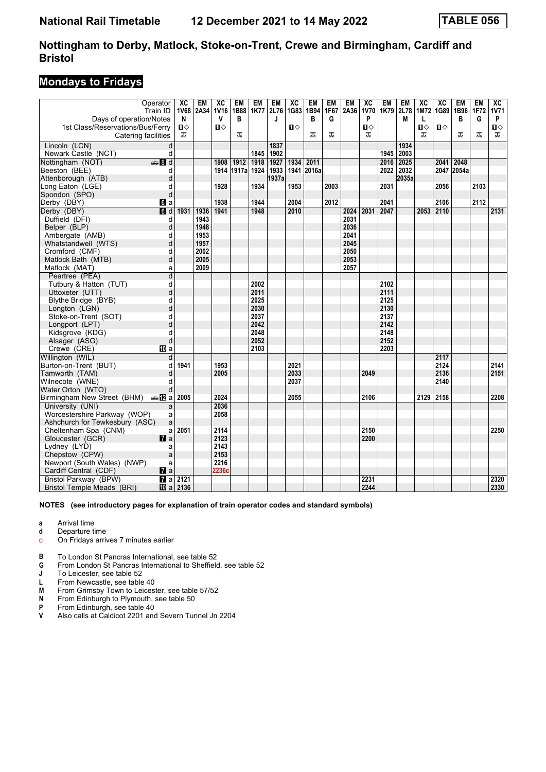## **Mondays to Fridays**

|                                  | Operator          | ХC                     | EM        | $\overline{X}C$ | EM         | EM   | <b>EM</b> | $\overline{AC}$ | <b>EM</b>  | <b>EM</b> | <b>EM</b> | $\overline{\text{xc}}$ | <b>EM</b> | <b>EM</b> | $\overline{X}C$ | $\overline{X}C$ | <b>EM</b>  | <b>EM</b> | ХC           |
|----------------------------------|-------------------|------------------------|-----------|-----------------|------------|------|-----------|-----------------|------------|-----------|-----------|------------------------|-----------|-----------|-----------------|-----------------|------------|-----------|--------------|
|                                  | Train ID          |                        | 1V68 2A34 | <b>1V16</b>     | 1B88       | 1K77 | 2L76      | 1G83            | 1B94       | 1F67      | 2A36      | <b>1V70</b>            | 1K79      | 2L78      |                 | 1M72 1G89 1B96  |            | 1F72      | <b>1V71</b>  |
| Days of operation/Notes          |                   | N                      |           | v               | в          |      | J         |                 | в          | G         |           | P                      |           | M         | L               |                 | в          | G         | P            |
| 1st Class/Reservations/Bus/Ferry |                   | $\mathbf{u}$           |           | $\mathbf{u}$    |            |      |           | $\mathbf{u}$    |            |           |           | $\mathbf{u}$           |           |           | Ⅱ♦              | $\mathbf{u}$    |            |           | $\mathbf{u}$ |
| Catering facilities              |                   | ᠼ                      |           |                 | ᠼ          |      |           |                 | ᠼ          | ᠼ         |           | ᠼ                      |           |           | ᠼ               |                 | ᅚ          | ᠼ         | ᠼ            |
| Lincoln (LCN)                    | d                 |                        |           |                 |            |      | 1837      |                 |            |           |           |                        |           | 1934      |                 |                 |            |           |              |
| Newark Castle (NCT)              | d                 |                        |           |                 |            | 1845 | 1902      |                 |            |           |           |                        | 1945      | 2003      |                 |                 |            |           |              |
| Nottingham (NOT)                 | $\frac{1}{2}$ 8 d |                        |           | 1908            | 1912       | 1918 | 1927      | 1934            | 2011       |           |           |                        | 2016      | 2025      |                 | 2041            | 2048       |           |              |
| Beeston (BEE)                    | d                 |                        |           | 1914            | 1917a 1924 |      | 1933      |                 | 1941 2016a |           |           |                        | 2022 2032 |           |                 |                 | 2047 2054a |           |              |
| Attenborough (ATB)               | d                 |                        |           |                 |            |      | 1937a     |                 |            |           |           |                        |           | 2035a     |                 |                 |            |           |              |
| Long Eaton (LGE)                 | d                 |                        |           | 1928            |            | 1934 |           | 1953            |            | 2003      |           |                        | 2031      |           |                 | 2056            |            | 2103      |              |
| Spondon (SPO)                    | d                 |                        |           |                 |            |      |           |                 |            |           |           |                        |           |           |                 |                 |            |           |              |
| Derby (DBY)                      | $\mathbf{d}$ a    |                        |           | 1938            |            | 1944 |           | 2004            |            | 2012      |           |                        | 2041      |           |                 | 2106            |            | 2112      |              |
| Derby (DBY)                      | d                 | 1931                   | 1936      | 1941            |            | 1948 |           | 2010            |            |           | 2024      | 2031                   | 2047      |           | 2053            | 2110            |            |           | 2131         |
| Duffield (DFI)                   | d                 |                        | 1943      |                 |            |      |           |                 |            |           | 2031      |                        |           |           |                 |                 |            |           |              |
| Belper (BLP)                     | d                 |                        | 1948      |                 |            |      |           |                 |            |           | 2036      |                        |           |           |                 |                 |            |           |              |
| Ambergate (AMB)                  | d                 |                        | 1953      |                 |            |      |           |                 |            |           | 2041      |                        |           |           |                 |                 |            |           |              |
| Whatstandwell (WTS)              | d                 |                        | 1957      |                 |            |      |           |                 |            |           | 2045      |                        |           |           |                 |                 |            |           |              |
| Cromford (CMF)                   | d                 |                        | 2002      |                 |            |      |           |                 |            |           | 2050      |                        |           |           |                 |                 |            |           |              |
| Matlock Bath (MTB)               | d                 |                        | 2005      |                 |            |      |           |                 |            |           | 2053      |                        |           |           |                 |                 |            |           |              |
| Matlock (MAT)                    | a                 |                        | 2009      |                 |            |      |           |                 |            |           | 2057      |                        |           |           |                 |                 |            |           |              |
| Peartree (PEA)                   | d                 |                        |           |                 |            |      |           |                 |            |           |           |                        |           |           |                 |                 |            |           |              |
| Tutbury & Hatton (TUT)           | d                 |                        |           |                 |            | 2002 |           |                 |            |           |           |                        | 2102      |           |                 |                 |            |           |              |
| Uttoxeter (UTT)                  | d                 |                        |           |                 |            | 2011 |           |                 |            |           |           |                        | 2111      |           |                 |                 |            |           |              |
| Blythe Bridge (BYB)              | d                 |                        |           |                 |            | 2025 |           |                 |            |           |           |                        | 2125      |           |                 |                 |            |           |              |
| Longton (LGN)                    | d                 |                        |           |                 |            | 2030 |           |                 |            |           |           |                        | 2130      |           |                 |                 |            |           |              |
| Stoke-on-Trent (SOT)             | d                 |                        |           |                 |            | 2037 |           |                 |            |           |           |                        | 2137      |           |                 |                 |            |           |              |
| Longport (LPT)                   | d                 |                        |           |                 |            | 2042 |           |                 |            |           |           |                        | 2142      |           |                 |                 |            |           |              |
| Kidsgrove (KDG)                  | d                 |                        |           |                 |            | 2048 |           |                 |            |           |           |                        | 2148      |           |                 |                 |            |           |              |
| Alsager (ASG)                    | d                 |                        |           |                 |            | 2052 |           |                 |            |           |           |                        | 2152      |           |                 |                 |            |           |              |
| Crewe (CRE)                      | <b>卫</b> a        |                        |           |                 |            | 2103 |           |                 |            |           |           |                        | 2203      |           |                 |                 |            |           |              |
| Willington (WIL)                 | d                 |                        |           |                 |            |      |           |                 |            |           |           |                        |           |           |                 | 2117            |            |           |              |
| Burton-on-Trent (BUT)            | d                 | 1941                   |           | 1953            |            |      |           | 2021            |            |           |           |                        |           |           |                 | 2124            |            |           | 2141         |
| Tamworth (TAM)                   | d                 |                        |           | 2005            |            |      |           | 2033            |            |           |           | 2049                   |           |           |                 | 2136            |            |           | 2151         |
| Wilnecote (WNE)                  | d                 |                        |           |                 |            |      |           | 2037            |            |           |           |                        |           |           |                 | 2140            |            |           |              |
| Water Orton (WTO)                | d                 |                        |           |                 |            |      |           |                 |            |           |           |                        |           |           |                 |                 |            |           |              |
| Birmingham New Street (BHM)      | <b>▲ 图 a 2005</b> |                        |           | 2024            |            |      |           | 2055            |            |           |           | 2106                   |           |           | 2129 2158       |                 |            |           | 2208         |
| University (UNI)                 | a                 |                        |           | 2036            |            |      |           |                 |            |           |           |                        |           |           |                 |                 |            |           |              |
| Worcestershire Parkway (WOP)     | a                 |                        |           | 2058            |            |      |           |                 |            |           |           |                        |           |           |                 |                 |            |           |              |
| Ashchurch for Tewkesbury (ASC)   | a                 |                        |           |                 |            |      |           |                 |            |           |           |                        |           |           |                 |                 |            |           |              |
| Cheltenham Spa (CNM)             | a                 | 2051                   |           | 2114            |            |      |           |                 |            |           |           | 2150                   |           |           |                 |                 |            |           | 2250         |
| Gloucester (GCR)                 | $\mathbf{z}$ a    |                        |           | 2123            |            |      |           |                 |            |           |           | 2200                   |           |           |                 |                 |            |           |              |
| Lydney (LYD)                     | a                 |                        |           | 2143            |            |      |           |                 |            |           |           |                        |           |           |                 |                 |            |           |              |
| Chepstow (CPW)                   | a                 |                        |           | 2153            |            |      |           |                 |            |           |           |                        |           |           |                 |                 |            |           |              |
| Newport (South Wales) (NWP)      | a                 |                        |           | 2216            |            |      |           |                 |            |           |           |                        |           |           |                 |                 |            |           |              |
| Cardiff Central (CDF)            | $\mathbf{z}$ a    |                        |           | 2236c           |            |      |           |                 |            |           |           |                        |           |           |                 |                 |            |           |              |
| Bristol Parkway (BPW)            |                   | $\sqrt{a}$ a 2121      |           |                 |            |      |           |                 |            |           |           | 2231                   |           |           |                 |                 |            |           | 2320         |
| Bristol Temple Meads (BRI)       |                   | $\overline{10}$ a 2136 |           |                 |            |      |           |                 |            |           |           | 2244                   |           |           |                 |                 |            |           | 2330         |

- **a** Arrival time
- **d** Departure time<br>**c** On Fridays arrive
- c On Fridays arrives 7 minutes earlier
- **B** To London St Pancras International, see table 52 **G** From London St Pancras International to Sheffield
- **6** From London St Pancras International to Sheffield, see table 52<br>**J** To Leicester, see table 52
- **J** To Leicester, see table 52<br>**L** From Newcastle, see table
- **L** From Newcastle, see table 40<br>**M** From Grimsby Town to Leices
- **M** From Grimsby Town to Leicester, see table 57/52<br>**N** From Edinburgh to Plymouth, see table 50
- **N** From Edinburgh to Plymouth, see table 50<br>**P** From Edinburgh, see table 40
- **P** From Edinburgh, see table 40<br>**V** Also calls at Caldicot 2201 and
- Also calls at Caldicot 2201 and Severn Tunnel Jn 2204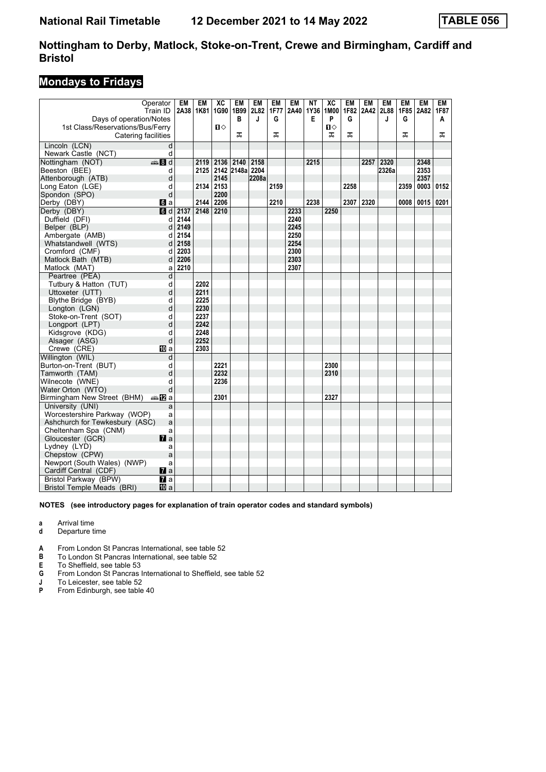## **Mondays to Fridays**

|                                  | Operator<br>Train ID | <b>EM</b><br>2A38 | <b>EM</b><br>1K81 | $\overline{X}C$<br>1G90 1B99 | <b>EM</b>       | <b>EM</b><br>2L82 | <b>EM</b><br><b>1F77</b> | <b>EM</b><br>2A40 | <b>NT</b><br>1Y36 | $\overline{X}C$<br>1M00 | <b>EM</b><br>1F82 | <b>EM</b> | <b>EM</b><br>2A42 2L88 | <b>EM</b> | <b>EM</b><br>1F85 2A82 | <b>EM</b><br>1F87 |
|----------------------------------|----------------------|-------------------|-------------------|------------------------------|-----------------|-------------------|--------------------------|-------------------|-------------------|-------------------------|-------------------|-----------|------------------------|-----------|------------------------|-------------------|
| Days of operation/Notes          |                      |                   |                   |                              | в               | J                 | G                        |                   | E                 | P                       | G                 |           | J                      | G         |                        | A                 |
| 1st Class/Reservations/Bus/Ferry |                      |                   |                   | $\mathbf{u}$                 |                 |                   |                          |                   |                   | $\mathbf{u}$            |                   |           |                        |           |                        |                   |
| Catering facilities              |                      |                   |                   |                              | ᠼ               |                   | ᅚ                        |                   |                   | ᠼ                       | ᠼ                 |           |                        | ᅚ         |                        | ᅚ                 |
| Lincoln (LCN)                    | d                    |                   |                   |                              |                 |                   |                          |                   |                   |                         |                   |           |                        |           |                        |                   |
| Newark Castle (NCT)              | d                    |                   |                   |                              |                 |                   |                          |                   |                   |                         |                   |           |                        |           |                        |                   |
| Nottingham (NOT)                 | €Bd                  |                   | 2119              | 2136                         | 2140            | 2158              |                          |                   | 2215              |                         |                   | 2257      | 2320                   |           | 2348                   |                   |
| Beeston (BEE)                    | d                    |                   | 2125              |                              | 2142 2148a 2204 |                   |                          |                   |                   |                         |                   |           | 2326a                  |           | 2353                   |                   |
| Attenborough (ATB)               | d                    |                   |                   | 2145                         |                 | 2208a             |                          |                   |                   |                         |                   |           |                        |           | 2357                   |                   |
| Long Eaton (LGE)                 | d                    |                   | 2134              | 2153                         |                 |                   | 2159                     |                   |                   |                         | 2258              |           |                        | 2359      | 0003                   | 0152              |
| Spondon (SPO)                    | d                    |                   |                   | 2200                         |                 |                   |                          |                   |                   |                         |                   |           |                        |           |                        |                   |
| Derby (DBY)                      | 6 a                  |                   | 2144              | 2206                         |                 |                   | 2210                     |                   | 2238              |                         | 2307              | 2320      |                        | 0008      | $0015$ 0201            |                   |
| Derby (DBY)                      | $\overline{6}$ d     | 2137              | 2148              | 2210                         |                 |                   |                          | 2233              |                   | 2250                    |                   |           |                        |           |                        |                   |
| Duffield (DFI)                   | d                    | 2144              |                   |                              |                 |                   |                          | 2240              |                   |                         |                   |           |                        |           |                        |                   |
| Belper (BLP)                     | d                    | 2149              |                   |                              |                 |                   |                          | 2245              |                   |                         |                   |           |                        |           |                        |                   |
| Ambergate (AMB)                  | d                    | 2154              |                   |                              |                 |                   |                          | 2250              |                   |                         |                   |           |                        |           |                        |                   |
| Whatstandwell (WTS)              | d                    | 2158              |                   |                              |                 |                   |                          | 2254              |                   |                         |                   |           |                        |           |                        |                   |
| Cromford (CMF)                   | d                    | 2203              |                   |                              |                 |                   |                          | 2300              |                   |                         |                   |           |                        |           |                        |                   |
| Matlock Bath (MTB)               | d                    | 2206              |                   |                              |                 |                   |                          | 2303              |                   |                         |                   |           |                        |           |                        |                   |
| Matlock (MAT)                    | a                    | 2210              |                   |                              |                 |                   |                          | 2307              |                   |                         |                   |           |                        |           |                        |                   |
| Peartree (PEA)                   | d                    |                   |                   |                              |                 |                   |                          |                   |                   |                         |                   |           |                        |           |                        |                   |
| Tutbury & Hatton (TUT)           | d                    |                   | 2202              |                              |                 |                   |                          |                   |                   |                         |                   |           |                        |           |                        |                   |
| Uttoxeter (UTT)                  | d                    |                   | 2211              |                              |                 |                   |                          |                   |                   |                         |                   |           |                        |           |                        |                   |
| Blythe Bridge (BYB)              | d                    |                   | 2225              |                              |                 |                   |                          |                   |                   |                         |                   |           |                        |           |                        |                   |
| Longton (LGN)                    | d                    |                   | 2230              |                              |                 |                   |                          |                   |                   |                         |                   |           |                        |           |                        |                   |
| Stoke-on-Trent (SOT)             | d                    |                   | 2237              |                              |                 |                   |                          |                   |                   |                         |                   |           |                        |           |                        |                   |
| Longport (LPT)                   | d                    |                   | 2242              |                              |                 |                   |                          |                   |                   |                         |                   |           |                        |           |                        |                   |
| Kidsgrove (KDG)                  | d                    |                   | 2248              |                              |                 |                   |                          |                   |                   |                         |                   |           |                        |           |                        |                   |
| Alsager (ASG)                    | d                    |                   | 2252              |                              |                 |                   |                          |                   |                   |                         |                   |           |                        |           |                        |                   |
| Crewe (CRE)                      | <b>ID</b> a          |                   | 2303              |                              |                 |                   |                          |                   |                   |                         |                   |           |                        |           |                        |                   |
| Willington (WIL)                 | d                    |                   |                   |                              |                 |                   |                          |                   |                   |                         |                   |           |                        |           |                        |                   |
| Burton-on-Trent (BUT)            | d                    |                   |                   | 2221                         |                 |                   |                          |                   |                   | 2300                    |                   |           |                        |           |                        |                   |
| Tamworth (TAM)                   | d                    |                   |                   | 2232                         |                 |                   |                          |                   |                   | 2310                    |                   |           |                        |           |                        |                   |
| Wilnecote (WNE)                  | d                    |                   |                   | 2236                         |                 |                   |                          |                   |                   |                         |                   |           |                        |           |                        |                   |
| Water Orton (WTO)                | d                    |                   |                   |                              |                 |                   |                          |                   |                   |                         |                   |           |                        |           |                        |                   |
| Birmingham New Street (BHM)      | annin2la             |                   |                   | 2301                         |                 |                   |                          |                   |                   | 2327                    |                   |           |                        |           |                        |                   |
| University (UNI)                 | a                    |                   |                   |                              |                 |                   |                          |                   |                   |                         |                   |           |                        |           |                        |                   |
| Worcestershire Parkway (WOP)     | a                    |                   |                   |                              |                 |                   |                          |                   |                   |                         |                   |           |                        |           |                        |                   |
| Ashchurch for Tewkesbury (ASC)   | a                    |                   |                   |                              |                 |                   |                          |                   |                   |                         |                   |           |                        |           |                        |                   |
| Cheltenham Spa (CNM)             | a                    |                   |                   |                              |                 |                   |                          |                   |                   |                         |                   |           |                        |           |                        |                   |
| Gloucester (GCR)                 | $\mathbf{z}$ a       |                   |                   |                              |                 |                   |                          |                   |                   |                         |                   |           |                        |           |                        |                   |
| Lydney (LYD)                     | a                    |                   |                   |                              |                 |                   |                          |                   |                   |                         |                   |           |                        |           |                        |                   |
| Chepstow (CPW)                   | a                    |                   |                   |                              |                 |                   |                          |                   |                   |                         |                   |           |                        |           |                        |                   |
| Newport (South Wales) (NWP)      | a                    |                   |                   |                              |                 |                   |                          |                   |                   |                         |                   |           |                        |           |                        |                   |
| Cardiff Central (CDF)            | $\mathbf{z}$ a       |                   |                   |                              |                 |                   |                          |                   |                   |                         |                   |           |                        |           |                        |                   |
| Bristol Parkway (BPW)            | $\mathbf{z}$         |                   |                   |                              |                 |                   |                          |                   |                   |                         |                   |           |                        |           |                        |                   |
| Bristol Temple Meads (BRI)       | <b>ID</b> a          |                   |                   |                              |                 |                   |                          |                   |                   |                         |                   |           |                        |           |                        |                   |

#### **NOTES (see introductory pages for explanation of train operator codes and standard symbols)**

**a** Arrival time<br>**d** Departure t

- **d** Departure time
- **A** From London St Pancras International, see table 52<br>**B** To London St Pancras International, see table 52
- **B** To London St Pancras International, see table 52<br> **E** To Sheffield, see table 53

**E** To Sheffield, see table 53<br>**G** From London St Pancras

- **6** From London St Pancras International to Sheffield, see table 52<br>**J** To Leicester, see table 52
- **J** To Leicester, see table 52<br>**P** From Edinburgh, see table
- From Edinburgh, see table 40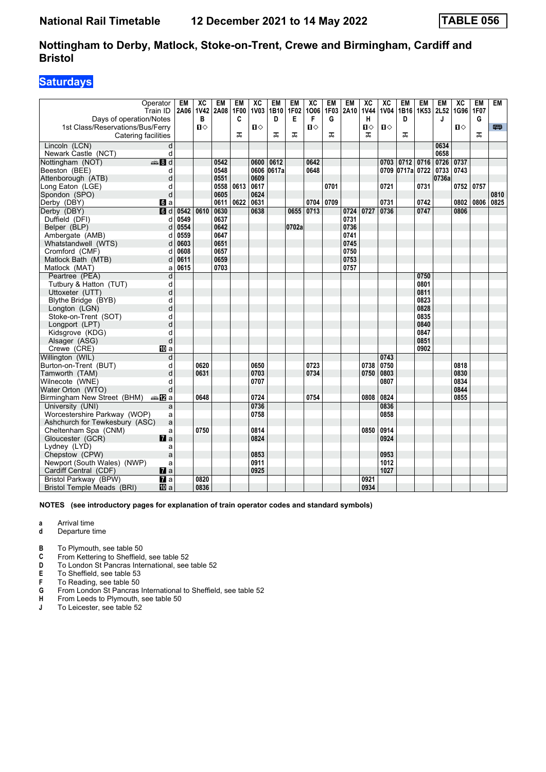## **Saturdays**

| Operator<br>Train ID<br>Days of operation/Notes<br>1st Class/Reservations/Bus/Ferry<br>Catering facilities |   | <b>EM</b><br>2A06 | $\overline{AC}$<br>1V42<br>В<br>Ⅱ♦ | <b>EM</b><br>2A08 | <b>EM</b><br><b>1F00</b><br>C<br>ᠼ | $\overline{X}C$<br><b>1V03</b><br>$\mathbf{u}$ | <b>EM</b><br>1B10<br>D<br>ᠼ | <b>EM</b><br>1F02<br>Е<br>ᠼ | $\overline{AC}$<br>1006<br>F<br>п | <b>EM</b><br>1F03<br>G<br>ᠼ | <b>EM</b><br>2A10 | $\overline{\mathbf{X}}$<br><b>1V44</b><br>н<br>П⇔<br>ᠼ | $\overline{AC}$<br><b>1V04</b><br>$\mathbf{u}$ | <b>EM</b><br>D<br>ᠼ | <b>EM</b>            | <b>EM</b><br>J | $\overline{AC}$<br>1B16 1K53 2L52 1G96 1F07<br>О | <b>EM</b><br>G<br>ᠼ | <b>EM</b><br>四 |
|------------------------------------------------------------------------------------------------------------|---|-------------------|------------------------------------|-------------------|------------------------------------|------------------------------------------------|-----------------------------|-----------------------------|-----------------------------------|-----------------------------|-------------------|--------------------------------------------------------|------------------------------------------------|---------------------|----------------------|----------------|--------------------------------------------------|---------------------|----------------|
| Lincoln (LCN)                                                                                              | d |                   |                                    |                   |                                    |                                                |                             |                             |                                   |                             |                   |                                                        |                                                |                     |                      | 0634           |                                                  |                     |                |
| Newark Castle (NCT)                                                                                        | d |                   |                                    |                   |                                    |                                                |                             |                             |                                   |                             |                   |                                                        |                                                |                     |                      | 0658           |                                                  |                     |                |
| $\bigoplus$ 8 d<br>Nottingham (NOT)                                                                        |   |                   |                                    | 0542              |                                    | 0600                                           | 0612                        |                             | 0642                              |                             |                   |                                                        | 0703                                           | 0712                | 0716                 | 0726           | 0737                                             |                     |                |
| Beeston (BEE)                                                                                              | d |                   |                                    | 0548              |                                    | 0606                                           | 0617a                       |                             | 0648                              |                             |                   |                                                        |                                                |                     | 0709 0717a 0722 0733 |                | 0743                                             |                     |                |
| Attenborough (ATB)                                                                                         | d |                   |                                    | 0551              |                                    | 0609                                           |                             |                             |                                   |                             |                   |                                                        |                                                |                     |                      | 0736a          |                                                  |                     |                |
| Long Eaton (LGE)                                                                                           | d |                   |                                    | 0558              | 0613                               | 0617                                           |                             |                             |                                   | 0701                        |                   |                                                        | 0721                                           |                     | 0731                 |                | 0752 0757                                        |                     |                |
| Spondon (SPO)                                                                                              | d |                   |                                    | 0605              |                                    | 0624                                           |                             |                             |                                   |                             |                   |                                                        |                                                |                     |                      |                |                                                  |                     | 0810           |
| Derby (DBY)<br>$\blacksquare$ a                                                                            |   |                   |                                    | 0611              | 0622                               | 0631                                           |                             |                             | 0704 0709                         |                             |                   |                                                        | 0731                                           |                     | 0742                 |                | 0802                                             | 0806                | 0825           |
| $\overline{6}$ d<br>Derby (DBY)                                                                            |   | 0542              | 0610                               | 0630              |                                    | 0638                                           |                             | 0655                        | 0713                              |                             | 0724              | 0727                                                   | 0736                                           |                     | 0747                 |                | 0806                                             |                     |                |
| Duffield (DFI)                                                                                             | d | 0549              |                                    | 0637              |                                    |                                                |                             |                             |                                   |                             | 0731              |                                                        |                                                |                     |                      |                |                                                  |                     |                |
| Belper (BLP)                                                                                               | d | 0554              |                                    | 0642              |                                    |                                                |                             | 0702a                       |                                   |                             | 0736              |                                                        |                                                |                     |                      |                |                                                  |                     |                |
| Ambergate (AMB)                                                                                            | d | 0559              |                                    | 0647              |                                    |                                                |                             |                             |                                   |                             | 0741              |                                                        |                                                |                     |                      |                |                                                  |                     |                |
| Whatstandwell (WTS)                                                                                        | d | 0603              |                                    | 0651              |                                    |                                                |                             |                             |                                   |                             | 0745              |                                                        |                                                |                     |                      |                |                                                  |                     |                |
| Cromford (CMF)                                                                                             | d | 0608              |                                    | 0657              |                                    |                                                |                             |                             |                                   |                             | 0750              |                                                        |                                                |                     |                      |                |                                                  |                     |                |
| Matlock Bath (MTB)                                                                                         | d | 0611              |                                    | 0659              |                                    |                                                |                             |                             |                                   |                             | 0753              |                                                        |                                                |                     |                      |                |                                                  |                     |                |
| Matlock (MAT)                                                                                              | a | 0615              |                                    | 0703              |                                    |                                                |                             |                             |                                   |                             | 0757              |                                                        |                                                |                     |                      |                |                                                  |                     |                |
| Peartree (PEA)                                                                                             | d |                   |                                    |                   |                                    |                                                |                             |                             |                                   |                             |                   |                                                        |                                                |                     | 0750                 |                |                                                  |                     |                |
| Tutbury & Hatton (TUT)                                                                                     | d |                   |                                    |                   |                                    |                                                |                             |                             |                                   |                             |                   |                                                        |                                                |                     | 0801                 |                |                                                  |                     |                |
| Uttoxeter (UTT)                                                                                            | d |                   |                                    |                   |                                    |                                                |                             |                             |                                   |                             |                   |                                                        |                                                |                     | 0811                 |                |                                                  |                     |                |
| Blythe Bridge (BYB)                                                                                        | d |                   |                                    |                   |                                    |                                                |                             |                             |                                   |                             |                   |                                                        |                                                |                     | 0823                 |                |                                                  |                     |                |
| Longton (LGN)                                                                                              | d |                   |                                    |                   |                                    |                                                |                             |                             |                                   |                             |                   |                                                        |                                                |                     | 0828                 |                |                                                  |                     |                |
| Stoke-on-Trent (SOT)                                                                                       | d |                   |                                    |                   |                                    |                                                |                             |                             |                                   |                             |                   |                                                        |                                                |                     | 0835                 |                |                                                  |                     |                |
| Longport (LPT)                                                                                             | d |                   |                                    |                   |                                    |                                                |                             |                             |                                   |                             |                   |                                                        |                                                |                     | 0840                 |                |                                                  |                     |                |
| Kidsgrove (KDG)                                                                                            | d |                   |                                    |                   |                                    |                                                |                             |                             |                                   |                             |                   |                                                        |                                                |                     | 0847                 |                |                                                  |                     |                |
| Alsager (ASG)                                                                                              | d |                   |                                    |                   |                                    |                                                |                             |                             |                                   |                             |                   |                                                        |                                                |                     | 0851                 |                |                                                  |                     |                |
| Crewe (CRE)<br><b>ID</b> a                                                                                 |   |                   |                                    |                   |                                    |                                                |                             |                             |                                   |                             |                   |                                                        |                                                |                     | 0902                 |                |                                                  |                     |                |
| Willington (WIL)                                                                                           | d |                   |                                    |                   |                                    |                                                |                             |                             |                                   |                             |                   |                                                        | 0743                                           |                     |                      |                |                                                  |                     |                |
| Burton-on-Trent (BUT)                                                                                      | d |                   | 0620                               |                   |                                    | 0650                                           |                             |                             | 0723                              |                             |                   | 0738                                                   | 0750                                           |                     |                      |                | 0818                                             |                     |                |
| Tamworth (TAM)                                                                                             | d |                   | 0631                               |                   |                                    | 0703                                           |                             |                             | 0734                              |                             |                   | 0750                                                   | 0803                                           |                     |                      |                | 0830                                             |                     |                |
| Wilnecote (WNE)                                                                                            | q |                   |                                    |                   |                                    | 0707                                           |                             |                             |                                   |                             |                   |                                                        | 0807                                           |                     |                      |                | 0834                                             |                     |                |
| Water Orton (WTO)                                                                                          | d |                   |                                    |                   |                                    |                                                |                             |                             |                                   |                             |                   |                                                        |                                                |                     |                      |                | 0844                                             |                     |                |
| Birmingham New Street (BHM)<br>a≞12la                                                                      |   |                   | 0648                               |                   |                                    | 0724                                           |                             |                             | 0754                              |                             |                   | 0808                                                   | 0824                                           |                     |                      |                | 0855                                             |                     |                |
| University (UNI)                                                                                           | a |                   |                                    |                   |                                    | 0736                                           |                             |                             |                                   |                             |                   |                                                        | 0836                                           |                     |                      |                |                                                  |                     |                |
| Worcestershire Parkway (WOP)                                                                               | a |                   |                                    |                   |                                    | 0758                                           |                             |                             |                                   |                             |                   |                                                        | 0858                                           |                     |                      |                |                                                  |                     |                |
| Ashchurch for Tewkesbury (ASC)                                                                             | a |                   |                                    |                   |                                    |                                                |                             |                             |                                   |                             |                   |                                                        |                                                |                     |                      |                |                                                  |                     |                |
| Cheltenham Spa (CNM)                                                                                       | a |                   | 0750                               |                   |                                    | 0814                                           |                             |                             |                                   |                             |                   | 0850                                                   | 0914                                           |                     |                      |                |                                                  |                     |                |
| Gloucester (GCR)<br>$\mathbf{z}$ a                                                                         |   |                   |                                    |                   |                                    | 0824                                           |                             |                             |                                   |                             |                   |                                                        | 0924                                           |                     |                      |                |                                                  |                     |                |
| Lydney (LYD)                                                                                               | a |                   |                                    |                   |                                    |                                                |                             |                             |                                   |                             |                   |                                                        |                                                |                     |                      |                |                                                  |                     |                |
| Chepstow (CPW)                                                                                             | a |                   |                                    |                   |                                    | 0853                                           |                             |                             |                                   |                             |                   |                                                        | 0953                                           |                     |                      |                |                                                  |                     |                |
| Newport (South Wales) (NWP)                                                                                | a |                   |                                    |                   |                                    | 0911                                           |                             |                             |                                   |                             |                   |                                                        | 1012                                           |                     |                      |                |                                                  |                     |                |
| Cardiff Central (CDF)<br>$\mathbf{z}$ a                                                                    |   |                   |                                    |                   |                                    | 0925                                           |                             |                             |                                   |                             |                   |                                                        | 1027                                           |                     |                      |                |                                                  |                     |                |
| Bristol Parkway (BPW)<br>$\overline{a}$                                                                    |   |                   | 0820                               |                   |                                    |                                                |                             |                             |                                   |                             |                   | 0921                                                   |                                                |                     |                      |                |                                                  |                     |                |
| <b>Bristol Temple Meads (BRI)</b><br><b>ID</b> a                                                           |   |                   | 0836                               |                   |                                    |                                                |                             |                             |                                   |                             |                   | 0934                                                   |                                                |                     |                      |                |                                                  |                     |                |

**NOTES (see introductory pages for explanation of train operator codes and standard symbols)**

**a** Arrival time<br>**d** Departure t

- **d** Departure time
- **B** To Plymouth, see table 50
- **C** From Kettering to Sheffield, see table 52
- **D** To London St Pancras International, see table 52<br>**E** To Sheffield, see table 53
- **E** To Sheffield, see table 53<br>**F** To Reading, see table 50
- **F** To Reading, see table 50<br>**G** From London St Pancras
- **6** From London St Pancras International to Sheffield, see table 52<br>**H** From Leeds to Plymouth, see table 50
- **+** From Leeds to Plymouth, see table 50<br>**J** To Leicester, see table 52
- To Leicester, see table 52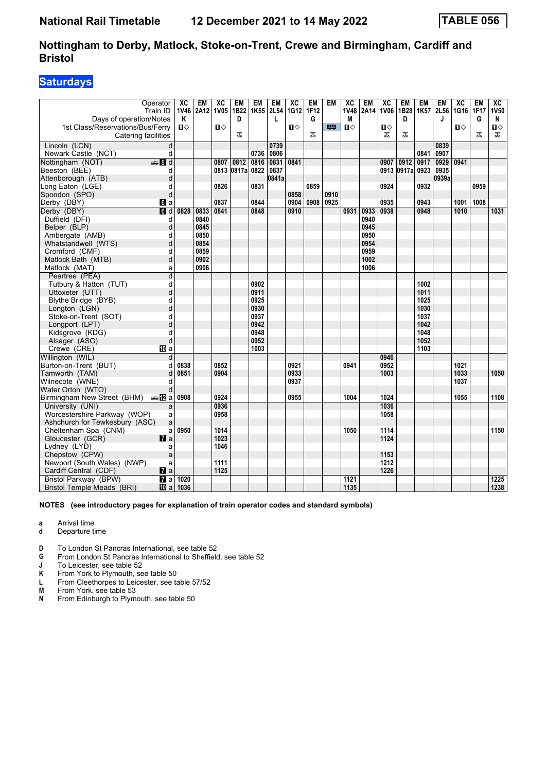## **Saturdays**

| Operator<br>Train ID                      | ХC<br>1V46   | <b>EM</b><br>2A12 | ХC<br><b>1V05</b> | EM<br>1B22 | EM<br>1K55 | <b>EM</b><br>2L54 | $\overline{X}C$<br>1G12 | <b>EM</b><br>1F12 | EM   | $\overline{AC}$<br>1V48 | <b>EM</b><br>2A14 | $\overline{AC}$<br><b>1V06</b> | EM              | <b>EM</b><br>1B28 1K57 | <b>EM</b><br>2L56 | $\overline{X}C$<br> 1G16   1F17 | <b>EM</b> | $\overline{AC}$<br><b>1V50</b> |
|-------------------------------------------|--------------|-------------------|-------------------|------------|------------|-------------------|-------------------------|-------------------|------|-------------------------|-------------------|--------------------------------|-----------------|------------------------|-------------------|---------------------------------|-----------|--------------------------------|
| Days of operation/Notes                   | Κ            |                   |                   | D          |            | L                 |                         | G                 |      | M                       |                   |                                | D               |                        | J                 |                                 | G         | N                              |
| 1st Class/Reservations/Bus/Ferry          | $\mathbf{u}$ |                   | Ⅱ♦                |            |            |                   | Ⅱ♦                      |                   | 四    | $\mathbf{u}$            |                   | $\mathbf{u}$                   |                 |                        |                   | О                               |           | Ⅱ♦                             |
| Catering facilities                       |              |                   |                   | ᠼ          |            |                   |                         | ᠼ                 |      |                         |                   | ᠼ                              | ᠼ               |                        |                   |                                 | ᠼ         | ᠼ                              |
| Lincoln (LCN)<br>d                        |              |                   |                   |            |            | 0739              |                         |                   |      |                         |                   |                                |                 |                        | 0839              |                                 |           |                                |
| d<br>Newark Castle (NCT)                  |              |                   |                   |            | 0736       | 0806              |                         |                   |      |                         |                   |                                |                 | 0841                   | 0907              |                                 |           |                                |
| $\bigoplus$ 8 d<br>Nottingham (NOT)       |              |                   | 0807              | 0812       | 0816       | 0831              | 0841                    |                   |      |                         |                   | 0907                           | 0912            | 0917                   | 0929              | 0941                            |           |                                |
| Beeston (BEE)<br>d                        |              |                   | 0813              | 0817a 0822 |            | 0837              |                         |                   |      |                         |                   |                                | 0913 0917a 0923 |                        | 0935              |                                 |           |                                |
| Attenborough (ATB)<br>d                   |              |                   |                   |            |            | 0841a             |                         |                   |      |                         |                   |                                |                 |                        | 0939a             |                                 |           |                                |
| Long Eaton (LGE)<br>d                     |              |                   | 0826              |            | 0831       |                   |                         | 0859              |      |                         |                   | 0924                           |                 | 0932                   |                   |                                 | 0959      |                                |
| d<br>Spondon (SPO)                        |              |                   |                   |            |            |                   | 0858                    |                   | 0910 |                         |                   |                                |                 |                        |                   |                                 |           |                                |
| Derby (DBY)<br>$\mathbf{d}$ a             |              |                   | 0837              |            | 0844       |                   | 0904                    | 0908              | 0925 |                         |                   | 0935                           |                 | 0943                   |                   | 1001                            | 1008      |                                |
| $\overline{a}$<br>Derby (DBY)             | 0828         | 0833              | 0841              |            | 0848       |                   | 0910                    |                   |      | 0931                    | 0933              | 0938                           |                 | 0948                   |                   | 1010                            |           | 1031                           |
| Duffield (DFI)<br>d                       |              | 0840              |                   |            |            |                   |                         |                   |      |                         | 0940              |                                |                 |                        |                   |                                 |           |                                |
| d<br>Belper (BLP)                         |              | 0845              |                   |            |            |                   |                         |                   |      |                         | 0945              |                                |                 |                        |                   |                                 |           |                                |
| Ambergate (AMB)<br>d                      |              | 0850              |                   |            |            |                   |                         |                   |      |                         | 0950              |                                |                 |                        |                   |                                 |           |                                |
| d<br>Whatstandwell (WTS)                  |              | 0854              |                   |            |            |                   |                         |                   |      |                         | 0954              |                                |                 |                        |                   |                                 |           |                                |
| Cromford (CMF)<br>d                       |              | 0859              |                   |            |            |                   |                         |                   |      |                         | 0959              |                                |                 |                        |                   |                                 |           |                                |
| d<br>Matlock Bath (MTB)                   |              | 0902              |                   |            |            |                   |                         |                   |      |                         | 1002              |                                |                 |                        |                   |                                 |           |                                |
| Matlock (MAT)<br>a                        |              | 0906              |                   |            |            |                   |                         |                   |      |                         | 1006              |                                |                 |                        |                   |                                 |           |                                |
| d<br>Peartree (PEA)                       |              |                   |                   |            |            |                   |                         |                   |      |                         |                   |                                |                 |                        |                   |                                 |           |                                |
| d<br>Tutbury & Hatton (TUT)               |              |                   |                   |            | 0902       |                   |                         |                   |      |                         |                   |                                |                 | 1002                   |                   |                                 |           |                                |
| d<br>Uttoxeter (UTT)                      |              |                   |                   |            | 0911       |                   |                         |                   |      |                         |                   |                                |                 | 1011                   |                   |                                 |           |                                |
| Blythe Bridge (BYB)<br>d                  |              |                   |                   |            | 0925       |                   |                         |                   |      |                         |                   |                                |                 | 1025                   |                   |                                 |           |                                |
| d<br>Longton (LGN)                        |              |                   |                   |            | 0930       |                   |                         |                   |      |                         |                   |                                |                 | 1030                   |                   |                                 |           |                                |
| Stoke-on-Trent (SOT)<br>d                 |              |                   |                   |            | 0937       |                   |                         |                   |      |                         |                   |                                |                 | 1037                   |                   |                                 |           |                                |
| d<br>Longport (LPT)                       |              |                   |                   |            | 0942       |                   |                         |                   |      |                         |                   |                                |                 | 1042                   |                   |                                 |           |                                |
| Kidsgrove (KDG)<br>d                      |              |                   |                   |            | 0948       |                   |                         |                   |      |                         |                   |                                |                 | 1048                   |                   |                                 |           |                                |
| d<br>Alsager (ASG)                        |              |                   |                   |            | 0952       |                   |                         |                   |      |                         |                   |                                |                 | 1052                   |                   |                                 |           |                                |
| Crewe (CRE)<br><b>ID</b> a                |              |                   |                   |            | 1003       |                   |                         |                   |      |                         |                   |                                |                 | 1103                   |                   |                                 |           |                                |
| Willington (WIL)<br>d                     |              |                   |                   |            |            |                   |                         |                   |      |                         |                   | 0946                           |                 |                        |                   |                                 |           |                                |
| Burton-on-Trent (BUT)<br>d                | 0838         |                   | 0852              |            |            |                   | 0921                    |                   |      | 0941                    |                   | 0952                           |                 |                        |                   | 1021                            |           |                                |
| Tamworth (TAM)<br>d                       | 0851         |                   | 0904              |            |            |                   | 0933                    |                   |      |                         |                   | 1003                           |                 |                        |                   | 1033                            |           | 1050                           |
| Wilnecote (WNE)<br>d                      |              |                   |                   |            |            |                   | 0937                    |                   |      |                         |                   |                                |                 |                        |                   | 1037                            |           |                                |
| Water Orton (WTO)<br>d                    |              |                   |                   |            |            |                   |                         |                   |      |                         |                   |                                |                 |                        |                   |                                 |           |                                |
| Birmingham New Street (BHM)<br>a≞172la    | 0908         |                   | 0924              |            |            |                   | 0955                    |                   |      | 1004                    |                   | 1024                           |                 |                        |                   | 1055                            |           | 1108                           |
| University (UNI)<br>a                     |              |                   | 0936              |            |            |                   |                         |                   |      |                         |                   | 1036                           |                 |                        |                   |                                 |           |                                |
| Worcestershire Parkway (WOP)<br>a         |              |                   | 0958              |            |            |                   |                         |                   |      |                         |                   | 1058                           |                 |                        |                   |                                 |           |                                |
| a<br>Ashchurch for Tewkesbury (ASC)       |              |                   |                   |            |            |                   |                         |                   |      |                         |                   |                                |                 |                        |                   |                                 |           |                                |
| Cheltenham Spa (CNM)<br>a                 | 0950         |                   | 1014              |            |            |                   |                         |                   |      | 1050                    |                   | 1114                           |                 |                        |                   |                                 |           | 1150                           |
| Gloucester (GCR)<br>$\mathbf{z}$ a        |              |                   | 1023              |            |            |                   |                         |                   |      |                         |                   | 1124                           |                 |                        |                   |                                 |           |                                |
| Lydney (LYD)<br>a                         |              |                   | 1046              |            |            |                   |                         |                   |      |                         |                   |                                |                 |                        |                   |                                 |           |                                |
| Chepstow (CPW)<br>a                       |              |                   |                   |            |            |                   |                         |                   |      |                         |                   | 1153                           |                 |                        |                   |                                 |           |                                |
| Newport (South Wales) (NWP)<br>a          |              |                   | 1111              |            |            |                   |                         |                   |      |                         |                   | 1212                           |                 |                        |                   |                                 |           |                                |
| $\mathbf{z}$ a<br>Cardiff Central (CDF)   |              |                   | 1125              |            |            |                   |                         |                   |      |                         |                   | 1226                           |                 |                        |                   |                                 |           |                                |
| Bristol Parkway (BPW)<br>$\overline{a}$ a | 1020         |                   |                   |            |            |                   |                         |                   |      | 1121                    |                   |                                |                 |                        |                   |                                 |           | 1225                           |
| Bristol Temple Meads (BRI)<br>10a         | 1036         |                   |                   |            |            |                   |                         |                   |      | 1135                    |                   |                                |                 |                        |                   |                                 |           | 1238                           |

**NOTES (see introductory pages for explanation of train operator codes and standard symbols)**

**a** Arrival time

- **d** Departure time
- **D** To London St Pancras International, see table 52
- **4** From London St Pancras International to Sheffield, see table 52<br>**1** To Leicester, see table 52

**-** To Leicester, see table 52<br>**K** From York to Plymouth, se

From York to Plymouth, see table 50

- **L** From Cleethorpes to Leicester, see table 57/52
- **M** From York, see table 53
- **N** From Edinburgh to Plymouth, see table 50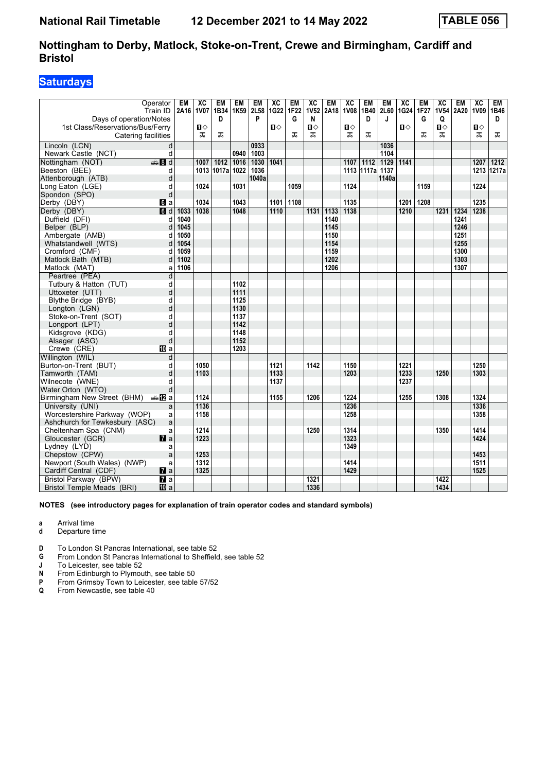## **Saturdays**

|                                                                | Operator            | <b>EM</b> | $\overline{X}C$ | <b>EM</b>  | <b>EM</b> | EM    | $\overline{X}C$ | <b>EM</b>        | $\overline{\text{xc}}$ | <b>EM</b> | $\overline{AC}$ | <b>EM</b>       | <b>EM</b>        | $\overline{X}C$ | <b>EM</b> | $\overline{X}C$ | <b>EM</b> | $\overline{X}C$ | <b>EM</b> |
|----------------------------------------------------------------|---------------------|-----------|-----------------|------------|-----------|-------|-----------------|------------------|------------------------|-----------|-----------------|-----------------|------------------|-----------------|-----------|-----------------|-----------|-----------------|-----------|
|                                                                | Train ID            | 2A16 1V07 |                 | 1B34       | 1K59 2L58 |       | 1G22            | 1F <sub>22</sub> | <b>1V52</b>            | 2A18      | <b>1V08</b>     | 1B40            | <b>2L60</b>      | 1G24            | 1F27      | <b>1V54</b>     | 2A20      | 1V09            | 1B46      |
| Days of operation/Notes                                        |                     |           |                 | D          |           | P     |                 | G                | N                      |           |                 | D               | J                |                 | G         | Q               |           |                 | D         |
| 1st Class/Reservations/Bus/Ferry                               |                     |           | Ⅱ♦              |            |           |       | $\mathbf{u}$    |                  | $\mathbf{u}$           |           | Ⅱ◇              |                 |                  | Ⅱ♦              |           | $\mathbf{u}$    |           | $\mathbf{u}$    |           |
| Catering facilities                                            |                     |           | ᠼ               | ᠼ          |           |       |                 | ᠼ                | ᅚ                      |           | ᠼ               | ᠼ               |                  |                 | ᠼ         | ᠼ               |           | ᠼ               | ᠼ         |
| Lincoln (LCN)                                                  | d                   |           |                 |            |           | 0933  |                 |                  |                        |           |                 |                 | 1036             |                 |           |                 |           |                 |           |
| Newark Castle (NCT)                                            | d                   |           |                 |            | 0940      | 1003  |                 |                  |                        |           |                 |                 | 1104             |                 |           |                 |           |                 |           |
| Nottingham (NOT)                                               | $\frac{1}{2}$ 8 d   |           | 1007            | 1012       | 1016      | 1030  | 1041            |                  |                        |           | 1107            | 1112            | $\frac{1129}{ }$ | 1141            |           |                 |           | 1207            | 1212      |
| Beeston (BEE)                                                  | d                   |           |                 | 1013 1017a | 1022      | 1036  |                 |                  |                        |           |                 | 1113 1117a 1137 |                  |                 |           |                 |           | 1213            | 1217a     |
| Attenborough (ATB)                                             | d                   |           |                 |            |           | 1040a |                 |                  |                        |           |                 |                 | 1140a            |                 |           |                 |           |                 |           |
| Long Eaton (LGE)                                               | d                   |           | 1024            |            | 1031      |       |                 | 1059             |                        |           | 1124            |                 |                  |                 | 1159      |                 |           | 1224            |           |
| Spondon (SPO)                                                  | d                   |           |                 |            |           |       |                 |                  |                        |           |                 |                 |                  |                 |           |                 |           |                 |           |
| Derby (DBY)                                                    | $\mathbf{a}$ a      |           | 1034            |            | 1043      |       | 1101            | 1108             |                        |           | 1135            |                 |                  | 1201            | 1208      |                 |           | 1235            |           |
| Derby (DBY)                                                    | $\overline{d}$ d    | 1033      | 1038            |            | 1048      |       | 1110            |                  | 1131                   | 1133      | 1138            |                 |                  | 1210            |           | 1231            | 1234      | 1238            |           |
| Duffield (DFI)                                                 | d                   | 1040      |                 |            |           |       |                 |                  |                        | 1140      |                 |                 |                  |                 |           |                 | 1241      |                 |           |
| Belper (BLP)                                                   | d                   | 1045      |                 |            |           |       |                 |                  |                        | 1145      |                 |                 |                  |                 |           |                 | 1246      |                 |           |
| Ambergate (AMB)                                                | d                   | 1050      |                 |            |           |       |                 |                  |                        | 1150      |                 |                 |                  |                 |           |                 | 1251      |                 |           |
| Whatstandwell (WTS)                                            | d                   | 1054      |                 |            |           |       |                 |                  |                        | 1154      |                 |                 |                  |                 |           |                 | 1255      |                 |           |
| Cromford (CMF)                                                 | d                   | 1059      |                 |            |           |       |                 |                  |                        | 1159      |                 |                 |                  |                 |           |                 | 1300      |                 |           |
| Matlock Bath (MTB)                                             | d                   | 1102      |                 |            |           |       |                 |                  |                        | 1202      |                 |                 |                  |                 |           |                 | 1303      |                 |           |
| Matlock (MAT)                                                  | a                   | 1106      |                 |            |           |       |                 |                  |                        | 1206      |                 |                 |                  |                 |           |                 | 1307      |                 |           |
| Peartree (PEA)                                                 | d                   |           |                 |            |           |       |                 |                  |                        |           |                 |                 |                  |                 |           |                 |           |                 |           |
| Tutbury & Hatton (TUT)                                         | d                   |           |                 |            | 1102      |       |                 |                  |                        |           |                 |                 |                  |                 |           |                 |           |                 |           |
| Uttoxeter (UTT)                                                | d                   |           |                 |            | 1111      |       |                 |                  |                        |           |                 |                 |                  |                 |           |                 |           |                 |           |
| Blythe Bridge (BYB)                                            | d                   |           |                 |            | 1125      |       |                 |                  |                        |           |                 |                 |                  |                 |           |                 |           |                 |           |
| Longton (LGN)                                                  | d                   |           |                 |            | 1130      |       |                 |                  |                        |           |                 |                 |                  |                 |           |                 |           |                 |           |
| Stoke-on-Trent (SOT)                                           | d                   |           |                 |            | 1137      |       |                 |                  |                        |           |                 |                 |                  |                 |           |                 |           |                 |           |
| Longport (LPT)                                                 | d                   |           |                 |            | 1142      |       |                 |                  |                        |           |                 |                 |                  |                 |           |                 |           |                 |           |
| Kidsgrove (KDG)                                                | d                   |           |                 |            | 1148      |       |                 |                  |                        |           |                 |                 |                  |                 |           |                 |           |                 |           |
| Alsager (ASG)                                                  | d                   |           |                 |            | 1152      |       |                 |                  |                        |           |                 |                 |                  |                 |           |                 |           |                 |           |
| Crewe (CRE)                                                    | <b>ID</b> a         |           |                 |            | 1203      |       |                 |                  |                        |           |                 |                 |                  |                 |           |                 |           |                 |           |
| Willington (WIL)                                               | d                   |           |                 |            |           |       |                 |                  |                        |           |                 |                 |                  |                 |           |                 |           |                 |           |
| Burton-on-Trent (BUT)                                          | d                   |           | 1050            |            |           |       | 1121            |                  | 1142                   |           | 1150            |                 |                  | 1221            |           |                 |           | 1250            |           |
| Tamworth (TAM)                                                 | d                   |           | 1103            |            |           |       | 1133            |                  |                        |           | 1203            |                 |                  | 1233            |           | 1250            |           | 1303            |           |
| Wilnecote (WNE)                                                | d                   |           |                 |            |           |       | 1137            |                  |                        |           |                 |                 |                  | 1237            |           |                 |           |                 |           |
| Water Orton (WTO)                                              | d                   |           | 1124            |            |           |       |                 |                  |                        |           |                 |                 |                  |                 |           |                 |           | 1324            |           |
| Birmingham New Street (BHM)                                    | anaDa               |           | 1136            |            |           |       | 1155            |                  | 1206                   |           | 1224<br>1236    |                 |                  | 1255            |           | 1308            |           | 1336            |           |
| University (UNI)                                               | a                   |           | 1158            |            |           |       |                 |                  |                        |           | 1258            |                 |                  |                 |           |                 |           | 1358            |           |
| Worcestershire Parkway (WOP)<br>Ashchurch for Tewkesbury (ASC) | a                   |           |                 |            |           |       |                 |                  |                        |           |                 |                 |                  |                 |           |                 |           |                 |           |
| Cheltenham Spa (CNM)                                           | a                   |           | 1214            |            |           |       |                 |                  | 1250                   |           | 1314            |                 |                  |                 |           | 1350            |           | 1414            |           |
| Gloucester (GCR)                                               | a<br>$\mathbf{z}$ a |           | 1223            |            |           |       |                 |                  |                        |           | 1323            |                 |                  |                 |           |                 |           | 1424            |           |
|                                                                |                     |           |                 |            |           |       |                 |                  |                        |           | 1349            |                 |                  |                 |           |                 |           |                 |           |
| Lydney (LYD)<br>Chepstow (CPW)                                 | a<br>a              |           | 1253            |            |           |       |                 |                  |                        |           |                 |                 |                  |                 |           |                 |           | 1453            |           |
| Newport (South Wales) (NWP)                                    | a                   |           | 1312            |            |           |       |                 |                  |                        |           | 1414            |                 |                  |                 |           |                 |           | 1511            |           |
| Cardiff Central (CDF)                                          | $\mathbf{z}$ a      |           | 1325            |            |           |       |                 |                  |                        |           | 1429            |                 |                  |                 |           |                 |           | 1525            |           |
| Bristol Parkway (BPW)                                          | $\overline{a}$      |           |                 |            |           |       |                 |                  | 1321                   |           |                 |                 |                  |                 |           | 1422            |           |                 |           |
| Bristol Temple Meads (BRI)                                     | <b>ID</b> a         |           |                 |            |           |       |                 |                  | 1336                   |           |                 |                 |                  |                 |           | 1434            |           |                 |           |
|                                                                |                     |           |                 |            |           |       |                 |                  |                        |           |                 |                 |                  |                 |           |                 |           |                 |           |

**NOTES (see introductory pages for explanation of train operator codes and standard symbols)**

**a** Arrival time<br>**d** Departure t

- **d** Departure time
- **D** To London St Pancras International, see table 52
- **4** From London St Pancras International to Sheffield, see table 52<br>**1** To Leicester, see table 52

**J** To Leicester, see table 52<br>**N** From Edinburgh to Plymou

**N** From Edinburgh to Plymouth, see table 50<br>**P** From Grimsby Town to Leicester, see table

- **P** From Grimsby Town to Leicester, see table 57/52
- **Q** From Newcastle, see table 40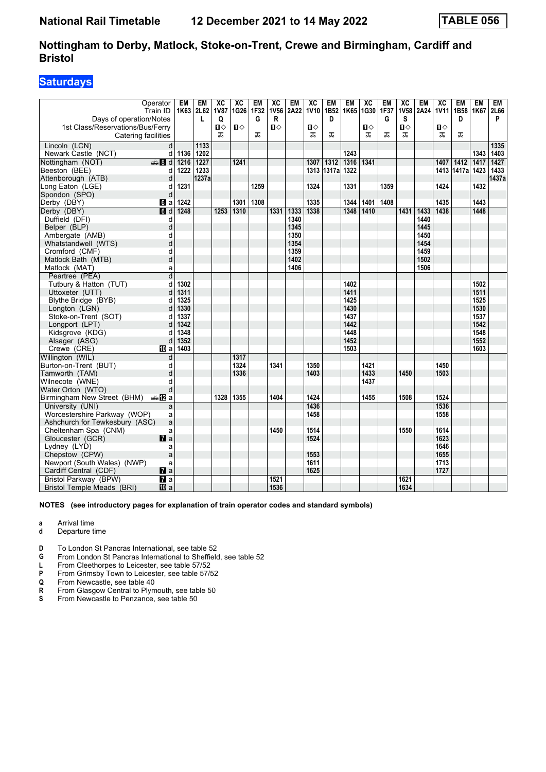## **Saturdays**

| Operator<br>Train ID<br>Days of operation/Notes  | <b>EM</b> | <b>EM</b><br>1K63 2L62<br>L | $\overline{\mathbf{X}}$<br><b>1V87</b><br>Q | $\overline{AC}$<br>1G26 | <b>EM</b><br>1F32<br>G | $\overline{\text{xc}}$<br><b>1V56</b><br>R | <b>EM</b><br>2A22 | $\overline{AC}$<br><b>1V10</b> | <b>EM</b><br>1B52<br>D | <b>EM</b><br>1K65 | $\overline{AC}$<br>1G30 | <b>EM</b><br>1F37<br>G | $\overline{AC}$<br><b>1V58</b><br>s | <b>EM</b> | $\overline{\mathbf{X}}$ | <b>EM</b><br>2A24   1V11   1B58   1K67<br>D | <b>EM</b> | <b>EM</b><br>2L66<br>P |
|--------------------------------------------------|-----------|-----------------------------|---------------------------------------------|-------------------------|------------------------|--------------------------------------------|-------------------|--------------------------------|------------------------|-------------------|-------------------------|------------------------|-------------------------------------|-----------|-------------------------|---------------------------------------------|-----------|------------------------|
| 1st Class/Reservations/Bus/Ferry                 |           |                             | Ⅱ♦                                          | Ⅱ♦                      |                        | $\mathbf{u}$                               |                   | $\blacksquare$                 |                        |                   | 0                       |                        | П⇔                                  |           | Ⅱ♦                      |                                             |           |                        |
| Catering facilities                              |           |                             | 굾                                           |                         | ᠼ                      |                                            |                   | ᠼ                              | ᠼ                      |                   | ᅚ                       | ᠼ                      | ᠼ                                   |           | ᅚ                       | ᅚ                                           |           |                        |
| Lincoln (LCN)                                    | d         | 1133                        |                                             |                         |                        |                                            |                   |                                |                        |                   |                         |                        |                                     |           |                         |                                             |           | 1335                   |
| Newark Castle (NCT)                              | 1136<br>d | 1202                        |                                             |                         |                        |                                            |                   |                                |                        | 1243              |                         |                        |                                     |           |                         |                                             | 1343      | 1403                   |
| Nottingham (NOT)<br><del>e</del> 8d              | 1216      | 1227                        |                                             | 1241                    |                        |                                            |                   | 1307                           | $\frac{1312}{2}$       | 1316              | 1341                    |                        |                                     |           | 1407                    | 1412                                        | 1417      | 1427                   |
| Beeston (BEE)                                    | 1222<br>d | 1233                        |                                             |                         |                        |                                            |                   |                                | 1313 1317a             | 1322              |                         |                        |                                     |           |                         | 1413 1417a 1423                             |           | 1433                   |
| Attenborough (ATB)                               | d         | 1237a                       |                                             |                         |                        |                                            |                   |                                |                        |                   |                         |                        |                                     |           |                         |                                             |           | 1437a                  |
| Long Eaton (LGE)                                 | 1231<br>d |                             |                                             |                         | 1259                   |                                            |                   | 1324                           |                        | 1331              |                         | 1359                   |                                     |           | 1424                    |                                             | 1432      |                        |
| Spondon (SPO)                                    | d         |                             |                                             |                         |                        |                                            |                   |                                |                        |                   |                         |                        |                                     |           |                         |                                             |           |                        |
| Derby (DBY)<br><b>G</b> a                        | 1242      |                             |                                             | 1301                    | 1308                   |                                            |                   | 1335                           |                        | 1344              | 1401                    | 1408                   |                                     |           | 1435                    |                                             | 1443      |                        |
| Derby (DBY)<br>$\blacksquare$                    | 1248      |                             | 1253                                        | 1310                    |                        | 1331                                       | 1333              | 1338                           |                        | 1348              | 1410                    |                        | 1431                                | 1433      | 1438                    |                                             | 1448      |                        |
| Duffield (DFI)                                   | d         |                             |                                             |                         |                        |                                            | 1340              |                                |                        |                   |                         |                        |                                     | 1440      |                         |                                             |           |                        |
| Belper (BLP)                                     | d         |                             |                                             |                         |                        |                                            | 1345              |                                |                        |                   |                         |                        |                                     | 1445      |                         |                                             |           |                        |
| Ambergate (AMB)                                  | d         |                             |                                             |                         |                        |                                            | 1350              |                                |                        |                   |                         |                        |                                     | 1450      |                         |                                             |           |                        |
| Whatstandwell (WTS)                              | d         |                             |                                             |                         |                        |                                            | 1354              |                                |                        |                   |                         |                        |                                     | 1454      |                         |                                             |           |                        |
| Cromford (CMF)                                   | d         |                             |                                             |                         |                        |                                            | 1359              |                                |                        |                   |                         |                        |                                     | 1459      |                         |                                             |           |                        |
| Matlock Bath (MTB)                               | d         |                             |                                             |                         |                        |                                            | 1402              |                                |                        |                   |                         |                        |                                     | 1502      |                         |                                             |           |                        |
| Matlock (MAT)                                    | a         |                             |                                             |                         |                        |                                            | 1406              |                                |                        |                   |                         |                        |                                     | 1506      |                         |                                             |           |                        |
| Peartree (PEA)                                   | d         |                             |                                             |                         |                        |                                            |                   |                                |                        |                   |                         |                        |                                     |           |                         |                                             |           |                        |
| Tutbury & Hatton (TUT)                           | 1302<br>d |                             |                                             |                         |                        |                                            |                   |                                |                        | 1402              |                         |                        |                                     |           |                         |                                             | 1502      |                        |
| Uttoxeter (UTT)                                  | 1311<br>d |                             |                                             |                         |                        |                                            |                   |                                |                        | 1411              |                         |                        |                                     |           |                         |                                             | 1511      |                        |
| Blythe Bridge (BYB)                              | 1325<br>d |                             |                                             |                         |                        |                                            |                   |                                |                        | 1425              |                         |                        |                                     |           |                         |                                             | 1525      |                        |
| Longton (LGN)                                    | 1330<br>d |                             |                                             |                         |                        |                                            |                   |                                |                        | 1430              |                         |                        |                                     |           |                         |                                             | 1530      |                        |
| Stoke-on-Trent (SOT)                             | 1337<br>d |                             |                                             |                         |                        |                                            |                   |                                |                        | 1437              |                         |                        |                                     |           |                         |                                             | 1537      |                        |
| Longport (LPT)                                   | 1342<br>d |                             |                                             |                         |                        |                                            |                   |                                |                        | 1442              |                         |                        |                                     |           |                         |                                             | 1542      |                        |
| Kidsgrove (KDG)                                  | 1348<br>d |                             |                                             |                         |                        |                                            |                   |                                |                        | 1448              |                         |                        |                                     |           |                         |                                             | 1548      |                        |
| Alsager (ASG)                                    | 1352<br>d |                             |                                             |                         |                        |                                            |                   |                                |                        | 1452              |                         |                        |                                     |           |                         |                                             | 1552      |                        |
| Crewe (CRE)<br>100 a                             | 1403      |                             |                                             |                         |                        |                                            |                   |                                |                        | 1503              |                         |                        |                                     |           |                         |                                             | 1603      |                        |
| Willington (WIL)                                 | d         |                             |                                             | 1317                    |                        |                                            |                   |                                |                        |                   |                         |                        |                                     |           |                         |                                             |           |                        |
| Burton-on-Trent (BUT)                            | d         |                             |                                             | 1324                    |                        | 1341                                       |                   | 1350                           |                        |                   | 1421                    |                        |                                     |           | 1450                    |                                             |           |                        |
| Tamworth (TAM)                                   | d         |                             |                                             | 1336                    |                        |                                            |                   | 1403                           |                        |                   | 1433                    |                        | 1450                                |           | 1503                    |                                             |           |                        |
| Wilnecote (WNE)                                  | d         |                             |                                             |                         |                        |                                            |                   |                                |                        |                   | 1437                    |                        |                                     |           |                         |                                             |           |                        |
| Water Orton (WTO)                                | d         |                             |                                             |                         |                        |                                            |                   |                                |                        |                   |                         |                        |                                     |           |                         |                                             |           |                        |
| Birmingham New Street (BHM)<br>—mil2la           |           |                             | 1328                                        | 1355                    |                        | 1404                                       |                   | 1424                           |                        |                   | 1455                    |                        | 1508                                |           | 1524                    |                                             |           |                        |
| University (UNI)                                 | a         |                             |                                             |                         |                        |                                            |                   | 1436                           |                        |                   |                         |                        |                                     |           | 1536                    |                                             |           |                        |
| Worcestershire Parkway (WOP)                     | a         |                             |                                             |                         |                        |                                            |                   | 1458                           |                        |                   |                         |                        |                                     |           | 1558                    |                                             |           |                        |
| Ashchurch for Tewkesbury (ASC)                   | a         |                             |                                             |                         |                        |                                            |                   |                                |                        |                   |                         |                        |                                     |           |                         |                                             |           |                        |
| Cheltenham Spa (CNM)                             | a         |                             |                                             |                         |                        | 1450                                       |                   | 1514                           |                        |                   |                         |                        | 1550                                |           | 1614                    |                                             |           |                        |
| $\mathbf{z}$ a<br>Gloucester (GCR)               |           |                             |                                             |                         |                        |                                            |                   | 1524                           |                        |                   |                         |                        |                                     |           | 1623                    |                                             |           |                        |
| Lydney (LYD)                                     | a         |                             |                                             |                         |                        |                                            |                   |                                |                        |                   |                         |                        |                                     |           | 1646                    |                                             |           |                        |
| Chepstow (CPW)                                   | a         |                             |                                             |                         |                        |                                            |                   | 1553                           |                        |                   |                         |                        |                                     |           | 1655                    |                                             |           |                        |
| Newport (South Wales) (NWP)                      | a         |                             |                                             |                         |                        |                                            |                   | 1611                           |                        |                   |                         |                        |                                     |           | 1713                    |                                             |           |                        |
| Cardiff Central (CDF)<br>$\mathbf{z}$ a          |           |                             |                                             |                         |                        |                                            |                   | 1625                           |                        |                   |                         |                        |                                     |           | 1727                    |                                             |           |                        |
| $\overline{a}$<br>Bristol Parkway (BPW)          |           |                             |                                             |                         |                        | 1521                                       |                   |                                |                        |                   |                         |                        | 1621                                |           |                         |                                             |           |                        |
| <b>Bristol Temple Meads (BRI)</b><br><b>ID</b> a |           |                             |                                             |                         |                        | 1536                                       |                   |                                |                        |                   |                         |                        | 1634                                |           |                         |                                             |           |                        |

#### **NOTES (see introductory pages for explanation of train operator codes and standard symbols)**

**a** Arrival time

**d** Departure time

**D** To London St Pancras International, see table 52

**4** From London St Pancras International to Sheffield, see table 52<br>**L** From Cleethorpes to Leicester, see table 57/52

**L** From Cleethorpes to Leicester, see table 57/52<br>**P** From Grimsby Town to Leicester, see table 57/5

**P** From Grimsby Town to Leicester, see table 57/52<br> **Q** From Newcastle, see table 40<br> **R** From Glasgow Central to Plymouth, see table 50

From Newcastle, see table 40

**R** From Glasgow Central to Plymouth, see table 50<br> **S** From Newcastle to Penzance, see table 50

From Newcastle to Penzance, see table 50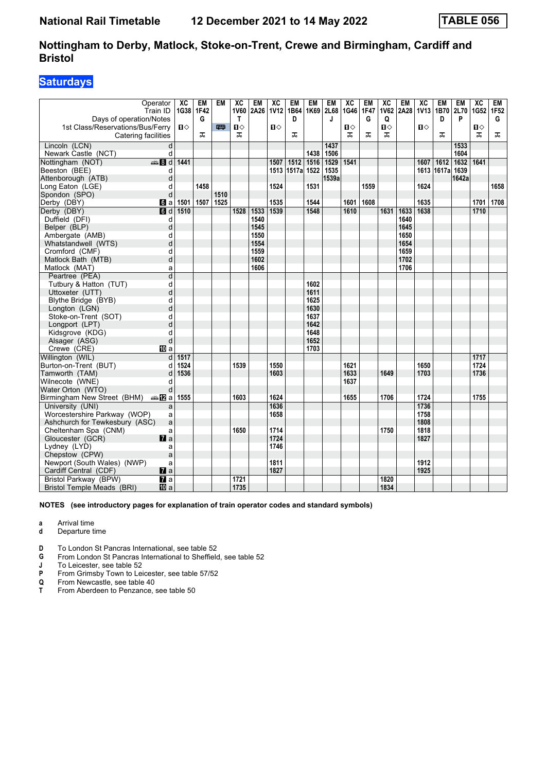## **Saturdays**

| Operator<br>Train ID                                                                                                                                                                                                                                       | $\overline{X}C$ | <b>EM</b><br>1G38 1F42 | <b>EM</b> | $\overline{AC}$<br><b>1V60</b> | <b>EM</b><br>2A26 | $\overline{\text{xc}}$<br>1V12 | <b>EM</b><br>1B64 1K69 | <b>EM</b> | <b>EM</b><br>2L68 | $\overline{AC}$<br>1G46 | <b>EM</b><br><b>1F47</b> | $\overline{\mathbf{X}}$ | <b>EM</b> | $\overline{\text{xc}}$ | <b>EM</b><br>1V62 2A28 1V13 1B70 2L70 | <b>EM</b> | $\overline{X}C$<br>1G52 1F52 | <b>EM</b> |
|------------------------------------------------------------------------------------------------------------------------------------------------------------------------------------------------------------------------------------------------------------|-----------------|------------------------|-----------|--------------------------------|-------------------|--------------------------------|------------------------|-----------|-------------------|-------------------------|--------------------------|-------------------------|-----------|------------------------|---------------------------------------|-----------|------------------------------|-----------|
| Days of operation/Notes                                                                                                                                                                                                                                    |                 | G                      |           | $\mathsf{T}$                   |                   |                                | D                      |           | J                 |                         | G                        | Q                       |           |                        | D                                     | P         |                              | G         |
| 1st Class/Reservations/Bus/Ferry                                                                                                                                                                                                                           | $\mathbf{u}$    |                        | 罒         | $\mathbf{u}$                   |                   | $\P$                           |                        |           |                   | $\Pi$                   |                          | П⇔                      |           | $\mathbf{u}$           |                                       |           | $\mathbf{n}$                 |           |
| Catering facilities                                                                                                                                                                                                                                        |                 | ᠼ                      |           | ᅚ                              |                   |                                | ᠼ                      |           |                   | ᠼ                       | ᠼ                        | ᠼ                       |           |                        | ᠼ                                     |           | ᠼ                            | ᠼ         |
| Lincoln (LCN)<br>d                                                                                                                                                                                                                                         |                 |                        |           |                                |                   |                                |                        |           | 1437              |                         |                          |                         |           |                        |                                       | 1533      |                              |           |
| Newark Castle (NCT)<br>d                                                                                                                                                                                                                                   |                 |                        |           |                                |                   |                                |                        | 1438      | 1506              |                         |                          |                         |           |                        |                                       | 1604      |                              |           |
| $\bigoplus$ 8 d<br>Nottingham (NOT)                                                                                                                                                                                                                        | 1441            |                        |           |                                |                   | 1507                           | 1512                   | 1516      | 1529              | 1541                    |                          |                         |           | 1607                   | 1612                                  | 1632      | 1641                         |           |
| Beeston (BEE)<br>d                                                                                                                                                                                                                                         |                 |                        |           |                                |                   |                                | 1513 1517a             | 1522      | 1535              |                         |                          |                         |           |                        | 1613 1617a                            | 1639      |                              |           |
| Attenborough (ATB)<br>d                                                                                                                                                                                                                                    |                 |                        |           |                                |                   |                                |                        |           | 1539a             |                         |                          |                         |           |                        |                                       | 1642a     |                              |           |
| Long Eaton (LGE)<br>d                                                                                                                                                                                                                                      |                 | 1458                   |           |                                |                   | 1524                           |                        | 1531      |                   |                         | 1559                     |                         |           | 1624                   |                                       |           |                              | 1658      |
| d<br>Spondon (SPO)                                                                                                                                                                                                                                         |                 |                        | 1510      |                                |                   |                                |                        |           |                   |                         |                          |                         |           |                        |                                       |           |                              |           |
| Derby (DBY)<br><b>б</b> іа                                                                                                                                                                                                                                 | 1501            | 1507                   | 1525      |                                |                   | 1535                           |                        | 1544      |                   | 1601                    | 1608                     |                         |           | 1635                   |                                       |           | 1701                         | 1708      |
| Derby (DBY)<br>$\blacksquare$                                                                                                                                                                                                                              | 1510            |                        |           | 1528                           | 1533              | 1539                           |                        | 1548      |                   | 1610                    |                          | 1631                    | 1633      | 1638                   |                                       |           | 1710                         |           |
| Duffield (DFI)<br>d                                                                                                                                                                                                                                        |                 |                        |           |                                | 1540              |                                |                        |           |                   |                         |                          |                         | 1640      |                        |                                       |           |                              |           |
| d<br>Belper (BLP)                                                                                                                                                                                                                                          |                 |                        |           |                                | 1545              |                                |                        |           |                   |                         |                          |                         | 1645      |                        |                                       |           |                              |           |
| Ambergate (AMB)<br>d                                                                                                                                                                                                                                       |                 |                        |           |                                | 1550              |                                |                        |           |                   |                         |                          |                         | 1650      |                        |                                       |           |                              |           |
| d<br>Whatstandwell (WTS)                                                                                                                                                                                                                                   |                 |                        |           |                                | 1554              |                                |                        |           |                   |                         |                          |                         | 1654      |                        |                                       |           |                              |           |
| d<br>Cromford (CMF)                                                                                                                                                                                                                                        |                 |                        |           |                                | 1559              |                                |                        |           |                   |                         |                          |                         | 1659      |                        |                                       |           |                              |           |
| d<br>Matlock Bath (MTB)                                                                                                                                                                                                                                    |                 |                        |           |                                | 1602              |                                |                        |           |                   |                         |                          |                         | 1702      |                        |                                       |           |                              |           |
| Matlock (MAT)<br>a                                                                                                                                                                                                                                         |                 |                        |           |                                | 1606              |                                |                        |           |                   |                         |                          |                         | 1706      |                        |                                       |           |                              |           |
| d<br>Peartree (PEA)                                                                                                                                                                                                                                        |                 |                        |           |                                |                   |                                |                        |           |                   |                         |                          |                         |           |                        |                                       |           |                              |           |
| Tutbury & Hatton (TUT)<br>d                                                                                                                                                                                                                                |                 |                        |           |                                |                   |                                |                        | 1602      |                   |                         |                          |                         |           |                        |                                       |           |                              |           |
| d<br>Uttoxeter (UTT)                                                                                                                                                                                                                                       |                 |                        |           |                                |                   |                                |                        | 1611      |                   |                         |                          |                         |           |                        |                                       |           |                              |           |
| d<br>Blythe Bridge (BYB)                                                                                                                                                                                                                                   |                 |                        |           |                                |                   |                                |                        | 1625      |                   |                         |                          |                         |           |                        |                                       |           |                              |           |
| d<br>Longton (LGN)                                                                                                                                                                                                                                         |                 |                        |           |                                |                   |                                |                        | 1630      |                   |                         |                          |                         |           |                        |                                       |           |                              |           |
| d<br>Stoke-on-Trent (SOT)                                                                                                                                                                                                                                  |                 |                        |           |                                |                   |                                |                        | 1637      |                   |                         |                          |                         |           |                        |                                       |           |                              |           |
| d<br>Longport (LPT)                                                                                                                                                                                                                                        |                 |                        |           |                                |                   |                                |                        | 1642      |                   |                         |                          |                         |           |                        |                                       |           |                              |           |
| d<br>Kidsgrove (KDG)                                                                                                                                                                                                                                       |                 |                        |           |                                |                   |                                |                        | 1648      |                   |                         |                          |                         |           |                        |                                       |           |                              |           |
| d<br>Alsager (ASG)                                                                                                                                                                                                                                         |                 |                        |           |                                |                   |                                |                        | 1652      |                   |                         |                          |                         |           |                        |                                       |           |                              |           |
| Crewe (CRE)<br>吅 a                                                                                                                                                                                                                                         |                 |                        |           |                                |                   |                                |                        | 1703      |                   |                         |                          |                         |           |                        |                                       |           |                              |           |
| Willington (WIL)<br>d                                                                                                                                                                                                                                      | 1517            |                        |           |                                |                   |                                |                        |           |                   |                         |                          |                         |           |                        |                                       |           | 1717                         |           |
| Burton-on-Trent (BUT)<br>d                                                                                                                                                                                                                                 | 1524            |                        |           | 1539                           |                   | 1550                           |                        |           |                   | 1621                    |                          |                         |           | 1650                   |                                       |           | 1724                         |           |
| Tamworth (TAM)<br>d                                                                                                                                                                                                                                        | 1536            |                        |           |                                |                   | 1603                           |                        |           |                   | 1633                    |                          | 1649                    |           | 1703                   |                                       |           | 1736                         |           |
| Wilnecote (WNE)<br>d                                                                                                                                                                                                                                       |                 |                        |           |                                |                   |                                |                        |           |                   | 1637                    |                          |                         |           |                        |                                       |           |                              |           |
| Water Orton (WTO)<br>d                                                                                                                                                                                                                                     |                 |                        |           |                                |                   |                                |                        |           |                   |                         |                          |                         |           |                        |                                       |           |                              |           |
| Birmingham New Street (BHM)<br>⊯m 12al                                                                                                                                                                                                                     | 1555            |                        |           | 1603                           |                   | 1624<br>1636                   |                        |           |                   | 1655                    |                          | 1706                    |           | 1724<br>1736           |                                       |           | 1755                         |           |
| University (UNI)<br>a                                                                                                                                                                                                                                      |                 |                        |           |                                |                   |                                |                        |           |                   |                         |                          |                         |           |                        |                                       |           |                              |           |
| Worcestershire Parkway (WOP)<br>a                                                                                                                                                                                                                          |                 |                        |           |                                |                   | 1658                           |                        |           |                   |                         |                          |                         |           | 1758<br>1808           |                                       |           |                              |           |
| a<br>Ashchurch for Tewkesbury (ASC)                                                                                                                                                                                                                        |                 |                        |           | 1650                           |                   | 1714                           |                        |           |                   |                         |                          | 1750                    |           | 1818                   |                                       |           |                              |           |
| Cheltenham Spa (CNM)<br>a                                                                                                                                                                                                                                  |                 |                        |           |                                |                   |                                |                        |           |                   |                         |                          |                         |           |                        |                                       |           |                              |           |
|                                                                                                                                                                                                                                                            |                 |                        |           |                                |                   |                                |                        |           |                   |                         |                          |                         |           |                        |                                       |           |                              |           |
|                                                                                                                                                                                                                                                            |                 |                        |           |                                |                   |                                |                        |           |                   |                         |                          |                         |           |                        |                                       |           |                              |           |
|                                                                                                                                                                                                                                                            |                 |                        |           |                                |                   |                                |                        |           |                   |                         |                          |                         |           |                        |                                       |           |                              |           |
|                                                                                                                                                                                                                                                            |                 |                        |           |                                |                   |                                |                        |           |                   |                         |                          |                         |           |                        |                                       |           |                              |           |
|                                                                                                                                                                                                                                                            |                 |                        |           |                                |                   |                                |                        |           |                   |                         |                          |                         |           |                        |                                       |           |                              |           |
|                                                                                                                                                                                                                                                            |                 |                        |           |                                |                   |                                |                        |           |                   |                         |                          |                         |           |                        |                                       |           |                              |           |
| $\mathbf{z}$<br>Gloucester (GCR)<br>Lydney (LYD)<br>a<br>Chepstow (CPW)<br>a<br>Newport (South Wales) (NWP)<br>a<br>$\mathbf{z}$ a<br>Cardiff Central (CDF)<br>$\overline{a}$<br>Bristol Parkway (BPW)<br><b>Bristol Temple Meads (BRI)</b><br><b>ID</b> a |                 |                        |           | 1721<br>1735                   |                   | 1724<br>1746<br>1811<br>1827   |                        |           |                   |                         |                          | 1820<br>1834            |           | 1827<br>1912<br>1925   |                                       |           |                              |           |

**NOTES (see introductory pages for explanation of train operator codes and standard symbols)**

**a** Arrival time<br>**d** Departure t

- **d** Departure time
- **D** To London St Pancras International, see table 52
- **4** From London St Pancras International to Sheffield, see table 52<br>**1** To Leicester, see table 52

**J** To Leicester, see table 52<br>**P** From Grimsby Town to Lei

**P** From Grimsby Town to Leicester, see table 57/52<br> **Q** From Newcastle, see table 40<br> **T** From Aberdeen to Penzance, see table 50

From Newcastle, see table 40

From Aberdeen to Penzance, see table 50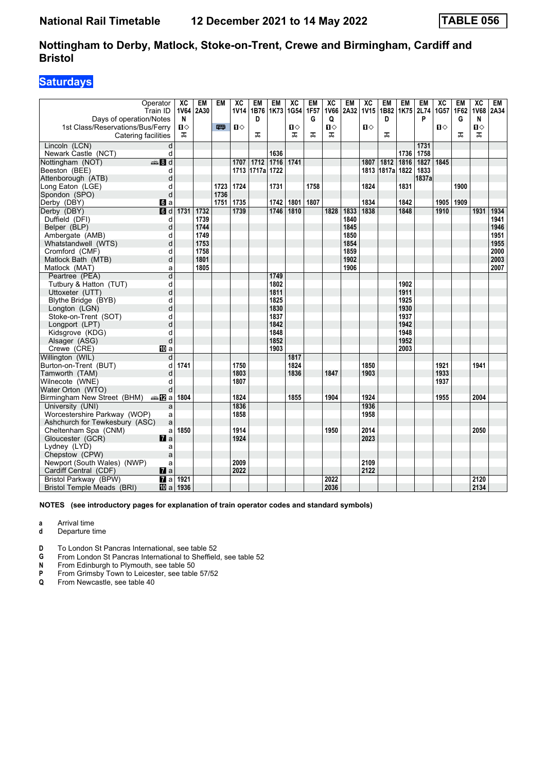## **Saturdays**

| Operator                                           | XC          | <b>EM</b> | <b>EM</b> | $\overline{X}C$ | <b>EM</b> | <b>EM</b> | $\overline{xc}$ | <b>EM</b> | $\overline{AC}$ | <b>EM</b> | $\overline{\text{xc}}$ | <b>EM</b>  | <b>EM</b> | <b>EM</b>      | $\overline{X}C$ | <b>EM</b> | $\overline{X}C$ | <b>EM</b> |
|----------------------------------------------------|-------------|-----------|-----------|-----------------|-----------|-----------|-----------------|-----------|-----------------|-----------|------------------------|------------|-----------|----------------|-----------------|-----------|-----------------|-----------|
| Train ID                                           | <b>1V64</b> | 2A30      |           | <b>1V14</b>     | 1B76      | 1K73      | 1G54            | 1F57      | <b>1V66</b>     | 2A32      | 1V <sub>15</sub>       | 1B82       |           | 1K75 2L74 1G57 |                 | 1F62      | <b>1V68</b>     | 2A34      |
| Days of operation/Notes                            | N           |           |           |                 | D         |           |                 | G         | Q               |           |                        | D          |           | P              |                 | G         | N               |           |
| 1st Class/Reservations/Bus/Ferry                   | Ⅱ♦          |           | <b>m</b>  | $\mathbf{u}$    |           |           | $\blacksquare$  |           | $\mathbf{u}$    |           | $\mathbf{u}$           |            |           |                | $\blacksquare$  |           | $\mathbf{u}$    |           |
| Catering facilities                                | ᠼ           |           |           |                 | ᠼ         |           | ᠼ               | ᠼ         | ᠼ               |           |                        | ᠼ          |           |                |                 | ᠼ         | ᠼ               |           |
| Lincoln (LCN)<br>d                                 |             |           |           |                 |           |           |                 |           |                 |           |                        |            |           | 1731           |                 |           |                 |           |
| d<br>Newark Castle (NCT)                           |             |           |           |                 |           | 1636      |                 |           |                 |           |                        |            |           | 1736 1758      |                 |           |                 |           |
| $\bigoplus$ 8 d<br>Nottingham (NOT)                |             |           |           | 1707            | 1712      | 1716      | 1741            |           |                 |           | 1807                   | 1812       | 1816      | 1827           | 1845            |           |                 |           |
| Beeston (BEE)<br>d                                 |             |           |           | 1713            | 1717a     | 1722      |                 |           |                 |           |                        | 1813 1817a | 1822      | 1833           |                 |           |                 |           |
| Attenborough (ATB)<br>d                            |             |           |           |                 |           |           |                 |           |                 |           |                        |            |           | 1837a          |                 |           |                 |           |
| Long Eaton (LGE)<br>d                              |             |           | 1723      | 1724            |           | 1731      |                 | 1758      |                 |           | 1824                   |            | 1831      |                |                 | 1900      |                 |           |
| d<br>Spondon (SPO)                                 |             |           | 1736      |                 |           |           |                 |           |                 |           |                        |            |           |                |                 |           |                 |           |
| Derby (DBY)<br>6 a                                 |             |           | 1751      | 1735            |           | 1742      | 1801            | 1807      |                 |           | 1834                   |            | 1842      |                | 1905            | 1909      |                 |           |
| Derby (DBY)<br>d                                   | 1731        | 1732      |           | 1739            |           | 1746      | 1810            |           | 1828            | 1833      | 1838                   |            | 1848      |                | 1910            |           | 1931            | 1934      |
| Duffield (DFI)<br>d                                |             | 1739      |           |                 |           |           |                 |           |                 | 1840      |                        |            |           |                |                 |           |                 | 1941      |
| d<br>Belper (BLP)                                  |             | 1744      |           |                 |           |           |                 |           |                 | 1845      |                        |            |           |                |                 |           |                 | 1946      |
| Ambergate (AMB)<br>d                               |             | 1749      |           |                 |           |           |                 |           |                 | 1850      |                        |            |           |                |                 |           |                 | 1951      |
| d<br>Whatstandwell (WTS)                           |             | 1753      |           |                 |           |           |                 |           |                 | 1854      |                        |            |           |                |                 |           |                 | 1955      |
| d<br>Cromford (CMF)                                |             | 1758      |           |                 |           |           |                 |           |                 | 1859      |                        |            |           |                |                 |           |                 | 2000      |
| d<br>Matlock Bath (MTB)                            |             | 1801      |           |                 |           |           |                 |           |                 | 1902      |                        |            |           |                |                 |           |                 | 2003      |
| Matlock (MAT)<br>a                                 |             | 1805      |           |                 |           |           |                 |           |                 | 1906      |                        |            |           |                |                 |           |                 | 2007      |
| Peartree (PEA)<br>d                                |             |           |           |                 |           | 1749      |                 |           |                 |           |                        |            |           |                |                 |           |                 |           |
| Tutbury & Hatton (TUT)<br>d                        |             |           |           |                 |           | 1802      |                 |           |                 |           |                        |            | 1902      |                |                 |           |                 |           |
| d<br>Uttoxeter (UTT)                               |             |           |           |                 |           | 1811      |                 |           |                 |           |                        |            | 1911      |                |                 |           |                 |           |
| Blythe Bridge (BYB)<br>d                           |             |           |           |                 |           | 1825      |                 |           |                 |           |                        |            | 1925      |                |                 |           |                 |           |
| Longton (LGN)<br>d                                 |             |           |           |                 |           | 1830      |                 |           |                 |           |                        |            | 1930      |                |                 |           |                 |           |
| Stoke-on-Trent (SOT)<br>d                          |             |           |           |                 |           | 1837      |                 |           |                 |           |                        |            | 1937      |                |                 |           |                 |           |
| d<br>Longport (LPT)                                |             |           |           |                 |           | 1842      |                 |           |                 |           |                        |            | 1942      |                |                 |           |                 |           |
| Kidsgrove (KDG)<br>d                               |             |           |           |                 |           | 1848      |                 |           |                 |           |                        |            | 1948      |                |                 |           |                 |           |
| d<br>Alsager (ASG)                                 |             |           |           |                 |           | 1852      |                 |           |                 |           |                        |            | 1952      |                |                 |           |                 |           |
| Crewe (CRE)<br>囮 a                                 |             |           |           |                 |           | 1903      |                 |           |                 |           |                        |            | 2003      |                |                 |           |                 |           |
| Willington (WIL)<br>d                              |             |           |           |                 |           |           | 1817            |           |                 |           |                        |            |           |                |                 |           |                 |           |
| Burton-on-Trent (BUT)<br>d                         | 1741        |           |           | 1750            |           |           | 1824            |           |                 |           | 1850                   |            |           |                | 1921            |           | 1941            |           |
| Tamworth (TAM)<br>d                                |             |           |           | 1803            |           |           | 1836            |           | 1847            |           | 1903                   |            |           |                | 1933            |           |                 |           |
| Wilnecote (WNE)<br>d                               |             |           |           | 1807            |           |           |                 |           |                 |           |                        |            |           |                | 1937            |           |                 |           |
| Water Orton (WTO)<br>d                             |             |           |           |                 |           |           |                 |           |                 |           |                        |            |           |                |                 |           |                 |           |
| Birmingham New Street (BHM)<br>anaDa               | 1804        |           |           | 1824            |           |           | 1855            |           | 1904            |           | 1924                   |            |           |                | 1955            |           | 2004            |           |
| University (UNI)<br>a                              |             |           |           | 1836            |           |           |                 |           |                 |           | 1936                   |            |           |                |                 |           |                 |           |
| Worcestershire Parkway (WOP)<br>a                  |             |           |           | 1858            |           |           |                 |           |                 |           | 1958                   |            |           |                |                 |           |                 |           |
| Ashchurch for Tewkesbury (ASC)<br>a                |             |           |           |                 |           |           |                 |           |                 |           |                        |            |           |                |                 |           |                 |           |
| Cheltenham Spa (CNM)<br>a                          | 1850        |           |           | 1914            |           |           |                 |           | 1950            |           | 2014                   |            |           |                |                 |           | 2050            |           |
| Gloucester (GCR)<br>$\mathbf{z}$                   |             |           |           | 1924            |           |           |                 |           |                 |           | 2023                   |            |           |                |                 |           |                 |           |
| Lydney (LYD)<br>a                                  |             |           |           |                 |           |           |                 |           |                 |           |                        |            |           |                |                 |           |                 |           |
| Chepstow (CPW)<br>a                                |             |           |           |                 |           |           |                 |           |                 |           |                        |            |           |                |                 |           |                 |           |
| Newport (South Wales) (NWP)<br>a                   |             |           |           | 2009<br>2022    |           |           |                 |           |                 |           | 2109                   |            |           |                |                 |           |                 |           |
| $\mathbf{z}$ a<br>Cardiff Central (CDF)            |             |           |           |                 |           |           |                 |           |                 |           | 2122                   |            |           |                |                 |           |                 |           |
| $\overline{\mathbf{a}}$ a<br>Bristol Parkway (BPW) | 1921        |           |           |                 |           |           |                 |           | 2022            |           |                        |            |           |                |                 |           | 2120            |           |
| Bristol Temple Meads (BRI)<br><b>ID</b> a          | 1936        |           |           |                 |           |           |                 |           | 2036            |           |                        |            |           |                |                 |           | 2134            |           |

**NOTES (see introductory pages for explanation of train operator codes and standard symbols)**

**a** Arrival time<br>**d** Departure t

**d** Departure time

**D** To London St Pancras International, see table 52

**G** From London St Pancras International to Sheffield, see table 52

**N** From Edinburgh to Plymouth, see table 50<br>**P** From Grimsby Town to Leicester, see table

**P** From Grimsby Town to Leicester, see table 57/52<br>**Q** From Newcastle, see table 40

From Newcastle, see table 40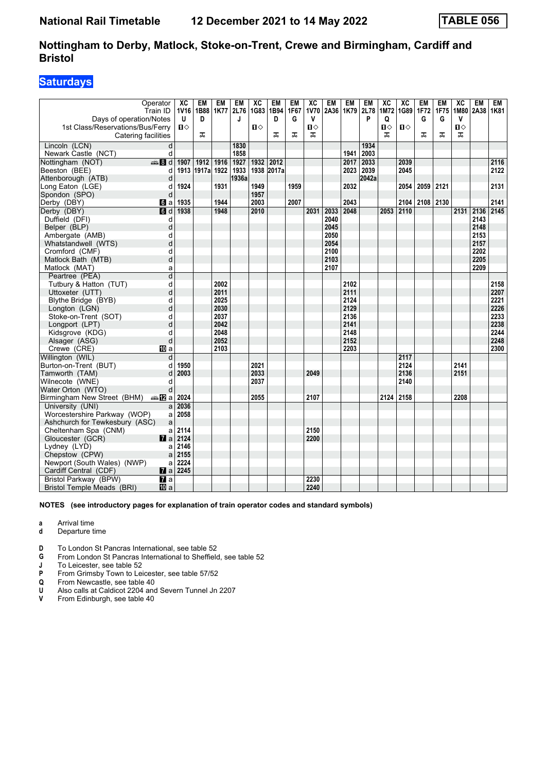## **Saturdays**

| 1G83<br><b>1V70</b><br>1K79<br>2L78<br>1M72 1G89<br>Train ID<br><b>1V16</b><br>1B88<br>1K77<br>2L76<br>1B94<br>1F67<br>2A36<br>1F72<br>1F75<br>1M80<br>2A38<br>1K81<br>Days of operation/Notes<br>U<br>D<br>D<br>G<br>V<br>P<br>Q<br>G<br>v<br>J<br>G<br>$\mathbf{u}$<br>$\mathbf{u}$<br>п⇔<br>$\mathbf{u}$<br>1st Class/Reservations/Bus/Ferry<br>П⇔<br>О<br>ᠼ<br>ᠼ<br>ᠼ<br>ᠼ<br>ᠼ<br>Catering facilities<br>ᠼ<br>ᠼ<br>ᠼ<br>Lincoln (LCN)<br>d<br>1830<br>1934<br>1941<br>d<br>1858<br>2003<br>Newark Castle (NCT)<br>$\bigoplus$ 8 d<br>1932<br>2033<br>2116<br>Nottingham (NOT)<br>1907<br>1912<br>1916<br>1927<br>2012<br>2017<br>2039<br>1933<br>2017a<br>2045<br>2122<br>1913<br>1917a 1922<br>1938<br>2023<br>2039<br>Beeston (BEE)<br>d<br>Attenborough (ATB)<br>d<br>1936a<br>2042a<br>1924<br>1931<br>1949<br>1959<br>2059<br>2121<br>2131<br>Long Eaton (LGE)<br>d<br>2032<br>2054<br>1957<br>Spondon (SPO)<br>d<br>1944<br>2104 2108 2130<br>2141<br>Derby (DBY)<br>1935<br>2003<br>2007<br>2043 |
|--------------------------------------------------------------------------------------------------------------------------------------------------------------------------------------------------------------------------------------------------------------------------------------------------------------------------------------------------------------------------------------------------------------------------------------------------------------------------------------------------------------------------------------------------------------------------------------------------------------------------------------------------------------------------------------------------------------------------------------------------------------------------------------------------------------------------------------------------------------------------------------------------------------------------------------------------------------------------------------------------------------|
|                                                                                                                                                                                                                                                                                                                                                                                                                                                                                                                                                                                                                                                                                                                                                                                                                                                                                                                                                                                                              |
|                                                                                                                                                                                                                                                                                                                                                                                                                                                                                                                                                                                                                                                                                                                                                                                                                                                                                                                                                                                                              |
|                                                                                                                                                                                                                                                                                                                                                                                                                                                                                                                                                                                                                                                                                                                                                                                                                                                                                                                                                                                                              |
|                                                                                                                                                                                                                                                                                                                                                                                                                                                                                                                                                                                                                                                                                                                                                                                                                                                                                                                                                                                                              |
|                                                                                                                                                                                                                                                                                                                                                                                                                                                                                                                                                                                                                                                                                                                                                                                                                                                                                                                                                                                                              |
|                                                                                                                                                                                                                                                                                                                                                                                                                                                                                                                                                                                                                                                                                                                                                                                                                                                                                                                                                                                                              |
|                                                                                                                                                                                                                                                                                                                                                                                                                                                                                                                                                                                                                                                                                                                                                                                                                                                                                                                                                                                                              |
|                                                                                                                                                                                                                                                                                                                                                                                                                                                                                                                                                                                                                                                                                                                                                                                                                                                                                                                                                                                                              |
|                                                                                                                                                                                                                                                                                                                                                                                                                                                                                                                                                                                                                                                                                                                                                                                                                                                                                                                                                                                                              |
|                                                                                                                                                                                                                                                                                                                                                                                                                                                                                                                                                                                                                                                                                                                                                                                                                                                                                                                                                                                                              |
|                                                                                                                                                                                                                                                                                                                                                                                                                                                                                                                                                                                                                                                                                                                                                                                                                                                                                                                                                                                                              |
| $\blacksquare$<br>$\overline{a}$<br>1938<br>1948<br>2010<br>2031<br>2048<br>2053<br>2110<br>2145                                                                                                                                                                                                                                                                                                                                                                                                                                                                                                                                                                                                                                                                                                                                                                                                                                                                                                             |
| Derby (DBY)<br>2033<br>2131<br>2136<br>Duffield (DFI)<br>2143                                                                                                                                                                                                                                                                                                                                                                                                                                                                                                                                                                                                                                                                                                                                                                                                                                                                                                                                                |
| 2040<br>d<br>2045<br>2148                                                                                                                                                                                                                                                                                                                                                                                                                                                                                                                                                                                                                                                                                                                                                                                                                                                                                                                                                                                    |
| d<br>Belper (BLP)<br>2050<br>2153<br>d                                                                                                                                                                                                                                                                                                                                                                                                                                                                                                                                                                                                                                                                                                                                                                                                                                                                                                                                                                       |
| Ambergate (AMB)<br>d<br>2054<br>2157<br>Whatstandwell (WTS)                                                                                                                                                                                                                                                                                                                                                                                                                                                                                                                                                                                                                                                                                                                                                                                                                                                                                                                                                  |
| 2100<br>2202<br>d                                                                                                                                                                                                                                                                                                                                                                                                                                                                                                                                                                                                                                                                                                                                                                                                                                                                                                                                                                                            |
| Cromford (CMF)<br>2205<br>d<br>2103<br>Matlock Bath (MTB)                                                                                                                                                                                                                                                                                                                                                                                                                                                                                                                                                                                                                                                                                                                                                                                                                                                                                                                                                    |
| 2107<br>2209<br>Matlock (MAT)                                                                                                                                                                                                                                                                                                                                                                                                                                                                                                                                                                                                                                                                                                                                                                                                                                                                                                                                                                                |
| a<br>d                                                                                                                                                                                                                                                                                                                                                                                                                                                                                                                                                                                                                                                                                                                                                                                                                                                                                                                                                                                                       |
| Peartree (PEA)                                                                                                                                                                                                                                                                                                                                                                                                                                                                                                                                                                                                                                                                                                                                                                                                                                                                                                                                                                                               |
| d<br>2002<br>2102<br>2158<br>Tutbury & Hatton (TUT)<br>2011<br>2111<br>2207                                                                                                                                                                                                                                                                                                                                                                                                                                                                                                                                                                                                                                                                                                                                                                                                                                                                                                                                  |
| d<br>Uttoxeter (UTT)                                                                                                                                                                                                                                                                                                                                                                                                                                                                                                                                                                                                                                                                                                                                                                                                                                                                                                                                                                                         |
| 2025<br>2124<br>2221<br>Blythe Bridge (BYB)<br>d<br>d<br>2030<br>2129<br>2226                                                                                                                                                                                                                                                                                                                                                                                                                                                                                                                                                                                                                                                                                                                                                                                                                                                                                                                                |
| Longton (LGN)<br>2037<br>2136                                                                                                                                                                                                                                                                                                                                                                                                                                                                                                                                                                                                                                                                                                                                                                                                                                                                                                                                                                                |
| 2233<br>Stoke-on-Trent (SOT)<br>d<br>2238<br>d<br>2042<br>2141                                                                                                                                                                                                                                                                                                                                                                                                                                                                                                                                                                                                                                                                                                                                                                                                                                                                                                                                               |
| Longport (LPT)<br>2048<br>2148<br>2244                                                                                                                                                                                                                                                                                                                                                                                                                                                                                                                                                                                                                                                                                                                                                                                                                                                                                                                                                                       |
| Kidsgrove (KDG)<br>d<br>2052<br>2152<br>2248<br>d                                                                                                                                                                                                                                                                                                                                                                                                                                                                                                                                                                                                                                                                                                                                                                                                                                                                                                                                                            |
| Alsager (ASG)<br>2103<br>2203<br>2300                                                                                                                                                                                                                                                                                                                                                                                                                                                                                                                                                                                                                                                                                                                                                                                                                                                                                                                                                                        |
| Crewe (CRE)<br><b>ID</b> a<br>2117<br>Willington (WIL)<br>d                                                                                                                                                                                                                                                                                                                                                                                                                                                                                                                                                                                                                                                                                                                                                                                                                                                                                                                                                  |
| Burton-on-Trent (BUT)<br>1950<br>2021<br>2124<br>2141<br>d                                                                                                                                                                                                                                                                                                                                                                                                                                                                                                                                                                                                                                                                                                                                                                                                                                                                                                                                                   |
| 2136<br>Tamworth (TAM)<br>d<br>2003<br>2033<br>2049<br>2151                                                                                                                                                                                                                                                                                                                                                                                                                                                                                                                                                                                                                                                                                                                                                                                                                                                                                                                                                  |
| 2140<br>Wilnecote (WNE)<br>2037<br>d                                                                                                                                                                                                                                                                                                                                                                                                                                                                                                                                                                                                                                                                                                                                                                                                                                                                                                                                                                         |
| Water Orton (WTO)<br>d                                                                                                                                                                                                                                                                                                                                                                                                                                                                                                                                                                                                                                                                                                                                                                                                                                                                                                                                                                                       |
| Birmingham New Street (BHM)<br>de <b>12</b> a 2024<br>2055<br>2124 2158<br>2208<br>2107                                                                                                                                                                                                                                                                                                                                                                                                                                                                                                                                                                                                                                                                                                                                                                                                                                                                                                                      |
| 2036<br>University (UNI)<br>a                                                                                                                                                                                                                                                                                                                                                                                                                                                                                                                                                                                                                                                                                                                                                                                                                                                                                                                                                                                |
| Worcestershire Parkway (WOP)<br>2058<br>a                                                                                                                                                                                                                                                                                                                                                                                                                                                                                                                                                                                                                                                                                                                                                                                                                                                                                                                                                                    |
| Ashchurch for Tewkesbury (ASC)<br>a                                                                                                                                                                                                                                                                                                                                                                                                                                                                                                                                                                                                                                                                                                                                                                                                                                                                                                                                                                          |
| 2114<br>2150<br>Cheltenham Spa (CNM)<br>a                                                                                                                                                                                                                                                                                                                                                                                                                                                                                                                                                                                                                                                                                                                                                                                                                                                                                                                                                                    |
| 2124<br>2200<br>Gloucester (GCR)<br>$\mathbf{z}$ a                                                                                                                                                                                                                                                                                                                                                                                                                                                                                                                                                                                                                                                                                                                                                                                                                                                                                                                                                           |
| 2146<br>Lydney (LYD)<br>a                                                                                                                                                                                                                                                                                                                                                                                                                                                                                                                                                                                                                                                                                                                                                                                                                                                                                                                                                                                    |
| 2155<br>Chepstow (CPW)<br>a                                                                                                                                                                                                                                                                                                                                                                                                                                                                                                                                                                                                                                                                                                                                                                                                                                                                                                                                                                                  |
| 2224<br>Newport (South Wales) (NWP)<br>a                                                                                                                                                                                                                                                                                                                                                                                                                                                                                                                                                                                                                                                                                                                                                                                                                                                                                                                                                                     |
| 2245<br>Cardiff Central (CDF)                                                                                                                                                                                                                                                                                                                                                                                                                                                                                                                                                                                                                                                                                                                                                                                                                                                                                                                                                                                |
| 2230<br>Bristol Parkway (BPW)<br>$\overline{a}$                                                                                                                                                                                                                                                                                                                                                                                                                                                                                                                                                                                                                                                                                                                                                                                                                                                                                                                                                              |
| 2240<br>Bristol Temple Meads (BRI)<br><b>ID</b> a                                                                                                                                                                                                                                                                                                                                                                                                                                                                                                                                                                                                                                                                                                                                                                                                                                                                                                                                                            |

**NOTES (see introductory pages for explanation of train operator codes and standard symbols)**

**a** Arrival time

- **d** Departure time
- **D** To London St Pancras International, see table 52
- **4** From London St Pancras International to Sheffield, see table 52<br>**1** To Leicester, see table 52

**-** To Leicester, see table 52<br>**P** From Grimsby Town to Lei

- 
- **Q** From Newcastle, see table 40
- **P** From Grimsby Town to Leicester, see table 57/52<br> **Q** From Newcastle, see table 40<br> **U** Also calls at Caldicot 2204 and Severn Tunnel Jn **U** Also calls at Caldicot 2204 and Severn Tunnel Jn 2207
- **V** From Edinburgh, see table 40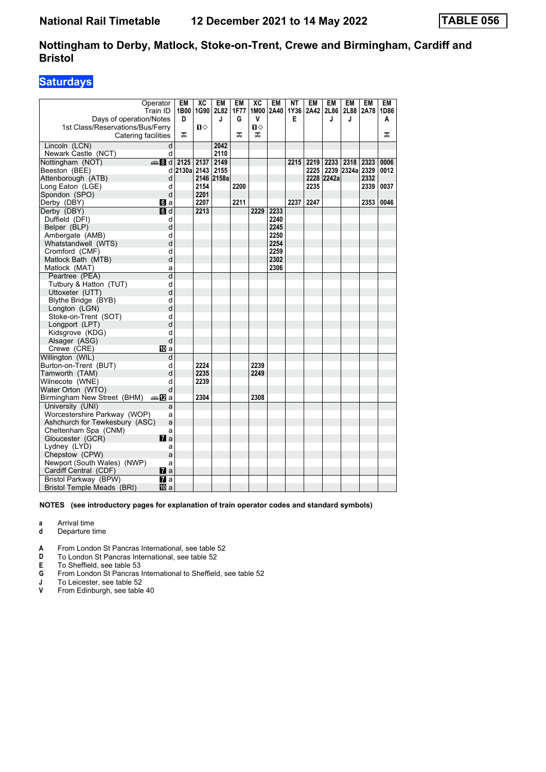## **Saturdays**

|                                   | Operator       | EM         | $\overline{X}C$ | <b>EM</b>  | <b>EM</b> | $\overline{AC}$ | <b>EM</b> | NΤ   | <b>EM</b> | <b>EM</b>  | <b>EM</b>  | <b>EM</b> | <b>EM</b> |
|-----------------------------------|----------------|------------|-----------------|------------|-----------|-----------------|-----------|------|-----------|------------|------------|-----------|-----------|
|                                   | Train ID       | 1B00       | 1G90            | 2L82       | 1F77      |                 | 1M00 2A40 | 1Y36 | 2A42      | 2L86       | 2L88       | 2A78      | 1D86      |
| Days of operation/Notes           |                | D          |                 | J          | G         | v               |           | Е    |           | J          | J          |           | A         |
| 1st Class/Reservations/Bus/Ferry  |                |            | Π               |            |           | п⇔              |           |      |           |            |            |           |           |
| Catering facilities               |                | ᠼ          |                 |            | ᅚ         | ᠼ               |           |      |           |            |            |           | ᠼ         |
|                                   |                |            |                 |            |           |                 |           |      |           |            |            |           |           |
| Lincoln (LCN)                     | d              |            |                 | 2042       |           |                 |           |      |           |            |            |           |           |
| Newark Castle (NCT)               | d              |            |                 | 2110       |           |                 |           |      |           |            |            |           |           |
| Nottingham (NOT)                  | den and        | 2125       | 2137            | 2149       |           |                 |           | 2215 | 2219      | 2233       | 2318       | 2323      | 0006      |
| Beeston (BEE)                     | d              | 2130a 2143 |                 | 2155       |           |                 |           |      | 2225      |            | 2239 2324a | 2329      | 0012      |
| Attenborough (ATB)                | d              |            |                 | 2146 2158a |           |                 |           |      |           | 2228 2242a |            | 2332      |           |
| Long Eaton (LGE)                  | d              |            | 2154            |            | 2200      |                 |           |      | 2235      |            |            | 2339      | 0037      |
| Spondon (SPO)                     | d              |            | 2201            |            |           |                 |           |      |           |            |            |           |           |
| Derby (DBY)                       | <b>6</b> a     |            | 2207            |            | 2211      |                 |           | 2237 | 2247      |            |            | 2353      | 0046      |
| Derby (DBY)                       | 6d             |            | 2213            |            |           | 2229            | 2233      |      |           |            |            |           |           |
| Duffield (DFI)                    | d              |            |                 |            |           |                 | 2240      |      |           |            |            |           |           |
| Belper (BLP)                      | d              |            |                 |            |           |                 | 2245      |      |           |            |            |           |           |
| Ambergate (AMB)                   | d              |            |                 |            |           |                 | 2250      |      |           |            |            |           |           |
| Whatstandwell (WTS)               | d              |            |                 |            |           |                 | 2254      |      |           |            |            |           |           |
| Cromford (CMF)                    | d              |            |                 |            |           |                 | 2259      |      |           |            |            |           |           |
| Matlock Bath (MTB)                | d              |            |                 |            |           |                 | 2302      |      |           |            |            |           |           |
| Matlock (MAT)                     | a              |            |                 |            |           |                 | 2306      |      |           |            |            |           |           |
| Peartree (PEA)                    | $\overline{d}$ |            |                 |            |           |                 |           |      |           |            |            |           |           |
| Tutbury & Hatton (TUT)            | d              |            |                 |            |           |                 |           |      |           |            |            |           |           |
| Uttoxeter (UTT)                   | d              |            |                 |            |           |                 |           |      |           |            |            |           |           |
|                                   | d              |            |                 |            |           |                 |           |      |           |            |            |           |           |
| Blythe Bridge (BYB)               |                |            |                 |            |           |                 |           |      |           |            |            |           |           |
| Longton (LGN)                     | d              |            |                 |            |           |                 |           |      |           |            |            |           |           |
| Stoke-on-Trent (SOT)              | d              |            |                 |            |           |                 |           |      |           |            |            |           |           |
| Longport (LPT)                    | d              |            |                 |            |           |                 |           |      |           |            |            |           |           |
| Kidsgrove (KDG)                   | d              |            |                 |            |           |                 |           |      |           |            |            |           |           |
| Alsager (ASG)                     | d              |            |                 |            |           |                 |           |      |           |            |            |           |           |
| Crewe (CRE)                       | <b>ID</b> a    |            |                 |            |           |                 |           |      |           |            |            |           |           |
| Willington (WIL)                  | d              |            |                 |            |           |                 |           |      |           |            |            |           |           |
| Burton-on-Trent (BUT)             | d              |            | 2224            |            |           | 2239            |           |      |           |            |            |           |           |
| Tamworth (TAM)                    | d              |            | 2235            |            |           | 2249            |           |      |           |            |            |           |           |
| Wilnecote (WNE)                   | d              |            | 2239            |            |           |                 |           |      |           |            |            |           |           |
| Water Orton (WTO)                 | d              |            |                 |            |           |                 |           |      |           |            |            |           |           |
| Birmingham New Street (BHM)       | desn2la        |            | 2304            |            |           | 2308            |           |      |           |            |            |           |           |
| University (UNI)                  | a              |            |                 |            |           |                 |           |      |           |            |            |           |           |
| Worcestershire Parkway (WOP)      | a              |            |                 |            |           |                 |           |      |           |            |            |           |           |
| Ashchurch for Tewkesbury (ASC)    | a              |            |                 |            |           |                 |           |      |           |            |            |           |           |
| Cheltenham Spa (CNM)              | a              |            |                 |            |           |                 |           |      |           |            |            |           |           |
| Gloucester (GCR)                  | $\mathbf{z}$ a |            |                 |            |           |                 |           |      |           |            |            |           |           |
| Lydney (LYD)                      | a              |            |                 |            |           |                 |           |      |           |            |            |           |           |
| Chepstow (CPW)                    | a              |            |                 |            |           |                 |           |      |           |            |            |           |           |
| Newport (South Wales) (NWP)       | a              |            |                 |            |           |                 |           |      |           |            |            |           |           |
| Cardiff Central (CDF)             | $\mathbf{z}$ a |            |                 |            |           |                 |           |      |           |            |            |           |           |
|                                   |                |            |                 |            |           |                 |           |      |           |            |            |           |           |
| Bristol Parkway (BPW)             | <b>7</b> a     |            |                 |            |           |                 |           |      |           |            |            |           |           |
| <b>Bristol Temple Meads (BRI)</b> | 10 a           |            |                 |            |           |                 |           |      |           |            |            |           |           |

#### **NOTES (see introductory pages for explanation of train operator codes and standard symbols)**

**a** Arrival time<br>**d** Departure t

- **d** Departure time
- **A** From London St Pancras International, see table 52<br>**D** To London St Pancras International, see table 52
- **D** To London St Pancras International, see table 52<br> **E** To Sheffield, see table 53

- **E** To Sheffield, see table 53<br>**G** From London St Pancras **6** From London St Pancras International to Sheffield, see table 52<br> **1** To Leicester, see table 52<br> **1** From Edinburgh, see table 40
- To Leicester, see table 52
- From Edinburgh, see table 40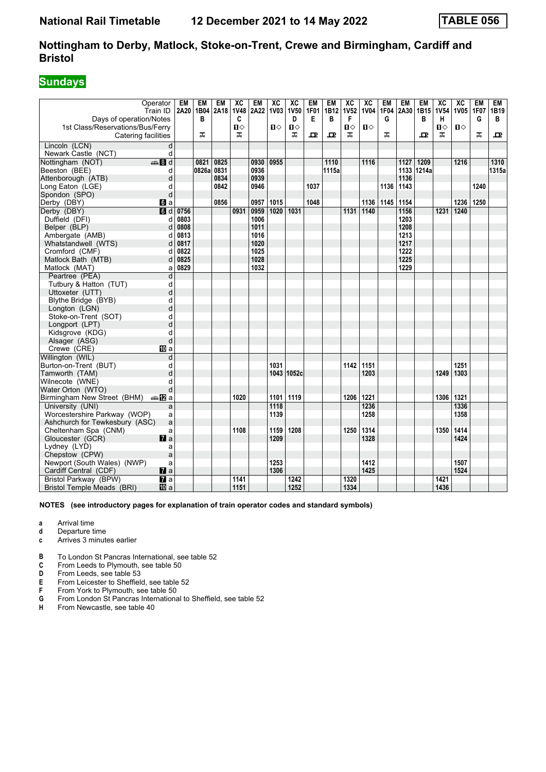## **Sundays**

|                                  | Operator          | EM        | EM    | EM   | ХC           | EM   | $\overline{\mathbf{X}}$ | $\overline{X}C$ | <b>EM</b>   | <b>EM</b>        | $\overline{\text{xc}}$ | $\overline{X}C$ | EM          | EM   | <b>EM</b>  | $\overline{\mathbf{X}}$ | $\overline{\text{xc}}$ | EM   | EM    |
|----------------------------------|-------------------|-----------|-------|------|--------------|------|-------------------------|-----------------|-------------|------------------|------------------------|-----------------|-------------|------|------------|-------------------------|------------------------|------|-------|
|                                  | Train ID          | 2A20 1B04 |       | 2A18 | <b>1V48</b>  | 2A22 | <b>1V03</b>             | <b>1V50</b>     | <b>1F01</b> | 1B12             | <b>1V52</b>            | <b>1V04</b>     | <b>1F04</b> | 2A30 | 1B15       | <b>1V54</b>             | 1V05 1F07              |      | 1B19  |
| Days of operation/Notes          |                   |           | в     |      | C            |      |                         | D               | Е           | в                | F                      |                 | G           |      | в          | н                       |                        | G    | В     |
| 1st Class/Reservations/Bus/Ferry |                   |           |       |      | $\mathbf{u}$ |      | $\mathbf{u}$            | $\mathbf{u}$    |             |                  | $\mathbf{u}$           | $\P$            |             |      |            | П⇔                      | $\mathbf{u}$           |      |       |
| Catering facilities              |                   |           | ᅚ     |      | ᅚ            |      |                         | ᠼ               | ᇁ           | 모                | ᠼ                      |                 | ᅚ           |      | 고          | ᠼ                       |                        | ᠼ    | ᇁ     |
| Lincoln (LCN)                    | d                 |           |       |      |              |      |                         |                 |             |                  |                        |                 |             |      |            |                         |                        |      |       |
| Newark Castle (NCT)              | d                 |           |       |      |              |      |                         |                 |             |                  |                        |                 |             |      |            |                         |                        |      |       |
| Nottingham (NOT)                 | $\frac{1}{2}$ 8 d |           | 0821  | 0825 |              | 0930 | 0955                    |                 |             | $\frac{1110}{2}$ |                        | 1116            |             | 1127 | 1209       |                         | 1216                   |      | 1310  |
| Beeston (BEE)                    | d                 |           | 0826a | 0831 |              | 0936 |                         |                 |             | 1115a            |                        |                 |             |      | 1133 1214a |                         |                        |      | 1315a |
| Attenborough (ATB)               | d                 |           |       | 0834 |              | 0939 |                         |                 |             |                  |                        |                 |             | 1136 |            |                         |                        |      |       |
| Long Eaton (LGE)                 | d                 |           |       | 0842 |              | 0946 |                         |                 | 1037        |                  |                        |                 | 1136        | 1143 |            |                         |                        | 1240 |       |
| Spondon (SPO)                    | d                 |           |       |      |              |      |                         |                 |             |                  |                        |                 |             |      |            |                         |                        |      |       |
| Derby (DBY)                      | 6a                |           |       | 0856 |              | 0957 | 1015                    |                 | 1048        |                  |                        | 1136            | 1145        | 1154 |            |                         | 1236 1250              |      |       |
| Derby (DBY)                      | $\blacksquare$    | 0756      |       |      | 0931         | 0959 | 1020                    | 1031            |             |                  | 1131                   | 1140            |             | 1156 |            | 1231                    | 1240                   |      |       |
| Duffield (DFI)                   | d                 | 0803      |       |      |              | 1006 |                         |                 |             |                  |                        |                 |             | 1203 |            |                         |                        |      |       |
| Belper (BLP)                     | d                 | 0808      |       |      |              | 1011 |                         |                 |             |                  |                        |                 |             | 1208 |            |                         |                        |      |       |
| Ambergate (AMB)                  | d                 | 0813      |       |      |              | 1016 |                         |                 |             |                  |                        |                 |             | 1213 |            |                         |                        |      |       |
| Whatstandwell (WTS)              | d                 | 0817      |       |      |              | 1020 |                         |                 |             |                  |                        |                 |             | 1217 |            |                         |                        |      |       |
| Cromford (CMF)                   | d                 | 0822      |       |      |              | 1025 |                         |                 |             |                  |                        |                 |             | 1222 |            |                         |                        |      |       |
| Matlock Bath (MTB)               | $\mathsf{d}$      | 0825      |       |      |              | 1028 |                         |                 |             |                  |                        |                 |             | 1225 |            |                         |                        |      |       |
| Matlock (MAT)                    | a                 | 0829      |       |      |              | 1032 |                         |                 |             |                  |                        |                 |             | 1229 |            |                         |                        |      |       |
| Peartree (PEA)                   | d                 |           |       |      |              |      |                         |                 |             |                  |                        |                 |             |      |            |                         |                        |      |       |
| Tutbury & Hatton (TUT)           | d                 |           |       |      |              |      |                         |                 |             |                  |                        |                 |             |      |            |                         |                        |      |       |
| Uttoxeter (UTT)                  | d                 |           |       |      |              |      |                         |                 |             |                  |                        |                 |             |      |            |                         |                        |      |       |
| Blythe Bridge (BYB)              | d                 |           |       |      |              |      |                         |                 |             |                  |                        |                 |             |      |            |                         |                        |      |       |
| Longton (LGN)                    | d                 |           |       |      |              |      |                         |                 |             |                  |                        |                 |             |      |            |                         |                        |      |       |
| Stoke-on-Trent (SOT)             | d                 |           |       |      |              |      |                         |                 |             |                  |                        |                 |             |      |            |                         |                        |      |       |
| Longport (LPT)                   | d                 |           |       |      |              |      |                         |                 |             |                  |                        |                 |             |      |            |                         |                        |      |       |
| Kidsgrove (KDG)                  | d                 |           |       |      |              |      |                         |                 |             |                  |                        |                 |             |      |            |                         |                        |      |       |
| Alsager (ASG)                    | d                 |           |       |      |              |      |                         |                 |             |                  |                        |                 |             |      |            |                         |                        |      |       |
| Crewe (CRE)                      | <b>ID</b> a       |           |       |      |              |      |                         |                 |             |                  |                        |                 |             |      |            |                         |                        |      |       |
| Willington (WIL)                 | d                 |           |       |      |              |      |                         |                 |             |                  |                        |                 |             |      |            |                         |                        |      |       |
| Burton-on-Trent (BUT)            | d                 |           |       |      |              |      | 1031                    |                 |             |                  | 1142                   | 1151            |             |      |            |                         | 1251                   |      |       |
| Tamworth (TAM)                   | d                 |           |       |      |              |      |                         | 1043 1052c      |             |                  |                        | 1203            |             |      |            | 1249                    | 1303                   |      |       |
| Wilnecote (WNE)                  | d                 |           |       |      |              |      |                         |                 |             |                  |                        |                 |             |      |            |                         |                        |      |       |
| Water Orton (WTO)                | d                 |           |       |      |              |      |                         |                 |             |                  |                        |                 |             |      |            |                         |                        |      |       |
| Birmingham New Street (BHM)      | anaDa             |           |       |      | 1020         |      |                         | 1101 1119       |             |                  | 1206                   | 1221            |             |      |            | 1306                    | 1321                   |      |       |
| University (UNI)                 | a                 |           |       |      |              |      | 1118                    |                 |             |                  |                        | 1236            |             |      |            |                         | 1336                   |      |       |
| Worcestershire Parkway (WOP)     | a                 |           |       |      |              |      | 1139                    |                 |             |                  |                        | 1258            |             |      |            |                         | 1358                   |      |       |
| Ashchurch for Tewkesbury (ASC)   | a                 |           |       |      |              |      |                         | 1208            |             |                  |                        |                 |             |      |            |                         |                        |      |       |
| Cheltenham Spa (CNM)             | a                 |           |       |      | 1108         |      | 1159                    |                 |             |                  | 1250                   | 1314            |             |      |            | 1350                    | 1414                   |      |       |
| Gloucester (GCR)                 | <b>7</b> a        |           |       |      |              |      | 1209                    |                 |             |                  |                        | 1328            |             |      |            |                         | 1424                   |      |       |
| Lydney (LYD)                     | a                 |           |       |      |              |      |                         |                 |             |                  |                        |                 |             |      |            |                         |                        |      |       |
| Chepstow (CPW)                   | a                 |           |       |      |              |      | 1253                    |                 |             |                  |                        | 1412            |             |      |            |                         | 1507                   |      |       |
| Newport (South Wales) (NWP)      | a                 |           |       |      |              |      | 1306                    |                 |             |                  |                        | 1425            |             |      |            |                         | 1524                   |      |       |
| Cardiff Central (CDF)            | $\mathbf{z}$ a    |           |       |      |              |      |                         |                 |             |                  |                        |                 |             |      |            |                         |                        |      |       |
| Bristol Parkway (BPW)            | $\mathbf{z}$ a    |           |       |      | 1141         |      |                         | 1242            |             |                  | 1320                   |                 |             |      |            | 1421                    |                        |      |       |
| Bristol Temple Meads (BRI)       | 100 a             |           |       |      | 1151         |      |                         | 1252            |             |                  | 1334                   |                 |             |      |            | 1436                    |                        |      |       |

- **a** Arrival time
- **d** Departure time<br>**c** Arrives 3 minute
- **c** Arrives 3 minutes earlier
- **B** To London St Pancras International, see table 52 **C** From Leeds to Plymouth, see table 50
- **C** From Leeds to Plymouth, see table 50<br>**D** From Leeds, see table 53
- 
- **D** From Leeds, see table 53<br>**E** From Leicester to Sheffiel<br>**F** From York to Plymouth, se From Leicester to Sheffield, see table 52
- **F** From York to Plymouth, see table 50<br>**G** From London St Pancras Internationa
- **6** From London St Pancras International to Sheffield, see table 52<br>**H** From Newcastle, see table 40
- From Newcastle, see table 40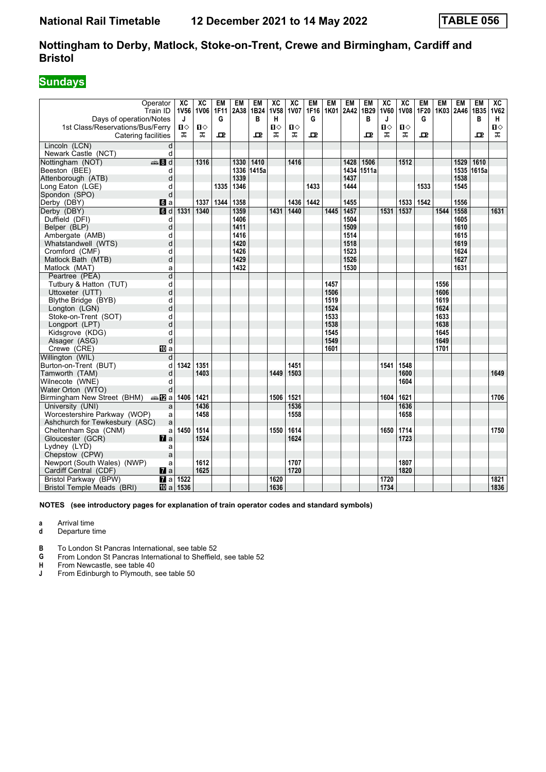## **Sundays**

| Operator<br>Train ID                     |                        | XC<br>1V56 | $\overline{AC}$<br>1V06 | <b>EM</b><br>1F11 | EM<br>2A38 1B24 | EM    | $\overline{X}C$<br><b>1V58</b> | $\overline{X}C$<br><b>1V07</b> | <b>EM</b><br>1F16 | <b>EM</b><br>1K01 | <b>EM</b><br>2A42 | <b>EM</b><br>1B29 | $\overline{\mathbf{X}}$<br><b>1V60</b> | $\overline{X}C$<br><b>1V08</b> | EM<br>1F20 | <b>EM</b> | <b>EM</b><br>1K03 2A46 1B35 | <b>EM</b>  | $\overline{AC}$<br><b>1V62</b> |
|------------------------------------------|------------------------|------------|-------------------------|-------------------|-----------------|-------|--------------------------------|--------------------------------|-------------------|-------------------|-------------------|-------------------|----------------------------------------|--------------------------------|------------|-----------|-----------------------------|------------|--------------------------------|
| Days of operation/Notes                  |                        | J          |                         | G                 |                 | в     | н                              |                                | G                 |                   |                   | B                 | J                                      |                                | G          |           |                             | в          | H                              |
| 1st Class/Reservations/Bus/Ferry         |                        | Ⅱ♦         | Ⅱ♦                      |                   |                 |       | $\mathbf{u}$                   | $\mathbf{u}$                   |                   |                   |                   |                   | Ⅱ◇                                     | Ⅱ♦                             |            |           |                             |            | $\mathbf{u}$                   |
| Catering facilities                      |                        | ᠼ          | ᠼ                       | 굔                 |                 | 고     | ᠼ                              | ᠼ                              | ᇁ                 |                   |                   | ᇁ                 | ᠼ                                      | ᠼ                              | ᇁ          |           |                             | ᇁ          | ᠼ                              |
| Lincoln (LCN)                            | d                      |            |                         |                   |                 |       |                                |                                |                   |                   |                   |                   |                                        |                                |            |           |                             |            |                                |
| Newark Castle (NCT)                      | d                      |            |                         |                   |                 |       |                                |                                |                   |                   |                   |                   |                                        |                                |            |           |                             |            |                                |
| $\bigoplus$ 8 d<br>Nottingham (NOT)      |                        |            | 1316                    |                   | 1330            | 1410  |                                | 1416                           |                   |                   | 1428              | 1506              |                                        | 1512                           |            |           | 1529                        | 1610       |                                |
| Beeston (BEE)                            | d                      |            |                         |                   | 1336            | 1415a |                                |                                |                   |                   | 1434              | 1511a             |                                        |                                |            |           |                             | 1535 1615a |                                |
| Attenborough (ATB)                       | d                      |            |                         |                   | 1339            |       |                                |                                |                   |                   | 1437              |                   |                                        |                                |            |           | 1538                        |            |                                |
| Long Eaton (LGE)                         | d                      |            |                         | 1335              | 1346            |       |                                |                                | 1433              |                   | 1444              |                   |                                        |                                | 1533       |           | 1545                        |            |                                |
| Spondon (SPO)                            | d                      |            |                         |                   |                 |       |                                |                                |                   |                   |                   |                   |                                        |                                |            |           |                             |            |                                |
| Derby (DBY)                              | $\blacksquare$         |            | 1337                    | 1344              | 1358            |       |                                | 1436                           | 1442              |                   | 1455              |                   |                                        | 1533                           | 1542       |           | 1556                        |            |                                |
| Derby (DBY)                              | $\overline{a}$         | 1331       | 1340                    |                   | 1359            |       | 1431                           | $1440$                         |                   | 1445              | 1457              |                   | 1531                                   | 1537                           |            | 1544      | 1558                        |            | 1631                           |
| Duffield (DFI)                           | d                      |            |                         |                   | 1406            |       |                                |                                |                   |                   | 1504              |                   |                                        |                                |            |           | 1605                        |            |                                |
| Belper (BLP)                             | d                      |            |                         |                   | 1411            |       |                                |                                |                   |                   | 1509              |                   |                                        |                                |            |           | 1610                        |            |                                |
| Ambergate (AMB)                          | d                      |            |                         |                   | 1416            |       |                                |                                |                   |                   | 1514              |                   |                                        |                                |            |           | 1615                        |            |                                |
| Whatstandwell (WTS)                      | d                      |            |                         |                   | 1420            |       |                                |                                |                   |                   | 1518              |                   |                                        |                                |            |           | 1619                        |            |                                |
| Cromford (CMF)                           | d                      |            |                         |                   | 1426            |       |                                |                                |                   |                   | 1523              |                   |                                        |                                |            |           | 1624                        |            |                                |
| Matlock Bath (MTB)                       | d                      |            |                         |                   | 1429            |       |                                |                                |                   |                   | 1526              |                   |                                        |                                |            |           | 1627                        |            |                                |
| Matlock (MAT)                            | a                      |            |                         |                   | 1432            |       |                                |                                |                   |                   | 1530              |                   |                                        |                                |            |           | 1631                        |            |                                |
| Peartree (PEA)                           | d                      |            |                         |                   |                 |       |                                |                                |                   |                   |                   |                   |                                        |                                |            |           |                             |            |                                |
| Tutbury & Hatton (TUT)                   | d                      |            |                         |                   |                 |       |                                |                                |                   | 1457              |                   |                   |                                        |                                |            | 1556      |                             |            |                                |
| Uttoxeter (UTT)                          | d                      |            |                         |                   |                 |       |                                |                                |                   | 1506              |                   |                   |                                        |                                |            | 1606      |                             |            |                                |
| Blythe Bridge (BYB)                      | d                      |            |                         |                   |                 |       |                                |                                |                   | 1519              |                   |                   |                                        |                                |            | 1619      |                             |            |                                |
| Longton (LGN)                            | d                      |            |                         |                   |                 |       |                                |                                |                   | 1524              |                   |                   |                                        |                                |            | 1624      |                             |            |                                |
| Stoke-on-Trent (SOT)                     | d                      |            |                         |                   |                 |       |                                |                                |                   | 1533              |                   |                   |                                        |                                |            | 1633      |                             |            |                                |
| Longport (LPT)                           | d                      |            |                         |                   |                 |       |                                |                                |                   | 1538              |                   |                   |                                        |                                |            | 1638      |                             |            |                                |
| Kidsgrove (KDG)                          | d                      |            |                         |                   |                 |       |                                |                                |                   | 1545              |                   |                   |                                        |                                |            | 1645      |                             |            |                                |
| Alsager (ASG)                            | d                      |            |                         |                   |                 |       |                                |                                |                   | 1549              |                   |                   |                                        |                                |            | 1649      |                             |            |                                |
| Crewe (CRE)                              | <b>ID</b> a            |            |                         |                   |                 |       |                                |                                |                   | 1601              |                   |                   |                                        |                                |            | 1701      |                             |            |                                |
| Willington (WIL)                         | d                      |            |                         |                   |                 |       |                                |                                |                   |                   |                   |                   |                                        |                                |            |           |                             |            |                                |
| Burton-on-Trent (BUT)                    | d                      | 1342       | 1351                    |                   |                 |       |                                | 1451                           |                   |                   |                   |                   | 1541                                   | 1548                           |            |           |                             |            |                                |
| Tamworth (TAM)                           | d                      |            | 1403                    |                   |                 |       | 1449                           | 1503                           |                   |                   |                   |                   |                                        | 1600                           |            |           |                             |            | 1649                           |
| Wilnecote (WNE)                          | d                      |            |                         |                   |                 |       |                                |                                |                   |                   |                   |                   |                                        | 1604                           |            |           |                             |            |                                |
| Water Orton (WTO)                        | d                      |            |                         |                   |                 |       |                                |                                |                   |                   |                   |                   |                                        |                                |            |           |                             |            |                                |
| Birmingham New Street (BHM)<br>ana MZ al |                        | 1406       | 1421                    |                   |                 |       | 1506                           | 1521                           |                   |                   |                   |                   | 1604                                   | 1621                           |            |           |                             |            | 1706                           |
| University (UNI)                         | a                      |            | 1436                    |                   |                 |       |                                | 1536                           |                   |                   |                   |                   |                                        | 1636                           |            |           |                             |            |                                |
| Worcestershire Parkway (WOP)             | a                      |            | 1458                    |                   |                 |       |                                | 1558                           |                   |                   |                   |                   |                                        | 1658                           |            |           |                             |            |                                |
| Ashchurch for Tewkesbury (ASC)           | a                      |            |                         |                   |                 |       |                                |                                |                   |                   |                   |                   |                                        |                                |            |           |                             |            |                                |
| Cheltenham Spa (CNM)                     | a                      | 1450       | 1514                    |                   |                 |       | 1550                           | 1614                           |                   |                   |                   |                   | 1650                                   | 1714                           |            |           |                             |            | 1750                           |
| Gloucester (GCR)                         | $\mathbf{z}$ a         |            | 1524                    |                   |                 |       |                                | 1624                           |                   |                   |                   |                   |                                        | 1723                           |            |           |                             |            |                                |
| Lydney (LYD)                             | a                      |            |                         |                   |                 |       |                                |                                |                   |                   |                   |                   |                                        |                                |            |           |                             |            |                                |
| Chepstow (CPW)                           | a                      |            |                         |                   |                 |       |                                |                                |                   |                   |                   |                   |                                        |                                |            |           |                             |            |                                |
| Newport (South Wales) (NWP)              | a                      |            | 1612                    |                   |                 |       |                                | 1707                           |                   |                   |                   |                   |                                        | 1807                           |            |           |                             |            |                                |
| Cardiff Central (CDF)                    | $\mathbf{z}$ a         |            | 1625                    |                   |                 |       |                                | 1720                           |                   |                   |                   |                   |                                        | 1820                           |            |           |                             |            |                                |
| Bristol Parkway (BPW)                    | $\mathbf{z}$ a         | 1522       |                         |                   |                 |       | 1620                           |                                |                   |                   |                   |                   | 1720                                   |                                |            |           |                             |            | 1821                           |
| Bristol Temple Meads (BRI)               | $\overline{10}$ a 1536 |            |                         |                   |                 |       | 1636                           |                                |                   |                   |                   |                   | 1734                                   |                                |            |           |                             |            | 1836                           |

**NOTES (see introductory pages for explanation of train operator codes and standard symbols)**

**a** Arrival time<br>**d** Departure t

**d** Departure time

**B** To London St Pancras International, see table 52

**4** From London St Pancras International to Sheffield, see table 52<br>**H** From Newcastle, see table 40

**+** From Newcastle, see table 40<br>**J** From Edinburgh to Plymouth.

From Edinburgh to Plymouth, see table 50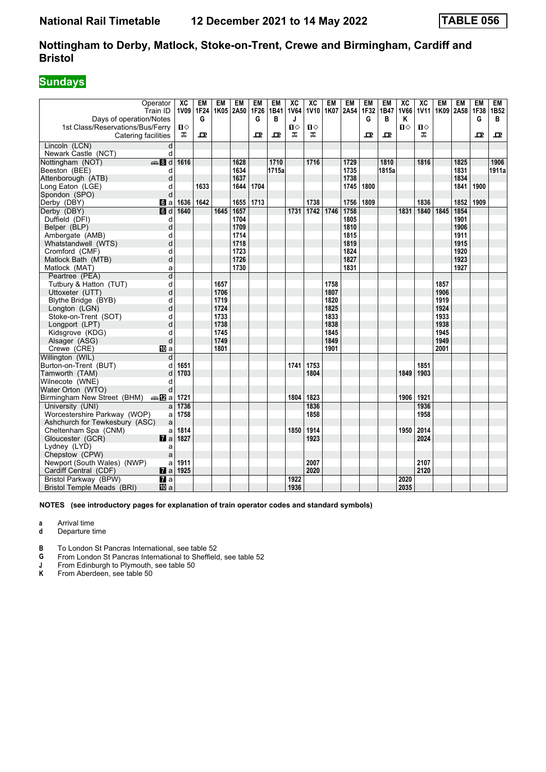## **Sundays**

| Operator<br>Train ID                                |                    | XC<br><b>1V09</b> | EM<br>1F24   | EM<br>1K05 | EM<br>2A50 | EM<br>1F26 | EM<br>1B41 | $\overline{\text{xc}}$<br><b>1V64</b> | $\overline{AC}$<br><b>1V10</b> | <b>EM</b><br>1K07 | EM<br>2A54 | <b>EM</b><br>1F32 | <b>EM</b><br>1B47 | $\overline{\text{xc}}$<br><b>1V66</b> | $\overline{\text{xc}}$<br><b>1V11</b> | <b>EM</b> | <b>EM</b><br>1K09 2A58 1F38 | <b>EM</b> | EM<br>1B <sub>52</sub> |
|-----------------------------------------------------|--------------------|-------------------|--------------|------------|------------|------------|------------|---------------------------------------|--------------------------------|-------------------|------------|-------------------|-------------------|---------------------------------------|---------------------------------------|-----------|-----------------------------|-----------|------------------------|
| Days of operation/Notes                             |                    |                   | G            |            |            | G          | в          | J                                     |                                |                   |            | G                 | в                 | Κ                                     |                                       |           |                             | G         | В                      |
| 1st Class/Reservations/Bus/Ferry                    |                    | п⇔                |              |            |            |            |            | $\mathbf{u}$                          | $\mathbf{u}$                   |                   |            |                   |                   | $\mathbf{u}$                          | Ⅱ♦                                    |           |                             |           |                        |
| Catering facilities                                 |                    | ᠼ                 | $\mathbf{p}$ |            |            | ᅭ          | 모          | ᠼ                                     | ᅚ                              |                   |            | ᇁ                 | 굔                 |                                       | ᠼ                                     |           |                             | 굔         | ᇁ                      |
| Lincoln (LCN)                                       | d                  |                   |              |            |            |            |            |                                       |                                |                   |            |                   |                   |                                       |                                       |           |                             |           |                        |
| Newark Castle (NCT)                                 | d                  |                   |              |            |            |            |            |                                       |                                |                   |            |                   |                   |                                       |                                       |           |                             |           |                        |
| $\bigoplus$ 8 d<br>Nottingham (NOT)                 |                    | 1616              |              |            | 1628       |            | 1710       |                                       | 1716                           |                   | 1729       |                   | 1810              |                                       | 1816                                  |           | 1825                        |           | 1906                   |
| Beeston (BEE)                                       | d                  |                   |              |            | 1634       |            | 1715a      |                                       |                                |                   | 1735       |                   | 1815a             |                                       |                                       |           | 1831                        |           | 1911a                  |
| Attenborough (ATB)                                  | d                  |                   |              |            | 1637       |            |            |                                       |                                |                   | 1738       |                   |                   |                                       |                                       |           | 1834                        |           |                        |
| Long Eaton (LGE)                                    | d                  |                   | 1633         |            | 1644       | 1704       |            |                                       |                                |                   | 1745       | 1800              |                   |                                       |                                       |           | 1841                        | 1900      |                        |
| Spondon (SPO)                                       | d                  |                   |              |            |            |            |            |                                       |                                |                   |            |                   |                   |                                       |                                       |           |                             |           |                        |
| Derby (DBY)                                         | 6a                 | 1636              | 1642         |            | 1655       | 1713       |            |                                       | 1738                           |                   | 1756       | 1809              |                   |                                       | 1836                                  |           | 1852                        | 1909      |                        |
| Derby (DBY)                                         | d                  | 1640              |              | 1645       | 1657       |            |            | 1731                                  | 1742                           | 1746              | 1758       |                   |                   | 1831                                  | 1840                                  | 1845      | 1854                        |           |                        |
| Duffield (DFI)                                      | d                  |                   |              |            | 1704       |            |            |                                       |                                |                   | 1805       |                   |                   |                                       |                                       |           | 1901                        |           |                        |
| Belper (BLP)                                        | d                  |                   |              |            | 1709       |            |            |                                       |                                |                   | 1810       |                   |                   |                                       |                                       |           | 1906                        |           |                        |
| Ambergate (AMB)                                     | d                  |                   |              |            | 1714       |            |            |                                       |                                |                   | 1815       |                   |                   |                                       |                                       |           | 1911                        |           |                        |
| Whatstandwell (WTS)                                 | d                  |                   |              |            | 1718       |            |            |                                       |                                |                   | 1819       |                   |                   |                                       |                                       |           | 1915                        |           |                        |
| Cromford (CMF)                                      | d                  |                   |              |            | 1723       |            |            |                                       |                                |                   | 1824       |                   |                   |                                       |                                       |           | 1920                        |           |                        |
| Matlock Bath (MTB)                                  | d                  |                   |              |            | 1726       |            |            |                                       |                                |                   | 1827       |                   |                   |                                       |                                       |           | 1923                        |           |                        |
| Matlock (MAT)                                       | a                  |                   |              |            | 1730       |            |            |                                       |                                |                   | 1831       |                   |                   |                                       |                                       |           | 1927                        |           |                        |
| Peartree (PEA)                                      | $\overline{d}$     |                   |              |            |            |            |            |                                       |                                |                   |            |                   |                   |                                       |                                       |           |                             |           |                        |
| Tutbury & Hatton (TUT)                              | d                  |                   |              | 1657       |            |            |            |                                       |                                | 1758              |            |                   |                   |                                       |                                       | 1857      |                             |           |                        |
| Uttoxeter (UTT)                                     | d                  |                   |              | 1706       |            |            |            |                                       |                                | 1807              |            |                   |                   |                                       |                                       | 1906      |                             |           |                        |
| Blythe Bridge (BYB)                                 | d                  |                   |              | 1719       |            |            |            |                                       |                                | 1820              |            |                   |                   |                                       |                                       | 1919      |                             |           |                        |
| Longton (LGN)                                       | d                  |                   |              | 1724       |            |            |            |                                       |                                | 1825              |            |                   |                   |                                       |                                       | 1924      |                             |           |                        |
| Stoke-on-Trent (SOT)                                | d                  |                   |              | 1733       |            |            |            |                                       |                                | 1833              |            |                   |                   |                                       |                                       | 1933      |                             |           |                        |
| Longport (LPT)                                      | d                  |                   |              | 1738       |            |            |            |                                       |                                | 1838              |            |                   |                   |                                       |                                       | 1938      |                             |           |                        |
| Kidsgrove (KDG)                                     | d                  |                   |              | 1745       |            |            |            |                                       |                                | 1845              |            |                   |                   |                                       |                                       | 1945      |                             |           |                        |
| Alsager (ASG)                                       | d                  |                   |              | 1749       |            |            |            |                                       |                                | 1849              |            |                   |                   |                                       |                                       | 1949      |                             |           |                        |
| Crewe (CRE)                                         | <b>卫</b> a         |                   |              | 1801       |            |            |            |                                       |                                | 1901              |            |                   |                   |                                       |                                       | 2001      |                             |           |                        |
| Willington (WIL)                                    | d                  |                   |              |            |            |            |            |                                       |                                |                   |            |                   |                   |                                       |                                       |           |                             |           |                        |
| Burton-on-Trent (BUT)                               | d                  | 1651              |              |            |            |            |            | 1741                                  | 1753                           |                   |            |                   |                   |                                       | 1851                                  |           |                             |           |                        |
| Tamworth (TAM)                                      | d                  | 1703              |              |            |            |            |            |                                       | 1804                           |                   |            |                   |                   | 1849                                  | 1903                                  |           |                             |           |                        |
| Wilnecote (WNE)                                     | d                  |                   |              |            |            |            |            |                                       |                                |                   |            |                   |                   |                                       |                                       |           |                             |           |                        |
| Water Orton (WTO)                                   | d                  |                   |              |            |            |            |            |                                       |                                |                   |            |                   |                   |                                       |                                       |           |                             |           |                        |
| Birmingham New Street (BHM) $\oplus \blacksquare$ a |                    | 1721              |              |            |            |            |            | 1804                                  | 1823                           |                   |            |                   |                   | 1906                                  | 1921                                  |           |                             |           |                        |
| University (UNI)                                    | a                  | 1736              |              |            |            |            |            |                                       | 1836                           |                   |            |                   |                   |                                       | 1936                                  |           |                             |           |                        |
| Worcestershire Parkway (WOP)                        | a                  | 1758              |              |            |            |            |            |                                       | 1858                           |                   |            |                   |                   |                                       | 1958                                  |           |                             |           |                        |
| Ashchurch for Tewkesbury (ASC)                      | a                  |                   |              |            |            |            |            |                                       |                                |                   |            |                   |                   |                                       |                                       |           |                             |           |                        |
| Cheltenham Spa (CNM)                                | a                  | 1814              |              |            |            |            |            | 1850                                  | 1914                           |                   |            |                   |                   | 1950                                  | 2014                                  |           |                             |           |                        |
| Gloucester (GCR)                                    | $  \mathbf{z}  $ a | 1827              |              |            |            |            |            |                                       | 1923                           |                   |            |                   |                   |                                       | 2024                                  |           |                             |           |                        |
| Lydney (LYD)                                        | a                  |                   |              |            |            |            |            |                                       |                                |                   |            |                   |                   |                                       |                                       |           |                             |           |                        |
| Chepstow (CPW)                                      | a                  |                   |              |            |            |            |            |                                       |                                |                   |            |                   |                   |                                       |                                       |           |                             |           |                        |
| Newport (South Wales) (NWP)                         | a                  | 1911              |              |            |            |            |            |                                       | 2007                           |                   |            |                   |                   |                                       | 2107                                  |           |                             |           |                        |
| Cardiff Central (CDF)                               | $  \mathbf{z}  $   | 1925              |              |            |            |            |            |                                       | 2020                           |                   |            |                   |                   |                                       | 2120                                  |           |                             |           |                        |
| Bristol Parkway (BPW)                               | $\mathbf{z}$ a     |                   |              |            |            |            |            | 1922                                  |                                |                   |            |                   |                   | 2020                                  |                                       |           |                             |           |                        |
| Bristol Temple Meads (BRI)                          | <b>ID</b> a        |                   |              |            |            |            |            | 1936                                  |                                |                   |            |                   |                   | 2035                                  |                                       |           |                             |           |                        |

**NOTES (see introductory pages for explanation of train operator codes and standard symbols)**

**a** Arrival time<br>**d** Departure t

**d** Departure time

**B** To London St Pancras International, see table 52

**4** From London St Pancras International to Sheffield, see table 52<br>**1** From Edinburgh to Plymouth, see table 50

**J** From Edinburgh to Plymouth, see table 50<br>**K** From Aberdeen, see table 50

From Aberdeen, see table 50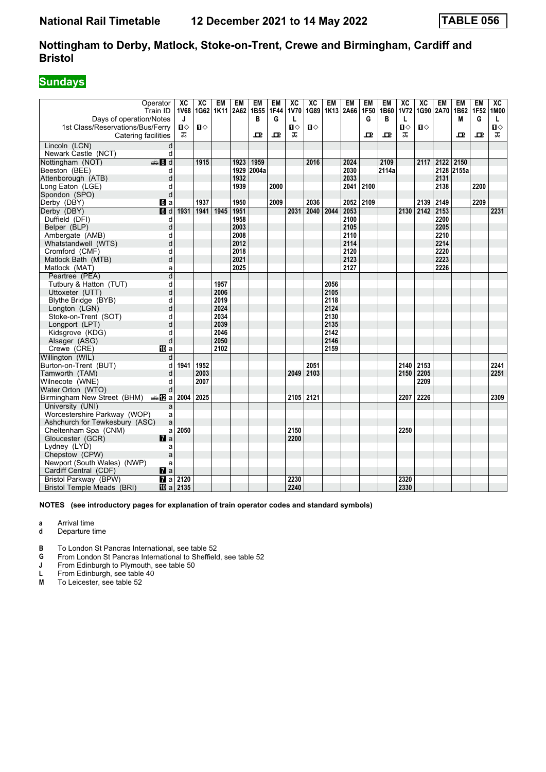## **Sundays**

| Days of operation/Notes                                 | Operator<br>Train ID    | XC<br>J                | XC<br>1V68 1G62       | <b>EM</b> | EM<br>1K11 2A62 1B55 | EM<br>в    | EM<br><b>1F44</b><br>G | $\overline{X}C$<br><b>1V70</b><br>L | $\overline{AC}$<br>1G89 | <b>EM</b> | <b>EM</b><br>1K13 2A66 | <b>EM</b><br>1F50<br>G | <b>EM</b><br>1B60<br>в | $\overline{\mathbf{X}}$<br><b>1V72</b><br>L | $\overline{X}C$<br>1G90 2A70 | <b>EM</b>      | <b>EM</b><br>1B62<br>M | <b>EM</b><br>1F52<br>G | $\overline{AC}$<br>1M00<br>L |
|---------------------------------------------------------|-------------------------|------------------------|-----------------------|-----------|----------------------|------------|------------------------|-------------------------------------|-------------------------|-----------|------------------------|------------------------|------------------------|---------------------------------------------|------------------------------|----------------|------------------------|------------------------|------------------------------|
| 1st Class/Reservations/Bus/Ferry<br>Catering facilities |                         | П⇔<br>ᠼ                | $\mathbf{D} \diamond$ |           |                      | ᇁ          | ᇁ                      | $\mathbf{u}$<br>ᠼ                   | $\mathbf{u}$            |           |                        | ᇁ                      | ᇁ                      | $\mathbf{u}$<br>ᠼ                           | $\mathbf{u}$                 |                | ᇁ                      | ᇁ                      | $\mathbf{u}$<br>ᠼ            |
| Lincoln (LCN)                                           | d                       |                        |                       |           |                      |            |                        |                                     |                         |           |                        |                        |                        |                                             |                              |                |                        |                        |                              |
| Newark Castle (NCT)                                     | d                       |                        |                       |           |                      |            |                        |                                     |                         |           |                        |                        |                        |                                             |                              |                |                        |                        |                              |
| Nottingham (NOT)                                        | 48d                     |                        | $\frac{1915}{2}$      |           | 1923                 | 1959       |                        |                                     | 2016                    |           | 2024                   |                        | 2109                   |                                             |                              | 2117 2122 2150 |                        |                        |                              |
| Beeston (BEE)                                           | d                       |                        |                       |           |                      | 1929 2004a |                        |                                     |                         |           | 2030                   |                        | 2114a                  |                                             |                              |                | 2128 2155a             |                        |                              |
| Attenborough (ATB)                                      | d                       |                        |                       |           | 1932                 |            |                        |                                     |                         |           | 2033                   |                        |                        |                                             |                              | 2131           |                        |                        |                              |
| Long Eaton (LGE)                                        | d                       |                        |                       |           | 1939                 |            | 2000                   |                                     |                         |           | 2041                   | 2100                   |                        |                                             |                              | 2138           |                        | 2200                   |                              |
| Spondon (SPO)                                           | d                       |                        |                       |           |                      |            |                        |                                     |                         |           |                        |                        |                        |                                             |                              |                |                        |                        |                              |
| Derby (DBY)                                             | 6i a                    |                        | 1937                  |           | 1950                 |            | 2009                   |                                     | 2036                    |           | 2052                   | 2109                   |                        |                                             |                              | 2139 2149      |                        | 2209                   |                              |
| Derby (DBY)                                             | d                       | 1931                   | $ 1941\rangle$        | 1945      | 1951                 |            |                        | 2031                                | 2040                    | 2044      | 2053                   |                        |                        |                                             | 2130 2142 2153               |                |                        |                        | 2231                         |
| Duffield (DFI)                                          | d                       |                        |                       |           | 1958                 |            |                        |                                     |                         |           | 2100                   |                        |                        |                                             |                              | 2200           |                        |                        |                              |
| Belper (BLP)                                            | d                       |                        |                       |           | 2003                 |            |                        |                                     |                         |           | 2105                   |                        |                        |                                             |                              | 2205           |                        |                        |                              |
| Ambergate (AMB)                                         | d                       |                        |                       |           | 2008                 |            |                        |                                     |                         |           | 2110                   |                        |                        |                                             |                              | 2210           |                        |                        |                              |
| Whatstandwell (WTS)                                     | d                       |                        |                       |           | 2012                 |            |                        |                                     |                         |           | 2114                   |                        |                        |                                             |                              | 2214           |                        |                        |                              |
| Cromford (CMF)                                          | d                       |                        |                       |           | 2018                 |            |                        |                                     |                         |           | 2120                   |                        |                        |                                             |                              | 2220           |                        |                        |                              |
| Matlock Bath (MTB)                                      | d                       |                        |                       |           | 2021                 |            |                        |                                     |                         |           | 2123                   |                        |                        |                                             |                              | 2223           |                        |                        |                              |
| Matlock (MAT)                                           | a                       |                        |                       |           | 2025                 |            |                        |                                     |                         |           | 2127                   |                        |                        |                                             |                              | 2226           |                        |                        |                              |
| Peartree (PEA)                                          | $\overline{\mathsf{d}}$ |                        |                       |           |                      |            |                        |                                     |                         |           |                        |                        |                        |                                             |                              |                |                        |                        |                              |
| Tutbury & Hatton (TUT)                                  | d                       |                        |                       | 1957      |                      |            |                        |                                     |                         | 2056      |                        |                        |                        |                                             |                              |                |                        |                        |                              |
| Uttoxeter (UTT)                                         | d                       |                        |                       | 2006      |                      |            |                        |                                     |                         | 2105      |                        |                        |                        |                                             |                              |                |                        |                        |                              |
| Blythe Bridge (BYB)                                     | d                       |                        |                       | 2019      |                      |            |                        |                                     |                         | 2118      |                        |                        |                        |                                             |                              |                |                        |                        |                              |
| Longton (LGN)                                           | d                       |                        |                       | 2024      |                      |            |                        |                                     |                         | 2124      |                        |                        |                        |                                             |                              |                |                        |                        |                              |
| Stoke-on-Trent (SOT)                                    | d                       |                        |                       | 2034      |                      |            |                        |                                     |                         | 2130      |                        |                        |                        |                                             |                              |                |                        |                        |                              |
| Longport (LPT)                                          | d                       |                        |                       | 2039      |                      |            |                        |                                     |                         | 2135      |                        |                        |                        |                                             |                              |                |                        |                        |                              |
| Kidsgrove (KDG)                                         | d                       |                        |                       | 2046      |                      |            |                        |                                     |                         | 2142      |                        |                        |                        |                                             |                              |                |                        |                        |                              |
| Alsager (ASG)                                           | d                       |                        |                       | 2050      |                      |            |                        |                                     |                         | 2146      |                        |                        |                        |                                             |                              |                |                        |                        |                              |
| Crewe (CRE)                                             | <b>ID</b> a             |                        |                       | 2102      |                      |            |                        |                                     |                         | 2159      |                        |                        |                        |                                             |                              |                |                        |                        |                              |
| Willington (WIL)                                        | d                       |                        |                       |           |                      |            |                        |                                     |                         |           |                        |                        |                        |                                             |                              |                |                        |                        |                              |
| Burton-on-Trent (BUT)                                   | d                       | 1941                   | 1952                  |           |                      |            |                        |                                     | 2051                    |           |                        |                        |                        | 2140                                        | 2153                         |                |                        |                        | 2241                         |
| Tamworth (TAM)                                          | d                       |                        | 2003                  |           |                      |            |                        | 2049                                | 2103                    |           |                        |                        |                        | 2150                                        | 2205                         |                |                        |                        | 2251                         |
| Wilnecote (WNE)                                         | d                       |                        | 2007                  |           |                      |            |                        |                                     |                         |           |                        |                        |                        |                                             | 2209                         |                |                        |                        |                              |
| Water Orton (WTO)                                       |                         |                        |                       |           |                      |            |                        |                                     |                         |           |                        |                        |                        |                                             |                              |                |                        |                        |                              |
| Birmingham New Street (BHM)                             | nnan Dal                | 2004                   | 2025                  |           |                      |            |                        | 2105 2121                           |                         |           |                        |                        |                        | 2207                                        | 2226                         |                |                        |                        | 2309                         |
| University (UNI)                                        | a                       |                        |                       |           |                      |            |                        |                                     |                         |           |                        |                        |                        |                                             |                              |                |                        |                        |                              |
| Worcestershire Parkway (WOP)                            | a                       |                        |                       |           |                      |            |                        |                                     |                         |           |                        |                        |                        |                                             |                              |                |                        |                        |                              |
| Ashchurch for Tewkesbury (ASC)                          | a                       |                        |                       |           |                      |            |                        |                                     |                         |           |                        |                        |                        |                                             |                              |                |                        |                        |                              |
| Cheltenham Spa (CNM)                                    | a                       | 2050                   |                       |           |                      |            |                        | 2150                                |                         |           |                        |                        |                        | 2250                                        |                              |                |                        |                        |                              |
| Gloucester (GCR)                                        | $\mathbf{z}$ a          |                        |                       |           |                      |            |                        | 2200                                |                         |           |                        |                        |                        |                                             |                              |                |                        |                        |                              |
| Lydney (LYD)                                            | a                       |                        |                       |           |                      |            |                        |                                     |                         |           |                        |                        |                        |                                             |                              |                |                        |                        |                              |
| Chepstow (CPW)                                          | a                       |                        |                       |           |                      |            |                        |                                     |                         |           |                        |                        |                        |                                             |                              |                |                        |                        |                              |
| Newport (South Wales) (NWP)                             | a                       |                        |                       |           |                      |            |                        |                                     |                         |           |                        |                        |                        |                                             |                              |                |                        |                        |                              |
| Cardiff Central (CDF)                                   | $\mathbf{z}$ a          |                        |                       |           |                      |            |                        |                                     |                         |           |                        |                        |                        |                                             |                              |                |                        |                        |                              |
| Bristol Parkway (BPW)                                   |                         | $\sqrt{a}$ a 2120      |                       |           |                      |            |                        | 2230                                |                         |           |                        |                        |                        | 2320                                        |                              |                |                        |                        |                              |
| <b>Bristol Temple Meads (BRI)</b>                       |                         | $\overline{10}$ a 2135 |                       |           |                      |            |                        | 2240                                |                         |           |                        |                        |                        | 2330                                        |                              |                |                        |                        |                              |

**NOTES (see introductory pages for explanation of train operator codes and standard symbols)**

**a** Arrival time<br>**d** Departure t

**d** Departure time

**B** To London St Pancras International, see table 52

**4** From London St Pancras International to Sheffield, see table 52<br>**1** From Edinburgh to Plymouth, see table 50

**J** From Edinburgh to Plymouth, see table 50<br>**L** From Edinburgh, see table 40

**L** From Edinburgh, see table 40<br>**M** To Leicester, see table 52

To Leicester, see table 52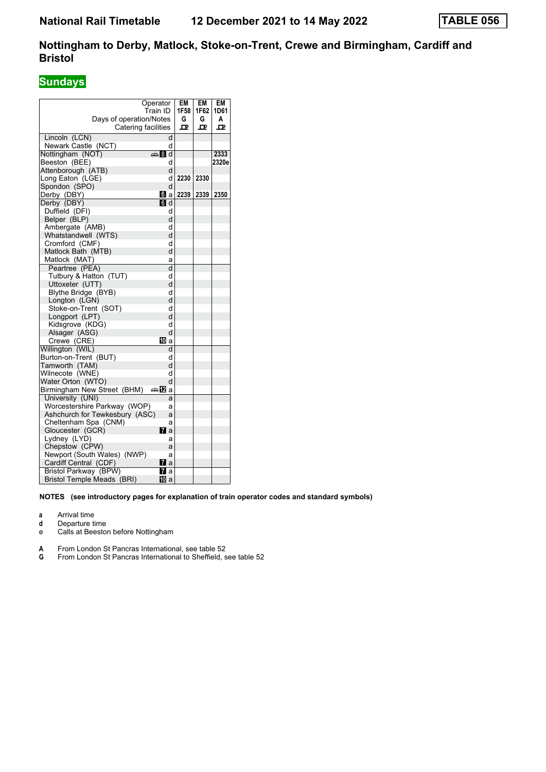## **Sundays**

|                                        | Operator   | EM   | EM   | EM    |
|----------------------------------------|------------|------|------|-------|
|                                        | Train ID   | 1F58 | 1F62 | 1D61  |
| Days of operation/Notes                |            | G    | G    | A     |
| Catering facilities                    |            | ᇁ    | ᇁ    | ᇁ     |
| Lincoln (LCN)                          | d          |      |      |       |
| Newark Castle (NCT)                    | d          |      |      |       |
| Nottingham (NOT)                       | den and    |      |      | 2333  |
| Beeston (BEE)                          | d          |      |      | 2320e |
| Attenborough (ATB)                     | d          |      |      |       |
| Long Eaton (LGE)                       | d          | 2230 | 2330 |       |
| Spondon (SPO)                          | d          |      |      |       |
| Derby (DBY)                            | <b>d</b> a | 2239 | 2339 | 2350  |
| Derby (DBY)                            | <b>6</b> d |      |      |       |
| Duffield (DFI)                         | d          |      |      |       |
| Belper (BLP)                           | d          |      |      |       |
| Ambergate (AMB)<br>Whatstandwell (WTS) | d<br>d     |      |      |       |
| Cromford (CMF)                         | d          |      |      |       |
| Matlock Bath (MTB)                     | d          |      |      |       |
| Matlock (MAT)                          | a          |      |      |       |
| Peartree (PEA)                         | d          |      |      |       |
| Tutbury & Hatton (TUT)                 | d          |      |      |       |
| Uttoxeter (UTT)                        | d          |      |      |       |
| Blythe Bridge (BYB)                    | d          |      |      |       |
| Longton (LGN)                          | d          |      |      |       |
| Stoke-on-Trent (SOT)                   | d          |      |      |       |
| Longport (LPT)                         | d          |      |      |       |
| Kidsgrove (KDG)                        | d          |      |      |       |
| Alsager (ASG)                          | d          |      |      |       |
| Crewe (CRE)                            | [[] a      |      |      |       |
| Willington (WIL)                       | d          |      |      |       |
| Burton-on-Trent (BUT)                  | d          |      |      |       |
| Tamworth (TAM)                         | d          |      |      |       |
| Wilnecote (WNE)                        | d          |      |      |       |
| Water Orton (WTO)                      | d          |      |      |       |
| Birmingham New Street (BHM)            | ⇔12<br>a   |      |      |       |
| University (UNI)                       | a          |      |      |       |
| Worcestershire Parkway (WOP)           | a          |      |      |       |
| Ashchurch for Tewkesbury (ASC)         | a          |      |      |       |
| Cheltenham Spa (CNM)                   | a          |      |      |       |
| Gloucester (GCR)                       | <b>7</b> a |      |      |       |
| Lydney (LYD)                           | а          |      |      |       |
| Chepstow (CPW)                         | a          |      |      |       |
| Newport (South Wales) (NWP)            | a          |      |      |       |
| Cardiff Central (CDF)                  | <b>7</b> a |      |      |       |
| Bristol Parkway (BPW)                  | Mra        |      |      |       |
| <b>Bristol Temple Meads (BRI)</b>      | 10 a       |      |      |       |

**NOTES (see introductory pages for explanation of train operator codes and standard symbols)**

**a** Arrival time

- **d** Departure time
- e Calls at Beeston before Nottingham
- **A** From London St Pancras International, see table 52
- **G** From London St Pancras International to Sheffield, see table 52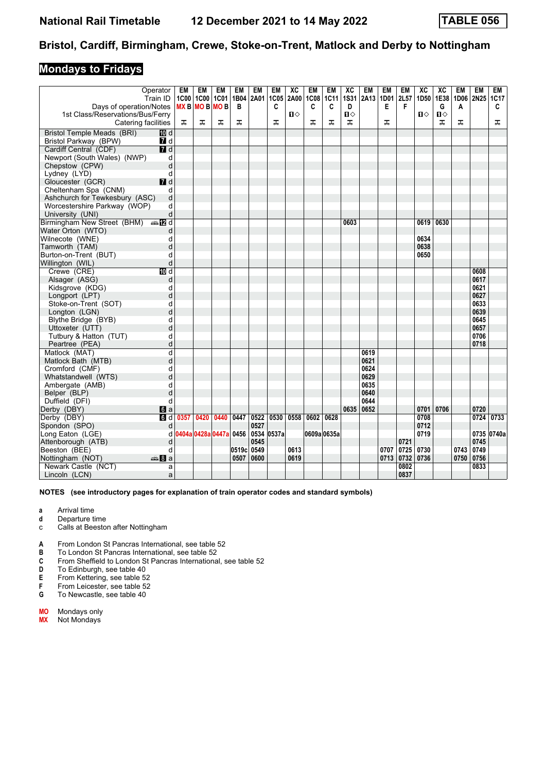### **Mondays to Fridays**

| Days of operation/Notes<br>$MX B$ MO B MO B<br>1st Class/Reservations/Bus/Ferry<br>$\mathbf{u}$<br>$\mathbf{u}$<br>Ⅱ♦<br>0<br>ᠼ<br>ᠼ<br>ᠼ<br>ᠼ<br>ᠼ<br>ᠼ<br>ᠼ<br>ᠼ<br><b>Catering facilities</b><br>ᠼ<br>ᠼ<br>ᠼ<br>ᠼ<br>Bristol Temple Meads (BRI)<br><b>ID</b> d<br>$\blacksquare$ d<br>Bristol Parkway (BPW)<br>7d<br>Cardiff Central (CDF)<br>Newport (South Wales) (NWP)<br>d<br>d<br>Chepstow (CPW)<br>Lydney (LYD)<br>d<br>$I$ d<br>Gloucester (GCR)<br>Cheltenham Spa (CNM)<br>d<br>d<br>Ashchurch for Tewkesbury (ASC)<br>d<br>Worcestershire Parkway (WOP)<br>d<br>University (UNI)<br>Birmingham New Street (BHM) $\oplus$ 2 d<br>0630<br>0603<br>0619<br>Water Orton (WTO)<br>d<br>0634<br>Wilnecote (WNE)<br>d<br>Tamworth (TAM)<br>d<br>0638<br>0650<br>Burton-on-Trent (BUT)<br>d<br>d<br>$\overline{M}$ d<br>Crewe (CRE)<br>0608<br>Alsager (ASG)<br>0617<br>d<br>0621<br>Kidsgrove (KDG)<br>d<br>d<br>0627<br>Longport (LPT)<br>d<br>0633<br>Stoke-on-Trent (SOT)<br>d<br>0639<br>Longton (LGN)<br>Blythe Bridge (BYB)<br>d<br>0645<br>d<br>0657<br>Uttoxeter (UTT)<br>Tutbury & Hatton (TUT)<br>d<br>0706<br>d<br>0718<br>Peartree (PEA)<br>Matlock (MAT)<br>d<br>0619<br>d<br>0621<br>Matlock Bath (MTB)<br>d<br>0624<br>Cromford (CMF)<br>d<br>0629<br>Whatstandwell (WTS)<br>0635<br>Ambergate (AMB)<br>d<br>d<br>Belper (BLP)<br>0640<br>d<br>0644<br>Duffield (DFI)<br>0635<br>0652<br>0720<br>0701 0706<br>Derby (DBY)<br>$\blacksquare$ a<br>6d<br>0420<br>0440<br>0522<br>0530 0558<br>0602<br>0628<br>0708<br>0724<br>0733<br>Derby (DBY)<br>0357<br>0447<br>0527<br>0712<br>Spondon (SPO)<br>d<br>0404a 0428a 0447a 0456 0534 0537a<br>0609a 0635a<br>0735 0740a<br>d<br>0719<br>Long Eaton (LGE)<br>0545<br>0721<br>0745<br>Attenborough (ATB)<br>d<br>0519c<br>0613<br>0707<br>0725<br>0730<br>0743<br>0749<br>Beeston (BEE)<br>d<br>0549<br>0619<br>0736<br>0750<br>0756<br>Nottingham (NOT)<br>de 8 a<br>0507<br>0600<br>0713<br>0732<br>0802<br>0833<br>Newark Castle (NCT)<br>a |                  | Operator<br>Train ID | EM | EM<br>1C00 1C00 | <b>EM</b><br><b>1C01</b> | EM<br>1B04 | EM<br>2A01 | EM<br>1C05 | XC<br>2A00 | <b>EM</b><br><b>1C08</b> | <b>EM</b><br>1C11 | XC<br><b>1S31</b> | <b>EM</b><br>2A13 | <b>EM</b><br>1D01 | EM<br>2L57 | XC<br>1D50 | XC<br>1E38 | EM | <b>EM</b><br>1D06 2N25 1C17 | EM |
|------------------------------------------------------------------------------------------------------------------------------------------------------------------------------------------------------------------------------------------------------------------------------------------------------------------------------------------------------------------------------------------------------------------------------------------------------------------------------------------------------------------------------------------------------------------------------------------------------------------------------------------------------------------------------------------------------------------------------------------------------------------------------------------------------------------------------------------------------------------------------------------------------------------------------------------------------------------------------------------------------------------------------------------------------------------------------------------------------------------------------------------------------------------------------------------------------------------------------------------------------------------------------------------------------------------------------------------------------------------------------------------------------------------------------------------------------------------------------------------------------------------------------------------------------------------------------------------------------------------------------------------------------------------------------------------------------------------------------------------------------------------------------------------------------------------------------------------------------------------------------------------------------------------------------------------------------------------------------------------------------------------|------------------|----------------------|----|-----------------|--------------------------|------------|------------|------------|------------|--------------------------|-------------------|-------------------|-------------------|-------------------|------------|------------|------------|----|-----------------------------|----|
|                                                                                                                                                                                                                                                                                                                                                                                                                                                                                                                                                                                                                                                                                                                                                                                                                                                                                                                                                                                                                                                                                                                                                                                                                                                                                                                                                                                                                                                                                                                                                                                                                                                                                                                                                                                                                                                                                                                                                                                                                  |                  |                      |    |                 |                          | B          |            | C          |            | C                        | C                 | D                 |                   | E                 | F          |            | G          | A  |                             | C  |
|                                                                                                                                                                                                                                                                                                                                                                                                                                                                                                                                                                                                                                                                                                                                                                                                                                                                                                                                                                                                                                                                                                                                                                                                                                                                                                                                                                                                                                                                                                                                                                                                                                                                                                                                                                                                                                                                                                                                                                                                                  |                  |                      |    |                 |                          |            |            |            |            |                          |                   |                   |                   |                   |            |            |            |    |                             |    |
|                                                                                                                                                                                                                                                                                                                                                                                                                                                                                                                                                                                                                                                                                                                                                                                                                                                                                                                                                                                                                                                                                                                                                                                                                                                                                                                                                                                                                                                                                                                                                                                                                                                                                                                                                                                                                                                                                                                                                                                                                  |                  |                      |    |                 |                          |            |            |            |            |                          |                   |                   |                   |                   |            |            |            |    |                             |    |
|                                                                                                                                                                                                                                                                                                                                                                                                                                                                                                                                                                                                                                                                                                                                                                                                                                                                                                                                                                                                                                                                                                                                                                                                                                                                                                                                                                                                                                                                                                                                                                                                                                                                                                                                                                                                                                                                                                                                                                                                                  |                  |                      |    |                 |                          |            |            |            |            |                          |                   |                   |                   |                   |            |            |            |    |                             |    |
|                                                                                                                                                                                                                                                                                                                                                                                                                                                                                                                                                                                                                                                                                                                                                                                                                                                                                                                                                                                                                                                                                                                                                                                                                                                                                                                                                                                                                                                                                                                                                                                                                                                                                                                                                                                                                                                                                                                                                                                                                  |                  |                      |    |                 |                          |            |            |            |            |                          |                   |                   |                   |                   |            |            |            |    |                             |    |
|                                                                                                                                                                                                                                                                                                                                                                                                                                                                                                                                                                                                                                                                                                                                                                                                                                                                                                                                                                                                                                                                                                                                                                                                                                                                                                                                                                                                                                                                                                                                                                                                                                                                                                                                                                                                                                                                                                                                                                                                                  |                  |                      |    |                 |                          |            |            |            |            |                          |                   |                   |                   |                   |            |            |            |    |                             |    |
|                                                                                                                                                                                                                                                                                                                                                                                                                                                                                                                                                                                                                                                                                                                                                                                                                                                                                                                                                                                                                                                                                                                                                                                                                                                                                                                                                                                                                                                                                                                                                                                                                                                                                                                                                                                                                                                                                                                                                                                                                  |                  |                      |    |                 |                          |            |            |            |            |                          |                   |                   |                   |                   |            |            |            |    |                             |    |
|                                                                                                                                                                                                                                                                                                                                                                                                                                                                                                                                                                                                                                                                                                                                                                                                                                                                                                                                                                                                                                                                                                                                                                                                                                                                                                                                                                                                                                                                                                                                                                                                                                                                                                                                                                                                                                                                                                                                                                                                                  |                  |                      |    |                 |                          |            |            |            |            |                          |                   |                   |                   |                   |            |            |            |    |                             |    |
|                                                                                                                                                                                                                                                                                                                                                                                                                                                                                                                                                                                                                                                                                                                                                                                                                                                                                                                                                                                                                                                                                                                                                                                                                                                                                                                                                                                                                                                                                                                                                                                                                                                                                                                                                                                                                                                                                                                                                                                                                  |                  |                      |    |                 |                          |            |            |            |            |                          |                   |                   |                   |                   |            |            |            |    |                             |    |
|                                                                                                                                                                                                                                                                                                                                                                                                                                                                                                                                                                                                                                                                                                                                                                                                                                                                                                                                                                                                                                                                                                                                                                                                                                                                                                                                                                                                                                                                                                                                                                                                                                                                                                                                                                                                                                                                                                                                                                                                                  |                  |                      |    |                 |                          |            |            |            |            |                          |                   |                   |                   |                   |            |            |            |    |                             |    |
|                                                                                                                                                                                                                                                                                                                                                                                                                                                                                                                                                                                                                                                                                                                                                                                                                                                                                                                                                                                                                                                                                                                                                                                                                                                                                                                                                                                                                                                                                                                                                                                                                                                                                                                                                                                                                                                                                                                                                                                                                  |                  |                      |    |                 |                          |            |            |            |            |                          |                   |                   |                   |                   |            |            |            |    |                             |    |
|                                                                                                                                                                                                                                                                                                                                                                                                                                                                                                                                                                                                                                                                                                                                                                                                                                                                                                                                                                                                                                                                                                                                                                                                                                                                                                                                                                                                                                                                                                                                                                                                                                                                                                                                                                                                                                                                                                                                                                                                                  |                  |                      |    |                 |                          |            |            |            |            |                          |                   |                   |                   |                   |            |            |            |    |                             |    |
|                                                                                                                                                                                                                                                                                                                                                                                                                                                                                                                                                                                                                                                                                                                                                                                                                                                                                                                                                                                                                                                                                                                                                                                                                                                                                                                                                                                                                                                                                                                                                                                                                                                                                                                                                                                                                                                                                                                                                                                                                  |                  |                      |    |                 |                          |            |            |            |            |                          |                   |                   |                   |                   |            |            |            |    |                             |    |
|                                                                                                                                                                                                                                                                                                                                                                                                                                                                                                                                                                                                                                                                                                                                                                                                                                                                                                                                                                                                                                                                                                                                                                                                                                                                                                                                                                                                                                                                                                                                                                                                                                                                                                                                                                                                                                                                                                                                                                                                                  |                  |                      |    |                 |                          |            |            |            |            |                          |                   |                   |                   |                   |            |            |            |    |                             |    |
|                                                                                                                                                                                                                                                                                                                                                                                                                                                                                                                                                                                                                                                                                                                                                                                                                                                                                                                                                                                                                                                                                                                                                                                                                                                                                                                                                                                                                                                                                                                                                                                                                                                                                                                                                                                                                                                                                                                                                                                                                  |                  |                      |    |                 |                          |            |            |            |            |                          |                   |                   |                   |                   |            |            |            |    |                             |    |
|                                                                                                                                                                                                                                                                                                                                                                                                                                                                                                                                                                                                                                                                                                                                                                                                                                                                                                                                                                                                                                                                                                                                                                                                                                                                                                                                                                                                                                                                                                                                                                                                                                                                                                                                                                                                                                                                                                                                                                                                                  |                  |                      |    |                 |                          |            |            |            |            |                          |                   |                   |                   |                   |            |            |            |    |                             |    |
|                                                                                                                                                                                                                                                                                                                                                                                                                                                                                                                                                                                                                                                                                                                                                                                                                                                                                                                                                                                                                                                                                                                                                                                                                                                                                                                                                                                                                                                                                                                                                                                                                                                                                                                                                                                                                                                                                                                                                                                                                  |                  |                      |    |                 |                          |            |            |            |            |                          |                   |                   |                   |                   |            |            |            |    |                             |    |
|                                                                                                                                                                                                                                                                                                                                                                                                                                                                                                                                                                                                                                                                                                                                                                                                                                                                                                                                                                                                                                                                                                                                                                                                                                                                                                                                                                                                                                                                                                                                                                                                                                                                                                                                                                                                                                                                                                                                                                                                                  |                  |                      |    |                 |                          |            |            |            |            |                          |                   |                   |                   |                   |            |            |            |    |                             |    |
|                                                                                                                                                                                                                                                                                                                                                                                                                                                                                                                                                                                                                                                                                                                                                                                                                                                                                                                                                                                                                                                                                                                                                                                                                                                                                                                                                                                                                                                                                                                                                                                                                                                                                                                                                                                                                                                                                                                                                                                                                  | Willington (WIL) |                      |    |                 |                          |            |            |            |            |                          |                   |                   |                   |                   |            |            |            |    |                             |    |
|                                                                                                                                                                                                                                                                                                                                                                                                                                                                                                                                                                                                                                                                                                                                                                                                                                                                                                                                                                                                                                                                                                                                                                                                                                                                                                                                                                                                                                                                                                                                                                                                                                                                                                                                                                                                                                                                                                                                                                                                                  |                  |                      |    |                 |                          |            |            |            |            |                          |                   |                   |                   |                   |            |            |            |    |                             |    |
|                                                                                                                                                                                                                                                                                                                                                                                                                                                                                                                                                                                                                                                                                                                                                                                                                                                                                                                                                                                                                                                                                                                                                                                                                                                                                                                                                                                                                                                                                                                                                                                                                                                                                                                                                                                                                                                                                                                                                                                                                  |                  |                      |    |                 |                          |            |            |            |            |                          |                   |                   |                   |                   |            |            |            |    |                             |    |
|                                                                                                                                                                                                                                                                                                                                                                                                                                                                                                                                                                                                                                                                                                                                                                                                                                                                                                                                                                                                                                                                                                                                                                                                                                                                                                                                                                                                                                                                                                                                                                                                                                                                                                                                                                                                                                                                                                                                                                                                                  |                  |                      |    |                 |                          |            |            |            |            |                          |                   |                   |                   |                   |            |            |            |    |                             |    |
|                                                                                                                                                                                                                                                                                                                                                                                                                                                                                                                                                                                                                                                                                                                                                                                                                                                                                                                                                                                                                                                                                                                                                                                                                                                                                                                                                                                                                                                                                                                                                                                                                                                                                                                                                                                                                                                                                                                                                                                                                  |                  |                      |    |                 |                          |            |            |            |            |                          |                   |                   |                   |                   |            |            |            |    |                             |    |
|                                                                                                                                                                                                                                                                                                                                                                                                                                                                                                                                                                                                                                                                                                                                                                                                                                                                                                                                                                                                                                                                                                                                                                                                                                                                                                                                                                                                                                                                                                                                                                                                                                                                                                                                                                                                                                                                                                                                                                                                                  |                  |                      |    |                 |                          |            |            |            |            |                          |                   |                   |                   |                   |            |            |            |    |                             |    |
|                                                                                                                                                                                                                                                                                                                                                                                                                                                                                                                                                                                                                                                                                                                                                                                                                                                                                                                                                                                                                                                                                                                                                                                                                                                                                                                                                                                                                                                                                                                                                                                                                                                                                                                                                                                                                                                                                                                                                                                                                  |                  |                      |    |                 |                          |            |            |            |            |                          |                   |                   |                   |                   |            |            |            |    |                             |    |
|                                                                                                                                                                                                                                                                                                                                                                                                                                                                                                                                                                                                                                                                                                                                                                                                                                                                                                                                                                                                                                                                                                                                                                                                                                                                                                                                                                                                                                                                                                                                                                                                                                                                                                                                                                                                                                                                                                                                                                                                                  |                  |                      |    |                 |                          |            |            |            |            |                          |                   |                   |                   |                   |            |            |            |    |                             |    |
|                                                                                                                                                                                                                                                                                                                                                                                                                                                                                                                                                                                                                                                                                                                                                                                                                                                                                                                                                                                                                                                                                                                                                                                                                                                                                                                                                                                                                                                                                                                                                                                                                                                                                                                                                                                                                                                                                                                                                                                                                  |                  |                      |    |                 |                          |            |            |            |            |                          |                   |                   |                   |                   |            |            |            |    |                             |    |
|                                                                                                                                                                                                                                                                                                                                                                                                                                                                                                                                                                                                                                                                                                                                                                                                                                                                                                                                                                                                                                                                                                                                                                                                                                                                                                                                                                                                                                                                                                                                                                                                                                                                                                                                                                                                                                                                                                                                                                                                                  |                  |                      |    |                 |                          |            |            |            |            |                          |                   |                   |                   |                   |            |            |            |    |                             |    |
|                                                                                                                                                                                                                                                                                                                                                                                                                                                                                                                                                                                                                                                                                                                                                                                                                                                                                                                                                                                                                                                                                                                                                                                                                                                                                                                                                                                                                                                                                                                                                                                                                                                                                                                                                                                                                                                                                                                                                                                                                  |                  |                      |    |                 |                          |            |            |            |            |                          |                   |                   |                   |                   |            |            |            |    |                             |    |
|                                                                                                                                                                                                                                                                                                                                                                                                                                                                                                                                                                                                                                                                                                                                                                                                                                                                                                                                                                                                                                                                                                                                                                                                                                                                                                                                                                                                                                                                                                                                                                                                                                                                                                                                                                                                                                                                                                                                                                                                                  |                  |                      |    |                 |                          |            |            |            |            |                          |                   |                   |                   |                   |            |            |            |    |                             |    |
|                                                                                                                                                                                                                                                                                                                                                                                                                                                                                                                                                                                                                                                                                                                                                                                                                                                                                                                                                                                                                                                                                                                                                                                                                                                                                                                                                                                                                                                                                                                                                                                                                                                                                                                                                                                                                                                                                                                                                                                                                  |                  |                      |    |                 |                          |            |            |            |            |                          |                   |                   |                   |                   |            |            |            |    |                             |    |
|                                                                                                                                                                                                                                                                                                                                                                                                                                                                                                                                                                                                                                                                                                                                                                                                                                                                                                                                                                                                                                                                                                                                                                                                                                                                                                                                                                                                                                                                                                                                                                                                                                                                                                                                                                                                                                                                                                                                                                                                                  |                  |                      |    |                 |                          |            |            |            |            |                          |                   |                   |                   |                   |            |            |            |    |                             |    |
|                                                                                                                                                                                                                                                                                                                                                                                                                                                                                                                                                                                                                                                                                                                                                                                                                                                                                                                                                                                                                                                                                                                                                                                                                                                                                                                                                                                                                                                                                                                                                                                                                                                                                                                                                                                                                                                                                                                                                                                                                  |                  |                      |    |                 |                          |            |            |            |            |                          |                   |                   |                   |                   |            |            |            |    |                             |    |
|                                                                                                                                                                                                                                                                                                                                                                                                                                                                                                                                                                                                                                                                                                                                                                                                                                                                                                                                                                                                                                                                                                                                                                                                                                                                                                                                                                                                                                                                                                                                                                                                                                                                                                                                                                                                                                                                                                                                                                                                                  |                  |                      |    |                 |                          |            |            |            |            |                          |                   |                   |                   |                   |            |            |            |    |                             |    |
|                                                                                                                                                                                                                                                                                                                                                                                                                                                                                                                                                                                                                                                                                                                                                                                                                                                                                                                                                                                                                                                                                                                                                                                                                                                                                                                                                                                                                                                                                                                                                                                                                                                                                                                                                                                                                                                                                                                                                                                                                  |                  |                      |    |                 |                          |            |            |            |            |                          |                   |                   |                   |                   |            |            |            |    |                             |    |
|                                                                                                                                                                                                                                                                                                                                                                                                                                                                                                                                                                                                                                                                                                                                                                                                                                                                                                                                                                                                                                                                                                                                                                                                                                                                                                                                                                                                                                                                                                                                                                                                                                                                                                                                                                                                                                                                                                                                                                                                                  |                  |                      |    |                 |                          |            |            |            |            |                          |                   |                   |                   |                   |            |            |            |    |                             |    |
|                                                                                                                                                                                                                                                                                                                                                                                                                                                                                                                                                                                                                                                                                                                                                                                                                                                                                                                                                                                                                                                                                                                                                                                                                                                                                                                                                                                                                                                                                                                                                                                                                                                                                                                                                                                                                                                                                                                                                                                                                  |                  |                      |    |                 |                          |            |            |            |            |                          |                   |                   |                   |                   |            |            |            |    |                             |    |
|                                                                                                                                                                                                                                                                                                                                                                                                                                                                                                                                                                                                                                                                                                                                                                                                                                                                                                                                                                                                                                                                                                                                                                                                                                                                                                                                                                                                                                                                                                                                                                                                                                                                                                                                                                                                                                                                                                                                                                                                                  |                  |                      |    |                 |                          |            |            |            |            |                          |                   |                   |                   |                   |            |            |            |    |                             |    |
|                                                                                                                                                                                                                                                                                                                                                                                                                                                                                                                                                                                                                                                                                                                                                                                                                                                                                                                                                                                                                                                                                                                                                                                                                                                                                                                                                                                                                                                                                                                                                                                                                                                                                                                                                                                                                                                                                                                                                                                                                  |                  |                      |    |                 |                          |            |            |            |            |                          |                   |                   |                   |                   |            |            |            |    |                             |    |
|                                                                                                                                                                                                                                                                                                                                                                                                                                                                                                                                                                                                                                                                                                                                                                                                                                                                                                                                                                                                                                                                                                                                                                                                                                                                                                                                                                                                                                                                                                                                                                                                                                                                                                                                                                                                                                                                                                                                                                                                                  |                  |                      |    |                 |                          |            |            |            |            |                          |                   |                   |                   |                   |            |            |            |    |                             |    |
|                                                                                                                                                                                                                                                                                                                                                                                                                                                                                                                                                                                                                                                                                                                                                                                                                                                                                                                                                                                                                                                                                                                                                                                                                                                                                                                                                                                                                                                                                                                                                                                                                                                                                                                                                                                                                                                                                                                                                                                                                  |                  |                      |    |                 |                          |            |            |            |            |                          |                   |                   |                   |                   |            |            |            |    |                             |    |
|                                                                                                                                                                                                                                                                                                                                                                                                                                                                                                                                                                                                                                                                                                                                                                                                                                                                                                                                                                                                                                                                                                                                                                                                                                                                                                                                                                                                                                                                                                                                                                                                                                                                                                                                                                                                                                                                                                                                                                                                                  |                  |                      |    |                 |                          |            |            |            |            |                          |                   |                   |                   |                   |            |            |            |    |                             |    |
|                                                                                                                                                                                                                                                                                                                                                                                                                                                                                                                                                                                                                                                                                                                                                                                                                                                                                                                                                                                                                                                                                                                                                                                                                                                                                                                                                                                                                                                                                                                                                                                                                                                                                                                                                                                                                                                                                                                                                                                                                  |                  |                      |    |                 |                          |            |            |            |            |                          |                   |                   |                   |                   |            |            |            |    |                             |    |
|                                                                                                                                                                                                                                                                                                                                                                                                                                                                                                                                                                                                                                                                                                                                                                                                                                                                                                                                                                                                                                                                                                                                                                                                                                                                                                                                                                                                                                                                                                                                                                                                                                                                                                                                                                                                                                                                                                                                                                                                                  |                  |                      |    |                 |                          |            |            |            |            |                          |                   |                   |                   |                   |            |            |            |    |                             |    |
|                                                                                                                                                                                                                                                                                                                                                                                                                                                                                                                                                                                                                                                                                                                                                                                                                                                                                                                                                                                                                                                                                                                                                                                                                                                                                                                                                                                                                                                                                                                                                                                                                                                                                                                                                                                                                                                                                                                                                                                                                  | Lincoln (LCN)    | a                    |    |                 |                          |            |            |            |            |                          |                   |                   |                   |                   | 0837       |            |            |    |                             |    |

#### **NOTES (see introductory pages for explanation of train operator codes and standard symbols)**

- **a** Arrival time
- **d** Departure time<br>**c** Calls at Beesto
- Calls at Beeston after Nottingham
- **A** From London St Pancras International, see table 52
- **B** To London St Pancras International, see table 52 **C** From Sheffield to London St Pancras Internationa
- **C** From Sheffield to London St Pancras International, see table 52<br>**D** To Edinburgh, see table 40
- **D** To Edinburgh, see table 40<br>**E** From Kettering, see table 52
- **E** From Kettering, see table 52<br>**F** From Leicester, see table 52
- **F** From Leicester, see table 52<br>**G** To Newcastle, see table 40
- To Newcastle, see table 40

**MO** Mondays only

**MX** Not Mondays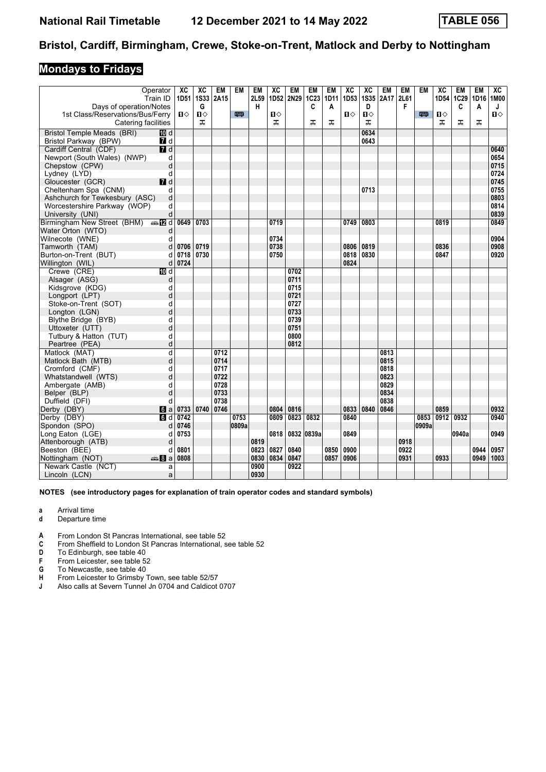## **Mondays to Fridays**

|                                               | Operator<br>Train ID    | ХC<br>1D51              | XC<br>1S33   | <b>EM</b><br>2A15 | <b>EM</b> | EM<br>2L59 | XC<br>1D52   | <b>EM</b><br>2N29 | EM<br>1C23 | <b>EM</b><br>1D11 | XC<br>1D53     | XC<br><b>1S35</b> | <b>EM</b><br>2A17 | <b>EM</b><br>2L61 | <b>EM</b> | XC<br>1D54        | EM<br>1C29 | EM<br>1D16 1M00 | ХC           |
|-----------------------------------------------|-------------------------|-------------------------|--------------|-------------------|-----------|------------|--------------|-------------------|------------|-------------------|----------------|-------------------|-------------------|-------------------|-----------|-------------------|------------|-----------------|--------------|
| Days of operation/Notes                       |                         |                         | G            |                   |           | н          |              |                   | C          | A                 |                | D                 |                   | F                 |           |                   | C          | A               | J            |
| 1st Class/Reservations/Bus/Ferry              |                         | $\mathbf{u}$            | $\mathbf{u}$ |                   | 粤         |            | $\mathbf{u}$ |                   |            |                   | $\blacksquare$ | $\mathbf{u}$      |                   |                   | 罒         | Ⅱ◇                |            |                 | $\mathbf{u}$ |
| Catering facilities                           |                         |                         | ᠼ            |                   |           |            | ᠼ            |                   | ᠼ          | ᠼ                 |                | ᠼ                 |                   |                   |           | ᠼ                 | ᠼ          | ᠼ               |              |
| <b>Bristol Temple Meads (BRI)</b>             | <b>ID</b> d             |                         |              |                   |           |            |              |                   |            |                   |                | 0634              |                   |                   |           |                   |            |                 |              |
| Bristol Parkway (BPW)                         | 7 d                     |                         |              |                   |           |            |              |                   |            |                   |                | 0643              |                   |                   |           |                   |            |                 |              |
| Cardiff Central (CDF)                         | 7d                      |                         |              |                   |           |            |              |                   |            |                   |                |                   |                   |                   |           |                   |            |                 | 0640         |
| Newport (South Wales) (NWP)                   | d                       |                         |              |                   |           |            |              |                   |            |                   |                |                   |                   |                   |           |                   |            |                 | 0654         |
| Chepstow (CPW)                                | d                       |                         |              |                   |           |            |              |                   |            |                   |                |                   |                   |                   |           |                   |            |                 | 0715         |
| Lydney (LYD)                                  | d                       |                         |              |                   |           |            |              |                   |            |                   |                |                   |                   |                   |           |                   |            |                 | 0724         |
| Gloucester (GCR)                              | $I$ d                   |                         |              |                   |           |            |              |                   |            |                   |                |                   |                   |                   |           |                   |            |                 | 0745         |
| Cheltenham Spa (CNM)                          | d                       |                         |              |                   |           |            |              |                   |            |                   |                | 0713              |                   |                   |           |                   |            |                 | 0755         |
| Ashchurch for Tewkesbury (ASC)                | d                       |                         |              |                   |           |            |              |                   |            |                   |                |                   |                   |                   |           |                   |            |                 | 0803         |
| Worcestershire Parkway (WOP)                  | d                       |                         |              |                   |           |            |              |                   |            |                   |                |                   |                   |                   |           |                   |            |                 | 0814         |
| University (UNI)                              | d                       |                         |              |                   |           |            |              |                   |            |                   |                |                   |                   |                   |           |                   |            |                 | 0839         |
| Birmingham New Street (BHM) $\Rightarrow$ 2 d |                         | 0649                    | 0703         |                   |           |            | 0719         |                   |            |                   | 0749           | 0803              |                   |                   |           | 0819              |            |                 | 0849         |
| Water Orton (WTO)                             | d                       |                         |              |                   |           |            |              |                   |            |                   |                |                   |                   |                   |           |                   |            |                 |              |
| Wilnecote (WNE)                               | d                       |                         | 0719         |                   |           |            | 0734<br>0738 |                   |            |                   | 0806           | 0819              |                   |                   |           | 0836              |            |                 | 0904         |
| Tamworth (TAM)                                | d<br>d                  | 0706<br>0718            | 0730         |                   |           |            | 0750         |                   |            |                   | 0818           | 0830              |                   |                   |           | 0847              |            |                 | 0908<br>0920 |
| Burton-on-Trent (BUT)<br>Willington (WIL)     |                         | $d$ 0724                |              |                   |           |            |              |                   |            |                   | 0824           |                   |                   |                   |           |                   |            |                 |              |
| Crewe (CRE)                                   | TO d                    |                         |              |                   |           |            |              | 0702              |            |                   |                |                   |                   |                   |           |                   |            |                 |              |
| Alsager (ASG)                                 | d                       |                         |              |                   |           |            |              | 0711              |            |                   |                |                   |                   |                   |           |                   |            |                 |              |
| Kidsgrove (KDG)                               | d                       |                         |              |                   |           |            |              | 0715              |            |                   |                |                   |                   |                   |           |                   |            |                 |              |
| Longport (LPT)                                | d                       |                         |              |                   |           |            |              | 0721              |            |                   |                |                   |                   |                   |           |                   |            |                 |              |
| Stoke-on-Trent (SOT)                          | d                       |                         |              |                   |           |            |              | 0727              |            |                   |                |                   |                   |                   |           |                   |            |                 |              |
| Longton (LGN)                                 | d                       |                         |              |                   |           |            |              | 0733              |            |                   |                |                   |                   |                   |           |                   |            |                 |              |
| Blythe Bridge (BYB)                           | d                       |                         |              |                   |           |            |              | 0739              |            |                   |                |                   |                   |                   |           |                   |            |                 |              |
| Uttoxeter (UTT)                               | d                       |                         |              |                   |           |            |              | 0751              |            |                   |                |                   |                   |                   |           |                   |            |                 |              |
| Tutbury & Hatton (TUT)                        | d                       |                         |              |                   |           |            |              | 0800              |            |                   |                |                   |                   |                   |           |                   |            |                 |              |
| Peartree (PEA)                                | d                       |                         |              |                   |           |            |              | 0812              |            |                   |                |                   |                   |                   |           |                   |            |                 |              |
| Matlock (MAT)                                 | $\overline{\mathsf{d}}$ |                         |              | 0712              |           |            |              |                   |            |                   |                |                   | 0813              |                   |           |                   |            |                 |              |
| Matlock Bath (MTB)                            | d                       |                         |              | 0714              |           |            |              |                   |            |                   |                |                   | 0815              |                   |           |                   |            |                 |              |
| Cromford (CMF)                                | d                       |                         |              | 0717              |           |            |              |                   |            |                   |                |                   | 0818              |                   |           |                   |            |                 |              |
| Whatstandwell (WTS)                           | d                       |                         |              | 0722              |           |            |              |                   |            |                   |                |                   | 0823              |                   |           |                   |            |                 |              |
| Ambergate (AMB)                               | d                       |                         |              | 0728              |           |            |              |                   |            |                   |                |                   | 0829              |                   |           |                   |            |                 |              |
| Belper (BLP)                                  | d                       |                         |              | 0733              |           |            |              |                   |            |                   |                |                   | 0834              |                   |           |                   |            |                 |              |
| Duffield (DFI)                                | d                       |                         |              | 0738              |           |            |              |                   |            |                   |                |                   | 0838              |                   |           |                   |            |                 |              |
| Derby (DBY)                                   |                         | $\blacksquare$ a   0733 | 0740         | 0746              |           |            | 0804         | 0816              |            |                   | 0833           | 0840              | 0846              |                   |           | 0859              |            |                 | 0932         |
| Derby (DBY)                                   | $\blacksquare$          | 0742                    |              |                   | 0753      |            | 0809         | 0823              | 0832       |                   | 0840           |                   |                   |                   | 0853      | $\overline{0912}$ | 0932       |                 | 0940         |
| Spondon (SPO)                                 | d                       | 0746                    |              |                   | 0809a     |            |              |                   |            |                   |                |                   |                   |                   | 0909a     |                   |            |                 |              |
| Long Eaton (LGE)                              | d                       | 0753                    |              |                   |           |            | 0818         | 0832 0839a        |            |                   | 0849           |                   |                   |                   |           |                   | 0940a      |                 | 0949         |
| Attenborough (ATB)                            | d                       |                         |              |                   |           | 0819       |              |                   |            |                   |                |                   |                   | 0918              |           |                   |            |                 |              |
| Beeston (BEE)                                 | d                       | 0801                    |              |                   |           | 0823       | 0827         | 0840              |            | 0850              | 0900           |                   |                   | 0922              |           |                   |            | 0944            | 0957         |
| Nottingham (NOT)                              | de 8 a                  | 0808                    |              |                   |           | 0830       | 0834         | 0847              |            | 0857              | 0906           |                   |                   | 0931              |           | 0933              |            | $0949$   1003   |              |
| Newark Castle (NCT)                           | a                       |                         |              |                   |           | 0900       |              | 0922              |            |                   |                |                   |                   |                   |           |                   |            |                 |              |
| Lincoln (LCN)                                 | a                       |                         |              |                   |           | 0930       |              |                   |            |                   |                |                   |                   |                   |           |                   |            |                 |              |

- **a** Arrival time
- **d** Departure time
- **4** From London St Pancras International, see table 52 **C** From Sheffield to London St Pancras International.
- From Sheffield to London St Pancras International, see table 52
- **D** To Edinburgh, see table 40<br>**F** From Leicester, see table 52
- **F** From Leicester, see table 52<br>**G** To Newcastle, see table 40
- **6** To Newcastle, see table 40<br>**H** From Leicester to Grimsby 1
- **+** From Leicester to Grimsby Town, see table 52/57<br> **4** Also calls at Severn Tunnel Jn 0704 and Caldicot
- Also calls at Severn Tunnel Jn 0704 and Caldicot 0707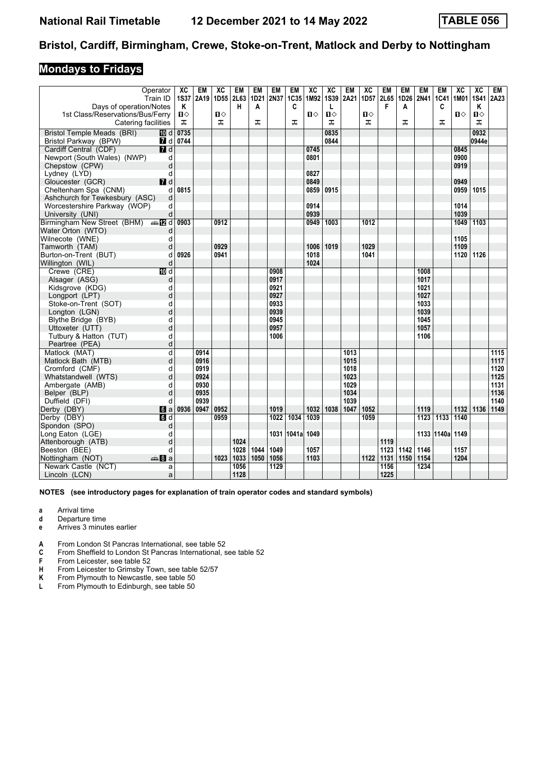### **Mondays to Fridays**

| Operator<br>Train ID                     |                  | XC<br><b>1S37</b> | EM<br>2A19 | ХC<br>1D <sub>55</sub> | EM<br>2L63 | EM<br>1D21 | <b>EM</b><br>2N37 | EM<br>1C35 | XC<br>1M92 | XC<br><b>1S39</b> | EM<br>2A21 | XC<br>1D <sub>57</sub> | EM<br>2L65 | <b>EM</b> | EM<br>1D26 2N41 | EM         | XC<br>1C41   1M01   1S41 | XC    | EM<br>2A23 |
|------------------------------------------|------------------|-------------------|------------|------------------------|------------|------------|-------------------|------------|------------|-------------------|------------|------------------------|------------|-----------|-----------------|------------|--------------------------|-------|------------|
| Days of operation/Notes                  |                  | Κ                 |            |                        | н          | A          |                   | C          |            | L                 |            |                        | F          | A         |                 | C          |                          | K     |            |
| 1st Class/Reservations/Bus/Ferry         |                  | Ⅱ♦                |            | Ⅱ♦                     |            |            |                   |            | п⇔         | Ⅱ♦                |            | П⇔                     |            |           |                 |            | п⇔                       | Ⅱ♦    |            |
| Catering facilities                      |                  | ᠼ                 |            | ᇁ                      |            | ᠼ          |                   | ᅚ          |            | ᠼ                 |            | ㅈ                      |            | ᠼ         |                 | ᅚ          |                          | ᅚ     |            |
| Bristol Temple Meads (BRI)               |                  | 10 d 0735         |            |                        |            |            |                   |            |            | 0835              |            |                        |            |           |                 |            |                          | 0932  |            |
| Bristol Parkway (BPW)                    |                  | 7 d 0744          |            |                        |            |            |                   |            |            | 0844              |            |                        |            |           |                 |            |                          | 0944e |            |
| Cardiff Central (CDF)                    | $\overline{a}$ d |                   |            |                        |            |            |                   |            | 0745       |                   |            |                        |            |           |                 |            | 0845                     |       |            |
| Newport (South Wales) (NWP)              | d                |                   |            |                        |            |            |                   |            | 0801       |                   |            |                        |            |           |                 |            | 0900                     |       |            |
| Chepstow (CPW)                           | d                |                   |            |                        |            |            |                   |            |            |                   |            |                        |            |           |                 |            | 0919                     |       |            |
| Lydney (LYD)                             | d                |                   |            |                        |            |            |                   |            | 0827       |                   |            |                        |            |           |                 |            |                          |       |            |
| Gloucester (GCR)                         | $\blacksquare$   |                   |            |                        |            |            |                   |            | 0849       |                   |            |                        |            |           |                 |            | 0949                     |       |            |
| Cheltenham Spa (CNM)                     | d                | 0815              |            |                        |            |            |                   |            | 0859       | 0915              |            |                        |            |           |                 |            | 0959                     | 1015  |            |
| Ashchurch for Tewkesbury (ASC)           | d                |                   |            |                        |            |            |                   |            |            |                   |            |                        |            |           |                 |            |                          |       |            |
| Worcestershire Parkway (WOP)             | d                |                   |            |                        |            |            |                   |            | 0914       |                   |            |                        |            |           |                 |            | 1014                     |       |            |
| University (UNI)                         | d                |                   |            |                        |            |            |                   |            | 0939       |                   |            |                        |            |           |                 |            | 1039                     |       |            |
| Birmingham New Street (BHM) $\oplus$ 2 d |                  | 0903              |            | 0912                   |            |            |                   |            | 0949       | 1003              |            | 1012                   |            |           |                 |            | 1049                     | 1103  |            |
| Water Orton (WTO)                        | d                |                   |            |                        |            |            |                   |            |            |                   |            |                        |            |           |                 |            |                          |       |            |
| Wilnecote (WNE)                          | d                |                   |            |                        |            |            |                   |            |            |                   |            |                        |            |           |                 |            | 1105                     |       |            |
| Tamworth (TAM)                           | d                |                   |            | 0929                   |            |            |                   |            | 1006       | 1019              |            | 1029                   |            |           |                 |            | 1109                     |       |            |
| Burton-on-Trent (BUT)                    | d                | 0926              |            | 0941                   |            |            |                   |            | 1018       |                   |            | 1041                   |            |           |                 |            | 1120                     | 1126  |            |
| Willington (WIL)                         | d                |                   |            |                        |            |            |                   |            | 1024       |                   |            |                        |            |           |                 |            |                          |       |            |
| Crewe (CRE)                              | $\overline{M}$ d |                   |            |                        |            |            | 0908              |            |            |                   |            |                        |            |           | 1008            |            |                          |       |            |
| Alsager (ASG)                            | d                |                   |            |                        |            |            | 0917              |            |            |                   |            |                        |            |           | 1017            |            |                          |       |            |
| Kidsgrove (KDG)                          | d                |                   |            |                        |            |            | 0921              |            |            |                   |            |                        |            |           | 1021            |            |                          |       |            |
| Longport (LPT)                           | d                |                   |            |                        |            |            | 0927              |            |            |                   |            |                        |            |           | 1027            |            |                          |       |            |
| Stoke-on-Trent (SOT)                     | d                |                   |            |                        |            |            | 0933<br>0939      |            |            |                   |            |                        |            |           | 1033<br>1039    |            |                          |       |            |
| Longton (LGN)                            | d                |                   |            |                        |            |            |                   |            |            |                   |            |                        |            |           |                 |            |                          |       |            |
| Blythe Bridge (BYB)                      | d<br>d           |                   |            |                        |            |            | 0945<br>0957      |            |            |                   |            |                        |            |           | 1045<br>1057    |            |                          |       |            |
| Uttoxeter (UTT)                          |                  |                   |            |                        |            |            | 1006              |            |            |                   |            |                        |            |           | 1106            |            |                          |       |            |
| Tutbury & Hatton (TUT)                   | d<br>d           |                   |            |                        |            |            |                   |            |            |                   |            |                        |            |           |                 |            |                          |       |            |
| Peartree (PEA)                           |                  |                   | 0914       |                        |            |            |                   |            |            |                   | 1013       |                        |            |           |                 |            |                          |       | 1115       |
| Matlock (MAT)                            | d                |                   | 0916       |                        |            |            |                   |            |            |                   | 1015       |                        |            |           |                 |            |                          |       | 1117       |
| Matlock Bath (MTB)                       | d                |                   | 0919       |                        |            |            |                   |            |            |                   | 1018       |                        |            |           |                 |            |                          |       | 1120       |
| Cromford (CMF)<br>Whatstandwell (WTS)    | d<br>d           |                   | 0924       |                        |            |            |                   |            |            |                   | 1023       |                        |            |           |                 |            |                          |       | 1125       |
| Ambergate (AMB)                          | d                |                   | 0930       |                        |            |            |                   |            |            |                   | 1029       |                        |            |           |                 |            |                          |       | 1131       |
| Belper (BLP)                             | d                |                   | 0935       |                        |            |            |                   |            |            |                   | 1034       |                        |            |           |                 |            |                          |       | 1136       |
| Duffield (DFI)                           | d                |                   | 0939       |                        |            |            |                   |            |            |                   | 1039       |                        |            |           |                 |            |                          |       | 1140       |
| Derby (DBY)                              | 6a               | 0936              | 0947       | 0952                   |            |            | 1019              |            | 1032       | 1038              | 1047       | 1052                   |            |           | 1119            |            | 1132 1136                |       | 1149       |
| Derby (DBY)                              | $\overline{M}$ d |                   |            | 0959                   |            |            | 1022              | 1034       | 1039       |                   |            | 1059                   |            |           |                 | 1123 1133  | 1140                     |       |            |
| Spondon (SPO)                            | d                |                   |            |                        |            |            |                   |            |            |                   |            |                        |            |           |                 |            |                          |       |            |
| Long Eaton (LGE)                         | d                |                   |            |                        |            |            |                   | 1031 1041a | 1049       |                   |            |                        |            |           |                 | 1133 1140a | 1149                     |       |            |
| Attenborough (ATB)                       | d                |                   |            |                        | 1024       |            |                   |            |            |                   |            |                        | 1119       |           |                 |            |                          |       |            |
| Beeston (BEE)                            | d                |                   |            |                        | 1028       | 1044       | 1049              |            | 1057       |                   |            |                        | 1123       | 1142      | 1146            |            | 1157                     |       |            |
| Nottingham (NOT)<br>de 8 a               |                  |                   |            | 1023                   | 1033       | 1050       | 1056              |            | 1103       |                   |            | 1122                   | 1131       | 1150      | 1154            |            | 1204                     |       |            |
| Newark Castle (NCT)                      | a                |                   |            |                        | 1056       |            | 1129              |            |            |                   |            |                        | 1156       |           | 1234            |            |                          |       |            |
| Lincoln (LCN)                            | a                |                   |            |                        | 1128       |            |                   |            |            |                   |            |                        | 1225       |           |                 |            |                          |       |            |
|                                          |                  |                   |            |                        |            |            |                   |            |            |                   |            |                        |            |           |                 |            |                          |       |            |

- **a** Arrival time
- **d** Departure time<br>**e** Arrives 3 minute
- **e** Arrives 3 minutes earlier
- **A** From London St Pancras International, see table 52
- **C** From Sheffield to London St Pancras International, see table 52<br>**F** From Leicester, see table 52
- 
- **F** From Leicester, see table 52<br> **H** From Leicester to Grimsby T<br> **K** From Plymouth to Newcastle From Leicester to Grimsby Town, see table 52/57
- **K** From Plymouth to Newcastle, see table 50<br>**L** From Plymouth to Edinburgh, see table 50
- From Plymouth to Edinburgh, see table 50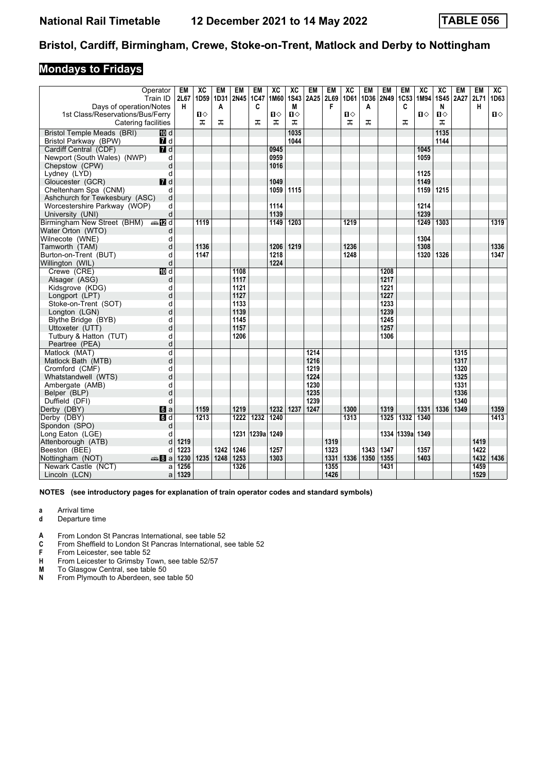## **Mondays to Fridays**

|                                                             | Operator<br>Train ID | EM<br>2L67 | XC<br>1D59   | EM<br>1D31 | EM<br>2N45 1C47 | EM    | XC<br>1M60 | XC<br><b>1S43</b> | EM<br>2A25 | <b>EM</b><br>2L69 | XC<br>1D61 | <b>EM</b><br>1D36 | <b>EM</b><br>2N49 | EM<br>1C53 | XC<br>1M94 | XC<br><b>1S45</b> | EM<br><b>2A27</b> | <b>EM</b><br>2L71 | XC<br>1D63   |
|-------------------------------------------------------------|----------------------|------------|--------------|------------|-----------------|-------|------------|-------------------|------------|-------------------|------------|-------------------|-------------------|------------|------------|-------------------|-------------------|-------------------|--------------|
| Days of operation/Notes<br>1st Class/Reservations/Bus/Ferry |                      | н          | $\mathbf{u}$ | A          |                 | C     | п          | M<br>$\mathbf{u}$ |            | F                 | Ⅱ◇         | A                 |                   | C          | 0          | N<br>п⇔           |                   | н                 | $\mathbf{u}$ |
| Catering facilities                                         |                      |            | ᠼ            | ᠼ          |                 | ᠼ     | ᠼ          | ᠼ                 |            |                   | ᠼ          | ᠼ                 |                   | ᠼ          |            | ᠼ                 |                   |                   |              |
| <b>Bristol Temple Meads (BRI)</b>                           | <b>ID</b> d          |            |              |            |                 |       |            | 1035              |            |                   |            |                   |                   |            |            | 1135              |                   |                   |              |
| Bristol Parkway (BPW)                                       | 7 d                  |            |              |            |                 |       |            | 1044              |            |                   |            |                   |                   |            |            | 1144              |                   |                   |              |
| Cardiff Central (CDF)                                       | 7d                   |            |              |            |                 |       | 0945       |                   |            |                   |            |                   |                   |            | 1045       |                   |                   |                   |              |
| Newport (South Wales) (NWP)                                 | d                    |            |              |            |                 |       | 0959       |                   |            |                   |            |                   |                   |            | 1059       |                   |                   |                   |              |
| Chepstow (CPW)                                              | d                    |            |              |            |                 |       | 1016       |                   |            |                   |            |                   |                   |            |            |                   |                   |                   |              |
| Lydney (LYD)                                                | d                    |            |              |            |                 |       |            |                   |            |                   |            |                   |                   |            | 1125       |                   |                   |                   |              |
| Gloucester (GCR)                                            | $I$ d                |            |              |            |                 |       | 1049       |                   |            |                   |            |                   |                   |            | 1149       |                   |                   |                   |              |
| Cheltenham Spa (CNM)                                        | d                    |            |              |            |                 |       | 1059       | 1115              |            |                   |            |                   |                   |            | 1159       | 1215              |                   |                   |              |
| Ashchurch for Tewkesbury (ASC)                              | d                    |            |              |            |                 |       |            |                   |            |                   |            |                   |                   |            |            |                   |                   |                   |              |
| Worcestershire Parkway (WOP)                                | d                    |            |              |            |                 |       | 1114       |                   |            |                   |            |                   |                   |            | 1214       |                   |                   |                   |              |
| University (UNI)                                            | d                    |            |              |            |                 |       | 1139       |                   |            |                   |            |                   |                   |            | 1239       |                   |                   |                   |              |
| Birmingham New Street (BHM) $\oplus$ 2 d                    |                      |            | 1119         |            |                 |       | 1149       | 1203              |            |                   | 1219       |                   |                   |            | 1249       | 1303              |                   |                   | 1319         |
| Water Orton (WTO)                                           | d                    |            |              |            |                 |       |            |                   |            |                   |            |                   |                   |            |            |                   |                   |                   |              |
| Wilnecote (WNE)                                             | d                    |            |              |            |                 |       |            |                   |            |                   |            |                   |                   |            | 1304       |                   |                   |                   |              |
| Tamworth (TAM)                                              | d                    |            | 1136         |            |                 |       | 1206       | 1219              |            |                   | 1236       |                   |                   |            | 1308       |                   |                   |                   | 1336         |
| Burton-on-Trent (BUT)                                       | d                    |            | 1147         |            |                 |       | 1218       |                   |            |                   | 1248       |                   |                   |            | 1320       | 1326              |                   |                   | 1347         |
| Willington (WIL)                                            | d                    |            |              |            |                 |       | 1224       |                   |            |                   |            |                   |                   |            |            |                   |                   |                   |              |
| Crewe (CRE)                                                 | $\overline{M}$ d     |            |              |            | 1108            |       |            |                   |            |                   |            |                   | 1208              |            |            |                   |                   |                   |              |
| Alsager (ASG)                                               | d                    |            |              |            | 1117            |       |            |                   |            |                   |            |                   | 1217              |            |            |                   |                   |                   |              |
| Kidsgrove (KDG)                                             | d                    |            |              |            | 1121            |       |            |                   |            |                   |            |                   | 1221              |            |            |                   |                   |                   |              |
| Longport (LPT)                                              | d                    |            |              |            | 1127            |       |            |                   |            |                   |            |                   | 1227              |            |            |                   |                   |                   |              |
| Stoke-on-Trent (SOT)                                        | d                    |            |              |            | 1133            |       |            |                   |            |                   |            |                   | 1233              |            |            |                   |                   |                   |              |
| Longton (LGN)                                               | d                    |            |              |            | 1139            |       |            |                   |            |                   |            |                   | 1239              |            |            |                   |                   |                   |              |
| Blythe Bridge (BYB)                                         | d                    |            |              |            | 1145            |       |            |                   |            |                   |            |                   | 1245              |            |            |                   |                   |                   |              |
| Uttoxeter (UTT)                                             | d                    |            |              |            | 1157            |       |            |                   |            |                   |            |                   | 1257              |            |            |                   |                   |                   |              |
| Tutbury & Hatton (TUT)                                      | d                    |            |              |            | 1206            |       |            |                   |            |                   |            |                   | 1306              |            |            |                   |                   |                   |              |
| Peartree (PEA)                                              | d                    |            |              |            |                 |       |            |                   |            |                   |            |                   |                   |            |            |                   |                   |                   |              |
| Matlock (MAT)                                               | d                    |            |              |            |                 |       |            |                   | 1214       |                   |            |                   |                   |            |            |                   | 1315              |                   |              |
| Matlock Bath (MTB)                                          | d                    |            |              |            |                 |       |            |                   | 1216       |                   |            |                   |                   |            |            |                   | 1317              |                   |              |
| Cromford (CMF)                                              | d                    |            |              |            |                 |       |            |                   | 1219       |                   |            |                   |                   |            |            |                   | 1320              |                   |              |
| Whatstandwell (WTS)                                         | d                    |            |              |            |                 |       |            |                   | 1224       |                   |            |                   |                   |            |            |                   | 1325              |                   |              |
| Ambergate (AMB)                                             | d                    |            |              |            |                 |       |            |                   | 1230       |                   |            |                   |                   |            |            |                   | 1331              |                   |              |
| Belper (BLP)                                                | d                    |            |              |            |                 |       |            |                   | 1235       |                   |            |                   |                   |            |            |                   | 1336              |                   |              |
| Duffield (DFI)                                              | d                    |            |              |            |                 |       |            |                   | 1239       |                   |            |                   |                   |            |            |                   | 1340              |                   |              |
| Derby (DBY)                                                 | $\blacksquare$ a     |            | 1159         |            | 1219            |       | 1232       | 1237              | 1247       |                   | 1300       |                   | 1319              |            | 1331       | 1336              | 1349              |                   | 1359         |
| Derby (DBY)                                                 | $\overline{d}$       |            | 1213         |            | 1222            | 1232  | 1240       |                   |            |                   | 1313       |                   | 1325              | 1332       | 1340       |                   |                   |                   | 1413         |
| Spondon (SPO)                                               | d                    |            |              |            |                 |       |            |                   |            |                   |            |                   |                   |            |            |                   |                   |                   |              |
| Long Eaton (LGE)                                            | d                    |            |              |            | 1231            | 1239a | 1249       |                   |            |                   |            |                   |                   | 1334 1339a | 1349       |                   |                   |                   |              |
| Attenborough (ATB)                                          | d                    | 1219       |              |            |                 |       |            |                   |            | 1319              |            |                   |                   |            |            |                   |                   | 1419              |              |
| Beeston (BEE)                                               | d                    | 1223       |              | 1242       | 1246            |       | 1257       |                   |            | 1323              |            | 1343              | 1347              |            | 1357       |                   |                   | 1422              |              |
| Nottingham (NOT)                                            | <del>⊯</del> ы 8 а   | 1230       | 1235         | 1248       | 1253            |       | 1303       |                   |            | 1331              | 1336       | 1350              | 1355              |            | 1403       |                   |                   | 1432              | 1436         |
| Newark Castle (NCT)                                         | a                    | 1256       |              |            | 1326            |       |            |                   |            | 1355              |            |                   | 1431              |            |            |                   |                   | 1459              |              |
| Lincoln (LCN)                                               | a                    | 1329       |              |            |                 |       |            |                   |            | 1426              |            |                   |                   |            |            |                   |                   | 1529              |              |

- **a** Arrival time
- **d** Departure time
- **4** From London St Pancras International, see table 52 **C** From Sheffield to London St Pancras International.
- From Sheffield to London St Pancras International, see table 52
- **F** From Leicester, see table 52<br>**H** From Leicester to Grimsby Te
- **+ Hymmax** From Leicester to Grimsby Town, see table 52/57<br>**M** To Glasgow Central, see table 50
- **0** To Glasgow Central, see table 50<br>**N** From Plymouth to Aberdeen, see
- From Plymouth to Aberdeen, see table 50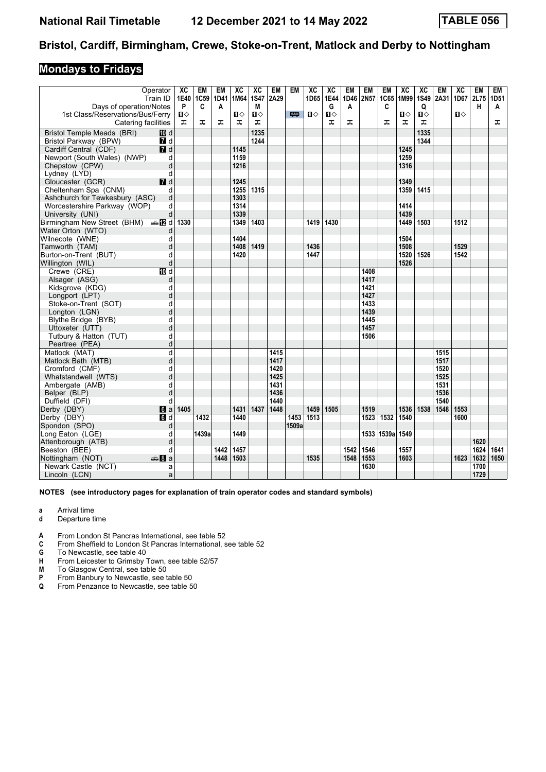## **Mondays to Fridays**

| Operator<br>Train ID                                        |              | ХC<br>1E40<br>P | <b>EM</b><br>1C59 | EM<br>1D41 | XC<br>1M64 | XC<br><b>1S47</b> | EM<br>2A29 | EM    | XC<br>1D65 | XC<br>1E44<br>G | EM<br>1D46 | EM<br>2N57 | EM<br>1C65        | XC<br>1M99 | XC<br>1S49 | <b>EM</b><br>2A31 | XC<br>1D67 2L75 | EM   | EM<br>1D51 |
|-------------------------------------------------------------|--------------|-----------------|-------------------|------------|------------|-------------------|------------|-------|------------|-----------------|------------|------------|-------------------|------------|------------|-------------------|-----------------|------|------------|
| Days of operation/Notes<br>1st Class/Reservations/Bus/Ferry |              | ப⇔              | C                 | A          | Ⅱ♦         | M<br>П⇔           |            | 四     | 0          | Ⅱ♦              | A          |            | C                 | п⇔         | Q<br>்ப    |                   | О               | н    | A          |
| Catering facilities                                         |              | ᠼ               | ᠼ                 | ᅚ          | ᅚ          | ᠼ                 |            |       |            | ᠼ               | ᠼ          |            | ᠼ                 | ᠼ          | ᠼ          |                   |                 |      | ᅚ          |
| Bristol Temple Meads (BRI)                                  | 10 d         |                 |                   |            |            | 1235              |            |       |            |                 |            |            |                   |            | 1335       |                   |                 |      |            |
| Bristol Parkway (BPW)                                       | 7 d          |                 |                   |            |            | 1244              |            |       |            |                 |            |            |                   |            | 1344       |                   |                 |      |            |
| Cardiff Central (CDF)                                       | 7d           |                 |                   |            | 1145       |                   |            |       |            |                 |            |            |                   | 1245       |            |                   |                 |      |            |
| Newport (South Wales) (NWP)                                 | d            |                 |                   |            | 1159       |                   |            |       |            |                 |            |            |                   | 1259       |            |                   |                 |      |            |
| Chepstow (CPW)                                              | d            |                 |                   |            | 1216       |                   |            |       |            |                 |            |            |                   | 1316       |            |                   |                 |      |            |
| Lydney (LYD)                                                | d            |                 |                   |            |            |                   |            |       |            |                 |            |            |                   |            |            |                   |                 |      |            |
| Gloucester (GCR)                                            | $I$ d        |                 |                   |            | 1245       |                   |            |       |            |                 |            |            |                   | 1349       |            |                   |                 |      |            |
| Cheltenham Spa (CNM)                                        | d            |                 |                   |            | 1255       | 1315              |            |       |            |                 |            |            |                   | 1359       | 1415       |                   |                 |      |            |
| Ashchurch for Tewkesbury (ASC)                              | d            |                 |                   |            | 1303       |                   |            |       |            |                 |            |            |                   |            |            |                   |                 |      |            |
| Worcestershire Parkway (WOP)                                | d            |                 |                   |            | 1314       |                   |            |       |            |                 |            |            |                   | 1414       |            |                   |                 |      |            |
| University (UNI)                                            | d            |                 |                   |            | 1339       |                   |            |       |            |                 |            |            |                   | 1439       |            |                   |                 |      |            |
| Birmingham New Street (BHM) $\oplus$ 2 d                    |              | 1330            |                   |            | 1349       | 1403              |            |       | 1419       | 1430            |            |            |                   | 1449       | 1503       |                   | 1512            |      |            |
| Water Orton (WTO)                                           | d            |                 |                   |            |            |                   |            |       |            |                 |            |            |                   |            |            |                   |                 |      |            |
| Wilnecote (WNE)                                             | d            |                 |                   |            | 1404       |                   |            |       |            |                 |            |            |                   | 1504       |            |                   |                 |      |            |
| Tamworth (TAM)                                              | d            |                 |                   |            | 1408       | 1419              |            |       | 1436       |                 |            |            |                   | 1508       |            |                   | 1529            |      |            |
| Burton-on-Trent (BUT)                                       | d            |                 |                   |            | 1420       |                   |            |       | 1447       |                 |            |            |                   | 1520       | 1526       |                   | 1542            |      |            |
| Willington (WIL)                                            | d            |                 |                   |            |            |                   |            |       |            |                 |            |            |                   | 1526       |            |                   |                 |      |            |
| Crewe (CRE)                                                 | <b>IDI</b> d |                 |                   |            |            |                   |            |       |            |                 |            | 1408       |                   |            |            |                   |                 |      |            |
| Alsager (ASG)                                               | d            |                 |                   |            |            |                   |            |       |            |                 |            | 1417       |                   |            |            |                   |                 |      |            |
| Kidsgrove (KDG)                                             | d            |                 |                   |            |            |                   |            |       |            |                 |            | 1421       |                   |            |            |                   |                 |      |            |
| Longport (LPT)                                              | d            |                 |                   |            |            |                   |            |       |            |                 |            | 1427       |                   |            |            |                   |                 |      |            |
| Stoke-on-Trent (SOT)                                        | d            |                 |                   |            |            |                   |            |       |            |                 |            | 1433       |                   |            |            |                   |                 |      |            |
| Longton (LGN)                                               | d            |                 |                   |            |            |                   |            |       |            |                 |            | 1439       |                   |            |            |                   |                 |      |            |
| Blythe Bridge (BYB)                                         | d            |                 |                   |            |            |                   |            |       |            |                 |            | 1445       |                   |            |            |                   |                 |      |            |
| Uttoxeter (UTT)                                             | d            |                 |                   |            |            |                   |            |       |            |                 |            | 1457       |                   |            |            |                   |                 |      |            |
| Tutbury & Hatton (TUT)                                      | d            |                 |                   |            |            |                   |            |       |            |                 |            | 1506       |                   |            |            |                   |                 |      |            |
| Peartree (PEA)                                              | d            |                 |                   |            |            |                   |            |       |            |                 |            |            |                   |            |            |                   |                 |      |            |
| Matlock (MAT)                                               | d            |                 |                   |            |            |                   | 1415       |       |            |                 |            |            |                   |            |            | 1515              |                 |      |            |
| Matlock Bath (MTB)                                          | d            |                 |                   |            |            |                   | 1417       |       |            |                 |            |            |                   |            |            | 1517              |                 |      |            |
| Cromford (CMF)                                              | d            |                 |                   |            |            |                   | 1420       |       |            |                 |            |            |                   |            |            | 1520              |                 |      |            |
| Whatstandwell (WTS)                                         | d            |                 |                   |            |            |                   | 1425       |       |            |                 |            |            |                   |            |            | 1525              |                 |      |            |
| Ambergate (AMB)                                             | d            |                 |                   |            |            |                   | 1431       |       |            |                 |            |            |                   |            |            | 1531              |                 |      |            |
| Belper (BLP)                                                | d            |                 |                   |            |            |                   | 1436       |       |            |                 |            |            |                   |            |            | 1536              |                 |      |            |
| Duffield (DFI)                                              | d            |                 |                   |            |            |                   | 1440       |       |            |                 |            |            |                   |            |            | 1540              |                 |      |            |
| Derby (DBY)                                                 | $6 a$        | 1405            |                   |            | 1431       | 1437              | 1448       |       | 1459       | 1505            |            | 1519       | $\overline{1532}$ | 1536       |            | 1538   1548       | 1553<br>1600    |      |            |
| Derby (DBY)                                                 | d            |                 | 1432              |            | 1440       |                   |            | 1453  | 1513       |                 |            | 1523       |                   | 1540       |            |                   |                 |      |            |
| Spondon (SPO)                                               | d<br>d       |                 | 1439a             |            | 1449       |                   |            | 1509a |            |                 |            | 1533       | 1539a             | 1549       |            |                   |                 |      |            |
| Long Eaton (LGE)<br>Attenborough (ATB)                      | d            |                 |                   |            |            |                   |            |       |            |                 |            |            |                   |            |            |                   |                 | 1620 |            |
| Beeston (BEE)                                               | q            |                 |                   | 1442       | 1457       |                   |            |       |            |                 | 1542       | 1546       |                   | 1557       |            |                   |                 | 1624 | 1641       |
| Nottingham (NOT)<br>de <mark>8</mark> a                     |              |                 |                   | 1448       | 1503       |                   |            |       | 1535       |                 | 1548       | 1553       |                   | 1603       |            |                   | 1623            | 1632 | 1650       |
| Newark Castle (NCT)                                         | a            |                 |                   |            |            |                   |            |       |            |                 |            | 1630       |                   |            |            |                   |                 | 1700 |            |
| Lincoln (LCN)                                               | a            |                 |                   |            |            |                   |            |       |            |                 |            |            |                   |            |            |                   |                 | 1729 |            |
|                                                             |              |                 |                   |            |            |                   |            |       |            |                 |            |            |                   |            |            |                   |                 |      |            |

- **a** Arrival time
- **d** Departure time
- **4** From London St Pancras International, see table 52 **C** From Sheffield to London St Pancras International.
- From Sheffield to London St Pancras International, see table 52
- **6** To Newcastle, see table 40<br>**H** From Leicester to Grimsby
- **+ From Leicester to Grimsby Town, see table 52/57<br>
<b>M** To Glasgow Central, see table 50<br> **P** From Banbury to Newcastle, see table 50
- To Glasgow Central, see table 50
- **P** From Banbury to Newcastle, see table 50<br>**Q** From Penzance to Newcastle, see table 5
- From Penzance to Newcastle, see table 50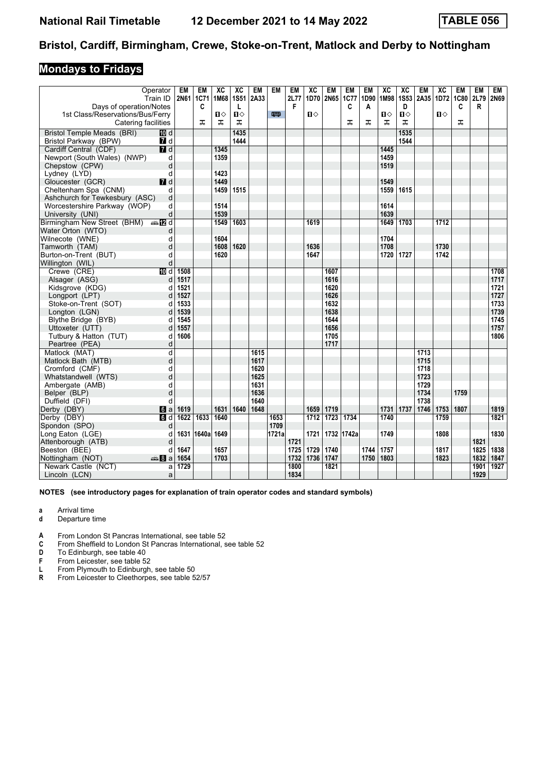### **Mondays to Fridays**

| F<br>Days of operation/Notes<br>C<br>D<br>R<br>C<br>A<br>C<br>L<br>1st Class/Reservations/Bus/Ferry<br>$\mathbf{u}$<br>四<br>$\mathbf{u}$<br>$\mathbf{u}$<br>Ⅱ♦<br>п⇔<br>Ⅱ♦<br>ᠼ<br>ᅚ<br>ᠼ<br>ᠼ<br>ᠼ<br>ᅚ<br>ᠼ<br>ᠼ<br>Catering facilities<br><b>ID</b> d<br>1435<br>1535<br>Bristol Temple Meads (BRI)<br>1444<br>Bristol Parkway (BPW)<br>7 d<br>1544<br>7d<br>1445<br>Cardiff Central (CDF)<br>1345<br>Newport (South Wales) (NWP)<br>1359<br>1459<br>d<br>Chepstow (CPW)<br>d<br>1519<br>1423<br>d<br>Lydney (LYD)<br>$I$ d<br>1449<br>1549<br>Gloucester (GCR)<br>1459<br>1515<br>1559<br>1615<br>Cheltenham Spa (CNM)<br>d<br>d<br>Ashchurch for Tewkesbury (ASC)<br>1514<br>d<br>1614<br>Worcestershire Parkway (WOP)<br>1539<br>1639<br>University (UNI)<br>d<br>1549<br>1603<br>1712<br>Birmingham New Street (BHM) $\oplus \blacksquare$ d<br>1619<br>1649<br>1703<br>d<br>1604<br>1704<br>d<br>1620<br>d<br>1608<br>1636<br>1708<br>1730<br>1620<br>1647<br>1720<br>1727<br>1742<br>d<br>d<br>$\overline{10}$ d<br>1508<br>1708<br>Crewe (CRE)<br>1607<br>1717<br>Alsager (ASG)<br>1517<br>1616<br>d<br>1521<br>1721<br>Kidsgrove (KDG)<br>1620<br>d<br>1727<br>1527<br>1626<br>Longport (LPT)<br>d<br>1733<br>1533<br>1632<br>Stoke-on-Trent (SOT)<br>d<br>1739<br>1539<br>1638<br>Longton (LGN)<br>d<br>1545<br>1745<br>Blythe Bridge (BYB)<br>1644<br>d<br>1557<br>1656<br>1757<br>d<br>Uttoxeter (UTT)<br>1606<br>1806<br>Tutbury & Hatton (TUT)<br>1705<br>d<br>1717<br>Peartree (PEA)<br>d<br>d<br>Matlock (MAT)<br>1615<br>1713<br>1715<br>Matlock Bath (MTB)<br>d<br>1617<br>1620<br>1718<br>Cromford (CMF)<br>d<br>d<br>1625<br>1723<br>Whatstandwell (WTS)<br>1631<br>1729<br>Ambergate (AMB)<br>d<br>d<br>1636<br>1734<br>1759<br>Belper (BLP)<br>1640<br>1738<br>Duffield (DFI)<br>d<br>1631<br>1640<br>1648<br>1659<br>1719<br>1731<br>1737<br>1746<br>1753<br>1819<br>Derby (DBY)<br>1619<br>1807<br>$\blacksquare$<br>$\overline{1723}$<br>Derby (DBY)<br>$\overline{d}$<br>1622<br>1633<br>$\overline{1712}$<br>1734<br>1759<br>1821<br>1640<br>1653<br>1740<br>1709<br>Spondon (SPO)<br>d<br>1631<br>1640a<br>1649<br>1721a<br>1732<br>1830<br>Long Eaton (LGE)<br>1721<br>1742a<br>1749<br>1808<br>d<br>1821<br>Attenborough (ATB)<br>d<br>1721<br>1647<br>1657<br>1729<br>1740<br>1744<br>1757<br>1838<br>Beeston (BEE)<br>1725<br>1817<br>1825<br>d<br>1654<br>1703<br>1732<br>1736<br>1747<br>1803<br>1832<br>1847<br>Nottingham (NOT)<br>de 8 a<br>1750<br>1823<br>1821<br>1729<br>1800<br>1901<br>1927<br>Newark Castle (NCT)<br>a<br>1834<br>1929<br>Lincoln (LCN)<br>a |                       | Operator<br>Train ID | EM<br>2N61 1C71 | EM | XC<br>1M68 | XC<br><b>1S51</b> | EM<br>2A33 | EM | EM<br>2L77 | XC | <b>EM</b><br>1D70 2N65 | EM<br><b>1C77</b> | EM<br>1D90 | XC<br>1M98 | ХC | EM<br>1S53 2A35 | XC<br>1D72 | EM<br><b>1C80</b> | EM<br>2L79 | EM<br>2N69 |
|-----------------------------------------------------------------------------------------------------------------------------------------------------------------------------------------------------------------------------------------------------------------------------------------------------------------------------------------------------------------------------------------------------------------------------------------------------------------------------------------------------------------------------------------------------------------------------------------------------------------------------------------------------------------------------------------------------------------------------------------------------------------------------------------------------------------------------------------------------------------------------------------------------------------------------------------------------------------------------------------------------------------------------------------------------------------------------------------------------------------------------------------------------------------------------------------------------------------------------------------------------------------------------------------------------------------------------------------------------------------------------------------------------------------------------------------------------------------------------------------------------------------------------------------------------------------------------------------------------------------------------------------------------------------------------------------------------------------------------------------------------------------------------------------------------------------------------------------------------------------------------------------------------------------------------------------------------------------------------------------------------------------------------------------------------------------------------------------------------------------------------------------------------------------------------------------------------------------------------------------------------------------------------------------------------------------------------------------------------------------------------------------------------------------------------------------------------------------------------------------------------------------------------------------------------------------------------------------------------------|-----------------------|----------------------|-----------------|----|------------|-------------------|------------|----|------------|----|------------------------|-------------------|------------|------------|----|-----------------|------------|-------------------|------------|------------|
|                                                                                                                                                                                                                                                                                                                                                                                                                                                                                                                                                                                                                                                                                                                                                                                                                                                                                                                                                                                                                                                                                                                                                                                                                                                                                                                                                                                                                                                                                                                                                                                                                                                                                                                                                                                                                                                                                                                                                                                                                                                                                                                                                                                                                                                                                                                                                                                                                                                                                                                                                                                                           |                       |                      |                 |    |            |                   |            |    |            |    |                        |                   |            |            |    |                 |            |                   |            |            |
|                                                                                                                                                                                                                                                                                                                                                                                                                                                                                                                                                                                                                                                                                                                                                                                                                                                                                                                                                                                                                                                                                                                                                                                                                                                                                                                                                                                                                                                                                                                                                                                                                                                                                                                                                                                                                                                                                                                                                                                                                                                                                                                                                                                                                                                                                                                                                                                                                                                                                                                                                                                                           |                       |                      |                 |    |            |                   |            |    |            |    |                        |                   |            |            |    |                 |            |                   |            |            |
|                                                                                                                                                                                                                                                                                                                                                                                                                                                                                                                                                                                                                                                                                                                                                                                                                                                                                                                                                                                                                                                                                                                                                                                                                                                                                                                                                                                                                                                                                                                                                                                                                                                                                                                                                                                                                                                                                                                                                                                                                                                                                                                                                                                                                                                                                                                                                                                                                                                                                                                                                                                                           |                       |                      |                 |    |            |                   |            |    |            |    |                        |                   |            |            |    |                 |            |                   |            |            |
|                                                                                                                                                                                                                                                                                                                                                                                                                                                                                                                                                                                                                                                                                                                                                                                                                                                                                                                                                                                                                                                                                                                                                                                                                                                                                                                                                                                                                                                                                                                                                                                                                                                                                                                                                                                                                                                                                                                                                                                                                                                                                                                                                                                                                                                                                                                                                                                                                                                                                                                                                                                                           |                       |                      |                 |    |            |                   |            |    |            |    |                        |                   |            |            |    |                 |            |                   |            |            |
|                                                                                                                                                                                                                                                                                                                                                                                                                                                                                                                                                                                                                                                                                                                                                                                                                                                                                                                                                                                                                                                                                                                                                                                                                                                                                                                                                                                                                                                                                                                                                                                                                                                                                                                                                                                                                                                                                                                                                                                                                                                                                                                                                                                                                                                                                                                                                                                                                                                                                                                                                                                                           |                       |                      |                 |    |            |                   |            |    |            |    |                        |                   |            |            |    |                 |            |                   |            |            |
|                                                                                                                                                                                                                                                                                                                                                                                                                                                                                                                                                                                                                                                                                                                                                                                                                                                                                                                                                                                                                                                                                                                                                                                                                                                                                                                                                                                                                                                                                                                                                                                                                                                                                                                                                                                                                                                                                                                                                                                                                                                                                                                                                                                                                                                                                                                                                                                                                                                                                                                                                                                                           |                       |                      |                 |    |            |                   |            |    |            |    |                        |                   |            |            |    |                 |            |                   |            |            |
|                                                                                                                                                                                                                                                                                                                                                                                                                                                                                                                                                                                                                                                                                                                                                                                                                                                                                                                                                                                                                                                                                                                                                                                                                                                                                                                                                                                                                                                                                                                                                                                                                                                                                                                                                                                                                                                                                                                                                                                                                                                                                                                                                                                                                                                                                                                                                                                                                                                                                                                                                                                                           |                       |                      |                 |    |            |                   |            |    |            |    |                        |                   |            |            |    |                 |            |                   |            |            |
|                                                                                                                                                                                                                                                                                                                                                                                                                                                                                                                                                                                                                                                                                                                                                                                                                                                                                                                                                                                                                                                                                                                                                                                                                                                                                                                                                                                                                                                                                                                                                                                                                                                                                                                                                                                                                                                                                                                                                                                                                                                                                                                                                                                                                                                                                                                                                                                                                                                                                                                                                                                                           |                       |                      |                 |    |            |                   |            |    |            |    |                        |                   |            |            |    |                 |            |                   |            |            |
|                                                                                                                                                                                                                                                                                                                                                                                                                                                                                                                                                                                                                                                                                                                                                                                                                                                                                                                                                                                                                                                                                                                                                                                                                                                                                                                                                                                                                                                                                                                                                                                                                                                                                                                                                                                                                                                                                                                                                                                                                                                                                                                                                                                                                                                                                                                                                                                                                                                                                                                                                                                                           |                       |                      |                 |    |            |                   |            |    |            |    |                        |                   |            |            |    |                 |            |                   |            |            |
|                                                                                                                                                                                                                                                                                                                                                                                                                                                                                                                                                                                                                                                                                                                                                                                                                                                                                                                                                                                                                                                                                                                                                                                                                                                                                                                                                                                                                                                                                                                                                                                                                                                                                                                                                                                                                                                                                                                                                                                                                                                                                                                                                                                                                                                                                                                                                                                                                                                                                                                                                                                                           |                       |                      |                 |    |            |                   |            |    |            |    |                        |                   |            |            |    |                 |            |                   |            |            |
|                                                                                                                                                                                                                                                                                                                                                                                                                                                                                                                                                                                                                                                                                                                                                                                                                                                                                                                                                                                                                                                                                                                                                                                                                                                                                                                                                                                                                                                                                                                                                                                                                                                                                                                                                                                                                                                                                                                                                                                                                                                                                                                                                                                                                                                                                                                                                                                                                                                                                                                                                                                                           |                       |                      |                 |    |            |                   |            |    |            |    |                        |                   |            |            |    |                 |            |                   |            |            |
|                                                                                                                                                                                                                                                                                                                                                                                                                                                                                                                                                                                                                                                                                                                                                                                                                                                                                                                                                                                                                                                                                                                                                                                                                                                                                                                                                                                                                                                                                                                                                                                                                                                                                                                                                                                                                                                                                                                                                                                                                                                                                                                                                                                                                                                                                                                                                                                                                                                                                                                                                                                                           |                       |                      |                 |    |            |                   |            |    |            |    |                        |                   |            |            |    |                 |            |                   |            |            |
|                                                                                                                                                                                                                                                                                                                                                                                                                                                                                                                                                                                                                                                                                                                                                                                                                                                                                                                                                                                                                                                                                                                                                                                                                                                                                                                                                                                                                                                                                                                                                                                                                                                                                                                                                                                                                                                                                                                                                                                                                                                                                                                                                                                                                                                                                                                                                                                                                                                                                                                                                                                                           |                       |                      |                 |    |            |                   |            |    |            |    |                        |                   |            |            |    |                 |            |                   |            |            |
|                                                                                                                                                                                                                                                                                                                                                                                                                                                                                                                                                                                                                                                                                                                                                                                                                                                                                                                                                                                                                                                                                                                                                                                                                                                                                                                                                                                                                                                                                                                                                                                                                                                                                                                                                                                                                                                                                                                                                                                                                                                                                                                                                                                                                                                                                                                                                                                                                                                                                                                                                                                                           |                       |                      |                 |    |            |                   |            |    |            |    |                        |                   |            |            |    |                 |            |                   |            |            |
|                                                                                                                                                                                                                                                                                                                                                                                                                                                                                                                                                                                                                                                                                                                                                                                                                                                                                                                                                                                                                                                                                                                                                                                                                                                                                                                                                                                                                                                                                                                                                                                                                                                                                                                                                                                                                                                                                                                                                                                                                                                                                                                                                                                                                                                                                                                                                                                                                                                                                                                                                                                                           |                       |                      |                 |    |            |                   |            |    |            |    |                        |                   |            |            |    |                 |            |                   |            |            |
|                                                                                                                                                                                                                                                                                                                                                                                                                                                                                                                                                                                                                                                                                                                                                                                                                                                                                                                                                                                                                                                                                                                                                                                                                                                                                                                                                                                                                                                                                                                                                                                                                                                                                                                                                                                                                                                                                                                                                                                                                                                                                                                                                                                                                                                                                                                                                                                                                                                                                                                                                                                                           | Water Orton (WTO)     |                      |                 |    |            |                   |            |    |            |    |                        |                   |            |            |    |                 |            |                   |            |            |
|                                                                                                                                                                                                                                                                                                                                                                                                                                                                                                                                                                                                                                                                                                                                                                                                                                                                                                                                                                                                                                                                                                                                                                                                                                                                                                                                                                                                                                                                                                                                                                                                                                                                                                                                                                                                                                                                                                                                                                                                                                                                                                                                                                                                                                                                                                                                                                                                                                                                                                                                                                                                           | Wilnecote (WNE)       |                      |                 |    |            |                   |            |    |            |    |                        |                   |            |            |    |                 |            |                   |            |            |
|                                                                                                                                                                                                                                                                                                                                                                                                                                                                                                                                                                                                                                                                                                                                                                                                                                                                                                                                                                                                                                                                                                                                                                                                                                                                                                                                                                                                                                                                                                                                                                                                                                                                                                                                                                                                                                                                                                                                                                                                                                                                                                                                                                                                                                                                                                                                                                                                                                                                                                                                                                                                           | Tamworth (TAM)        |                      |                 |    |            |                   |            |    |            |    |                        |                   |            |            |    |                 |            |                   |            |            |
|                                                                                                                                                                                                                                                                                                                                                                                                                                                                                                                                                                                                                                                                                                                                                                                                                                                                                                                                                                                                                                                                                                                                                                                                                                                                                                                                                                                                                                                                                                                                                                                                                                                                                                                                                                                                                                                                                                                                                                                                                                                                                                                                                                                                                                                                                                                                                                                                                                                                                                                                                                                                           | Burton-on-Trent (BUT) |                      |                 |    |            |                   |            |    |            |    |                        |                   |            |            |    |                 |            |                   |            |            |
|                                                                                                                                                                                                                                                                                                                                                                                                                                                                                                                                                                                                                                                                                                                                                                                                                                                                                                                                                                                                                                                                                                                                                                                                                                                                                                                                                                                                                                                                                                                                                                                                                                                                                                                                                                                                                                                                                                                                                                                                                                                                                                                                                                                                                                                                                                                                                                                                                                                                                                                                                                                                           | Willington (WIL)      |                      |                 |    |            |                   |            |    |            |    |                        |                   |            |            |    |                 |            |                   |            |            |
|                                                                                                                                                                                                                                                                                                                                                                                                                                                                                                                                                                                                                                                                                                                                                                                                                                                                                                                                                                                                                                                                                                                                                                                                                                                                                                                                                                                                                                                                                                                                                                                                                                                                                                                                                                                                                                                                                                                                                                                                                                                                                                                                                                                                                                                                                                                                                                                                                                                                                                                                                                                                           |                       |                      |                 |    |            |                   |            |    |            |    |                        |                   |            |            |    |                 |            |                   |            |            |
|                                                                                                                                                                                                                                                                                                                                                                                                                                                                                                                                                                                                                                                                                                                                                                                                                                                                                                                                                                                                                                                                                                                                                                                                                                                                                                                                                                                                                                                                                                                                                                                                                                                                                                                                                                                                                                                                                                                                                                                                                                                                                                                                                                                                                                                                                                                                                                                                                                                                                                                                                                                                           |                       |                      |                 |    |            |                   |            |    |            |    |                        |                   |            |            |    |                 |            |                   |            |            |
|                                                                                                                                                                                                                                                                                                                                                                                                                                                                                                                                                                                                                                                                                                                                                                                                                                                                                                                                                                                                                                                                                                                                                                                                                                                                                                                                                                                                                                                                                                                                                                                                                                                                                                                                                                                                                                                                                                                                                                                                                                                                                                                                                                                                                                                                                                                                                                                                                                                                                                                                                                                                           |                       |                      |                 |    |            |                   |            |    |            |    |                        |                   |            |            |    |                 |            |                   |            |            |
|                                                                                                                                                                                                                                                                                                                                                                                                                                                                                                                                                                                                                                                                                                                                                                                                                                                                                                                                                                                                                                                                                                                                                                                                                                                                                                                                                                                                                                                                                                                                                                                                                                                                                                                                                                                                                                                                                                                                                                                                                                                                                                                                                                                                                                                                                                                                                                                                                                                                                                                                                                                                           |                       |                      |                 |    |            |                   |            |    |            |    |                        |                   |            |            |    |                 |            |                   |            |            |
|                                                                                                                                                                                                                                                                                                                                                                                                                                                                                                                                                                                                                                                                                                                                                                                                                                                                                                                                                                                                                                                                                                                                                                                                                                                                                                                                                                                                                                                                                                                                                                                                                                                                                                                                                                                                                                                                                                                                                                                                                                                                                                                                                                                                                                                                                                                                                                                                                                                                                                                                                                                                           |                       |                      |                 |    |            |                   |            |    |            |    |                        |                   |            |            |    |                 |            |                   |            |            |
|                                                                                                                                                                                                                                                                                                                                                                                                                                                                                                                                                                                                                                                                                                                                                                                                                                                                                                                                                                                                                                                                                                                                                                                                                                                                                                                                                                                                                                                                                                                                                                                                                                                                                                                                                                                                                                                                                                                                                                                                                                                                                                                                                                                                                                                                                                                                                                                                                                                                                                                                                                                                           |                       |                      |                 |    |            |                   |            |    |            |    |                        |                   |            |            |    |                 |            |                   |            |            |
|                                                                                                                                                                                                                                                                                                                                                                                                                                                                                                                                                                                                                                                                                                                                                                                                                                                                                                                                                                                                                                                                                                                                                                                                                                                                                                                                                                                                                                                                                                                                                                                                                                                                                                                                                                                                                                                                                                                                                                                                                                                                                                                                                                                                                                                                                                                                                                                                                                                                                                                                                                                                           |                       |                      |                 |    |            |                   |            |    |            |    |                        |                   |            |            |    |                 |            |                   |            |            |
|                                                                                                                                                                                                                                                                                                                                                                                                                                                                                                                                                                                                                                                                                                                                                                                                                                                                                                                                                                                                                                                                                                                                                                                                                                                                                                                                                                                                                                                                                                                                                                                                                                                                                                                                                                                                                                                                                                                                                                                                                                                                                                                                                                                                                                                                                                                                                                                                                                                                                                                                                                                                           |                       |                      |                 |    |            |                   |            |    |            |    |                        |                   |            |            |    |                 |            |                   |            |            |
|                                                                                                                                                                                                                                                                                                                                                                                                                                                                                                                                                                                                                                                                                                                                                                                                                                                                                                                                                                                                                                                                                                                                                                                                                                                                                                                                                                                                                                                                                                                                                                                                                                                                                                                                                                                                                                                                                                                                                                                                                                                                                                                                                                                                                                                                                                                                                                                                                                                                                                                                                                                                           |                       |                      |                 |    |            |                   |            |    |            |    |                        |                   |            |            |    |                 |            |                   |            |            |
|                                                                                                                                                                                                                                                                                                                                                                                                                                                                                                                                                                                                                                                                                                                                                                                                                                                                                                                                                                                                                                                                                                                                                                                                                                                                                                                                                                                                                                                                                                                                                                                                                                                                                                                                                                                                                                                                                                                                                                                                                                                                                                                                                                                                                                                                                                                                                                                                                                                                                                                                                                                                           |                       |                      |                 |    |            |                   |            |    |            |    |                        |                   |            |            |    |                 |            |                   |            |            |
|                                                                                                                                                                                                                                                                                                                                                                                                                                                                                                                                                                                                                                                                                                                                                                                                                                                                                                                                                                                                                                                                                                                                                                                                                                                                                                                                                                                                                                                                                                                                                                                                                                                                                                                                                                                                                                                                                                                                                                                                                                                                                                                                                                                                                                                                                                                                                                                                                                                                                                                                                                                                           |                       |                      |                 |    |            |                   |            |    |            |    |                        |                   |            |            |    |                 |            |                   |            |            |
|                                                                                                                                                                                                                                                                                                                                                                                                                                                                                                                                                                                                                                                                                                                                                                                                                                                                                                                                                                                                                                                                                                                                                                                                                                                                                                                                                                                                                                                                                                                                                                                                                                                                                                                                                                                                                                                                                                                                                                                                                                                                                                                                                                                                                                                                                                                                                                                                                                                                                                                                                                                                           |                       |                      |                 |    |            |                   |            |    |            |    |                        |                   |            |            |    |                 |            |                   |            |            |
|                                                                                                                                                                                                                                                                                                                                                                                                                                                                                                                                                                                                                                                                                                                                                                                                                                                                                                                                                                                                                                                                                                                                                                                                                                                                                                                                                                                                                                                                                                                                                                                                                                                                                                                                                                                                                                                                                                                                                                                                                                                                                                                                                                                                                                                                                                                                                                                                                                                                                                                                                                                                           |                       |                      |                 |    |            |                   |            |    |            |    |                        |                   |            |            |    |                 |            |                   |            |            |
|                                                                                                                                                                                                                                                                                                                                                                                                                                                                                                                                                                                                                                                                                                                                                                                                                                                                                                                                                                                                                                                                                                                                                                                                                                                                                                                                                                                                                                                                                                                                                                                                                                                                                                                                                                                                                                                                                                                                                                                                                                                                                                                                                                                                                                                                                                                                                                                                                                                                                                                                                                                                           |                       |                      |                 |    |            |                   |            |    |            |    |                        |                   |            |            |    |                 |            |                   |            |            |
|                                                                                                                                                                                                                                                                                                                                                                                                                                                                                                                                                                                                                                                                                                                                                                                                                                                                                                                                                                                                                                                                                                                                                                                                                                                                                                                                                                                                                                                                                                                                                                                                                                                                                                                                                                                                                                                                                                                                                                                                                                                                                                                                                                                                                                                                                                                                                                                                                                                                                                                                                                                                           |                       |                      |                 |    |            |                   |            |    |            |    |                        |                   |            |            |    |                 |            |                   |            |            |
|                                                                                                                                                                                                                                                                                                                                                                                                                                                                                                                                                                                                                                                                                                                                                                                                                                                                                                                                                                                                                                                                                                                                                                                                                                                                                                                                                                                                                                                                                                                                                                                                                                                                                                                                                                                                                                                                                                                                                                                                                                                                                                                                                                                                                                                                                                                                                                                                                                                                                                                                                                                                           |                       |                      |                 |    |            |                   |            |    |            |    |                        |                   |            |            |    |                 |            |                   |            |            |
|                                                                                                                                                                                                                                                                                                                                                                                                                                                                                                                                                                                                                                                                                                                                                                                                                                                                                                                                                                                                                                                                                                                                                                                                                                                                                                                                                                                                                                                                                                                                                                                                                                                                                                                                                                                                                                                                                                                                                                                                                                                                                                                                                                                                                                                                                                                                                                                                                                                                                                                                                                                                           |                       |                      |                 |    |            |                   |            |    |            |    |                        |                   |            |            |    |                 |            |                   |            |            |
|                                                                                                                                                                                                                                                                                                                                                                                                                                                                                                                                                                                                                                                                                                                                                                                                                                                                                                                                                                                                                                                                                                                                                                                                                                                                                                                                                                                                                                                                                                                                                                                                                                                                                                                                                                                                                                                                                                                                                                                                                                                                                                                                                                                                                                                                                                                                                                                                                                                                                                                                                                                                           |                       |                      |                 |    |            |                   |            |    |            |    |                        |                   |            |            |    |                 |            |                   |            |            |
|                                                                                                                                                                                                                                                                                                                                                                                                                                                                                                                                                                                                                                                                                                                                                                                                                                                                                                                                                                                                                                                                                                                                                                                                                                                                                                                                                                                                                                                                                                                                                                                                                                                                                                                                                                                                                                                                                                                                                                                                                                                                                                                                                                                                                                                                                                                                                                                                                                                                                                                                                                                                           |                       |                      |                 |    |            |                   |            |    |            |    |                        |                   |            |            |    |                 |            |                   |            |            |
|                                                                                                                                                                                                                                                                                                                                                                                                                                                                                                                                                                                                                                                                                                                                                                                                                                                                                                                                                                                                                                                                                                                                                                                                                                                                                                                                                                                                                                                                                                                                                                                                                                                                                                                                                                                                                                                                                                                                                                                                                                                                                                                                                                                                                                                                                                                                                                                                                                                                                                                                                                                                           |                       |                      |                 |    |            |                   |            |    |            |    |                        |                   |            |            |    |                 |            |                   |            |            |
|                                                                                                                                                                                                                                                                                                                                                                                                                                                                                                                                                                                                                                                                                                                                                                                                                                                                                                                                                                                                                                                                                                                                                                                                                                                                                                                                                                                                                                                                                                                                                                                                                                                                                                                                                                                                                                                                                                                                                                                                                                                                                                                                                                                                                                                                                                                                                                                                                                                                                                                                                                                                           |                       |                      |                 |    |            |                   |            |    |            |    |                        |                   |            |            |    |                 |            |                   |            |            |
|                                                                                                                                                                                                                                                                                                                                                                                                                                                                                                                                                                                                                                                                                                                                                                                                                                                                                                                                                                                                                                                                                                                                                                                                                                                                                                                                                                                                                                                                                                                                                                                                                                                                                                                                                                                                                                                                                                                                                                                                                                                                                                                                                                                                                                                                                                                                                                                                                                                                                                                                                                                                           |                       |                      |                 |    |            |                   |            |    |            |    |                        |                   |            |            |    |                 |            |                   |            |            |
|                                                                                                                                                                                                                                                                                                                                                                                                                                                                                                                                                                                                                                                                                                                                                                                                                                                                                                                                                                                                                                                                                                                                                                                                                                                                                                                                                                                                                                                                                                                                                                                                                                                                                                                                                                                                                                                                                                                                                                                                                                                                                                                                                                                                                                                                                                                                                                                                                                                                                                                                                                                                           |                       |                      |                 |    |            |                   |            |    |            |    |                        |                   |            |            |    |                 |            |                   |            |            |
|                                                                                                                                                                                                                                                                                                                                                                                                                                                                                                                                                                                                                                                                                                                                                                                                                                                                                                                                                                                                                                                                                                                                                                                                                                                                                                                                                                                                                                                                                                                                                                                                                                                                                                                                                                                                                                                                                                                                                                                                                                                                                                                                                                                                                                                                                                                                                                                                                                                                                                                                                                                                           |                       |                      |                 |    |            |                   |            |    |            |    |                        |                   |            |            |    |                 |            |                   |            |            |
|                                                                                                                                                                                                                                                                                                                                                                                                                                                                                                                                                                                                                                                                                                                                                                                                                                                                                                                                                                                                                                                                                                                                                                                                                                                                                                                                                                                                                                                                                                                                                                                                                                                                                                                                                                                                                                                                                                                                                                                                                                                                                                                                                                                                                                                                                                                                                                                                                                                                                                                                                                                                           |                       |                      |                 |    |            |                   |            |    |            |    |                        |                   |            |            |    |                 |            |                   |            |            |

- **a** Arrival time
- **d** Departure time
- **4** From London St Pancras International, see table 52 **C** From Sheffield to London St Pancras International.
- From Sheffield to London St Pancras International, see table 52
- **D** To Edinburgh, see table 40<br>**F** From Leicester, see table 52
- **F** From Leicester, see table 52<br>**L** From Plymouth to Edinburgh
- **1** From Plymouth to Edinburgh, see table 50<br>**R** From Leicester to Cleethorpes, see table 5
- **From Leicester to Cleethorpes, see table 52/57**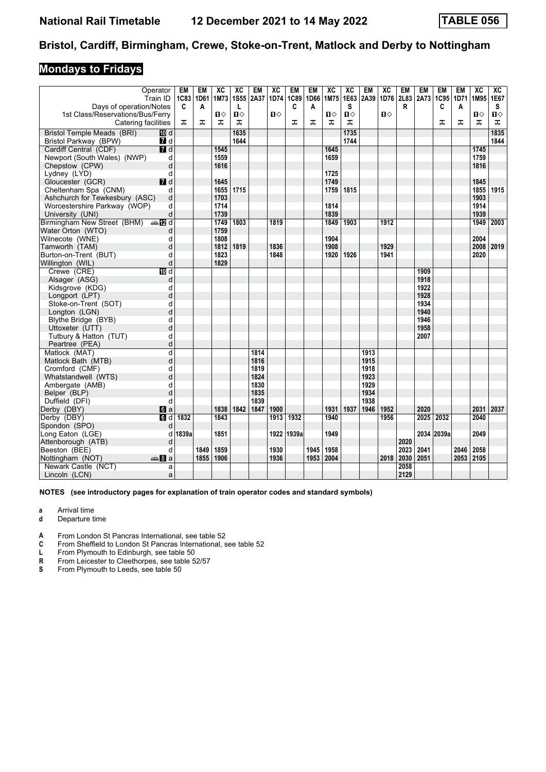## **Mondays to Fridays**

|                                                     | Operator<br>Train ID    | EM<br>1C83 1D61 | <b>EM</b> | XC<br>1M73 | XC<br><b>1S55</b> | EM<br>2A37 | XC<br>1D74   | <b>EM</b><br>1C89 | <b>EM</b><br>1D66 | XC<br>1M75 | XC<br>1E63   | EM<br>2A39 | XC<br>1D76   | EM   | EM<br>2L83 2A73 | <b>EM</b><br>1C95 | <b>EM</b><br>1D71 | XC<br>1M95 1E67 | XC             |
|-----------------------------------------------------|-------------------------|-----------------|-----------|------------|-------------------|------------|--------------|-------------------|-------------------|------------|--------------|------------|--------------|------|-----------------|-------------------|-------------------|-----------------|----------------|
| Days of operation/Notes                             |                         | C               | Α         |            | L                 |            |              | C                 | A                 |            | s            |            |              | R    |                 | C                 | A                 |                 | S              |
| 1st Class/Reservations/Bus/Ferry                    |                         |                 |           | Ⅱ♦         | $\mathbf{u}$      |            | $\mathbf{u}$ |                   |                   | П⇔         | $\mathbf{u}$ |            | $\mathbf{u}$ |      |                 |                   |                   | п⇔              | $\blacksquare$ |
| Catering facilities                                 |                         | ᠼ               | ᠼ         | ᠼ          | ᠼ                 |            |              | ᠼ                 | ᠼ                 | ᠼ          | ᠼ            |            |              |      |                 | ᠼ                 | ᠼ                 | ᠼ               | ᠼ              |
| <b>Bristol Temple Meads (BRI)</b>                   | <b>ID</b> d             |                 |           |            | 1635              |            |              |                   |                   |            | 1735         |            |              |      |                 |                   |                   |                 | 1835           |
| Bristol Parkway (BPW)                               | $\blacksquare$ d        |                 |           |            | 1644              |            |              |                   |                   |            | 1744         |            |              |      |                 |                   |                   |                 | 1844           |
| Cardiff Central (CDF)                               | 7d                      |                 |           | 1545       |                   |            |              |                   |                   | 1645       |              |            |              |      |                 |                   |                   | 1745            |                |
| Newport (South Wales) (NWP)                         | d                       |                 |           | 1559       |                   |            |              |                   |                   | 1659       |              |            |              |      |                 |                   |                   | 1759            |                |
| Chepstow (CPW)                                      | d                       |                 |           | 1616       |                   |            |              |                   |                   |            |              |            |              |      |                 |                   |                   | 1816            |                |
| Lydney (LYD)                                        | d                       |                 |           |            |                   |            |              |                   |                   | 1725       |              |            |              |      |                 |                   |                   |                 |                |
| Gloucester (GCR)                                    | $I$ d                   |                 |           | 1645       |                   |            |              |                   |                   | 1749       |              |            |              |      |                 |                   |                   | 1845            |                |
| Cheltenham Spa (CNM)                                | d                       |                 |           | 1655       | 1715              |            |              |                   |                   | 1759       | 1815         |            |              |      |                 |                   |                   | 1855            | 1915           |
| Ashchurch for Tewkesbury (ASC)                      | d                       |                 |           | 1703       |                   |            |              |                   |                   |            |              |            |              |      |                 |                   |                   | 1903            |                |
| Worcestershire Parkway (WOP)                        | d                       |                 |           | 1714       |                   |            |              |                   |                   | 1814       |              |            |              |      |                 |                   |                   | 1914            |                |
| University (UNI)                                    | d                       |                 |           | 1739       |                   |            |              |                   |                   | 1839       |              |            |              |      |                 |                   |                   | 1939            |                |
| Birmingham New Street (BHM) $\oplus \blacksquare$ d |                         |                 |           | 1749       | 1803              |            | 1819         |                   |                   | 1849       | 1903         |            | 1912         |      |                 |                   |                   | 1949            | 2003           |
| Water Orton (WTO)                                   | d                       |                 |           | 1759       |                   |            |              |                   |                   |            |              |            |              |      |                 |                   |                   |                 |                |
| Wilnecote (WNE)                                     | d                       |                 |           | 1808       |                   |            |              |                   |                   | 1904       |              |            |              |      |                 |                   |                   | 2004            |                |
| Tamworth (TAM)                                      | d                       |                 |           | 1812       | 1819              |            | 1836         |                   |                   | 1908       |              |            | 1929         |      |                 |                   |                   | 2008            | $ 2019\rangle$ |
| Burton-on-Trent (BUT)                               | d                       |                 |           | 1823       |                   |            | 1848         |                   |                   | 1920       | 1926         |            | 1941         |      |                 |                   |                   | 2020            |                |
| Willington (WIL)                                    | d                       |                 |           | 1829       |                   |            |              |                   |                   |            |              |            |              |      |                 |                   |                   |                 |                |
| Crewe (CRE)                                         | $\overline{M}$ d        |                 |           |            |                   |            |              |                   |                   |            |              |            |              |      | 1909            |                   |                   |                 |                |
| Alsager (ASG)                                       | d                       |                 |           |            |                   |            |              |                   |                   |            |              |            |              |      | 1918            |                   |                   |                 |                |
| Kidsgrove (KDG)                                     | d                       |                 |           |            |                   |            |              |                   |                   |            |              |            |              |      | 1922            |                   |                   |                 |                |
| Longport (LPT)                                      | d                       |                 |           |            |                   |            |              |                   |                   |            |              |            |              |      | 1928            |                   |                   |                 |                |
| Stoke-on-Trent (SOT)                                | d                       |                 |           |            |                   |            |              |                   |                   |            |              |            |              |      | 1934            |                   |                   |                 |                |
| Longton (LGN)                                       | d                       |                 |           |            |                   |            |              |                   |                   |            |              |            |              |      | 1940            |                   |                   |                 |                |
| Blythe Bridge (BYB)                                 | d                       |                 |           |            |                   |            |              |                   |                   |            |              |            |              |      | 1946            |                   |                   |                 |                |
| Uttoxeter (UTT)                                     | d                       |                 |           |            |                   |            |              |                   |                   |            |              |            |              |      | 1958            |                   |                   |                 |                |
| Tutbury & Hatton (TUT)                              | d                       |                 |           |            |                   |            |              |                   |                   |            |              |            |              |      | 2007            |                   |                   |                 |                |
| Peartree (PEA)                                      | d                       |                 |           |            |                   |            |              |                   |                   |            |              |            |              |      |                 |                   |                   |                 |                |
| Matlock (MAT)                                       | $\overline{\mathsf{d}}$ |                 |           |            |                   | 1814       |              |                   |                   |            |              | 1913       |              |      |                 |                   |                   |                 |                |
| Matlock Bath (MTB)                                  | d                       |                 |           |            |                   | 1816       |              |                   |                   |            |              | 1915       |              |      |                 |                   |                   |                 |                |
| Cromford (CMF)                                      | d                       |                 |           |            |                   | 1819       |              |                   |                   |            |              | 1918       |              |      |                 |                   |                   |                 |                |
| Whatstandwell (WTS)                                 | d                       |                 |           |            |                   | 1824       |              |                   |                   |            |              | 1923       |              |      |                 |                   |                   |                 |                |
| Ambergate (AMB)                                     | d                       |                 |           |            |                   | 1830       |              |                   |                   |            |              | 1929       |              |      |                 |                   |                   |                 |                |
| Belper (BLP)                                        | d                       |                 |           |            |                   | 1835       |              |                   |                   |            |              | 1934       |              |      |                 |                   |                   |                 |                |
| Duffield (DFI)                                      | d                       |                 |           |            |                   | 1839       |              |                   |                   |            |              | 1938       |              |      |                 |                   |                   |                 |                |
| Derby (DBY)                                         | $\blacksquare$ a        |                 |           | 1838       | 1842              | 1847       | 1900         |                   |                   | 1931       | 1937         | 1946       | 1952         |      | 2020            |                   |                   | 2031            | 2037           |
| Derby (DBY)                                         | $\overline{d}$          | 1832            |           | 1843       |                   |            | 1913         | 1932              |                   | 1940       |              |            | 1956         |      |                 | 2025 2032         |                   | 2040            |                |
| Spondon (SPO)                                       | d                       |                 |           |            |                   |            |              |                   |                   |            |              |            |              |      |                 |                   |                   |                 |                |
| Long Eaton (LGE)                                    | d                       | 1839a           |           | 1851       |                   |            | 1922         | 1939a             |                   | 1949       |              |            |              |      |                 | 2034 2039a        |                   | 2049            |                |
| Attenborough (ATB)                                  | d                       |                 |           |            |                   |            |              |                   |                   |            |              |            |              | 2020 |                 |                   |                   |                 |                |
| Beeston (BEE)                                       | d                       |                 | 1849      | 1859       |                   |            | 1930         |                   | 1945              | 1958       |              |            |              | 2023 | 2041            |                   | 2046              | 2058            |                |
| Nottingham (NOT)                                    | dana 8∎an               |                 | 1855      | 1906       |                   |            | 1936         |                   | 1953              | 2004       |              |            | 2018         | 2030 | 2051            |                   | 2053 2105         |                 |                |
| Newark Castle (NCT)                                 | a                       |                 |           |            |                   |            |              |                   |                   |            |              |            |              | 2058 |                 |                   |                   |                 |                |
| Lincoln (LCN)                                       | a                       |                 |           |            |                   |            |              |                   |                   |            |              |            |              | 2129 |                 |                   |                   |                 |                |

- **a** Arrival time
- **d** Departure time
- **4** From London St Pancras International, see table 52 **C** From Sheffield to London St Pancras International, s
- From Sheffield to London St Pancras International, see table 52
- **L** From Plymouth to Edinburgh, see table 50<br>**R** From Leicester to Cleethorpes, see table 5
- **R** From Leicester to Cleethorpes, see table 52/57<br>**S** From Plymouth to Leeds, see table 50
- **From Plymouth to Leeds, see table 50**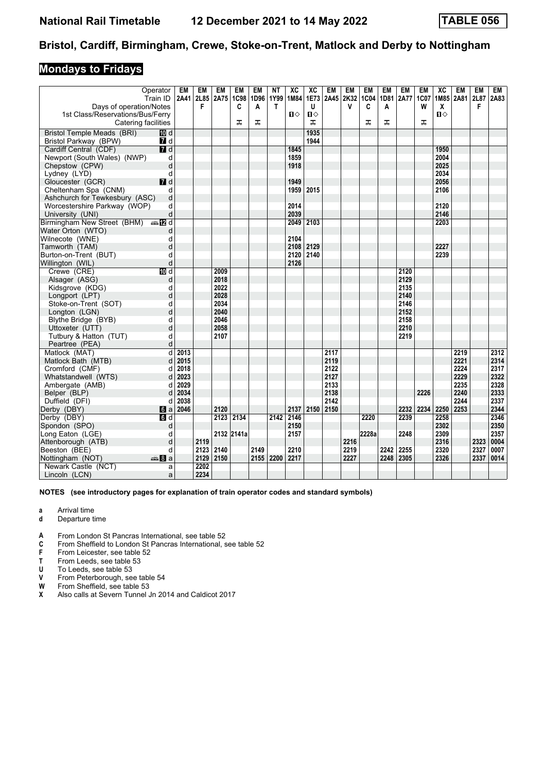### **Mondays to Fridays**

| Days of operation/Notes<br>1st Class/Reservations/Bus/Ferry | Operator<br>Train ID    | EM<br>2A41 2L85 | EM<br>F | EM<br>2A75 | EM<br><b>1C98</b><br>C | EM<br>1D96<br>A | ΝT<br>1Y99<br>$\mathsf{T}$ | XC<br>1M84<br>$\mathbf{u}$ | XC<br>1E73<br>U<br>$\mathbf{u}$ | <b>EM</b><br>2A45 | <b>EM</b><br>2K32<br>$\mathsf{v}$ | EM<br>1C04<br>C | <b>EM</b><br>1D81<br>A | <b>EM</b><br><b>2A77</b> | <b>EM</b><br>1C07<br>W | XC<br>X<br>$\mathbf{u}$ | EM<br>1M85 2A81 | EM<br>2L87<br>F | <b>EM</b><br>2A83 |
|-------------------------------------------------------------|-------------------------|-----------------|---------|------------|------------------------|-----------------|----------------------------|----------------------------|---------------------------------|-------------------|-----------------------------------|-----------------|------------------------|--------------------------|------------------------|-------------------------|-----------------|-----------------|-------------------|
| Catering facilities                                         |                         |                 |         |            | ᅚ                      | ᅚ               |                            |                            | ᅚ                               |                   |                                   | ᠼ               | ᠼ                      |                          | ᠼ                      |                         |                 |                 |                   |
| <b>Bristol Temple Meads (BRI)</b>                           | <b>ID</b> d             |                 |         |            |                        |                 |                            |                            | 1935                            |                   |                                   |                 |                        |                          |                        |                         |                 |                 |                   |
| Bristol Parkway (BPW)                                       | 7 d                     |                 |         |            |                        |                 |                            |                            | 1944                            |                   |                                   |                 |                        |                          |                        |                         |                 |                 |                   |
| Cardiff Central (CDF)                                       | $\overline{d}$ d        |                 |         |            |                        |                 |                            | 1845                       |                                 |                   |                                   |                 |                        |                          |                        | 1950                    |                 |                 |                   |
| Newport (South Wales) (NWP)                                 | d                       |                 |         |            |                        |                 |                            | 1859                       |                                 |                   |                                   |                 |                        |                          |                        | 2004                    |                 |                 |                   |
| Chepstow (CPW)                                              | d                       |                 |         |            |                        |                 |                            | 1918                       |                                 |                   |                                   |                 |                        |                          |                        | 2025                    |                 |                 |                   |
| Lydney (LYD)                                                | d                       |                 |         |            |                        |                 |                            |                            |                                 |                   |                                   |                 |                        |                          |                        | 2034                    |                 |                 |                   |
| Gloucester (GCR)                                            | $I$ d                   |                 |         |            |                        |                 |                            | 1949                       |                                 |                   |                                   |                 |                        |                          |                        | 2056                    |                 |                 |                   |
| Cheltenham Spa (CNM)                                        | d                       |                 |         |            |                        |                 |                            | 1959                       | 2015                            |                   |                                   |                 |                        |                          |                        | 2106                    |                 |                 |                   |
| Ashchurch for Tewkesbury (ASC)                              | d                       |                 |         |            |                        |                 |                            |                            |                                 |                   |                                   |                 |                        |                          |                        |                         |                 |                 |                   |
| Worcestershire Parkway (WOP)                                | d                       |                 |         |            |                        |                 |                            | 2014                       |                                 |                   |                                   |                 |                        |                          |                        | 2120                    |                 |                 |                   |
| University (UNI)                                            | d                       |                 |         |            |                        |                 |                            | 2039                       |                                 |                   |                                   |                 |                        |                          |                        | 2146                    |                 |                 |                   |
| Birmingham New Street (BHM) $\oplus$ M d                    |                         |                 |         |            |                        |                 |                            | 2049                       | 2103                            |                   |                                   |                 |                        |                          |                        | 2203                    |                 |                 |                   |
| Water Orton (WTO)                                           | d                       |                 |         |            |                        |                 |                            |                            |                                 |                   |                                   |                 |                        |                          |                        |                         |                 |                 |                   |
| Wilnecote (WNE)                                             | d                       |                 |         |            |                        |                 |                            | 2104                       |                                 |                   |                                   |                 |                        |                          |                        |                         |                 |                 |                   |
| Tamworth (TAM)                                              | d                       |                 |         |            |                        |                 |                            | 2108                       | 2129                            |                   |                                   |                 |                        |                          |                        | 2227                    |                 |                 |                   |
| Burton-on-Trent (BUT)                                       | d                       |                 |         |            |                        |                 |                            | 2120                       | 2140                            |                   |                                   |                 |                        |                          |                        | 2239                    |                 |                 |                   |
| Willington (WIL)                                            | d                       |                 |         |            |                        |                 |                            | 2126                       |                                 |                   |                                   |                 |                        |                          |                        |                         |                 |                 |                   |
| Crewe (CRE)                                                 | <b>ID</b> d             |                 |         | 2009       |                        |                 |                            |                            |                                 |                   |                                   |                 |                        | 2120                     |                        |                         |                 |                 |                   |
| Alsager (ASG)                                               | d                       |                 |         | 2018       |                        |                 |                            |                            |                                 |                   |                                   |                 |                        | 2129                     |                        |                         |                 |                 |                   |
| Kidsgrove (KDG)                                             | d                       |                 |         | 2022       |                        |                 |                            |                            |                                 |                   |                                   |                 |                        | 2135                     |                        |                         |                 |                 |                   |
| Longport (LPT)                                              | d                       |                 |         | 2028       |                        |                 |                            |                            |                                 |                   |                                   |                 |                        | 2140                     |                        |                         |                 |                 |                   |
| Stoke-on-Trent (SOT)                                        | d                       |                 |         | 2034       |                        |                 |                            |                            |                                 |                   |                                   |                 |                        | 2146                     |                        |                         |                 |                 |                   |
| Longton (LGN)                                               | d                       |                 |         | 2040       |                        |                 |                            |                            |                                 |                   |                                   |                 |                        | 2152                     |                        |                         |                 |                 |                   |
| Blythe Bridge (BYB)                                         | d                       |                 |         | 2046       |                        |                 |                            |                            |                                 |                   |                                   |                 |                        | 2158                     |                        |                         |                 |                 |                   |
| Uttoxeter (UTT)                                             | d                       |                 |         | 2058       |                        |                 |                            |                            |                                 |                   |                                   |                 |                        | 2210                     |                        |                         |                 |                 |                   |
| Tutbury & Hatton (TUT)                                      | d                       |                 |         | 2107       |                        |                 |                            |                            |                                 |                   |                                   |                 |                        | 2219                     |                        |                         |                 |                 |                   |
| Peartree (PEA)                                              | d                       |                 |         |            |                        |                 |                            |                            |                                 |                   |                                   |                 |                        |                          |                        |                         |                 |                 |                   |
| Matlock (MAT)                                               | d                       | 2013            |         |            |                        |                 |                            |                            |                                 | 2117              |                                   |                 |                        |                          |                        |                         | 2219            |                 | 2312              |
| Matlock Bath (MTB)                                          | d                       | 2015            |         |            |                        |                 |                            |                            |                                 | 2119              |                                   |                 |                        |                          |                        |                         | 2221            |                 | 2314              |
| Cromford (CMF)                                              | d                       | 2018            |         |            |                        |                 |                            |                            |                                 | 2122              |                                   |                 |                        |                          |                        |                         | 2224            |                 | 2317              |
| Whatstandwell (WTS)                                         | d                       | 2023            |         |            |                        |                 |                            |                            |                                 | 2127              |                                   |                 |                        |                          |                        |                         | 2229            |                 | 2322              |
| Ambergate (AMB)                                             | d                       | 2029            |         |            |                        |                 |                            |                            |                                 | 2133              |                                   |                 |                        |                          |                        |                         | 2235            |                 | 2328              |
| Belper (BLP)                                                | d                       | 2034            |         |            |                        |                 |                            |                            |                                 | 2138              |                                   |                 |                        |                          | 2226                   |                         | 2240            |                 | 2333              |
| Duffield (DFI)                                              | d                       | 2038            |         |            |                        |                 |                            |                            |                                 | 2142              |                                   |                 |                        |                          |                        |                         | 2244            |                 | 2337              |
| Derby (DBY)                                                 | 6a                      | 2046            |         | 2120       |                        |                 |                            | 2137                       |                                 | 2150 2150         |                                   |                 |                        | 2232                     | 2234                   | 2250                    | 2253            |                 | 2344              |
| Derby (DBY)                                                 | $\blacksquare$          |                 |         | 2123       | 2134                   |                 | 2142                       | 2146                       |                                 |                   |                                   | 2220            |                        | 2239                     |                        | 2258                    |                 |                 | 2346              |
| Spondon (SPO)                                               | d                       |                 |         |            |                        |                 |                            | 2150                       |                                 |                   |                                   |                 |                        |                          |                        | 2302                    |                 |                 | 2350              |
| Long Eaton (LGE)                                            | d                       |                 |         |            | 2132 2141a             |                 |                            | 2157                       |                                 |                   |                                   | 2228a           |                        | 2248                     |                        | 2309                    |                 |                 | 2357              |
| Attenborough (ATB)                                          | d                       |                 | 2119    |            |                        |                 |                            |                            |                                 |                   | 2216                              |                 |                        |                          |                        | 2316                    |                 | 2323            | 0004              |
| Beeston (BEE)                                               | d                       |                 | 2123    | 2140       |                        | 2149            |                            | 2210                       |                                 |                   | 2219                              |                 | 2242                   | 2255                     |                        | 2320                    |                 | 2327            | 0007              |
| Nottingham (NOT)                                            | dana <mark>an</mark> Ba |                 | 2129    | 2150       |                        | 2155            | 2200                       | 2217                       |                                 |                   | 2227                              |                 | 2248                   | 2305                     |                        | 2326                    |                 | 2337            | 0014              |
| Newark Castle (NCT)                                         | a                       |                 | 2202    |            |                        |                 |                            |                            |                                 |                   |                                   |                 |                        |                          |                        |                         |                 |                 |                   |
| Lincoln (LCN)                                               | a                       |                 | 2234    |            |                        |                 |                            |                            |                                 |                   |                                   |                 |                        |                          |                        |                         |                 |                 |                   |

- **a** Arrival time
- **d** Departure time
- **4** From London St Pancras International, see table 52 **C** From Sheffield to London St Pancras International.
- From Sheffield to London St Pancras International, see table 52
- **F** From Leicester, see table 52<br>**T** From Leeds, see table 53
- **T** From Leeds, see table 53<br>**U** To Leeds, see table 53
- **8** To Leeds, see table 53<br>**8** From Peterborough, see
- **9** From Peterborough, see table 54<br>**W** From Sheffield, see table 53
- **W** From Sheffield, see table 53<br>**X** Also calls at Severn Tunnel,
- Also calls at Severn Tunnel Jn 2014 and Caldicot 2017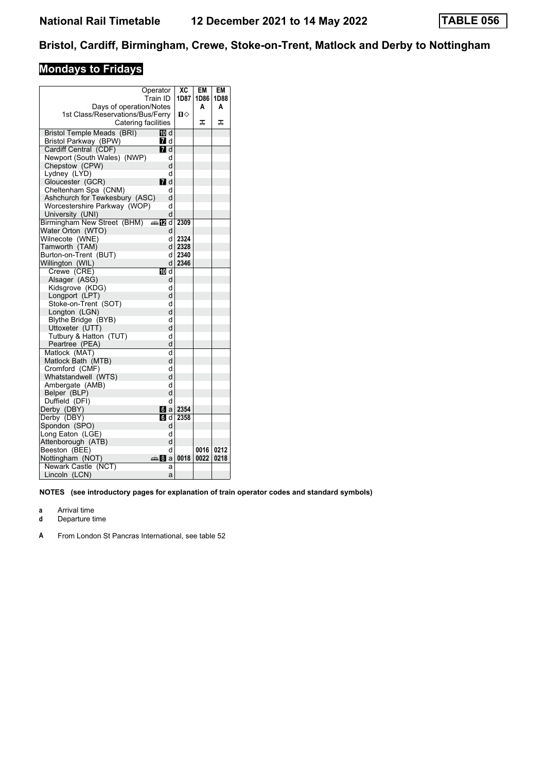# **Mondays to Fridays**

|                                  | Operator<br>Train ID | XC<br>1D87 | <b>EM</b><br>1D86 | EM<br>1D88 |
|----------------------------------|----------------------|------------|-------------------|------------|
| Days of operation/Notes          |                      |            | A                 | A          |
| 1st Class/Reservations/Bus/Ferry |                      | п⇔         |                   |            |
| Catering facilities              |                      |            | ᠼ                 | ᠼ          |
| Bristol Temple Meads (BRI)       | 100 d                |            |                   |            |
| Bristol Parkway (BPW)            | 7 d                  |            |                   |            |
| Cardiff Central (CDF)            | $\Pi$ d              |            |                   |            |
| Newport (South Wales) (NWP)      | d                    |            |                   |            |
| Chepstow (CPW)                   | d                    |            |                   |            |
| Lydney (LYD)                     | d                    |            |                   |            |
| Gloucester (GCR)                 | <b>7</b> d           |            |                   |            |
| Cheltenham Spa (CNM)             | d                    |            |                   |            |
| Ashchurch for Tewkesbury (ASC)   | d                    |            |                   |            |
| Worcestershire Parkway (WOP)     | d                    |            |                   |            |
| University (UNI)                 | d                    |            |                   |            |
| Birmingham New Street (BHM) 40   |                      | 2309       |                   |            |
| Water Orton (WTO)                | d                    |            |                   |            |
| Wilnecote (WNE)                  | d                    | 2324       |                   |            |
| Tamworth (TAM)                   | d                    | 2328       |                   |            |
| Burton-on-Trent (BUT)            | d                    | 2340       |                   |            |
| Willington (WIL)                 | d                    | 2346       |                   |            |
| Crewe (CRE)                      | <b>ID</b> d          |            |                   |            |
| Alsager (ASG)                    | d                    |            |                   |            |
| Kidsgrove (KDG)                  | d                    |            |                   |            |
| Longport (LPT)                   | d                    |            |                   |            |
| Stoke-on-Trent (SOT)             | d                    |            |                   |            |
| Longton (LGN)                    | d                    |            |                   |            |
| Blythe Bridge (BYB)              | d                    |            |                   |            |
| Uttoxeter (UTT)                  | d                    |            |                   |            |
| Tutbury & Hatton (TUT)           | d                    |            |                   |            |
| Peartree (PEA)                   | d                    |            |                   |            |
| Matlock (MAT)                    | d                    |            |                   |            |
| Matlock Bath (MTB)               | d                    |            |                   |            |
| Cromford (CMF)                   | d                    |            |                   |            |
| Whatstandwell (WTS)              | d                    |            |                   |            |
| Ambergate (AMB)                  | d                    |            |                   |            |
| Belper (BLP)                     | d                    |            |                   |            |
| Duffield (DFI)                   | d                    |            |                   |            |
| Derby (DBY)                      | 6a                   | 2354       |                   |            |
| Derby (DBY)                      | 6 d                  | 2358       |                   |            |
| Spondon (SPO)                    | d                    |            |                   |            |
| Long Eaton (LGE)                 | d                    |            |                   |            |
| Attenborough (ATB)               | d                    |            |                   |            |
| Beeston (BEE)                    | d                    |            | 0016              | 0212       |
| Nottingham (NOT)                 | anna Bla             | 0018       | 0022              | 0218       |
| Newark Castle (NCT)              | a                    |            |                   |            |
| Lincoln (LCN)                    | a                    |            |                   |            |

- **a** Arrival time
- **d** Departure time
- **A** From London St Pancras International, see table 52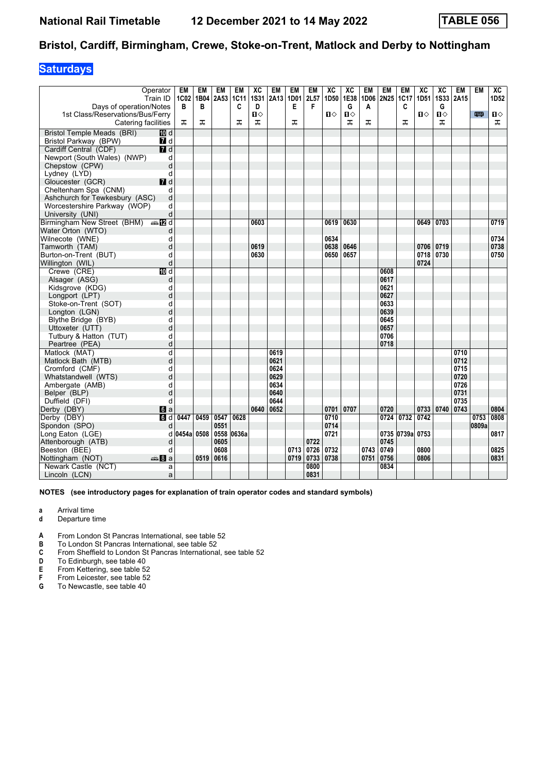## **Saturdays**

| Days of operation/Notes                                 | Operator<br>Train ID | EM<br>1C02<br>В | EM<br>1B04<br>в | <b>EM</b><br>2A53 | EM<br><b>1C11</b><br>C | XC<br><b>1S31</b><br>D | EM<br>2A13 | EM<br>1D01<br>E | EM<br>2L57<br>F | XC<br>1D50 | XC<br>1E38<br>G   | <b>EM</b><br>1D06<br>Α | EM<br>2N25 | EM<br>1C17<br>C | XC<br>1D51 | XC<br>1S33 2A15<br>G | EM   | <b>EM</b> | XC<br>1D52        |
|---------------------------------------------------------|----------------------|-----------------|-----------------|-------------------|------------------------|------------------------|------------|-----------------|-----------------|------------|-------------------|------------------------|------------|-----------------|------------|----------------------|------|-----------|-------------------|
| 1st Class/Reservations/Bus/Ferry<br>Catering facilities |                      | ᠼ               | ᠼ               |                   | ᅚ                      | п⇔<br>ᠼ                |            | ᠼ               |                 | Ⅱ♦         | $\mathbf{u}$<br>ᠼ | ᠼ                      |            | ᠼ               | П⇔         | $\mathbf{u}$<br>ᠼ    |      | 罒         | $\mathbf{u}$<br>ᠼ |
| Bristol Temple Meads (BRI)                              | 100 d                |                 |                 |                   |                        |                        |            |                 |                 |            |                   |                        |            |                 |            |                      |      |           |                   |
| <b>Bristol Parkway (BPW)</b>                            | <b>7</b> d           |                 |                 |                   |                        |                        |            |                 |                 |            |                   |                        |            |                 |            |                      |      |           |                   |
| Cardiff Central (CDF)                                   | 7d                   |                 |                 |                   |                        |                        |            |                 |                 |            |                   |                        |            |                 |            |                      |      |           |                   |
| Newport (South Wales) (NWP)                             | d                    |                 |                 |                   |                        |                        |            |                 |                 |            |                   |                        |            |                 |            |                      |      |           |                   |
| Chepstow (CPW)                                          | d                    |                 |                 |                   |                        |                        |            |                 |                 |            |                   |                        |            |                 |            |                      |      |           |                   |
| Lydney (LYD)                                            | d                    |                 |                 |                   |                        |                        |            |                 |                 |            |                   |                        |            |                 |            |                      |      |           |                   |
| Gloucester (GCR)                                        | $\blacksquare$       |                 |                 |                   |                        |                        |            |                 |                 |            |                   |                        |            |                 |            |                      |      |           |                   |
| Cheltenham Spa (CNM)                                    | d                    |                 |                 |                   |                        |                        |            |                 |                 |            |                   |                        |            |                 |            |                      |      |           |                   |
| Ashchurch for Tewkesbury (ASC)                          | d                    |                 |                 |                   |                        |                        |            |                 |                 |            |                   |                        |            |                 |            |                      |      |           |                   |
| Worcestershire Parkway (WOP)                            | d                    |                 |                 |                   |                        |                        |            |                 |                 |            |                   |                        |            |                 |            |                      |      |           |                   |
| University (UNI)                                        | d                    |                 |                 |                   |                        |                        |            |                 |                 |            |                   |                        |            |                 |            |                      |      |           |                   |
| Birmingham New Street (BHM) $\oplus \blacksquare$ d     |                      |                 |                 |                   |                        | 0603                   |            |                 |                 | 0619       | 0630              |                        |            |                 | 0649       | 0703                 |      |           | 0719              |
| Water Orton (WTO)                                       | d                    |                 |                 |                   |                        |                        |            |                 |                 |            |                   |                        |            |                 |            |                      |      |           |                   |
| Wilnecote (WNE)                                         | d                    |                 |                 |                   |                        |                        |            |                 |                 | 0634       |                   |                        |            |                 |            |                      |      |           | 0734              |
| Tamworth (TAM)                                          | d                    |                 |                 |                   |                        | 0619                   |            |                 |                 | 0638       | 0646              |                        |            |                 | 0706       | 0719                 |      |           | 0738              |
| Burton-on-Trent (BUT)                                   | d                    |                 |                 |                   |                        | 0630                   |            |                 |                 | 0650       | 0657              |                        |            |                 | 0718 0730  |                      |      |           | 0750              |
| Willington (WIL)                                        | d                    |                 |                 |                   |                        |                        |            |                 |                 |            |                   |                        |            |                 | 0724       |                      |      |           |                   |
| Crewe (CRE)                                             | $\overline{M}$ d     |                 |                 |                   |                        |                        |            |                 |                 |            |                   |                        | 0608       |                 |            |                      |      |           |                   |
| Alsager (ASG)                                           | d                    |                 |                 |                   |                        |                        |            |                 |                 |            |                   |                        | 0617       |                 |            |                      |      |           |                   |
| Kidsgrove (KDG)                                         | d                    |                 |                 |                   |                        |                        |            |                 |                 |            |                   |                        | 0621       |                 |            |                      |      |           |                   |
| Longport (LPT)                                          | d                    |                 |                 |                   |                        |                        |            |                 |                 |            |                   |                        | 0627       |                 |            |                      |      |           |                   |
| Stoke-on-Trent (SOT)                                    | d                    |                 |                 |                   |                        |                        |            |                 |                 |            |                   |                        | 0633       |                 |            |                      |      |           |                   |
| Longton (LGN)                                           | d                    |                 |                 |                   |                        |                        |            |                 |                 |            |                   |                        | 0639       |                 |            |                      |      |           |                   |
| Blythe Bridge (BYB)                                     | d                    |                 |                 |                   |                        |                        |            |                 |                 |            |                   |                        | 0645       |                 |            |                      |      |           |                   |
| Uttoxeter (UTT)                                         | d                    |                 |                 |                   |                        |                        |            |                 |                 |            |                   |                        | 0657       |                 |            |                      |      |           |                   |
| Tutbury & Hatton (TUT)                                  | d                    |                 |                 |                   |                        |                        |            |                 |                 |            |                   |                        | 0706       |                 |            |                      |      |           |                   |
| Peartree (PEA)                                          | d                    |                 |                 |                   |                        |                        |            |                 |                 |            |                   |                        | 0718       |                 |            |                      |      |           |                   |
| Matlock (MAT)                                           | d                    |                 |                 |                   |                        |                        | 0619       |                 |                 |            |                   |                        |            |                 |            |                      | 0710 |           |                   |
| Matlock Bath (MTB)                                      | d                    |                 |                 |                   |                        |                        | 0621       |                 |                 |            |                   |                        |            |                 |            |                      | 0712 |           |                   |
| Cromford (CMF)                                          | d                    |                 |                 |                   |                        |                        | 0624       |                 |                 |            |                   |                        |            |                 |            |                      | 0715 |           |                   |
| Whatstandwell (WTS)                                     | d                    |                 |                 |                   |                        |                        | 0629       |                 |                 |            |                   |                        |            |                 |            |                      | 0720 |           |                   |
| Ambergate (AMB)                                         | d                    |                 |                 |                   |                        |                        | 0634       |                 |                 |            |                   |                        |            |                 |            |                      | 0726 |           |                   |
| Belper (BLP)                                            | d                    |                 |                 |                   |                        |                        | 0640       |                 |                 |            |                   |                        |            |                 |            |                      | 0731 |           |                   |
| Duffield (DFI)                                          | d                    |                 |                 |                   |                        |                        | 0644       |                 |                 |            |                   |                        |            |                 |            |                      | 0735 |           |                   |
| Derby (DBY)                                             | $\blacksquare$ a     |                 |                 |                   |                        | 0640                   | 0652       |                 |                 | 0701       | 0707              |                        | 0720       |                 |            | 0733 0740 0743       |      |           | 0804              |
| Derby (DBY)                                             | $\overline{d}$       | 0447            | 0459            | 0547              | 0628                   |                        |            |                 |                 | 0710       |                   |                        |            | 0724 0732       | 0742       |                      |      | 0753      | 0808              |
| Spondon (SPO)                                           | d                    |                 |                 | 0551              |                        |                        |            |                 |                 | 0714       |                   |                        |            |                 |            |                      |      | 0809a     |                   |
| Long Eaton (LGE)                                        | d                    | 0454a 0508      |                 | 0558              | 0636a                  |                        |            |                 |                 | 0721       |                   |                        |            | 0735 0739a 0753 |            |                      |      |           | 0817              |
| Attenborough (ATB)                                      | d                    |                 |                 | 0605              |                        |                        |            |                 | 0722            |            |                   |                        | 0745       |                 |            |                      |      |           |                   |
| Beeston (BEE)                                           | d                    |                 |                 | 0608              |                        |                        |            | 0713            | 0726            | 0732       |                   | 0743                   | 0749       |                 | 0800       |                      |      |           | 0825              |
| Nottingham (NOT)                                        | de 8 a               |                 | 0519            | 0616              |                        |                        |            | 0719            | 0733            | 0738       |                   | 0751                   | 0756       |                 | 0806       |                      |      |           | 0831              |
| Newark Castle (NCT)                                     | a                    |                 |                 |                   |                        |                        |            |                 | 0800            |            |                   |                        | 0834       |                 |            |                      |      |           |                   |
| Lincoln (LCN)                                           | a                    |                 |                 |                   |                        |                        |            |                 | 0831            |            |                   |                        |            |                 |            |                      |      |           |                   |

- **a** Arrival time
- **d** Departure time
- **A** From London St Pancras International, see table 52<br>**B** To London St Pancras International, see table 52
- To London St Pancras International, see table 52
- **C** From Sheffield to London St Pancras International, see table 52<br>**D** To Edinburgh, see table 40
- 
- **D** To Edinburgh, see table 40<br>**E** From Kettering, see table 52<br>**F** From Leicester, see table 53 From Kettering, see table 52
- **F** From Leicester, see table 52<br>**G** To Newcastle, see table 40
- To Newcastle, see table 40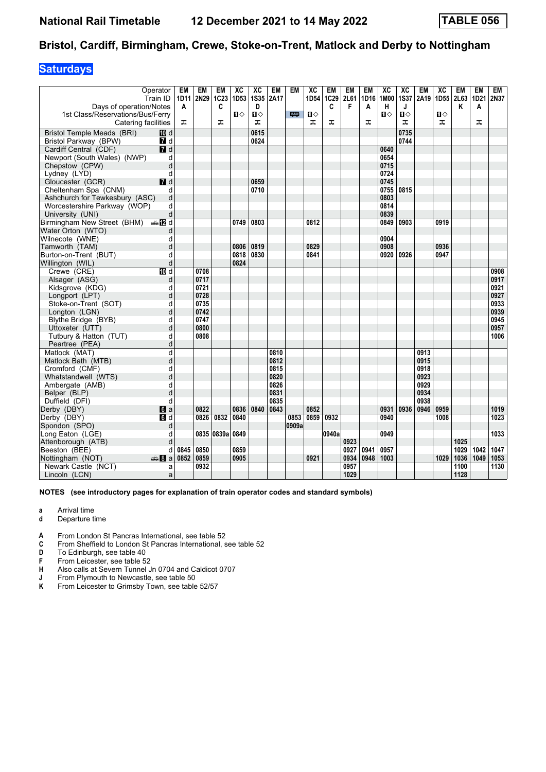## **Saturdays**

| Days of operation/Notes<br>1st Class/Reservations/Bus/Ferry<br>Catering facilities | Operator<br>Train ID | EM<br>1D11<br>A<br>ᅚ | <b>EM</b><br>2N29 | <b>EM</b><br>1C23<br>C<br>ᅚ | XC<br>1D53<br>$\mathbf{u}$ | XC<br><b>1S35</b><br>D<br>$\mathbf{u}$<br>ᠼ | <b>EM</b><br>2A17 | EM<br>罒 | XC<br>1D54<br>$\mathbf{u}$<br>ᠼ | EM<br>1C29<br>C<br>ᠼ | <b>EM</b><br>2L61<br>F | EM<br>1D16<br>A<br>ᅚ | XC<br>1M00<br>н<br>$\blacksquare$ | XC<br><b>1S37</b><br>J<br>$\mathbf{u}$<br>ᠼ | EM<br>2A19 | XC<br>1D55 2L63<br>$\mathbf{u}$<br>ᠼ | EM<br>Κ | <b>EM</b><br>1D21<br>Α<br>ᠼ | <b>EM</b><br>2N37 |
|------------------------------------------------------------------------------------|----------------------|----------------------|-------------------|-----------------------------|----------------------------|---------------------------------------------|-------------------|---------|---------------------------------|----------------------|------------------------|----------------------|-----------------------------------|---------------------------------------------|------------|--------------------------------------|---------|-----------------------------|-------------------|
| <b>Bristol Temple Meads (BRI)</b>                                                  | <b>ID</b> d          |                      |                   |                             |                            | 0615                                        |                   |         |                                 |                      |                        |                      |                                   | 0735                                        |            |                                      |         |                             |                   |
| Bristol Parkway (BPW)                                                              | 7 d                  |                      |                   |                             |                            | 0624                                        |                   |         |                                 |                      |                        |                      |                                   | 0744                                        |            |                                      |         |                             |                   |
| Cardiff Central (CDF)                                                              | 7d                   |                      |                   |                             |                            |                                             |                   |         |                                 |                      |                        |                      | 0640                              |                                             |            |                                      |         |                             |                   |
| Newport (South Wales) (NWP)                                                        | d                    |                      |                   |                             |                            |                                             |                   |         |                                 |                      |                        |                      | 0654                              |                                             |            |                                      |         |                             |                   |
| Chepstow (CPW)                                                                     | d                    |                      |                   |                             |                            |                                             |                   |         |                                 |                      |                        |                      | 0715                              |                                             |            |                                      |         |                             |                   |
| Lydney (LYD)                                                                       | d                    |                      |                   |                             |                            |                                             |                   |         |                                 |                      |                        |                      | 0724                              |                                             |            |                                      |         |                             |                   |
| Gloucester (GCR)                                                                   | $I$ d                |                      |                   |                             |                            | 0659                                        |                   |         |                                 |                      |                        |                      | 0745                              |                                             |            |                                      |         |                             |                   |
| Cheltenham Spa (CNM)                                                               | d                    |                      |                   |                             |                            | 0710                                        |                   |         |                                 |                      |                        |                      | 0755                              | 0815                                        |            |                                      |         |                             |                   |
| Ashchurch for Tewkesbury (ASC)                                                     | d                    |                      |                   |                             |                            |                                             |                   |         |                                 |                      |                        |                      | 0803                              |                                             |            |                                      |         |                             |                   |
| Worcestershire Parkway (WOP)                                                       | d                    |                      |                   |                             |                            |                                             |                   |         |                                 |                      |                        |                      | 0814                              |                                             |            |                                      |         |                             |                   |
| University (UNI)                                                                   | d                    |                      |                   |                             |                            |                                             |                   |         |                                 |                      |                        |                      | 0839                              |                                             |            |                                      |         |                             |                   |
| Birmingham New Street (BHM) $\oplus$ <b>IZ</b> d                                   |                      |                      |                   |                             | 0749                       | 0803                                        |                   |         | 0812                            |                      |                        |                      | 0849                              | 0903                                        |            | 0919                                 |         |                             |                   |
| Water Orton (WTO)                                                                  | d                    |                      |                   |                             |                            |                                             |                   |         |                                 |                      |                        |                      |                                   |                                             |            |                                      |         |                             |                   |
| Wilnecote (WNE)                                                                    | d                    |                      |                   |                             |                            |                                             |                   |         |                                 |                      |                        |                      | 0904                              |                                             |            |                                      |         |                             |                   |
| Tamworth (TAM)                                                                     | d                    |                      |                   |                             | 0806                       | 0819                                        |                   |         | 0829                            |                      |                        |                      | 0908                              |                                             |            | 0936                                 |         |                             |                   |
| Burton-on-Trent (BUT)                                                              | d                    |                      |                   |                             | 0818                       | 0830                                        |                   |         | 0841                            |                      |                        |                      | 0920                              | 0926                                        |            | 0947                                 |         |                             |                   |
| Willington (WIL)                                                                   | d                    |                      |                   |                             | 0824                       |                                             |                   |         |                                 |                      |                        |                      |                                   |                                             |            |                                      |         |                             |                   |
| Crewe (CRE)                                                                        | $\overline{M}$ d     |                      | 0708              |                             |                            |                                             |                   |         |                                 |                      |                        |                      |                                   |                                             |            |                                      |         |                             | 0908              |
| Alsager (ASG)                                                                      | d                    |                      | 0717              |                             |                            |                                             |                   |         |                                 |                      |                        |                      |                                   |                                             |            |                                      |         |                             | 0917              |
| Kidsgrove (KDG)                                                                    | d                    |                      | 0721              |                             |                            |                                             |                   |         |                                 |                      |                        |                      |                                   |                                             |            |                                      |         |                             | 0921              |
| Longport (LPT)                                                                     | d                    |                      | 0728              |                             |                            |                                             |                   |         |                                 |                      |                        |                      |                                   |                                             |            |                                      |         |                             | 0927              |
| Stoke-on-Trent (SOT)                                                               | d                    |                      | 0735              |                             |                            |                                             |                   |         |                                 |                      |                        |                      |                                   |                                             |            |                                      |         |                             | 0933              |
| Longton (LGN)                                                                      | d                    |                      | 0742              |                             |                            |                                             |                   |         |                                 |                      |                        |                      |                                   |                                             |            |                                      |         |                             | 0939              |
| Blythe Bridge (BYB)                                                                | d                    |                      | 0747              |                             |                            |                                             |                   |         |                                 |                      |                        |                      |                                   |                                             |            |                                      |         |                             | 0945              |
| Uttoxeter (UTT)                                                                    | d                    |                      | 0800              |                             |                            |                                             |                   |         |                                 |                      |                        |                      |                                   |                                             |            |                                      |         |                             | 0957              |
| Tutbury & Hatton (TUT)                                                             | d                    |                      | 0808              |                             |                            |                                             |                   |         |                                 |                      |                        |                      |                                   |                                             |            |                                      |         |                             | 1006              |
| Peartree (PEA)                                                                     | d                    |                      |                   |                             |                            |                                             |                   |         |                                 |                      |                        |                      |                                   |                                             |            |                                      |         |                             |                   |
| Matlock (MAT)                                                                      | d                    |                      |                   |                             |                            |                                             | 0810              |         |                                 |                      |                        |                      |                                   |                                             | 0913       |                                      |         |                             |                   |
| Matlock Bath (MTB)                                                                 | d                    |                      |                   |                             |                            |                                             | 0812              |         |                                 |                      |                        |                      |                                   |                                             | 0915       |                                      |         |                             |                   |
| Cromford (CMF)                                                                     | d                    |                      |                   |                             |                            |                                             | 0815              |         |                                 |                      |                        |                      |                                   |                                             | 0918       |                                      |         |                             |                   |
| Whatstandwell (WTS)                                                                | d                    |                      |                   |                             |                            |                                             | 0820              |         |                                 |                      |                        |                      |                                   |                                             | 0923       |                                      |         |                             |                   |
| Ambergate (AMB)                                                                    | d                    |                      |                   |                             |                            |                                             | 0826              |         |                                 |                      |                        |                      |                                   |                                             | 0929       |                                      |         |                             |                   |
| Belper (BLP)                                                                       | d                    |                      |                   |                             |                            |                                             | 0831              |         |                                 |                      |                        |                      |                                   |                                             | 0934       |                                      |         |                             |                   |
| Duffield (DFI)                                                                     | d                    |                      |                   |                             |                            |                                             | 0835              |         |                                 |                      |                        |                      |                                   |                                             | 0938       |                                      |         |                             |                   |
| Derby (DBY)                                                                        | 6a                   |                      | 0822              |                             | 0836                       | 0840                                        | 0843              |         | 0852                            |                      |                        |                      | 0931                              | 0936                                        | 0946       | 0959                                 |         |                             | 1019              |
| Derby (DBY)                                                                        | $\blacksquare$       |                      | 0826              | 0832                        | 0840                       |                                             |                   | 0853    | 0859                            | 0932                 |                        |                      | 0940                              |                                             |            | 1008                                 |         |                             | 1023              |
| Spondon (SPO)                                                                      | d                    |                      |                   |                             |                            |                                             |                   | 0909a   |                                 |                      |                        |                      |                                   |                                             |            |                                      |         |                             |                   |
| Long Eaton (LGE)                                                                   | d                    |                      |                   | 0835 0839a                  | 0849                       |                                             |                   |         |                                 | 0940a                |                        |                      | 0949                              |                                             |            |                                      |         |                             | 1033              |
| Attenborough (ATB)                                                                 | d                    |                      |                   |                             |                            |                                             |                   |         |                                 |                      | 0923                   |                      |                                   |                                             |            |                                      | 1025    |                             |                   |
| Beeston (BEE)                                                                      | d                    | 0845                 | 0850              |                             | 0859                       |                                             |                   |         |                                 |                      | 0927                   | 0941                 | 0957                              |                                             |            |                                      | 1029    | 1042                        | 1047              |
| Nottingham (NOT)                                                                   | den 8 a              | 0852                 | 0859              |                             | 0905                       |                                             |                   |         | 0921                            |                      | 0934                   | 0948                 | 1003                              |                                             |            | 1029                                 | 1036    | 1049                        | 1053              |
| Newark Castle (NCT)                                                                | a                    |                      | 0932              |                             |                            |                                             |                   |         |                                 |                      | 0957                   |                      |                                   |                                             |            |                                      | 1100    |                             | 1130              |
| Lincoln (LCN)                                                                      | a                    |                      |                   |                             |                            |                                             |                   |         |                                 |                      | 1029                   |                      |                                   |                                             |            |                                      | 1128    |                             |                   |

- **a** Arrival time
- **d** Departure time
- **4** From London St Pancras International, see table 52 **C** From Sheffield to London St Pancras International.
- From Sheffield to London St Pancras International, see table 52
- **D** To Edinburgh, see table 40<br>**F** From Leicester, see table 52
- **F** From Leicester, see table 52<br>**H** Also calls at Severn Tunnel J
- **+** Also calls at Severn Tunnel Jn 0704 and Caldicot 0707<br> **4 Also calls at Severn Tunnel Jn 0704 and Caldicot 0707**
- **-** From Plymouth to Newcastle, see table 50<br>**K** From Leicester to Grimsby Town, see table
- From Leicester to Grimsby Town, see table 52/57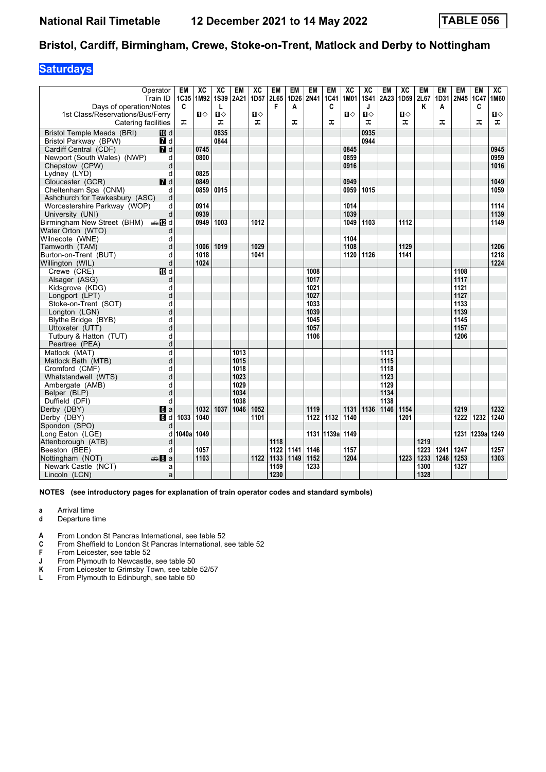## **Saturdays**

|                                     | Operator<br>Train ID | EM<br>1C35 | XC<br>1M92   | ХC<br><b>1S39</b> | EM<br>2A21 | XC<br>1D <sub>57</sub> | EM<br>2L65 | EM<br>1D26 | <b>EM</b><br>2N41 | EM<br>1C41 | XC<br>1M01 | XC<br><b>1S41</b> | <b>EM</b><br>2A23 | XC<br>1D59 | EM<br>2L67 | EM<br>1D31 | EM<br>2N45 1C47 | EM    | XC<br>1M60 |
|-------------------------------------|----------------------|------------|--------------|-------------------|------------|------------------------|------------|------------|-------------------|------------|------------|-------------------|-------------------|------------|------------|------------|-----------------|-------|------------|
| Days of operation/Notes             |                      | C          |              | L                 |            |                        | F          | A          |                   | C          |            | J                 |                   |            | Κ          | Α          |                 | C     |            |
| 1st Class/Reservations/Bus/Ferry    |                      |            | $\mathbf{u}$ | п                 |            | $\mathbf{u}$           |            |            |                   |            | Ⅱ♦         | $\mathbf{u}$      |                   | О          |            |            |                 |       | Ⅱ♦         |
| Catering facilities                 |                      | ᠼ          |              | ᠼ                 |            | ᠼ                      |            | ᠼ          |                   | ᠼ          |            | ᠼ                 |                   | ᅚ          |            | ᠼ          |                 | ᅚ     | ᠼ          |
| Bristol Temple Meads (BRI)          | 100 d                |            |              | 0835              |            |                        |            |            |                   |            |            | 0935              |                   |            |            |            |                 |       |            |
| Bristol Parkway (BPW)               | <b>7</b> d           |            |              | 0844              |            |                        |            |            |                   |            |            | 0944              |                   |            |            |            |                 |       |            |
| Cardiff Central (CDF)               | $\overline{d}$       |            | 0745         |                   |            |                        |            |            |                   |            | 0845       |                   |                   |            |            |            |                 |       | 0945       |
| Newport (South Wales) (NWP)         | d                    |            | 0800         |                   |            |                        |            |            |                   |            | 0859       |                   |                   |            |            |            |                 |       | 0959       |
| Chepstow (CPW)                      | d                    |            |              |                   |            |                        |            |            |                   |            | 0916       |                   |                   |            |            |            |                 |       | 1016       |
| Lydney (LYD)                        | d                    |            | 0825         |                   |            |                        |            |            |                   |            |            |                   |                   |            |            |            |                 |       |            |
| Gloucester (GCR)                    | $I$ d                |            | 0849         |                   |            |                        |            |            |                   |            | 0949       |                   |                   |            |            |            |                 |       | 1049       |
| Cheltenham Spa (CNM)                | d                    |            | 0859         | 0915              |            |                        |            |            |                   |            | 0959       | 1015              |                   |            |            |            |                 |       | 1059       |
| Ashchurch for Tewkesbury (ASC)      | d                    |            |              |                   |            |                        |            |            |                   |            |            |                   |                   |            |            |            |                 |       |            |
| Worcestershire Parkway (WOP)        | d                    |            | 0914         |                   |            |                        |            |            |                   |            | 1014       |                   |                   |            |            |            |                 |       | 1114       |
| University (UNI)                    | d                    |            | 0939         |                   |            |                        |            |            |                   |            | 1039       |                   |                   |            |            |            |                 |       | 1139       |
| Birmingham New Street (BHM)         | nna nDid             |            | 0949         | 1003              |            | 1012                   |            |            |                   |            | 1049       | 1103              |                   | 1112       |            |            |                 |       | 1149       |
| Water Orton (WTO)                   | d                    |            |              |                   |            |                        |            |            |                   |            |            |                   |                   |            |            |            |                 |       |            |
| Wilnecote (WNE)                     | d                    |            |              |                   |            |                        |            |            |                   |            | 1104       |                   |                   |            |            |            |                 |       |            |
| Tamworth (TAM)                      | d                    |            | 1006         | 1019              |            | 1029                   |            |            |                   |            | 1108       |                   |                   | 1129       |            |            |                 |       | 1206       |
| Burton-on-Trent (BUT)               | d                    |            | 1018         |                   |            | 1041                   |            |            |                   |            | 1120       | 1126              |                   | 1141       |            |            |                 |       | 1218       |
| Willington (WIL)                    | d                    |            | 1024         |                   |            |                        |            |            |                   |            |            |                   |                   |            |            |            |                 |       | 1224       |
| Crewe (CRE)                         | $\overline{10}$ d    |            |              |                   |            |                        |            |            | 1008              |            |            |                   |                   |            |            |            | 1108            |       |            |
| Alsager (ASG)                       | d                    |            |              |                   |            |                        |            |            | 1017              |            |            |                   |                   |            |            |            | 1117            |       |            |
| Kidsgrove (KDG)                     | d                    |            |              |                   |            |                        |            |            | 1021              |            |            |                   |                   |            |            |            | 1121            |       |            |
| Longport (LPT)                      | d                    |            |              |                   |            |                        |            |            | 1027              |            |            |                   |                   |            |            |            | 1127            |       |            |
| Stoke-on-Trent (SOT)                | d                    |            |              |                   |            |                        |            |            | 1033              |            |            |                   |                   |            |            |            | 1133            |       |            |
| Longton (LGN)                       | d                    |            |              |                   |            |                        |            |            | 1039              |            |            |                   |                   |            |            |            | 1139            |       |            |
| Blythe Bridge (BYB)                 | d                    |            |              |                   |            |                        |            |            | 1045              |            |            |                   |                   |            |            |            | 1145            |       |            |
| Uttoxeter (UTT)                     | d                    |            |              |                   |            |                        |            |            | 1057              |            |            |                   |                   |            |            |            | 1157            |       |            |
| Tutbury & Hatton (TUT)              | d                    |            |              |                   |            |                        |            |            | 1106              |            |            |                   |                   |            |            |            | 1206            |       |            |
| Peartree (PEA)                      | d                    |            |              |                   |            |                        |            |            |                   |            |            |                   |                   |            |            |            |                 |       |            |
| Matlock (MAT)                       | d                    |            |              |                   | 1013       |                        |            |            |                   |            |            |                   | 1113              |            |            |            |                 |       |            |
| Matlock Bath (MTB)                  | d                    |            |              |                   | 1015       |                        |            |            |                   |            |            |                   | 1115              |            |            |            |                 |       |            |
| Cromford (CMF)                      | d                    |            |              |                   | 1018       |                        |            |            |                   |            |            |                   | 1118              |            |            |            |                 |       |            |
| Whatstandwell (WTS)                 | d                    |            |              |                   | 1023       |                        |            |            |                   |            |            |                   | 1123              |            |            |            |                 |       |            |
| Ambergate (AMB)                     | d                    |            |              |                   | 1029       |                        |            |            |                   |            |            |                   | 1129              |            |            |            |                 |       |            |
| Belper (BLP)                        | d                    |            |              |                   | 1034       |                        |            |            |                   |            |            |                   | 1134              |            |            |            |                 |       |            |
| Duffield (DFI)                      | d                    |            |              |                   | 1038       |                        |            |            |                   |            |            |                   | 1138              |            |            |            |                 |       |            |
| Derby (DBY)                         | $\blacksquare$ a     |            | 1032         | 1037              | 1046       | 1052                   |            |            | 1119              |            | 1131       | 1136              | 1146              | 1154       |            |            | 1219            |       | 1232       |
| Derby (DBY)                         | $\overline{6d}$      | 1033       | 1040         |                   |            | 1101                   |            |            | $\overline{1122}$ | 1132       | 1140       |                   |                   | 1201       |            |            | 1222            | 1232  | 1240       |
| Spondon (SPO)                       | d                    | 1040a      | 1049         |                   |            |                        |            |            |                   |            |            |                   |                   |            |            |            |                 |       |            |
| Long Eaton (LGE)                    | d                    |            |              |                   |            |                        | 1118       |            |                   | 1131 1139a | 1149       |                   |                   |            | 1219       |            | 1231            | 1239a | 1249       |
| Attenborough (ATB)<br>Beeston (BEE) | d<br>d               |            | 1057         |                   |            |                        | 1122       | 1141       | 1146              |            | 1157       |                   |                   |            | 1223       | 1241       | 1247            |       | 1257       |
| Nottingham (NOT)                    | dana 8∎an            |            | 1103         |                   |            | 1122                   | 1133       | 1149       | 1152              |            | 1204       |                   |                   | 1223       | 1233       | 1248       | 1253            |       | 1303       |
| Newark Castle (NCT)                 | a                    |            |              |                   |            |                        | 1159       |            | 1233              |            |            |                   |                   |            | 1300       |            | 1327            |       |            |
| Lincoln (LCN)                       | a                    |            |              |                   |            |                        | 1230       |            |                   |            |            |                   |                   |            | 1328       |            |                 |       |            |
|                                     |                      |            |              |                   |            |                        |            |            |                   |            |            |                   |                   |            |            |            |                 |       |            |

- **a** Arrival time
- **d** Departure time
- **4** From London St Pancras International, see table 52 **C** From Sheffield to London St Pancras International.
- From Sheffield to London St Pancras International, see table 52
- **F** From Leicester, see table 52<br>**J** From Plymouth to Newcastle
- 
- **-** From Plymouth to Newcastle, see table 50<br>**K** From Leicester to Grimsby Town, see table<br>**L** From Plymouth to Edinburgh, see table 50 **From Leicester to Grimsby Town, see table 52/57**
- From Plymouth to Edinburgh, see table 50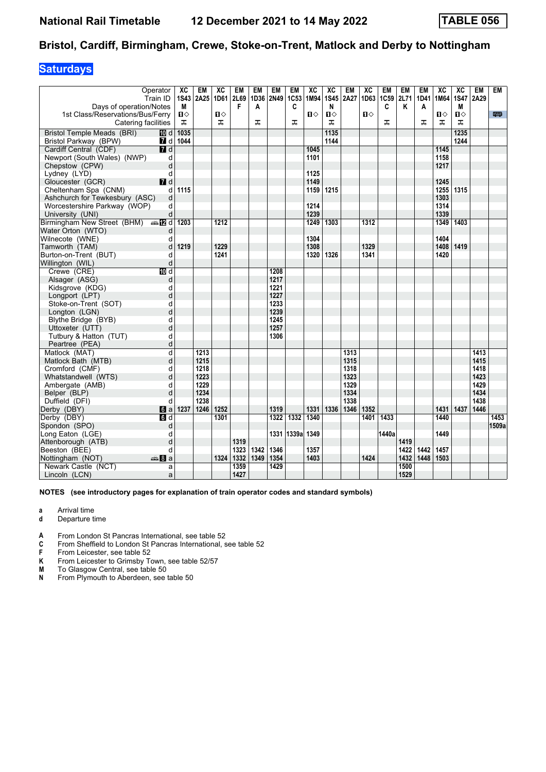## **Saturdays**

| Operator                                 |                  | XC              | EM   | XC             | EM   | <b>EM</b> | <b>EM</b> | EM    | XC   | XC             | EM   | XC           | EM    | <b>EM</b> | <b>EM</b>   | XC   | XC          | <b>EM</b> | <b>EM</b> |
|------------------------------------------|------------------|-----------------|------|----------------|------|-----------|-----------|-------|------|----------------|------|--------------|-------|-----------|-------------|------|-------------|-----------|-----------|
| Train ID                                 |                  | <b>1S43</b>     | 2A25 | 1D61           | 2L69 | 1D36      | 2N49      | 1C53  | 1M94 | <b>1S45</b>    | 2A27 | 1D63         | 1C59  | 2L71      | 1D41        | 1M64 | <b>1S47</b> | 2A29      |           |
| Days of operation/Notes                  |                  | M               |      |                | F    | A         |           | C     |      | N              |      |              | C     | Κ         | A           |      | М           |           |           |
| 1st Class/Reservations/Bus/Ferry         |                  | $\blacksquare$  |      | $\blacksquare$ |      |           |           |       | П⇔   | $\blacksquare$ |      | $\mathbf{u}$ |       |           |             | П⇔   | П⇔          |           | 粤         |
| Catering facilities                      |                  | ᠼ               |      | ᅚ              |      | ᠼ         |           | ᠼ     |      | ᠼ              |      |              | ᠼ     |           | ᠼ           | ᠼ    | ᅚ           |           |           |
| <b>Bristol Temple Meads (BRI)</b>        | III d            | 1035            |      |                |      |           |           |       |      | 1135           |      |              |       |           |             |      | 1235        |           |           |
| Bristol Parkway (BPW)                    |                  | <b>7</b> d 1044 |      |                |      |           |           |       |      | 1144           |      |              |       |           |             |      | 1244        |           |           |
| Cardiff Central (CDF)                    | $\overline{d}$   |                 |      |                |      |           |           |       | 1045 |                |      |              |       |           |             | 1145 |             |           |           |
| Newport (South Wales) (NWP)              | d                |                 |      |                |      |           |           |       | 1101 |                |      |              |       |           |             | 1158 |             |           |           |
| Chepstow (CPW)                           | d                |                 |      |                |      |           |           |       |      |                |      |              |       |           |             | 1217 |             |           |           |
| Lydney (LYD)                             | d                |                 |      |                |      |           |           |       | 1125 |                |      |              |       |           |             |      |             |           |           |
| Gloucester (GCR)                         | $I$ d            |                 |      |                |      |           |           |       | 1149 |                |      |              |       |           |             | 1245 |             |           |           |
| Cheltenham Spa (CNM)                     | d                | 1115            |      |                |      |           |           |       | 1159 | 1215           |      |              |       |           |             | 1255 | 1315        |           |           |
| Ashchurch for Tewkesbury (ASC)           | d                |                 |      |                |      |           |           |       |      |                |      |              |       |           |             | 1303 |             |           |           |
| Worcestershire Parkway (WOP)             | d                |                 |      |                |      |           |           |       | 1214 |                |      |              |       |           |             | 1314 |             |           |           |
| University (UNI)                         | d                |                 |      |                |      |           |           |       | 1239 |                |      |              |       |           |             | 1339 |             |           |           |
| Birmingham New Street (BHM) $\oplus$ M d |                  | 1203            |      | 1212           |      |           |           |       | 1249 | 1303           |      | 1312         |       |           |             | 1349 | 1403        |           |           |
| Water Orton (WTO)                        | d                |                 |      |                |      |           |           |       |      |                |      |              |       |           |             |      |             |           |           |
| Wilnecote (WNE)                          | d                |                 |      |                |      |           |           |       | 1304 |                |      |              |       |           |             | 1404 |             |           |           |
| Tamworth (TAM)                           | d                | 1219            |      | 1229           |      |           |           |       | 1308 |                |      | 1329         |       |           |             | 1408 | 1419        |           |           |
| Burton-on-Trent (BUT)                    | d                |                 |      | 1241           |      |           |           |       | 1320 | 1326           |      | 1341         |       |           |             | 1420 |             |           |           |
| Willington (WIL)                         | d                |                 |      |                |      |           |           |       |      |                |      |              |       |           |             |      |             |           |           |
| Crewe (CRE)                              | $\overline{M}$ d |                 |      |                |      |           | 1208      |       |      |                |      |              |       |           |             |      |             |           |           |
| Alsager (ASG)                            | d                |                 |      |                |      |           | 1217      |       |      |                |      |              |       |           |             |      |             |           |           |
| Kidsgrove (KDG)                          | d                |                 |      |                |      |           | 1221      |       |      |                |      |              |       |           |             |      |             |           |           |
| Longport (LPT)                           | d                |                 |      |                |      |           | 1227      |       |      |                |      |              |       |           |             |      |             |           |           |
| Stoke-on-Trent (SOT)                     | d                |                 |      |                |      |           | 1233      |       |      |                |      |              |       |           |             |      |             |           |           |
| Longton (LGN)                            | d                |                 |      |                |      |           | 1239      |       |      |                |      |              |       |           |             |      |             |           |           |
| Blythe Bridge (BYB)                      | d                |                 |      |                |      |           | 1245      |       |      |                |      |              |       |           |             |      |             |           |           |
| Uttoxeter (UTT)                          | d                |                 |      |                |      |           | 1257      |       |      |                |      |              |       |           |             |      |             |           |           |
| Tutbury & Hatton (TUT)                   | d                |                 |      |                |      |           | 1306      |       |      |                |      |              |       |           |             |      |             |           |           |
| Peartree (PEA)                           | d                |                 |      |                |      |           |           |       |      |                |      |              |       |           |             |      |             |           |           |
| Matlock (MAT)                            | d                |                 | 1213 |                |      |           |           |       |      |                | 1313 |              |       |           |             |      |             | 1413      |           |
| Matlock Bath (MTB)                       | d                |                 | 1215 |                |      |           |           |       |      |                | 1315 |              |       |           |             |      |             | 1415      |           |
| Cromford (CMF)                           | d                |                 | 1218 |                |      |           |           |       |      |                | 1318 |              |       |           |             |      |             | 1418      |           |
| Whatstandwell (WTS)                      | d                |                 | 1223 |                |      |           |           |       |      |                | 1323 |              |       |           |             |      |             | 1423      |           |
| Ambergate (AMB)                          | d                |                 | 1229 |                |      |           |           |       |      |                | 1329 |              |       |           |             |      |             | 1429      |           |
| Belper (BLP)                             | d                |                 | 1234 |                |      |           |           |       |      |                | 1334 |              |       |           |             |      |             | 1434      |           |
| Duffield (DFI)                           | d                |                 | 1238 |                |      |           |           |       |      |                | 1338 |              |       |           |             |      |             | 1438      |           |
| Derby (DBY)                              | 6a               | 1237            | 1246 | 1252           |      |           | 1319      |       | 1331 | 1336           | 1346 | 1352         |       |           |             | 1431 | 1437        | 1446      |           |
| Derby (DBY)                              | $\blacksquare$   |                 |      | 1301           |      |           | 1322      | 1332  | 1340 |                |      | 1401         | 1433  |           |             | 1440 |             |           | 1453      |
| Spondon (SPO)                            | d                |                 |      |                |      |           |           |       |      |                |      |              |       |           |             |      |             |           | 1509a     |
| Long Eaton (LGE)                         | d                |                 |      |                |      |           | 1331      | 1339a | 1349 |                |      |              | 1440a |           |             | 1449 |             |           |           |
| Attenborough (ATB)                       | d                |                 |      |                | 1319 |           |           |       |      |                |      |              |       | 1419      |             |      |             |           |           |
| Beeston (BEE)                            | d                |                 |      |                | 1323 | 1342      | 1346      |       | 1357 |                |      |              |       | 1422      | 1442        | 1457 |             |           |           |
| Nottingham (NOT)                         | ⊯‱ 8la           |                 |      | 1324           | 1332 | 1349      | 1354      |       | 1403 |                |      | 1424         |       | 1432      | 1448   1503 |      |             |           |           |
| Newark Castle (NCT)                      | a                |                 |      |                | 1359 |           | 1429      |       |      |                |      |              |       | 1500      |             |      |             |           |           |
| Lincoln (LCN)                            | a                |                 |      |                | 1427 |           |           |       |      |                |      |              |       | 1529      |             |      |             |           |           |

- **a** Arrival time
- **d** Departure time
- **4** From London St Pancras International, see table 52 **C** From Sheffield to London St Pancras International, s
- From Sheffield to London St Pancras International, see table 52
- **F** From Leicester, see table 52<br>**K** From Leicester to Grimsby T
- **K** From Leicester to Grimsby Town, see table 52/57<br>**M** To Glasgow Central, see table 50<br>**N** From Plymouth to Aberdeen, see table 50
- To Glasgow Central, see table 50
- From Plymouth to Aberdeen, see table 50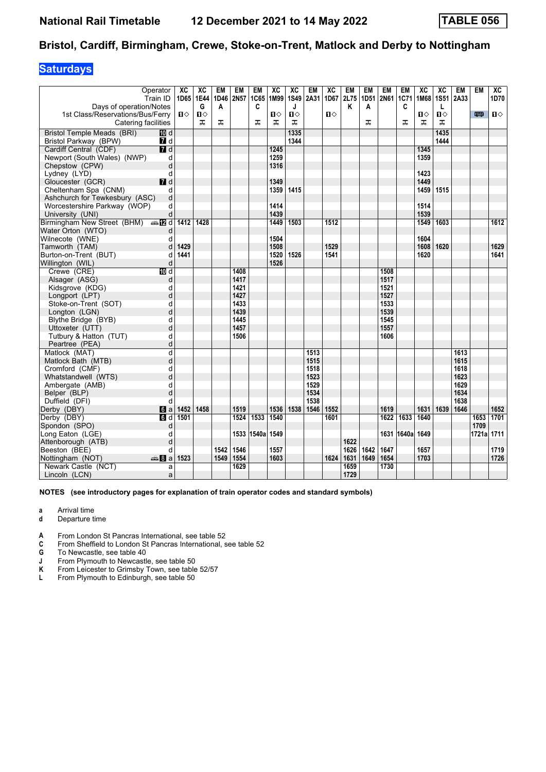## **Saturdays**

| Operator<br>Train ID<br>Days of operation/Notes<br>1st Class/Reservations/Bus/Ferry<br>Catering facilities | XC<br>$\mathbf{u}$ | XC<br>1D65 1E44<br>G<br>$\mathbf{u}$<br>풊 | <b>EM</b><br>1D46<br>A<br>ᅚ | EM<br>2N57 | EM<br>1C65<br>C<br>ᠼ | XC<br>1M99<br>$\mathbf{u}$<br>ᠼ | XC<br>1S49<br>J<br>$\mathbf{u}$<br>ᠼ | <b>EM</b><br>2A31 | XC<br>1D67<br>$\mathbf{u}$ | EM<br>2L75<br>K | <b>EM</b><br>A<br>ᅚ | <b>EM</b><br>1D51 2N61 | EM<br>1C71<br>C<br>ᠼ | XC<br>1M68<br>$\mathbf{n}$<br>ᠼ | XC<br>1S51 2A33<br>Г<br>$\mathbf{u}$<br>ᅚ | <b>EM</b> | <b>EM</b><br>罒 | ХC<br>1D70<br>$\mathbf{u}$ |
|------------------------------------------------------------------------------------------------------------|--------------------|-------------------------------------------|-----------------------------|------------|----------------------|---------------------------------|--------------------------------------|-------------------|----------------------------|-----------------|---------------------|------------------------|----------------------|---------------------------------|-------------------------------------------|-----------|----------------|----------------------------|
| <b>Bristol Temple Meads (BRI)</b><br><b>ID</b> d                                                           |                    |                                           |                             |            |                      |                                 | 1335                                 |                   |                            |                 |                     |                        |                      |                                 | 1435                                      |           |                |                            |
| Bristol Parkway (BPW)<br>7 d                                                                               |                    |                                           |                             |            |                      |                                 | 1344                                 |                   |                            |                 |                     |                        |                      |                                 | 1444                                      |           |                |                            |
| 7d<br>Cardiff Central (CDF)                                                                                |                    |                                           |                             |            |                      | 1245                            |                                      |                   |                            |                 |                     |                        |                      | 1345                            |                                           |           |                |                            |
| Newport (South Wales) (NWP)                                                                                | d                  |                                           |                             |            |                      | 1259                            |                                      |                   |                            |                 |                     |                        |                      | 1359                            |                                           |           |                |                            |
| Chepstow (CPW)                                                                                             | d                  |                                           |                             |            |                      | 1316                            |                                      |                   |                            |                 |                     |                        |                      |                                 |                                           |           |                |                            |
| Lydney (LYD)                                                                                               | d                  |                                           |                             |            |                      |                                 |                                      |                   |                            |                 |                     |                        |                      | 1423                            |                                           |           |                |                            |
| $I$ d<br>Gloucester (GCR)                                                                                  |                    |                                           |                             |            |                      | 1349                            |                                      |                   |                            |                 |                     |                        |                      | 1449                            |                                           |           |                |                            |
| Cheltenham Spa (CNM)                                                                                       | d                  |                                           |                             |            |                      | 1359                            | 1415                                 |                   |                            |                 |                     |                        |                      | 1459                            | 1515                                      |           |                |                            |
| Ashchurch for Tewkesbury (ASC)                                                                             | d                  |                                           |                             |            |                      |                                 |                                      |                   |                            |                 |                     |                        |                      |                                 |                                           |           |                |                            |
| Worcestershire Parkway (WOP)                                                                               | d                  |                                           |                             |            |                      | 1414                            |                                      |                   |                            |                 |                     |                        |                      | 1514                            |                                           |           |                |                            |
| University (UNI)                                                                                           | d                  |                                           |                             |            |                      | 1439                            |                                      |                   |                            |                 |                     |                        |                      | 1539                            |                                           |           |                |                            |
| Birmingham New Street (BHM) $\oplus$ <b>IZ</b> d                                                           | 1412               | 1428                                      |                             |            |                      | 1449                            | 1503                                 |                   | 1512                       |                 |                     |                        |                      | 1549                            | 1603                                      |           |                | 1612                       |
| Water Orton (WTO)                                                                                          | d                  |                                           |                             |            |                      |                                 |                                      |                   |                            |                 |                     |                        |                      |                                 |                                           |           |                |                            |
| Wilnecote (WNE)                                                                                            | d                  |                                           |                             |            |                      | 1504                            |                                      |                   |                            |                 |                     |                        |                      | 1604                            |                                           |           |                |                            |
| Tamworth (TAM)                                                                                             | 1429<br>d          |                                           |                             |            |                      | 1508                            |                                      |                   | 1529                       |                 |                     |                        |                      | 1608                            | 1620                                      |           |                | 1629                       |
| Burton-on-Trent (BUT)                                                                                      | 1441<br>d          |                                           |                             |            |                      | 1520                            | 1526                                 |                   | 1541                       |                 |                     |                        |                      | 1620                            |                                           |           |                | 1641                       |
| Willington (WIL)                                                                                           | d                  |                                           |                             |            |                      | 1526                            |                                      |                   |                            |                 |                     |                        |                      |                                 |                                           |           |                |                            |
| $\overline{M}$ d<br>Crewe (CRE)                                                                            |                    |                                           |                             | 1408       |                      |                                 |                                      |                   |                            |                 |                     | 1508                   |                      |                                 |                                           |           |                |                            |
| Alsager (ASG)                                                                                              | d                  |                                           |                             | 1417       |                      |                                 |                                      |                   |                            |                 |                     | 1517                   |                      |                                 |                                           |           |                |                            |
| Kidsgrove (KDG)                                                                                            | d                  |                                           |                             | 1421       |                      |                                 |                                      |                   |                            |                 |                     | 1521                   |                      |                                 |                                           |           |                |                            |
| Longport (LPT)                                                                                             | d                  |                                           |                             | 1427       |                      |                                 |                                      |                   |                            |                 |                     | 1527                   |                      |                                 |                                           |           |                |                            |
| Stoke-on-Trent (SOT)                                                                                       | d                  |                                           |                             | 1433       |                      |                                 |                                      |                   |                            |                 |                     | 1533                   |                      |                                 |                                           |           |                |                            |
| Longton (LGN)                                                                                              | d                  |                                           |                             | 1439       |                      |                                 |                                      |                   |                            |                 |                     | 1539                   |                      |                                 |                                           |           |                |                            |
| Blythe Bridge (BYB)                                                                                        | d                  |                                           |                             | 1445       |                      |                                 |                                      |                   |                            |                 |                     | 1545                   |                      |                                 |                                           |           |                |                            |
| Uttoxeter (UTT)                                                                                            | d                  |                                           |                             | 1457       |                      |                                 |                                      |                   |                            |                 |                     | 1557                   |                      |                                 |                                           |           |                |                            |
| Tutbury & Hatton (TUT)                                                                                     | d                  |                                           |                             | 1506       |                      |                                 |                                      |                   |                            |                 |                     | 1606                   |                      |                                 |                                           |           |                |                            |
| Peartree (PEA)                                                                                             | d                  |                                           |                             |            |                      |                                 |                                      |                   |                            |                 |                     |                        |                      |                                 |                                           |           |                |                            |
| Matlock (MAT)                                                                                              | d                  |                                           |                             |            |                      |                                 |                                      | 1513              |                            |                 |                     |                        |                      |                                 |                                           | 1613      |                |                            |
| Matlock Bath (MTB)                                                                                         | d                  |                                           |                             |            |                      |                                 |                                      | 1515              |                            |                 |                     |                        |                      |                                 |                                           | 1615      |                |                            |
| Cromford (CMF)                                                                                             | d                  |                                           |                             |            |                      |                                 |                                      | 1518              |                            |                 |                     |                        |                      |                                 |                                           | 1618      |                |                            |
| Whatstandwell (WTS)                                                                                        | d                  |                                           |                             |            |                      |                                 |                                      | 1523              |                            |                 |                     |                        |                      |                                 |                                           | 1623      |                |                            |
| Ambergate (AMB)                                                                                            | d                  |                                           |                             |            |                      |                                 |                                      | 1529              |                            |                 |                     |                        |                      |                                 |                                           | 1629      |                |                            |
| Belper (BLP)                                                                                               | d                  |                                           |                             |            |                      |                                 |                                      | 1534              |                            |                 |                     |                        |                      |                                 |                                           | 1634      |                |                            |
| Duffield (DFI)                                                                                             | d                  |                                           |                             |            |                      |                                 |                                      | 1538              |                            |                 |                     |                        |                      |                                 |                                           | 1638      |                |                            |
| Derby (DBY)<br>6a                                                                                          | 1452               | 1458                                      |                             | 1519       |                      | 1536                            | 1538                                 | 1546              | 1552                       |                 |                     | 1619                   |                      | 1631                            | 1639                                      | 1646      |                | 1652                       |
| Derby (DBY)<br>d                                                                                           | 1501               |                                           |                             | 1524       | 1533                 | 1540                            |                                      |                   | 1601                       |                 |                     | 1622                   | 1633                 | 1640                            |                                           |           | 1653           | 1701                       |
| Spondon (SPO)                                                                                              | d                  |                                           |                             |            |                      |                                 |                                      |                   |                            |                 |                     |                        |                      |                                 |                                           |           | 1709           |                            |
| Long Eaton (LGE)                                                                                           | d                  |                                           |                             | 1533       | 1540a 1549           |                                 |                                      |                   |                            |                 |                     |                        | 1631 1640al          | 1649                            |                                           |           | 1721a 1711     |                            |
| Attenborough (ATB)                                                                                         | d                  |                                           |                             |            |                      |                                 |                                      |                   |                            | 1622            |                     |                        |                      |                                 |                                           |           |                |                            |
| Beeston (BEE)                                                                                              | d                  |                                           | 1542                        | 1546       |                      | 1557                            |                                      |                   |                            | 1626            | 1642                | 1647                   |                      | 1657                            |                                           |           |                | 1719                       |
| Nottingham (NOT)<br>den 8 a                                                                                | 1523               |                                           | 1549                        | 1554       |                      | 1603                            |                                      |                   | 1624                       | 1631            | 1649                | 1654                   |                      | 1703                            |                                           |           |                | 1726                       |
| Newark Castle (NCT)                                                                                        | a                  |                                           |                             | 1629       |                      |                                 |                                      |                   |                            | 1659            |                     | 1730                   |                      |                                 |                                           |           |                |                            |
| Lincoln (LCN)                                                                                              | a                  |                                           |                             |            |                      |                                 |                                      |                   |                            | 1729            |                     |                        |                      |                                 |                                           |           |                |                            |

- **a** Arrival time
- **d** Departure time
- **4** From London St Pancras International, see table 52 **C** From Sheffield to London St Pancras International, s
- **C** From Sheffield to London St Pancras International, see table 52<br> **G** To Newcastle, see table 40<br> **J** From Plymouth to Newcastle, see table 50
- To Newcastle, see table 40
- **-** From Plymouth to Newcastle, see table 50<br>**K** From Leicester to Grimsby Town, see table<br>**L** From Plymouth to Edinburgh, see table 50
- **From Leicester to Grimsby Town, see table 52/57**
- From Plymouth to Edinburgh, see table 50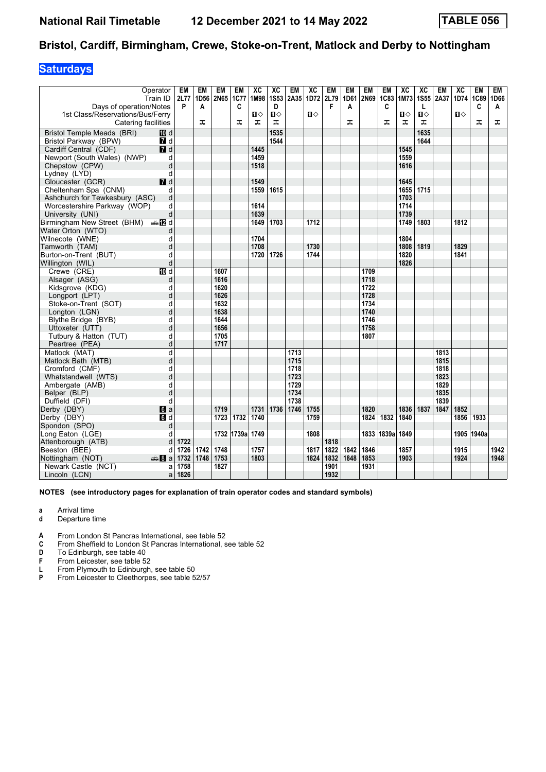## **Saturdays**

| Days of operation/Notes                  | Operator<br>Train ID | EM<br>2L77<br>P | EM<br>1D56<br>A | EM<br>2N65 | EM<br><b>1C77</b><br>C | XC<br>1M98 | XC<br><b>1S53</b><br>D | EM<br>2A35 | XC<br>1D72 | EM<br>2L79<br>F | EM<br>1D61<br>A | EM<br>2N69 | EM<br>1C83<br>C | XC<br>1M73 | XC<br>1S55 2A37<br>L | EM   | XC<br>1D74 | <b>EM</b><br>1C89<br>C | EM<br>1D66<br>A |
|------------------------------------------|----------------------|-----------------|-----------------|------------|------------------------|------------|------------------------|------------|------------|-----------------|-----------------|------------|-----------------|------------|----------------------|------|------------|------------------------|-----------------|
| 1st Class/Reservations/Bus/Ferry         |                      |                 |                 |            |                        | ்ப         | Ⅱ◇                     |            | 0          |                 |                 |            |                 | ்ப         | ப⇔                   |      | ்ப         |                        |                 |
| Catering facilities                      |                      |                 | ᅚ               |            | ᅚ                      | ᠼ          | ᠼ                      |            |            |                 | ᅚ               |            | ᠼ               | ᠼ          | ᠼ                    |      |            | ᠼ                      | ᅚ               |
| Bristol Temple Meads (BRI)               | 10 d                 |                 |                 |            |                        |            | 1535                   |            |            |                 |                 |            |                 |            | 1635                 |      |            |                        |                 |
| Bristol Parkway (BPW)                    | <b>7</b> d           |                 |                 |            |                        |            | 1544                   |            |            |                 |                 |            |                 |            | 1644                 |      |            |                        |                 |
| Cardiff Central (CDF)                    | 7d                   |                 |                 |            |                        | 1445       |                        |            |            |                 |                 |            |                 | 1545       |                      |      |            |                        |                 |
| Newport (South Wales) (NWP)              | d                    |                 |                 |            |                        | 1459       |                        |            |            |                 |                 |            |                 | 1559       |                      |      |            |                        |                 |
| Chepstow (CPW)                           | d                    |                 |                 |            |                        | 1518       |                        |            |            |                 |                 |            |                 | 1616       |                      |      |            |                        |                 |
| Lydney (LYD)                             | d                    |                 |                 |            |                        |            |                        |            |            |                 |                 |            |                 |            |                      |      |            |                        |                 |
| Gloucester (GCR)                         | $I$ d                |                 |                 |            |                        | 1549       |                        |            |            |                 |                 |            |                 | 1645       |                      |      |            |                        |                 |
| Cheltenham Spa (CNM)                     | d                    |                 |                 |            |                        | 1559       | 1615                   |            |            |                 |                 |            |                 | 1655       | 1715                 |      |            |                        |                 |
| Ashchurch for Tewkesbury (ASC)           | d                    |                 |                 |            |                        |            |                        |            |            |                 |                 |            |                 | 1703       |                      |      |            |                        |                 |
| Worcestershire Parkway (WOP)             | d                    |                 |                 |            |                        | 1614       |                        |            |            |                 |                 |            |                 | 1714       |                      |      |            |                        |                 |
| University (UNI)                         | d                    |                 |                 |            |                        | 1639       |                        |            |            |                 |                 |            |                 | 1739       |                      |      |            |                        |                 |
| Birmingham New Street (BHM) $\oplus$ 2 d |                      |                 |                 |            |                        | 1649       | 1703                   |            | 1712       |                 |                 |            |                 | 1749       | 1803                 |      | 1812       |                        |                 |
| Water Orton (WTO)                        | d                    |                 |                 |            |                        |            |                        |            |            |                 |                 |            |                 |            |                      |      |            |                        |                 |
| Wilnecote (WNE)                          | d                    |                 |                 |            |                        | 1704       |                        |            |            |                 |                 |            |                 | 1804       |                      |      |            |                        |                 |
| Tamworth (TAM)                           | d                    |                 |                 |            |                        | 1708       |                        |            | 1730       |                 |                 |            |                 | 1808       | 1819                 |      | 1829       |                        |                 |
| Burton-on-Trent (BUT)                    | d                    |                 |                 |            |                        | 1720       | 1726                   |            | 1744       |                 |                 |            |                 | 1820       |                      |      | 1841       |                        |                 |
| Willington (WIL)                         | d                    |                 |                 |            |                        |            |                        |            |            |                 |                 |            |                 | 1826       |                      |      |            |                        |                 |
| Crewe (CRE)                              | $\overline{10}$ d    |                 |                 | 1607       |                        |            |                        |            |            |                 |                 | 1709       |                 |            |                      |      |            |                        |                 |
| Alsager (ASG)                            | d                    |                 |                 | 1616       |                        |            |                        |            |            |                 |                 | 1718       |                 |            |                      |      |            |                        |                 |
| Kidsgrove (KDG)                          | d                    |                 |                 | 1620       |                        |            |                        |            |            |                 |                 | 1722       |                 |            |                      |      |            |                        |                 |
| Longport (LPT)                           | d                    |                 |                 | 1626       |                        |            |                        |            |            |                 |                 | 1728       |                 |            |                      |      |            |                        |                 |
| Stoke-on-Trent (SOT)                     | d                    |                 |                 | 1632       |                        |            |                        |            |            |                 |                 | 1734       |                 |            |                      |      |            |                        |                 |
| Longton (LGN)                            | d                    |                 |                 | 1638       |                        |            |                        |            |            |                 |                 | 1740       |                 |            |                      |      |            |                        |                 |
| Blythe Bridge (BYB)                      | d                    |                 |                 | 1644       |                        |            |                        |            |            |                 |                 | 1746       |                 |            |                      |      |            |                        |                 |
| Uttoxeter (UTT)                          | d                    |                 |                 | 1656       |                        |            |                        |            |            |                 |                 | 1758       |                 |            |                      |      |            |                        |                 |
| Tutbury & Hatton (TUT)                   | d                    |                 |                 | 1705       |                        |            |                        |            |            |                 |                 | 1807       |                 |            |                      |      |            |                        |                 |
| Peartree (PEA)                           | d                    |                 |                 | 1717       |                        |            |                        |            |            |                 |                 |            |                 |            |                      |      |            |                        |                 |
| Matlock (MAT)                            | d                    |                 |                 |            |                        |            |                        | 1713       |            |                 |                 |            |                 |            |                      | 1813 |            |                        |                 |
| Matlock Bath (MTB)                       | d                    |                 |                 |            |                        |            |                        | 1715       |            |                 |                 |            |                 |            |                      | 1815 |            |                        |                 |
| Cromford (CMF)                           | d                    |                 |                 |            |                        |            |                        | 1718       |            |                 |                 |            |                 |            |                      | 1818 |            |                        |                 |
| Whatstandwell (WTS)                      | d                    |                 |                 |            |                        |            |                        | 1723       |            |                 |                 |            |                 |            |                      | 1823 |            |                        |                 |
| Ambergate (AMB)                          | d                    |                 |                 |            |                        |            |                        | 1729       |            |                 |                 |            |                 |            |                      | 1829 |            |                        |                 |
| Belper (BLP)                             | d                    |                 |                 |            |                        |            |                        | 1734       |            |                 |                 |            |                 |            |                      | 1835 |            |                        |                 |
| Duffield (DFI)                           | d                    |                 |                 |            |                        |            |                        | 1738       |            |                 |                 |            |                 |            |                      | 1839 |            |                        |                 |
| Derby (DBY)                              | $\mathbf{d}$ a       |                 |                 | 1719       |                        | 1731       | 1736                   | 1746       | 1755       |                 |                 | 1820       |                 | 1836       | 1837                 | 1847 | 1852       |                        |                 |
| Derby (DBY)                              | $\overline{d}$       |                 |                 | 1723       | 1732                   | 1740       |                        |            | 1759       |                 |                 | 1824       | 1832            | 1840       |                      |      | 1856       | 1933                   |                 |
| Spondon (SPO)                            | d                    |                 |                 |            |                        |            |                        |            |            |                 |                 |            |                 |            |                      |      |            |                        |                 |
| Long Eaton (LGE)                         | d                    |                 |                 |            | 1732 1739al 1749       |            |                        |            | 1808       |                 |                 |            | 1833 1839a      | 1849       |                      |      | 1905       | 1940a                  |                 |
| Attenborough (ATB)                       | d                    | 1722            |                 |            |                        |            |                        |            |            | 1818            |                 |            |                 |            |                      |      |            |                        |                 |
| Beeston (BEE)                            | d                    | 1726            | 1742            | 1748       |                        | 1757       |                        |            | 1817       | 1822            | 1842            | 1846       |                 | 1857       |                      |      | 1915       |                        | 1942            |
| Nottingham (NOT)                         | anna 8∎an            | 1732            | 1748            | 1753       |                        | 1803       |                        |            | 1824       | 1832            | 1848            | 1853       |                 | 1903       |                      |      | 1924       |                        | 1948            |
| Newark Castle (NCT)                      | a                    | 1758            |                 | 1827       |                        |            |                        |            |            | 1901            |                 | 1931       |                 |            |                      |      |            |                        |                 |
| Lincoln (LCN)                            | a                    | 1826            |                 |            |                        |            |                        |            |            | 1932            |                 |            |                 |            |                      |      |            |                        |                 |

- **a** Arrival time
- **d** Departure time
- **4** From London St Pancras International, see table 52 **C** From Sheffield to London St Pancras International.
- From Sheffield to London St Pancras International, see table 52
- **D** To Edinburgh, see table 40<br>**F** From Leicester, see table 52
- **F** From Leicester, see table 52<br>**L** From Plymouth to Edinburgh
- **1** From Plymouth to Edinburgh, see table 50<br>**P** From Leicester to Cleethorpes, see table 5
- **Premission Leicester to Cleethorpes, see table 52/57**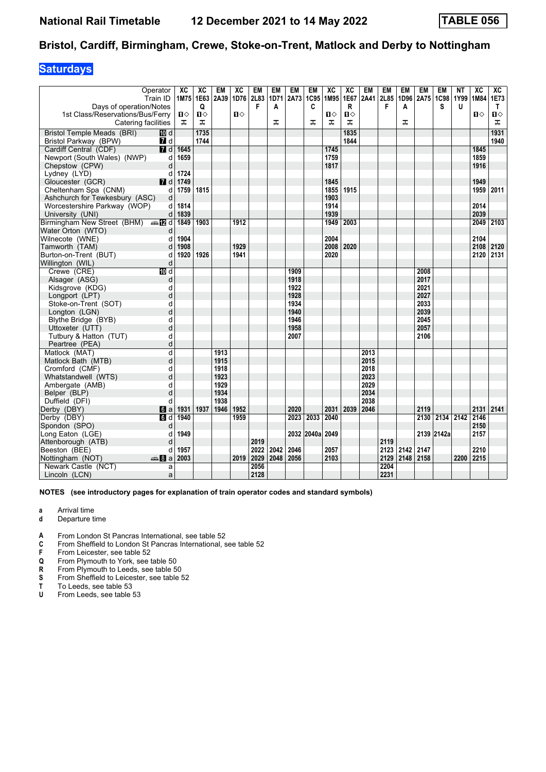## **Saturdays**

|                                          | Operator<br>Train ID | XC<br>1M75 1E63 | XC   | EM<br>2A39 | XC<br>1D76 2L83 | EM   | <b>EM</b><br>1D71 | EM<br>2A73 | <b>EM</b><br>1C95 | XC<br>1M95 | XC<br>1E67   | <b>EM</b><br>2A41 | EM<br>2L85 | EM        | <b>EM</b><br>1D96 2A75 | <b>EM</b><br>1C98 | <b>NT</b><br>1Y99 | XC<br>1M84 | XC<br>1E73   |
|------------------------------------------|----------------------|-----------------|------|------------|-----------------|------|-------------------|------------|-------------------|------------|--------------|-------------------|------------|-----------|------------------------|-------------------|-------------------|------------|--------------|
| Days of operation/Notes                  |                      |                 | Q    |            |                 | F    | A                 |            | C                 |            | $\mathsf{R}$ |                   | F          | A         |                        | S                 | U                 |            | T.           |
| 1st Class/Reservations/Bus/Ferry         |                      | $\mathbf{u}$    | Ⅱ♦   |            | $\mathbf{u}$    |      |                   |            |                   | п⇔         | Ⅱ◇           |                   |            |           |                        |                   |                   | 0          | $\mathbf{u}$ |
| Catering facilities                      |                      | ᠼ               | ᠼ    |            |                 |      | ᠼ                 |            | ᠼ                 | ᠼ          | ᠼ            |                   |            | ᠼ         |                        |                   |                   |            | ᠼ            |
| <b>Bristol Temple Meads (BRI)</b>        | <b>ID</b> d          |                 | 1735 |            |                 |      |                   |            |                   |            | 1835         |                   |            |           |                        |                   |                   |            | 1931         |
| Bristol Parkway (BPW)                    | 7d                   |                 | 1744 |            |                 |      |                   |            |                   |            | 1844         |                   |            |           |                        |                   |                   |            | 1940         |
| Cardiff Central (CDF)                    | $\overline{7}$ d     | 1645            |      |            |                 |      |                   |            |                   | 1745       |              |                   |            |           |                        |                   |                   | 1845       |              |
| Newport (South Wales) (NWP)              | d                    | 1659            |      |            |                 |      |                   |            |                   | 1759       |              |                   |            |           |                        |                   |                   | 1859       |              |
| Chepstow (CPW)                           | d                    |                 |      |            |                 |      |                   |            |                   | 1817       |              |                   |            |           |                        |                   |                   | 1916       |              |
| Lydney (LYD)                             | d                    | 1724            |      |            |                 |      |                   |            |                   |            |              |                   |            |           |                        |                   |                   |            |              |
| Gloucester (GCR)                         | <b>7</b> d           | 1749            |      |            |                 |      |                   |            |                   | 1845       |              |                   |            |           |                        |                   |                   | 1949       |              |
| Cheltenham Spa (CNM)                     | d                    | 1759            | 1815 |            |                 |      |                   |            |                   | 1855       | 1915         |                   |            |           |                        |                   |                   | 1959       | 2011         |
| Ashchurch for Tewkesbury (ASC)           | d                    |                 |      |            |                 |      |                   |            |                   | 1903       |              |                   |            |           |                        |                   |                   |            |              |
| Worcestershire Parkway (WOP)             | d                    | 1814            |      |            |                 |      |                   |            |                   | 1914       |              |                   |            |           |                        |                   |                   | 2014       |              |
| University (UNI)                         | d                    | 1839            |      |            |                 |      |                   |            |                   | 1939       |              |                   |            |           |                        |                   |                   | 2039       |              |
| Birmingham New Street (BHM) $\oplus$ M d |                      | 1849            | 1903 |            | 1912            |      |                   |            |                   | 1949       | 2003         |                   |            |           |                        |                   |                   | 2049       | 2103         |
| Water Orton (WTO)                        | d                    |                 |      |            |                 |      |                   |            |                   |            |              |                   |            |           |                        |                   |                   |            |              |
| Wilnecote (WNE)                          | d                    | 1904            |      |            |                 |      |                   |            |                   | 2004       |              |                   |            |           |                        |                   |                   | 2104       |              |
| Tamworth (TAM)                           | d                    | 1908            |      |            | 1929            |      |                   |            |                   | 2008       | 2020         |                   |            |           |                        |                   |                   | 2108       | 2120         |
| Burton-on-Trent (BUT)                    | d                    | 1920            | 1926 |            | 1941            |      |                   |            |                   | 2020       |              |                   |            |           |                        |                   |                   | 2120 2131  |              |
| Willington (WIL)                         | d                    |                 |      |            |                 |      |                   |            |                   |            |              |                   |            |           |                        |                   |                   |            |              |
| Crewe (CRE)                              | $\overline{M}$ d     |                 |      |            |                 |      |                   | 1909       |                   |            |              |                   |            |           | 2008                   |                   |                   |            |              |
| Alsager (ASG)                            | d                    |                 |      |            |                 |      |                   | 1918       |                   |            |              |                   |            |           | 2017                   |                   |                   |            |              |
| Kidsgrove (KDG)                          | d                    |                 |      |            |                 |      |                   | 1922       |                   |            |              |                   |            |           | 2021                   |                   |                   |            |              |
| Longport (LPT)                           | d                    |                 |      |            |                 |      |                   | 1928       |                   |            |              |                   |            |           | 2027                   |                   |                   |            |              |
| Stoke-on-Trent (SOT)                     | d                    |                 |      |            |                 |      |                   | 1934       |                   |            |              |                   |            |           | 2033                   |                   |                   |            |              |
| Longton (LGN)                            | d                    |                 |      |            |                 |      |                   | 1940       |                   |            |              |                   |            |           | 2039                   |                   |                   |            |              |
| Blythe Bridge (BYB)                      | d                    |                 |      |            |                 |      |                   | 1946       |                   |            |              |                   |            |           | 2045                   |                   |                   |            |              |
| Uttoxeter (UTT)                          | d                    |                 |      |            |                 |      |                   | 1958       |                   |            |              |                   |            |           | 2057                   |                   |                   |            |              |
| Tutbury & Hatton (TUT)                   | d                    |                 |      |            |                 |      |                   | 2007       |                   |            |              |                   |            |           | 2106                   |                   |                   |            |              |
| Peartree (PEA)                           | d                    |                 |      |            |                 |      |                   |            |                   |            |              |                   |            |           |                        |                   |                   |            |              |
| Matlock (MAT)                            | d                    |                 |      | 1913       |                 |      |                   |            |                   |            |              | 2013              |            |           |                        |                   |                   |            |              |
| Matlock Bath (MTB)                       | d                    |                 |      | 1915       |                 |      |                   |            |                   |            |              | 2015              |            |           |                        |                   |                   |            |              |
| Cromford (CMF)                           | d                    |                 |      | 1918       |                 |      |                   |            |                   |            |              | 2018              |            |           |                        |                   |                   |            |              |
| Whatstandwell (WTS)                      | d                    |                 |      | 1923       |                 |      |                   |            |                   |            |              | 2023              |            |           |                        |                   |                   |            |              |
| Ambergate (AMB)                          | d                    |                 |      | 1929       |                 |      |                   |            |                   |            |              | 2029              |            |           |                        |                   |                   |            |              |
| Belper (BLP)                             | d                    |                 |      | 1934       |                 |      |                   |            |                   |            |              | 2034              |            |           |                        |                   |                   |            |              |
| Duffield (DFI)                           | d                    |                 |      | 1938       |                 |      |                   |            |                   |            |              | 2038              |            |           |                        |                   |                   |            |              |
| Derby (DBY)                              | a                    | 1931            | 1937 | 1946       | 1952            |      |                   | 2020       |                   | 2031       | 2039         | 2046              |            |           | 2119                   |                   |                   | 2131       | 2141         |
| Derby (DBY)                              | d                    | 1940            |      |            | 1959            |      |                   | 2023       | 2033              | 2040       |              |                   |            |           | 2130                   | 2134 2142 2146    |                   |            |              |
| Spondon (SPO)                            | d                    |                 |      |            |                 |      |                   |            |                   |            |              |                   |            |           |                        |                   |                   | 2150       |              |
| Long Eaton (LGE)                         | d                    | 1949            |      |            |                 |      |                   |            | 2032 2040a        | 2049       |              |                   |            |           |                        | 2139 2142a        |                   | 2157       |              |
| Attenborough (ATB)                       | d                    |                 |      |            |                 | 2019 |                   |            |                   |            |              |                   | 2119       |           |                        |                   |                   |            |              |
| Beeston (BEE)                            | d                    | 1957            |      |            |                 | 2022 | 2042              | 2046       |                   | 2057       |              |                   | 2123       | 2142      | 2147                   |                   |                   | 2210       |              |
| Nottingham (NOT)                         | anna 8∎an            | 2003            |      |            | 2019            | 2029 | 2048              | 2056       |                   | 2103       |              |                   | 2129       | 2148 2158 |                        |                   | 2200              | $2215$     |              |
| Newark Castle (NCT)                      | a                    |                 |      |            |                 | 2056 |                   |            |                   |            |              |                   | 2204       |           |                        |                   |                   |            |              |
| Lincoln (LCN)                            | a                    |                 |      |            |                 | 2128 |                   |            |                   |            |              |                   | 2231       |           |                        |                   |                   |            |              |

- **a** Arrival time
- **d** Departure time
- **4** From London St Pancras International, see table 52 **C** From Sheffield to London St Pancras International, s
- From Sheffield to London St Pancras International, see table 52
- **F** From Leicester, see table 52<br>**Q** From Plymouth to York, see
- **4** From Plymouth to York, see table 50<br>**R** From Plymouth to Leeds, see table 50
- **R** From Plymouth to Leeds, see table 50<br>**S** From Sheffield to Leicester, see table 50
- **6** From Sheffield to Leicester, see table 52<br>**T** To Leeds, see table 53
- **T** To Leeds, see table 53<br>**U** From Leeds, see table
- From Leeds, see table 53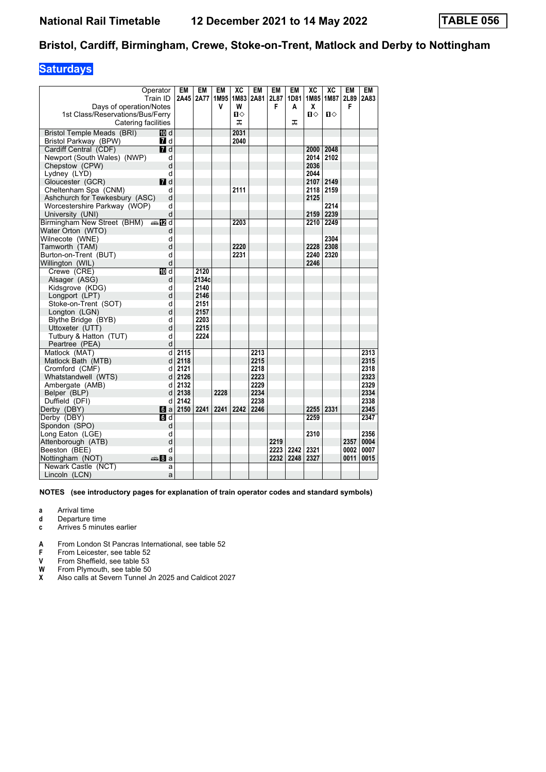## **Saturdays**

| Operator                         | Train ID                  | EM   | <b>EM</b><br>2A45   2A77 | <b>EM</b><br>1M95 | XC<br>1M83 | EM<br>2A81 | EM<br>2L87 | EM<br>1D81 | XC<br>1M85   | XC<br>1M87 | EM<br>2L89 | <b>EM</b><br>2A83 |
|----------------------------------|---------------------------|------|--------------------------|-------------------|------------|------------|------------|------------|--------------|------------|------------|-------------------|
| Days of operation/Notes          |                           |      |                          | v                 | W          |            | F          | A          | x            |            | F          |                   |
| 1st Class/Reservations/Bus/Ferry |                           |      |                          |                   | п          |            |            |            | $\mathbf{u}$ | Ⅱ♦         |            |                   |
| Catering facilities              |                           |      |                          |                   | ᠼ          |            |            | ᠼ          |              |            |            |                   |
| Bristol Temple Meads (BRI)       | 100 d                     |      |                          |                   | 2031       |            |            |            |              |            |            |                   |
| Bristol Parkway (BPW)            | 7 d                       |      |                          |                   | 2040       |            |            |            |              |            |            |                   |
| Cardiff Central (CDF)            | $\blacksquare$            |      |                          |                   |            |            |            |            | 2000         | 2048       |            |                   |
| Newport (South Wales) (NWP)      | d                         |      |                          |                   |            |            |            |            | 2014         | 2102       |            |                   |
| Chepstow (CPW)                   | d                         |      |                          |                   |            |            |            |            | 2036         |            |            |                   |
| Lydney (LYD)                     | d                         |      |                          |                   |            |            |            |            | 2044         |            |            |                   |
| Gloucester (GCR)                 | <b>7</b> d                |      |                          |                   |            |            |            |            | 2107         | 2149       |            |                   |
| Cheltenham Spa (CNM)             | d                         |      |                          |                   | 2111       |            |            |            | 2118         | 2159       |            |                   |
| Ashchurch for Tewkesbury (ASC)   | d                         |      |                          |                   |            |            |            |            | 2125         |            |            |                   |
| Worcestershire Parkway (WOP)     | d                         |      |                          |                   |            |            |            |            |              | 2214       |            |                   |
| University (UNI)                 | d                         |      |                          |                   |            |            |            |            | 2159         | 2239       |            |                   |
| Birmingham New Street (BHM)      | $\bigoplus$ $\bigoplus$ d |      |                          |                   | 2203       |            |            |            | 2210         | 2249       |            |                   |
| Water Orton (WTO)                | d                         |      |                          |                   |            |            |            |            |              |            |            |                   |
| Wilnecote (WNE)                  | d                         |      |                          |                   |            |            |            |            |              | 2304       |            |                   |
| Tamworth (TAM)                   | d                         |      |                          |                   | 2220       |            |            |            | 2228         | 2308       |            |                   |
| Burton-on-Trent (BUT)            | d                         |      |                          |                   | 2231       |            |            |            | 2240         | 2320       |            |                   |
| Willington (WIL)                 | d                         |      |                          |                   |            |            |            |            | 2246         |            |            |                   |
| Crewe (CRE)                      | <b>IO</b> d               |      | 2120                     |                   |            |            |            |            |              |            |            |                   |
| Alsager (ASG)                    | d                         |      | 2134c                    |                   |            |            |            |            |              |            |            |                   |
| Kidsgrove (KDG)                  | d                         |      | 2140                     |                   |            |            |            |            |              |            |            |                   |
| Longport (LPT)                   | d                         |      | 2146                     |                   |            |            |            |            |              |            |            |                   |
| Stoke-on-Trent (SOT)             | d                         |      | 2151                     |                   |            |            |            |            |              |            |            |                   |
| Longton (LGN)                    | d                         |      | 2157                     |                   |            |            |            |            |              |            |            |                   |
| Blythe Bridge (BYB)              | d                         |      | 2203                     |                   |            |            |            |            |              |            |            |                   |
| Uttoxeter (UTT)                  | d                         |      | 2215                     |                   |            |            |            |            |              |            |            |                   |
| Tutbury & Hatton (TUT)           | d                         |      | 2224                     |                   |            |            |            |            |              |            |            |                   |
| Peartree (PEA)                   | d                         |      |                          |                   |            |            |            |            |              |            |            |                   |
| Matlock (MAT)                    | d                         | 2115 |                          |                   |            | 2213       |            |            |              |            |            | 2313              |
| Matlock Bath (MTB)               | d                         | 2118 |                          |                   |            | 2215       |            |            |              |            |            | 2315              |
| Cromford (CMF)                   | d                         | 2121 |                          |                   |            | 2218       |            |            |              |            |            | 2318              |
| Whatstandwell (WTS)              | d                         | 2126 |                          |                   |            | 2223       |            |            |              |            |            | 2323              |
| Ambergate (AMB)                  | d                         | 2132 |                          |                   |            | 2229       |            |            |              |            |            | 2329              |
| Belper (BLP)                     | d                         | 2138 |                          | 2228              |            | 2234       |            |            |              |            |            | 2334              |
| Duffield (DFI)                   | d                         | 2142 |                          |                   |            | 2238       |            |            |              |            |            | 2338              |
| Derby (DBY)                      | $  \cdot  $ a             |      | 2150 2241                | 2241              | 2242       | 2246       |            |            | 2255         | 2331       |            | 2345              |
| Derby (DBY)                      | d                         |      |                          |                   |            |            |            |            | 2259         |            |            | 2347              |
| Spondon (SPO)                    | d                         |      |                          |                   |            |            |            |            |              |            |            |                   |
| Long Eaton (LGE)                 | d                         |      |                          |                   |            |            |            |            | 2310         |            |            | 2356              |
| Attenborough (ATB)               | d                         |      |                          |                   |            |            | 2219       |            |              |            | 2357       | 0004              |
| Beeston (BEE)                    | d                         |      |                          |                   |            |            | 2223       | 2242       | 2321         |            | 0002       | 0007              |
| Nottingham (NOT)                 | den 8 a                   |      |                          |                   |            |            | 2232       | 2248       | 2327         |            | 0011       | 0015              |
| Newark Castle (NCT)              | a                         |      |                          |                   |            |            |            |            |              |            |            |                   |
| Lincoln (LCN)                    | a                         |      |                          |                   |            |            |            |            |              |            |            |                   |

- **a** Arrival time
- **d** Departure time<br>**c** Arrives 5 minute
- **c** Arrives 5 minutes earlier
- **A** From London St Pancras International, see table 52
- **F** From Leicester, see table 52<br>**V** From Sheffield, see table 53
- 
- **9** From Sheffield, see table 53<br>**99** From Plymouth, see table 50<br>**2** Also calls at Severn Tunnel, **From Plymouth, see table 50**
- Also calls at Severn Tunnel Jn 2025 and Caldicot 2027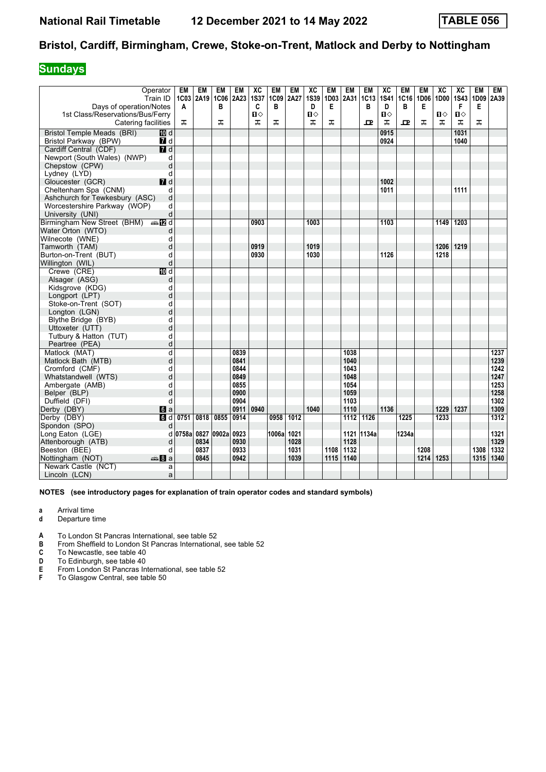## **Sundays**

|                                          | Operator<br>Train ID             | EM<br>1C <sub>03</sub> | EM<br>2A <sub>19</sub> | EM<br>1C06 2A23 | EM           | XC<br><b>1S37</b> | <b>EM</b><br>1C09 | <b>EM</b><br>2A27 | XC<br><b>1S39</b> | <b>EM</b><br>1D03 | EM<br>2A31       | EM<br>1C13 | XC<br><b>1S41</b> | EM<br>1C16 | EM<br>1D06 | XC<br>1D00 | XC<br><b>1S43</b> | EM<br>1D09 | EM<br>2A39   |
|------------------------------------------|----------------------------------|------------------------|------------------------|-----------------|--------------|-------------------|-------------------|-------------------|-------------------|-------------------|------------------|------------|-------------------|------------|------------|------------|-------------------|------------|--------------|
| Days of operation/Notes                  |                                  | A                      |                        | в               |              | C                 | B                 |                   | D                 | Е                 |                  | в          | D                 | B          | Е          |            | F                 | Е          |              |
| 1st Class/Reservations/Bus/Ferry         |                                  |                        |                        |                 |              | П⇔                |                   |                   | $\mathbf{u}$      |                   |                  |            | п⇔                |            |            | П⇔         | Ⅱ◇                |            |              |
| Catering facilities                      |                                  | ᠼ                      |                        | ᠼ               |              | ᠼ                 | ᠼ                 |                   | ᠼ                 | ᠼ                 |                  | ᇁ          | ᠼ                 | ᇁ          | ᠼ          | ᠼ          | ᠼ                 | ᅚ          |              |
| Bristol Temple Meads (BRI)               | III d                            |                        |                        |                 |              |                   |                   |                   |                   |                   |                  |            | 0915              |            |            |            | 1031              |            |              |
| Bristol Parkway (BPW)                    | $I$ d                            |                        |                        |                 |              |                   |                   |                   |                   |                   |                  |            | 0924              |            |            |            | 1040              |            |              |
| Cardiff Central (CDF)                    | $\overline{d}$                   |                        |                        |                 |              |                   |                   |                   |                   |                   |                  |            |                   |            |            |            |                   |            |              |
| Newport (South Wales) (NWP)              | d                                |                        |                        |                 |              |                   |                   |                   |                   |                   |                  |            |                   |            |            |            |                   |            |              |
| Chepstow (CPW)                           | d                                |                        |                        |                 |              |                   |                   |                   |                   |                   |                  |            |                   |            |            |            |                   |            |              |
| Lydney (LYD)                             | d                                |                        |                        |                 |              |                   |                   |                   |                   |                   |                  |            |                   |            |            |            |                   |            |              |
| Gloucester (GCR)                         | $I$ d                            |                        |                        |                 |              |                   |                   |                   |                   |                   |                  |            | 1002              |            |            |            |                   |            |              |
| Cheltenham Spa (CNM)                     | d                                |                        |                        |                 |              |                   |                   |                   |                   |                   |                  |            | 1011              |            |            |            | 1111              |            |              |
| Ashchurch for Tewkesbury (ASC)           | d                                |                        |                        |                 |              |                   |                   |                   |                   |                   |                  |            |                   |            |            |            |                   |            |              |
| Worcestershire Parkway (WOP)             | d                                |                        |                        |                 |              |                   |                   |                   |                   |                   |                  |            |                   |            |            |            |                   |            |              |
| University (UNI)                         | d                                |                        |                        |                 |              |                   |                   |                   |                   |                   |                  |            |                   |            |            |            |                   |            |              |
| Birmingham New Street (BHM) $\oplus$ 2 d |                                  |                        |                        |                 |              | 0903              |                   |                   | 1003              |                   |                  |            | 1103              |            |            | 1149       | 1203              |            |              |
| Water Orton (WTO)                        | d                                |                        |                        |                 |              |                   |                   |                   |                   |                   |                  |            |                   |            |            |            |                   |            |              |
| Wilnecote (WNE)                          | d                                |                        |                        |                 |              |                   |                   |                   |                   |                   |                  |            |                   |            |            |            |                   |            |              |
| Tamworth (TAM)                           | d                                |                        |                        |                 |              | 0919              |                   |                   | 1019              |                   |                  |            |                   |            |            | 1206       | 1219              |            |              |
| Burton-on-Trent (BUT)                    | d                                |                        |                        |                 |              | 0930              |                   |                   | 1030              |                   |                  |            | 1126              |            |            | 1218       |                   |            |              |
| Willington (WIL)                         | d                                |                        |                        |                 |              |                   |                   |                   |                   |                   |                  |            |                   |            |            |            |                   |            |              |
| Crewe (CRE)                              | <b>TO</b> d                      |                        |                        |                 |              |                   |                   |                   |                   |                   |                  |            |                   |            |            |            |                   |            |              |
| Alsager (ASG)                            | d                                |                        |                        |                 |              |                   |                   |                   |                   |                   |                  |            |                   |            |            |            |                   |            |              |
| Kidsgrove (KDG)                          | d                                |                        |                        |                 |              |                   |                   |                   |                   |                   |                  |            |                   |            |            |            |                   |            |              |
| Longport (LPT)                           | d                                |                        |                        |                 |              |                   |                   |                   |                   |                   |                  |            |                   |            |            |            |                   |            |              |
| Stoke-on-Trent (SOT)                     | d                                |                        |                        |                 |              |                   |                   |                   |                   |                   |                  |            |                   |            |            |            |                   |            |              |
| Longton (LGN)                            | d                                |                        |                        |                 |              |                   |                   |                   |                   |                   |                  |            |                   |            |            |            |                   |            |              |
| Blythe Bridge (BYB)                      | d                                |                        |                        |                 |              |                   |                   |                   |                   |                   |                  |            |                   |            |            |            |                   |            |              |
| Uttoxeter (UTT)                          | d                                |                        |                        |                 |              |                   |                   |                   |                   |                   |                  |            |                   |            |            |            |                   |            |              |
| Tutbury & Hatton (TUT)                   | d                                |                        |                        |                 |              |                   |                   |                   |                   |                   |                  |            |                   |            |            |            |                   |            |              |
| Peartree (PEA)                           | d                                |                        |                        |                 |              |                   |                   |                   |                   |                   |                  |            |                   |            |            |            |                   |            |              |
| Matlock (MAT)                            | d                                |                        |                        |                 | 0839         |                   |                   |                   |                   |                   | 1038             |            |                   |            |            |            |                   |            | 1237         |
| Matlock Bath (MTB)                       | d                                |                        |                        |                 | 0841         |                   |                   |                   |                   |                   | 1040             |            |                   |            |            |            |                   |            | 1239         |
| Cromford (CMF)                           | d                                |                        |                        |                 | 0844         |                   |                   |                   |                   |                   | 1043             |            |                   |            |            |            |                   |            | 1242         |
| Whatstandwell (WTS)                      | d                                |                        |                        |                 | 0849         |                   |                   |                   |                   |                   | 1048             |            |                   |            |            |            |                   |            | 1247         |
| Ambergate (AMB)                          | d<br>d                           |                        |                        |                 | 0855<br>0900 |                   |                   |                   |                   |                   | 1054<br>1059     |            |                   |            |            |            |                   |            | 1253<br>1258 |
| Belper (BLP)                             |                                  |                        |                        |                 | 0904         |                   |                   |                   |                   |                   |                  |            |                   |            |            |            |                   |            | 1302         |
| Duffield (DFI)<br>Derby (DBY)            | d                                |                        |                        |                 | 0911         | 0940              |                   |                   | 1040              |                   | 1103<br>1110     |            | 1136              |            |            | 1229       | 1237              |            | 1309         |
| Derby (DBY)                              | $\mathbf{d}$ a<br>$\overline{d}$ | 0751                   | 0818                   | 0855            | 0914         |                   | 0958              | 1012              |                   |                   | $\frac{1112}{2}$ | 1126       |                   | 1225       |            | 1233       |                   |            | 1312         |
| Spondon (SPO)                            | d                                |                        |                        |                 |              |                   |                   |                   |                   |                   |                  |            |                   |            |            |            |                   |            |              |
| Long Eaton (LGE)                         | d                                | 0758a                  | 0827                   | 0902a           | 0923         |                   | 1006al            | 1021              |                   |                   |                  | 1121 1134a |                   | 1234a      |            |            |                   |            | 1321         |
| Attenborough (ATB)                       | d                                |                        | 0834                   |                 | 0930         |                   |                   | 1028              |                   |                   | 1128             |            |                   |            |            |            |                   |            | 1329         |
| Beeston (BEE)                            | d                                |                        | 0837                   |                 | 0933         |                   |                   | 1031              |                   | 1108              | 1132             |            |                   |            | 1208       |            |                   | 1308       | 1332         |
| Nottingham (NOT)                         | en 8∎a                           |                        | 0845                   |                 | 0942         |                   |                   | 1039              |                   | 1115              | 1140             |            |                   |            |            | 1214 1253  |                   | 1315       | 1340         |
| Newark Castle (NCT)                      | a                                |                        |                        |                 |              |                   |                   |                   |                   |                   |                  |            |                   |            |            |            |                   |            |              |
| Lincoln (LCN)                            | a                                |                        |                        |                 |              |                   |                   |                   |                   |                   |                  |            |                   |            |            |            |                   |            |              |
|                                          |                                  |                        |                        |                 |              |                   |                   |                   |                   |                   |                  |            |                   |            |            |            |                   |            |              |

- **a** Arrival time
- **d** Departure time
- **A** To London St Pancras International, see table 52<br>**B** From Sheffield to London St Pancras Internationa
- **B** From Sheffield to London St Pancras International, see table 52<br> **C** To Newcastle, see table 40<br> **D** To Edinburgh, see table 40
- To Newcastle, see table 40
- 
- **D** To Edinburgh, see table 40<br>**E** From London St Pancras In<br>**F** To Glasgow Central, see ta **(** From London St Pancras International see table 5
- **From Economic Programs** in the material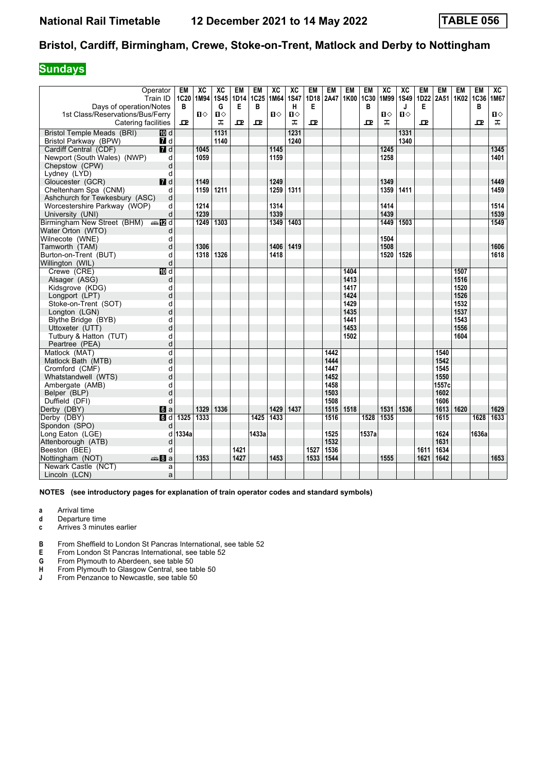## **Sundays**

| Days of operation/Notes<br>G<br>Е<br>B<br>н<br>Е<br>B<br>J<br>Е<br>B<br>в<br>1st Class/Reservations/Bus/Ferry<br>$\mathbf{u}$<br>$\mathbf{u}$<br>$\mathbf{u}$<br>$\blacksquare$<br>$\mathbf{u}$<br>$\mathbf{u}$<br>п⇔<br>ᠼ<br>ᠼ<br>ᅭ<br>ᠼ<br>ᅭ<br>$\mathbf{\Omega}$<br>ᠼ<br>고<br>ᇁ<br>ᇁ<br>Catering facilities<br>굔<br><b>Bristol Temple Meads (BRI)</b><br>1131<br>1231<br>1331<br>100 d<br>1140<br>1240<br>Bristol Parkway (BPW)<br>7 d<br>1340<br>$\overline{\mathbf{M}}$ d<br>1345<br>Cardiff Central (CDF)<br>1045<br>1145<br>1245<br>Newport (South Wales) (NWP)<br>1059<br>1401<br>1159<br>1258<br>d<br>Chepstow (CPW)<br>d<br>d<br>Lydney (LYD)<br>$\blacksquare$ d<br>1249<br>1349<br>1449<br>Gloucester (GCR)<br>1149<br>1159<br>1211<br>1259<br>1311<br>1359<br>1411<br>1459<br>Cheltenham Spa (CNM)<br>d<br>d<br>Ashchurch for Tewkesbury (ASC)<br>1214<br>1314<br>1414<br>1514<br>Worcestershire Parkway (WOP)<br>d<br>1239<br>1339<br>1439<br>1539<br>d<br>University (UNI)<br>Birmingham New Street (BHM) $\oplus$ 2 d<br>1303<br>1349<br>1449<br>1503<br>1549<br>1249<br>1403<br>d<br>1504<br>d<br>d<br>1306<br>1406<br>1419<br>1508<br>1606<br>1326<br>1520<br>1526<br>1618<br>1318<br>1418<br>q<br>d<br>10 d<br>1404<br>1507<br>Crewe (CRE)<br>1413<br>1516<br>Alsager (ASG)<br>d<br>1520<br>d<br>1417<br>Kidsgrove (KDG)<br>1526<br>d<br>1424<br>Longport (LPT)<br>1429<br>1532<br>d<br>Stoke-on-Trent (SOT)<br>1537<br>d<br>1435<br>Longton (LGN)<br>1543<br>Blythe Bridge (BYB)<br>d<br>1441<br>1556<br>Uttoxeter (UTT)<br>d<br>1453<br>1502<br>1604<br>Tutbury & Hatton (TUT)<br>d<br>d<br>Peartree (PEA)<br>d<br>Matlock (MAT)<br>1442<br>1540<br>Matlock Bath (MTB)<br>d<br>1444<br>1542<br>1545<br>Cromford (CMF)<br>d<br>1447<br>Whatstandwell (WTS)<br>d<br>1452<br>1550<br>1557c<br>Ambergate (AMB)<br>d<br>1458<br>d<br>1503<br>1602<br>Belper (BLP)<br>Duffield (DFI)<br>1508<br>1606<br>d<br>1329<br>1336<br>1429<br>1437<br>1515<br>1518<br>1531<br>1536<br>1613<br>1620<br>1629<br>Derby (DBY)<br>$\blacksquare$ a<br>Derby (DBY)<br>1325<br>1333<br>1433<br>1516<br>1633<br>d<br>1425<br>1528<br>1535<br>1615<br>1628<br>Spondon (SPO)<br>d<br>1334a<br>Long Eaton (LGE)<br>1433a<br>1525<br>1537a<br>1624<br>1636a<br>d<br>1532<br>1631<br>Attenborough (ATB)<br>d<br>1421<br>1536<br>1634<br>Beeston (BEE)<br>q<br>1527<br>1611<br>1353<br>1427<br>1453<br>1544<br>1555<br>1642<br>1653<br>Nottingham (NOT)<br>dana 8∎an<br>1533<br>1621<br>Newark Castle (NCT)<br>a |                       | Operator<br>Train ID | EM<br><b>1C20</b> | XC<br>1M94 | XC<br><b>1S45</b> | EM<br>1D14 | EM<br>1C25 | XC<br>1M64 | XC<br><b>1S47</b> | <b>EM</b><br>1D18 | <b>EM</b><br>2A47 | <b>EM</b><br>1K00 | EM<br>1C30 | XC<br>1M99 | XC<br>1S49 | EM<br>1D22 | EM<br>2A51 1K02 1C36 | EM | <b>EM</b> | XC<br>1M67 |
|----------------------------------------------------------------------------------------------------------------------------------------------------------------------------------------------------------------------------------------------------------------------------------------------------------------------------------------------------------------------------------------------------------------------------------------------------------------------------------------------------------------------------------------------------------------------------------------------------------------------------------------------------------------------------------------------------------------------------------------------------------------------------------------------------------------------------------------------------------------------------------------------------------------------------------------------------------------------------------------------------------------------------------------------------------------------------------------------------------------------------------------------------------------------------------------------------------------------------------------------------------------------------------------------------------------------------------------------------------------------------------------------------------------------------------------------------------------------------------------------------------------------------------------------------------------------------------------------------------------------------------------------------------------------------------------------------------------------------------------------------------------------------------------------------------------------------------------------------------------------------------------------------------------------------------------------------------------------------------------------------------------------------------------------------------------------------------------------------------------------------------------------------------------------------------------------------------------------------------------------------------------------------------------------------------------------------------------------------------------------------------------------------------------------------------------------------------------------------------------------------------|-----------------------|----------------------|-------------------|------------|-------------------|------------|------------|------------|-------------------|-------------------|-------------------|-------------------|------------|------------|------------|------------|----------------------|----|-----------|------------|
|                                                                                                                                                                                                                                                                                                                                                                                                                                                                                                                                                                                                                                                                                                                                                                                                                                                                                                                                                                                                                                                                                                                                                                                                                                                                                                                                                                                                                                                                                                                                                                                                                                                                                                                                                                                                                                                                                                                                                                                                                                                                                                                                                                                                                                                                                                                                                                                                                                                                                                          |                       |                      |                   |            |                   |            |            |            |                   |                   |                   |                   |            |            |            |            |                      |    |           |            |
|                                                                                                                                                                                                                                                                                                                                                                                                                                                                                                                                                                                                                                                                                                                                                                                                                                                                                                                                                                                                                                                                                                                                                                                                                                                                                                                                                                                                                                                                                                                                                                                                                                                                                                                                                                                                                                                                                                                                                                                                                                                                                                                                                                                                                                                                                                                                                                                                                                                                                                          |                       |                      |                   |            |                   |            |            |            |                   |                   |                   |                   |            |            |            |            |                      |    |           |            |
|                                                                                                                                                                                                                                                                                                                                                                                                                                                                                                                                                                                                                                                                                                                                                                                                                                                                                                                                                                                                                                                                                                                                                                                                                                                                                                                                                                                                                                                                                                                                                                                                                                                                                                                                                                                                                                                                                                                                                                                                                                                                                                                                                                                                                                                                                                                                                                                                                                                                                                          |                       |                      |                   |            |                   |            |            |            |                   |                   |                   |                   |            |            |            |            |                      |    |           |            |
|                                                                                                                                                                                                                                                                                                                                                                                                                                                                                                                                                                                                                                                                                                                                                                                                                                                                                                                                                                                                                                                                                                                                                                                                                                                                                                                                                                                                                                                                                                                                                                                                                                                                                                                                                                                                                                                                                                                                                                                                                                                                                                                                                                                                                                                                                                                                                                                                                                                                                                          |                       |                      |                   |            |                   |            |            |            |                   |                   |                   |                   |            |            |            |            |                      |    |           |            |
|                                                                                                                                                                                                                                                                                                                                                                                                                                                                                                                                                                                                                                                                                                                                                                                                                                                                                                                                                                                                                                                                                                                                                                                                                                                                                                                                                                                                                                                                                                                                                                                                                                                                                                                                                                                                                                                                                                                                                                                                                                                                                                                                                                                                                                                                                                                                                                                                                                                                                                          |                       |                      |                   |            |                   |            |            |            |                   |                   |                   |                   |            |            |            |            |                      |    |           |            |
|                                                                                                                                                                                                                                                                                                                                                                                                                                                                                                                                                                                                                                                                                                                                                                                                                                                                                                                                                                                                                                                                                                                                                                                                                                                                                                                                                                                                                                                                                                                                                                                                                                                                                                                                                                                                                                                                                                                                                                                                                                                                                                                                                                                                                                                                                                                                                                                                                                                                                                          |                       |                      |                   |            |                   |            |            |            |                   |                   |                   |                   |            |            |            |            |                      |    |           |            |
|                                                                                                                                                                                                                                                                                                                                                                                                                                                                                                                                                                                                                                                                                                                                                                                                                                                                                                                                                                                                                                                                                                                                                                                                                                                                                                                                                                                                                                                                                                                                                                                                                                                                                                                                                                                                                                                                                                                                                                                                                                                                                                                                                                                                                                                                                                                                                                                                                                                                                                          |                       |                      |                   |            |                   |            |            |            |                   |                   |                   |                   |            |            |            |            |                      |    |           |            |
|                                                                                                                                                                                                                                                                                                                                                                                                                                                                                                                                                                                                                                                                                                                                                                                                                                                                                                                                                                                                                                                                                                                                                                                                                                                                                                                                                                                                                                                                                                                                                                                                                                                                                                                                                                                                                                                                                                                                                                                                                                                                                                                                                                                                                                                                                                                                                                                                                                                                                                          |                       |                      |                   |            |                   |            |            |            |                   |                   |                   |                   |            |            |            |            |                      |    |           |            |
|                                                                                                                                                                                                                                                                                                                                                                                                                                                                                                                                                                                                                                                                                                                                                                                                                                                                                                                                                                                                                                                                                                                                                                                                                                                                                                                                                                                                                                                                                                                                                                                                                                                                                                                                                                                                                                                                                                                                                                                                                                                                                                                                                                                                                                                                                                                                                                                                                                                                                                          |                       |                      |                   |            |                   |            |            |            |                   |                   |                   |                   |            |            |            |            |                      |    |           |            |
|                                                                                                                                                                                                                                                                                                                                                                                                                                                                                                                                                                                                                                                                                                                                                                                                                                                                                                                                                                                                                                                                                                                                                                                                                                                                                                                                                                                                                                                                                                                                                                                                                                                                                                                                                                                                                                                                                                                                                                                                                                                                                                                                                                                                                                                                                                                                                                                                                                                                                                          |                       |                      |                   |            |                   |            |            |            |                   |                   |                   |                   |            |            |            |            |                      |    |           |            |
|                                                                                                                                                                                                                                                                                                                                                                                                                                                                                                                                                                                                                                                                                                                                                                                                                                                                                                                                                                                                                                                                                                                                                                                                                                                                                                                                                                                                                                                                                                                                                                                                                                                                                                                                                                                                                                                                                                                                                                                                                                                                                                                                                                                                                                                                                                                                                                                                                                                                                                          |                       |                      |                   |            |                   |            |            |            |                   |                   |                   |                   |            |            |            |            |                      |    |           |            |
|                                                                                                                                                                                                                                                                                                                                                                                                                                                                                                                                                                                                                                                                                                                                                                                                                                                                                                                                                                                                                                                                                                                                                                                                                                                                                                                                                                                                                                                                                                                                                                                                                                                                                                                                                                                                                                                                                                                                                                                                                                                                                                                                                                                                                                                                                                                                                                                                                                                                                                          |                       |                      |                   |            |                   |            |            |            |                   |                   |                   |                   |            |            |            |            |                      |    |           |            |
|                                                                                                                                                                                                                                                                                                                                                                                                                                                                                                                                                                                                                                                                                                                                                                                                                                                                                                                                                                                                                                                                                                                                                                                                                                                                                                                                                                                                                                                                                                                                                                                                                                                                                                                                                                                                                                                                                                                                                                                                                                                                                                                                                                                                                                                                                                                                                                                                                                                                                                          |                       |                      |                   |            |                   |            |            |            |                   |                   |                   |                   |            |            |            |            |                      |    |           |            |
|                                                                                                                                                                                                                                                                                                                                                                                                                                                                                                                                                                                                                                                                                                                                                                                                                                                                                                                                                                                                                                                                                                                                                                                                                                                                                                                                                                                                                                                                                                                                                                                                                                                                                                                                                                                                                                                                                                                                                                                                                                                                                                                                                                                                                                                                                                                                                                                                                                                                                                          |                       |                      |                   |            |                   |            |            |            |                   |                   |                   |                   |            |            |            |            |                      |    |           |            |
|                                                                                                                                                                                                                                                                                                                                                                                                                                                                                                                                                                                                                                                                                                                                                                                                                                                                                                                                                                                                                                                                                                                                                                                                                                                                                                                                                                                                                                                                                                                                                                                                                                                                                                                                                                                                                                                                                                                                                                                                                                                                                                                                                                                                                                                                                                                                                                                                                                                                                                          |                       |                      |                   |            |                   |            |            |            |                   |                   |                   |                   |            |            |            |            |                      |    |           |            |
|                                                                                                                                                                                                                                                                                                                                                                                                                                                                                                                                                                                                                                                                                                                                                                                                                                                                                                                                                                                                                                                                                                                                                                                                                                                                                                                                                                                                                                                                                                                                                                                                                                                                                                                                                                                                                                                                                                                                                                                                                                                                                                                                                                                                                                                                                                                                                                                                                                                                                                          | Water Orton (WTO)     |                      |                   |            |                   |            |            |            |                   |                   |                   |                   |            |            |            |            |                      |    |           |            |
|                                                                                                                                                                                                                                                                                                                                                                                                                                                                                                                                                                                                                                                                                                                                                                                                                                                                                                                                                                                                                                                                                                                                                                                                                                                                                                                                                                                                                                                                                                                                                                                                                                                                                                                                                                                                                                                                                                                                                                                                                                                                                                                                                                                                                                                                                                                                                                                                                                                                                                          | Wilnecote (WNE)       |                      |                   |            |                   |            |            |            |                   |                   |                   |                   |            |            |            |            |                      |    |           |            |
|                                                                                                                                                                                                                                                                                                                                                                                                                                                                                                                                                                                                                                                                                                                                                                                                                                                                                                                                                                                                                                                                                                                                                                                                                                                                                                                                                                                                                                                                                                                                                                                                                                                                                                                                                                                                                                                                                                                                                                                                                                                                                                                                                                                                                                                                                                                                                                                                                                                                                                          | Tamworth (TAM)        |                      |                   |            |                   |            |            |            |                   |                   |                   |                   |            |            |            |            |                      |    |           |            |
|                                                                                                                                                                                                                                                                                                                                                                                                                                                                                                                                                                                                                                                                                                                                                                                                                                                                                                                                                                                                                                                                                                                                                                                                                                                                                                                                                                                                                                                                                                                                                                                                                                                                                                                                                                                                                                                                                                                                                                                                                                                                                                                                                                                                                                                                                                                                                                                                                                                                                                          | Burton-on-Trent (BUT) |                      |                   |            |                   |            |            |            |                   |                   |                   |                   |            |            |            |            |                      |    |           |            |
|                                                                                                                                                                                                                                                                                                                                                                                                                                                                                                                                                                                                                                                                                                                                                                                                                                                                                                                                                                                                                                                                                                                                                                                                                                                                                                                                                                                                                                                                                                                                                                                                                                                                                                                                                                                                                                                                                                                                                                                                                                                                                                                                                                                                                                                                                                                                                                                                                                                                                                          | Willington (WIL)      |                      |                   |            |                   |            |            |            |                   |                   |                   |                   |            |            |            |            |                      |    |           |            |
|                                                                                                                                                                                                                                                                                                                                                                                                                                                                                                                                                                                                                                                                                                                                                                                                                                                                                                                                                                                                                                                                                                                                                                                                                                                                                                                                                                                                                                                                                                                                                                                                                                                                                                                                                                                                                                                                                                                                                                                                                                                                                                                                                                                                                                                                                                                                                                                                                                                                                                          |                       |                      |                   |            |                   |            |            |            |                   |                   |                   |                   |            |            |            |            |                      |    |           |            |
|                                                                                                                                                                                                                                                                                                                                                                                                                                                                                                                                                                                                                                                                                                                                                                                                                                                                                                                                                                                                                                                                                                                                                                                                                                                                                                                                                                                                                                                                                                                                                                                                                                                                                                                                                                                                                                                                                                                                                                                                                                                                                                                                                                                                                                                                                                                                                                                                                                                                                                          |                       |                      |                   |            |                   |            |            |            |                   |                   |                   |                   |            |            |            |            |                      |    |           |            |
|                                                                                                                                                                                                                                                                                                                                                                                                                                                                                                                                                                                                                                                                                                                                                                                                                                                                                                                                                                                                                                                                                                                                                                                                                                                                                                                                                                                                                                                                                                                                                                                                                                                                                                                                                                                                                                                                                                                                                                                                                                                                                                                                                                                                                                                                                                                                                                                                                                                                                                          |                       |                      |                   |            |                   |            |            |            |                   |                   |                   |                   |            |            |            |            |                      |    |           |            |
|                                                                                                                                                                                                                                                                                                                                                                                                                                                                                                                                                                                                                                                                                                                                                                                                                                                                                                                                                                                                                                                                                                                                                                                                                                                                                                                                                                                                                                                                                                                                                                                                                                                                                                                                                                                                                                                                                                                                                                                                                                                                                                                                                                                                                                                                                                                                                                                                                                                                                                          |                       |                      |                   |            |                   |            |            |            |                   |                   |                   |                   |            |            |            |            |                      |    |           |            |
|                                                                                                                                                                                                                                                                                                                                                                                                                                                                                                                                                                                                                                                                                                                                                                                                                                                                                                                                                                                                                                                                                                                                                                                                                                                                                                                                                                                                                                                                                                                                                                                                                                                                                                                                                                                                                                                                                                                                                                                                                                                                                                                                                                                                                                                                                                                                                                                                                                                                                                          |                       |                      |                   |            |                   |            |            |            |                   |                   |                   |                   |            |            |            |            |                      |    |           |            |
|                                                                                                                                                                                                                                                                                                                                                                                                                                                                                                                                                                                                                                                                                                                                                                                                                                                                                                                                                                                                                                                                                                                                                                                                                                                                                                                                                                                                                                                                                                                                                                                                                                                                                                                                                                                                                                                                                                                                                                                                                                                                                                                                                                                                                                                                                                                                                                                                                                                                                                          |                       |                      |                   |            |                   |            |            |            |                   |                   |                   |                   |            |            |            |            |                      |    |           |            |
|                                                                                                                                                                                                                                                                                                                                                                                                                                                                                                                                                                                                                                                                                                                                                                                                                                                                                                                                                                                                                                                                                                                                                                                                                                                                                                                                                                                                                                                                                                                                                                                                                                                                                                                                                                                                                                                                                                                                                                                                                                                                                                                                                                                                                                                                                                                                                                                                                                                                                                          |                       |                      |                   |            |                   |            |            |            |                   |                   |                   |                   |            |            |            |            |                      |    |           |            |
|                                                                                                                                                                                                                                                                                                                                                                                                                                                                                                                                                                                                                                                                                                                                                                                                                                                                                                                                                                                                                                                                                                                                                                                                                                                                                                                                                                                                                                                                                                                                                                                                                                                                                                                                                                                                                                                                                                                                                                                                                                                                                                                                                                                                                                                                                                                                                                                                                                                                                                          |                       |                      |                   |            |                   |            |            |            |                   |                   |                   |                   |            |            |            |            |                      |    |           |            |
|                                                                                                                                                                                                                                                                                                                                                                                                                                                                                                                                                                                                                                                                                                                                                                                                                                                                                                                                                                                                                                                                                                                                                                                                                                                                                                                                                                                                                                                                                                                                                                                                                                                                                                                                                                                                                                                                                                                                                                                                                                                                                                                                                                                                                                                                                                                                                                                                                                                                                                          |                       |                      |                   |            |                   |            |            |            |                   |                   |                   |                   |            |            |            |            |                      |    |           |            |
|                                                                                                                                                                                                                                                                                                                                                                                                                                                                                                                                                                                                                                                                                                                                                                                                                                                                                                                                                                                                                                                                                                                                                                                                                                                                                                                                                                                                                                                                                                                                                                                                                                                                                                                                                                                                                                                                                                                                                                                                                                                                                                                                                                                                                                                                                                                                                                                                                                                                                                          |                       |                      |                   |            |                   |            |            |            |                   |                   |                   |                   |            |            |            |            |                      |    |           |            |
|                                                                                                                                                                                                                                                                                                                                                                                                                                                                                                                                                                                                                                                                                                                                                                                                                                                                                                                                                                                                                                                                                                                                                                                                                                                                                                                                                                                                                                                                                                                                                                                                                                                                                                                                                                                                                                                                                                                                                                                                                                                                                                                                                                                                                                                                                                                                                                                                                                                                                                          |                       |                      |                   |            |                   |            |            |            |                   |                   |                   |                   |            |            |            |            |                      |    |           |            |
|                                                                                                                                                                                                                                                                                                                                                                                                                                                                                                                                                                                                                                                                                                                                                                                                                                                                                                                                                                                                                                                                                                                                                                                                                                                                                                                                                                                                                                                                                                                                                                                                                                                                                                                                                                                                                                                                                                                                                                                                                                                                                                                                                                                                                                                                                                                                                                                                                                                                                                          |                       |                      |                   |            |                   |            |            |            |                   |                   |                   |                   |            |            |            |            |                      |    |           |            |
|                                                                                                                                                                                                                                                                                                                                                                                                                                                                                                                                                                                                                                                                                                                                                                                                                                                                                                                                                                                                                                                                                                                                                                                                                                                                                                                                                                                                                                                                                                                                                                                                                                                                                                                                                                                                                                                                                                                                                                                                                                                                                                                                                                                                                                                                                                                                                                                                                                                                                                          |                       |                      |                   |            |                   |            |            |            |                   |                   |                   |                   |            |            |            |            |                      |    |           |            |
|                                                                                                                                                                                                                                                                                                                                                                                                                                                                                                                                                                                                                                                                                                                                                                                                                                                                                                                                                                                                                                                                                                                                                                                                                                                                                                                                                                                                                                                                                                                                                                                                                                                                                                                                                                                                                                                                                                                                                                                                                                                                                                                                                                                                                                                                                                                                                                                                                                                                                                          |                       |                      |                   |            |                   |            |            |            |                   |                   |                   |                   |            |            |            |            |                      |    |           |            |
|                                                                                                                                                                                                                                                                                                                                                                                                                                                                                                                                                                                                                                                                                                                                                                                                                                                                                                                                                                                                                                                                                                                                                                                                                                                                                                                                                                                                                                                                                                                                                                                                                                                                                                                                                                                                                                                                                                                                                                                                                                                                                                                                                                                                                                                                                                                                                                                                                                                                                                          |                       |                      |                   |            |                   |            |            |            |                   |                   |                   |                   |            |            |            |            |                      |    |           |            |
|                                                                                                                                                                                                                                                                                                                                                                                                                                                                                                                                                                                                                                                                                                                                                                                                                                                                                                                                                                                                                                                                                                                                                                                                                                                                                                                                                                                                                                                                                                                                                                                                                                                                                                                                                                                                                                                                                                                                                                                                                                                                                                                                                                                                                                                                                                                                                                                                                                                                                                          |                       |                      |                   |            |                   |            |            |            |                   |                   |                   |                   |            |            |            |            |                      |    |           |            |
|                                                                                                                                                                                                                                                                                                                                                                                                                                                                                                                                                                                                                                                                                                                                                                                                                                                                                                                                                                                                                                                                                                                                                                                                                                                                                                                                                                                                                                                                                                                                                                                                                                                                                                                                                                                                                                                                                                                                                                                                                                                                                                                                                                                                                                                                                                                                                                                                                                                                                                          |                       |                      |                   |            |                   |            |            |            |                   |                   |                   |                   |            |            |            |            |                      |    |           |            |
|                                                                                                                                                                                                                                                                                                                                                                                                                                                                                                                                                                                                                                                                                                                                                                                                                                                                                                                                                                                                                                                                                                                                                                                                                                                                                                                                                                                                                                                                                                                                                                                                                                                                                                                                                                                                                                                                                                                                                                                                                                                                                                                                                                                                                                                                                                                                                                                                                                                                                                          |                       |                      |                   |            |                   |            |            |            |                   |                   |                   |                   |            |            |            |            |                      |    |           |            |
|                                                                                                                                                                                                                                                                                                                                                                                                                                                                                                                                                                                                                                                                                                                                                                                                                                                                                                                                                                                                                                                                                                                                                                                                                                                                                                                                                                                                                                                                                                                                                                                                                                                                                                                                                                                                                                                                                                                                                                                                                                                                                                                                                                                                                                                                                                                                                                                                                                                                                                          |                       |                      |                   |            |                   |            |            |            |                   |                   |                   |                   |            |            |            |            |                      |    |           |            |
|                                                                                                                                                                                                                                                                                                                                                                                                                                                                                                                                                                                                                                                                                                                                                                                                                                                                                                                                                                                                                                                                                                                                                                                                                                                                                                                                                                                                                                                                                                                                                                                                                                                                                                                                                                                                                                                                                                                                                                                                                                                                                                                                                                                                                                                                                                                                                                                                                                                                                                          |                       |                      |                   |            |                   |            |            |            |                   |                   |                   |                   |            |            |            |            |                      |    |           |            |
|                                                                                                                                                                                                                                                                                                                                                                                                                                                                                                                                                                                                                                                                                                                                                                                                                                                                                                                                                                                                                                                                                                                                                                                                                                                                                                                                                                                                                                                                                                                                                                                                                                                                                                                                                                                                                                                                                                                                                                                                                                                                                                                                                                                                                                                                                                                                                                                                                                                                                                          |                       |                      |                   |            |                   |            |            |            |                   |                   |                   |                   |            |            |            |            |                      |    |           |            |
|                                                                                                                                                                                                                                                                                                                                                                                                                                                                                                                                                                                                                                                                                                                                                                                                                                                                                                                                                                                                                                                                                                                                                                                                                                                                                                                                                                                                                                                                                                                                                                                                                                                                                                                                                                                                                                                                                                                                                                                                                                                                                                                                                                                                                                                                                                                                                                                                                                                                                                          |                       |                      |                   |            |                   |            |            |            |                   |                   |                   |                   |            |            |            |            |                      |    |           |            |
|                                                                                                                                                                                                                                                                                                                                                                                                                                                                                                                                                                                                                                                                                                                                                                                                                                                                                                                                                                                                                                                                                                                                                                                                                                                                                                                                                                                                                                                                                                                                                                                                                                                                                                                                                                                                                                                                                                                                                                                                                                                                                                                                                                                                                                                                                                                                                                                                                                                                                                          |                       |                      |                   |            |                   |            |            |            |                   |                   |                   |                   |            |            |            |            |                      |    |           |            |
|                                                                                                                                                                                                                                                                                                                                                                                                                                                                                                                                                                                                                                                                                                                                                                                                                                                                                                                                                                                                                                                                                                                                                                                                                                                                                                                                                                                                                                                                                                                                                                                                                                                                                                                                                                                                                                                                                                                                                                                                                                                                                                                                                                                                                                                                                                                                                                                                                                                                                                          |                       |                      |                   |            |                   |            |            |            |                   |                   |                   |                   |            |            |            |            |                      |    |           |            |
|                                                                                                                                                                                                                                                                                                                                                                                                                                                                                                                                                                                                                                                                                                                                                                                                                                                                                                                                                                                                                                                                                                                                                                                                                                                                                                                                                                                                                                                                                                                                                                                                                                                                                                                                                                                                                                                                                                                                                                                                                                                                                                                                                                                                                                                                                                                                                                                                                                                                                                          |                       |                      |                   |            |                   |            |            |            |                   |                   |                   |                   |            |            |            |            |                      |    |           |            |
|                                                                                                                                                                                                                                                                                                                                                                                                                                                                                                                                                                                                                                                                                                                                                                                                                                                                                                                                                                                                                                                                                                                                                                                                                                                                                                                                                                                                                                                                                                                                                                                                                                                                                                                                                                                                                                                                                                                                                                                                                                                                                                                                                                                                                                                                                                                                                                                                                                                                                                          | Lincoln (LCN)         | a                    |                   |            |                   |            |            |            |                   |                   |                   |                   |            |            |            |            |                      |    |           |            |

- **a** Arrival time
- **d** Departure time<br>**c** Arrives 3 minute
- **c** Arrives 3 minutes earlier
- **B** From Sheffield to London St Pancras International, see table 52
- **E** From London St Pancras International, see table 52<br>**G** From Plymouth to Aberdeen, see table 50
- **4** From Plymouth to Aberdeen, see table 50<br>**\*\*\*** From Plymouth to Glasgow Central, see ta<br>**J** From Penzance to Newcastle, see table 5
- **H** From Plymouth to Glasgow Central, see table 50
- **J** From Penzance to Newcastle, see table 50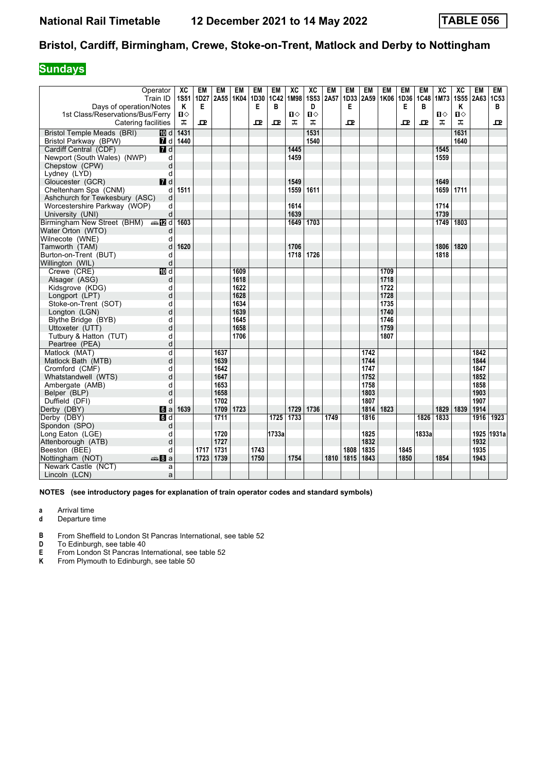## **Sundays**

| Operator                                                |                  | XC          | EM               | EM           | EM             | EM   | <b>EM</b> | XC             | XC                | <b>EM</b> | <b>EM</b> | <b>EM</b>    | <b>EM</b>    | EM        | <b>EM</b> | XC   | XC          | <b>EM</b>    | <b>EM</b>        |
|---------------------------------------------------------|------------------|-------------|------------------|--------------|----------------|------|-----------|----------------|-------------------|-----------|-----------|--------------|--------------|-----------|-----------|------|-------------|--------------|------------------|
|                                                         | Train ID         | <b>1S51</b> | 1D <sub>27</sub> |              | 2A55 1K04 1D30 | E    | 1C42<br>B | 1M98           | <b>1S53</b>       | 2A57      | 1D33<br>E | 2A59         | 1K06         | 1D36<br>Е | 1C48      | 1M73 | <b>1S55</b> | 2A63         | 1C <sub>53</sub> |
| Days of operation/Notes                                 |                  | Κ<br>Ⅱ♦     | Е                |              |                |      |           | $\blacksquare$ | D<br>$\mathbf{u}$ |           |           |              |              |           | В         | П⇔   | Κ<br>Ⅱ◇     |              | в                |
| 1st Class/Reservations/Bus/Ferry<br>Catering facilities |                  | ᠼ           | 모                |              |                | ᇁ    | 고         | ᠼ              | ᠼ                 |           | ᇁ         |              |              | 굔         | ᇁ         | ᠼ    | ᠼ           |              | ᅭ                |
|                                                         |                  |             |                  |              |                |      |           |                |                   |           |           |              |              |           |           |      |             |              |                  |
| <b>Bristol Temple Meads (BRI)</b>                       | TD d             | 1431        |                  |              |                |      |           |                | 1531              |           |           |              |              |           |           |      | 1631        |              |                  |
| Bristol Parkway (BPW)                                   |                  | 7 d 1440    |                  |              |                |      |           |                | 1540              |           |           |              |              |           |           |      | 1640        |              |                  |
| Cardiff Central (CDF)                                   | 7d               |             |                  |              |                |      |           | 1445           |                   |           |           |              |              |           |           | 1545 |             |              |                  |
| Newport (South Wales) (NWP)                             | d                |             |                  |              |                |      |           | 1459           |                   |           |           |              |              |           |           | 1559 |             |              |                  |
| Chepstow (CPW)                                          | d                |             |                  |              |                |      |           |                |                   |           |           |              |              |           |           |      |             |              |                  |
| Lydney (LYD)                                            | d                |             |                  |              |                |      |           |                |                   |           |           |              |              |           |           |      |             |              |                  |
| Gloucester (GCR)                                        | $I$ d            |             |                  |              |                |      |           | 1549           |                   |           |           |              |              |           |           | 1649 |             |              |                  |
| Cheltenham Spa (CNM)                                    | d                | 1511        |                  |              |                |      |           | 1559           | 1611              |           |           |              |              |           |           | 1659 | 1711        |              |                  |
| Ashchurch for Tewkesbury (ASC)                          | d                |             |                  |              |                |      |           |                |                   |           |           |              |              |           |           |      |             |              |                  |
| Worcestershire Parkway (WOP)                            | d                |             |                  |              |                |      |           | 1614           |                   |           |           |              |              |           |           | 1714 |             |              |                  |
| University (UNI)                                        | d                |             |                  |              |                |      |           | 1639           |                   |           |           |              |              |           |           | 1739 |             |              |                  |
| Birmingham New Street (BHM) $\oplus$ 2 d                |                  | 1603        |                  |              |                |      |           | 1649           | 1703              |           |           |              |              |           |           | 1749 | 1803        |              |                  |
| Water Orton (WTO)                                       | d                |             |                  |              |                |      |           |                |                   |           |           |              |              |           |           |      |             |              |                  |
| Wilnecote (WNE)                                         | d                |             |                  |              |                |      |           |                |                   |           |           |              |              |           |           |      |             |              |                  |
| Tamworth (TAM)                                          | d                | 1620        |                  |              |                |      |           | 1706           |                   |           |           |              |              |           |           | 1806 | 1820        |              |                  |
| Burton-on-Trent (BUT)                                   | d                |             |                  |              |                |      |           | 1718           | 1726              |           |           |              |              |           |           | 1818 |             |              |                  |
| Willington (WIL)                                        | d                |             |                  |              |                |      |           |                |                   |           |           |              |              |           |           |      |             |              |                  |
| Crewe (CRE)                                             | 10 d             |             |                  |              | 1609           |      |           |                |                   |           |           |              | 1709         |           |           |      |             |              |                  |
| Alsager (ASG)                                           | d                |             |                  |              | 1618           |      |           |                |                   |           |           |              | 1718         |           |           |      |             |              |                  |
| Kidsgrove (KDG)                                         | d                |             |                  |              | 1622<br>1628   |      |           |                |                   |           |           |              | 1722         |           |           |      |             |              |                  |
| Longport (LPT)                                          | d                |             |                  |              |                |      |           |                |                   |           |           |              | 1728         |           |           |      |             |              |                  |
| Stoke-on-Trent (SOT)                                    | d                |             |                  |              | 1634<br>1639   |      |           |                |                   |           |           |              | 1735         |           |           |      |             |              |                  |
| Longton (LGN)                                           | d                |             |                  |              |                |      |           |                |                   |           |           |              | 1740         |           |           |      |             |              |                  |
| Blythe Bridge (BYB)                                     | d                |             |                  |              | 1645<br>1658   |      |           |                |                   |           |           |              | 1746         |           |           |      |             |              |                  |
| Uttoxeter (UTT)                                         | d                |             |                  |              | 1706           |      |           |                |                   |           |           |              | 1759<br>1807 |           |           |      |             |              |                  |
| Tutbury & Hatton (TUT)                                  | d                |             |                  |              |                |      |           |                |                   |           |           |              |              |           |           |      |             |              |                  |
| Peartree (PEA)                                          | d                |             |                  |              |                |      |           |                |                   |           |           |              |              |           |           |      |             |              |                  |
| Matlock (MAT)                                           | d                |             |                  | 1637<br>1639 |                |      |           |                |                   |           |           | 1742<br>1744 |              |           |           |      |             | 1842<br>1844 |                  |
| Matlock Bath (MTB)                                      | d                |             |                  | 1642         |                |      |           |                |                   |           |           | 1747         |              |           |           |      |             | 1847         |                  |
| Cromford (CMF)                                          | d<br>d           |             |                  | 1647         |                |      |           |                |                   |           |           | 1752         |              |           |           |      |             | 1852         |                  |
| Whatstandwell (WTS)                                     | d                |             |                  | 1653         |                |      |           |                |                   |           |           | 1758         |              |           |           |      |             | 1858         |                  |
| Ambergate (AMB)<br>Belper (BLP)                         | d                |             |                  | 1658         |                |      |           |                |                   |           |           | 1803         |              |           |           |      |             | 1903         |                  |
| Duffield (DFI)                                          | d                |             |                  | 1702         |                |      |           |                |                   |           |           | 1807         |              |           |           |      |             | 1907         |                  |
| Derby (DBY)                                             | $6 a$            | 1639        |                  | 1709         | 1723           |      |           | 1729           | 1736              |           |           | 1814         | 1823         |           |           | 1829 | 1839        | 1914         |                  |
| Derby (DBY)                                             | $\blacksquare$   |             |                  | 1711         |                |      | 1725      | 1733           |                   | 1749      |           | 1816         |              |           | 1826      | 1833 |             | 1916         | 1923             |
| Spondon (SPO)                                           | d                |             |                  |              |                |      |           |                |                   |           |           |              |              |           |           |      |             |              |                  |
| Long Eaton (LGE)                                        | d                |             |                  | 1720         |                |      | 1733a     |                |                   |           |           | 1825         |              |           | 1833a     |      |             |              | 1925 1931a       |
| Attenborough (ATB)                                      | d                |             |                  | 1727         |                |      |           |                |                   |           |           | 1832         |              |           |           |      |             | 1932         |                  |
| Beeston (BEE)                                           | d                |             | 1717             | 1731         |                | 1743 |           |                |                   |           | 1808      | 1835         |              | 1845      |           |      |             | 1935         |                  |
| Nottingham (NOT)                                        | <del>⊯</del> ыВа |             | 1723             | 1739         |                | 1750 |           | 1754           |                   | 1810      | 1815      | 1843         |              | 1850      |           | 1854 |             | 1943         |                  |
| Newark Castle (NCT)                                     | a                |             |                  |              |                |      |           |                |                   |           |           |              |              |           |           |      |             |              |                  |
| Lincoln (LCN)                                           | a                |             |                  |              |                |      |           |                |                   |           |           |              |              |           |           |      |             |              |                  |
|                                                         |                  |             |                  |              |                |      |           |                |                   |           |           |              |              |           |           |      |             |              |                  |

- **a** Arrival time
- **d** Departure time
- **B** From Sheffield to London St Pancras International, see table 52<br>**D** To Edinburgh, see table 40
- 
- **D** To Edinburgh, see table 40<br>**E** From London St Pancras In<br>**K** From Plymouth to Edinburg From London St Pancras International, see table 52
- From Plymouth to Edinburgh, see table 50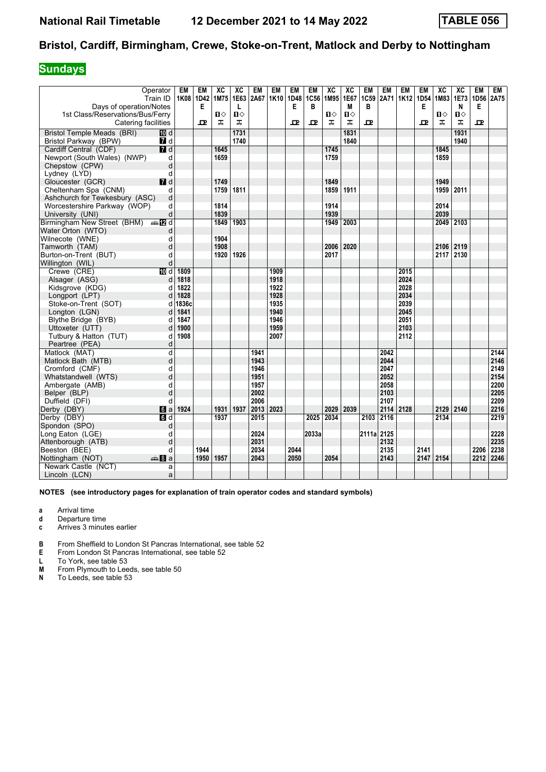## **Sundays**

| Operator<br>Train ID<br>Days of operation/Notes    | EM    | <b>EM</b><br>1K08 1D42<br>Е | ХC<br>1M75   | ХC<br>1E63<br>L | EM<br>2A67 | EM<br>1K10 | EM<br>1D48<br>E | EM<br>1C56<br>B | XC<br>1M95   | ХC<br>1E67<br>M | EM<br>1C59<br>B | EM<br>2A71 | EM<br>1K <sub>12</sub> | EM<br>1D54<br>Е | XC<br>1M83   | XC<br>1E73<br>N | EM<br>1D56<br>Е | EM<br>2A75 |
|----------------------------------------------------|-------|-----------------------------|--------------|-----------------|------------|------------|-----------------|-----------------|--------------|-----------------|-----------------|------------|------------------------|-----------------|--------------|-----------------|-----------------|------------|
| 1st Class/Reservations/Bus/Ferry                   |       |                             | $\mathbf{u}$ | $\mathbf{u}$    |            |            |                 |                 | $\mathbf{u}$ | $\blacksquare$  |                 |            |                        |                 | $\mathbf{u}$ | О               |                 |            |
| Catering facilities                                |       | 굔                           | ᠼ            | ᠼ               |            |            | ᇁ               | ᇁ               | ᠼ            | ᠼ               | ᇁ               |            |                        | ᇁ               | ᠼ            | ᠼ               | ᇁ               |            |
| Bristol Temple Meads (BRI)<br>10 d                 |       |                             |              | 1731            |            |            |                 |                 |              | 1831            |                 |            |                        |                 |              | 1931            |                 |            |
| Bristol Parkway (BPW)<br><b>7</b> d                |       |                             |              | 1740            |            |            |                 |                 |              | 1840            |                 |            |                        |                 |              | 1940            |                 |            |
| $\overline{\mathbf{M}}$ d<br>Cardiff Central (CDF) |       |                             | 1645         |                 |            |            |                 |                 | 1745         |                 |                 |            |                        |                 | 1845         |                 |                 |            |
| Newport (South Wales) (NWP)<br>d                   |       |                             | 1659         |                 |            |            |                 |                 | 1759         |                 |                 |            |                        |                 | 1859         |                 |                 |            |
| Chepstow (CPW)<br>d                                |       |                             |              |                 |            |            |                 |                 |              |                 |                 |            |                        |                 |              |                 |                 |            |
| Lydney (LYD)<br>d                                  |       |                             |              |                 |            |            |                 |                 |              |                 |                 |            |                        |                 |              |                 |                 |            |
| $I$ d<br>Gloucester (GCR)                          |       |                             | 1749         |                 |            |            |                 |                 | 1849         |                 |                 |            |                        |                 | 1949         |                 |                 |            |
| Cheltenham Spa (CNM)<br>d                          |       |                             | 1759         | 1811            |            |            |                 |                 | 1859         | 1911            |                 |            |                        |                 | 1959         | 2011            |                 |            |
| d<br>Ashchurch for Tewkesbury (ASC)                |       |                             |              |                 |            |            |                 |                 |              |                 |                 |            |                        |                 |              |                 |                 |            |
| d<br>Worcestershire Parkway (WOP)                  |       |                             | 1814         |                 |            |            |                 |                 | 1914         |                 |                 |            |                        |                 | 2014         |                 |                 |            |
| University (UNI)<br>d                              |       |                             | 1839         |                 |            |            |                 |                 | 1939         |                 |                 |            |                        |                 | 2039         |                 |                 |            |
| Birmingham New Street (BHM) $\oplus$ 2 d           |       |                             | 1849         | 1903            |            |            |                 |                 | 1949         | 2003            |                 |            |                        |                 | 2049 2103    |                 |                 |            |
| Water Orton (WTO)<br>d                             |       |                             |              |                 |            |            |                 |                 |              |                 |                 |            |                        |                 |              |                 |                 |            |
| Wilnecote (WNE)<br>d                               |       |                             | 1904         |                 |            |            |                 |                 |              |                 |                 |            |                        |                 |              |                 |                 |            |
| Tamworth (TAM)<br>d                                |       |                             | 1908         |                 |            |            |                 |                 | 2006         | 2020            |                 |            |                        |                 | 2106 2119    |                 |                 |            |
| Burton-on-Trent (BUT)<br>d                         |       |                             | 1920         | 1926            |            |            |                 |                 | 2017         |                 |                 |            |                        |                 | 2117 2130    |                 |                 |            |
| d<br>Willington (WIL)                              |       |                             |              |                 |            |            |                 |                 |              |                 |                 |            |                        |                 |              |                 |                 |            |
| Crewe (CRE)<br>10 d                                | 1809  |                             |              |                 |            | 1909       |                 |                 |              |                 |                 |            | 2015                   |                 |              |                 |                 |            |
| Alsager (ASG)<br>d                                 | 1818  |                             |              |                 |            | 1918       |                 |                 |              |                 |                 |            | 2024                   |                 |              |                 |                 |            |
| Kidsgrove (KDG)<br>d                               | 1822  |                             |              |                 |            | 1922       |                 |                 |              |                 |                 |            | 2028                   |                 |              |                 |                 |            |
| Longport (LPT)<br>d                                | 1828  |                             |              |                 |            | 1928       |                 |                 |              |                 |                 |            | 2034                   |                 |              |                 |                 |            |
| Stoke-on-Trent (SOT)<br>d                          | 1836c |                             |              |                 |            | 1935       |                 |                 |              |                 |                 |            | 2039                   |                 |              |                 |                 |            |
| Longton (LGN)<br>d                                 | 1841  |                             |              |                 |            | 1940       |                 |                 |              |                 |                 |            | 2045                   |                 |              |                 |                 |            |
| Blythe Bridge (BYB)<br>d                           | 1847  |                             |              |                 |            | 1946       |                 |                 |              |                 |                 |            | 2051                   |                 |              |                 |                 |            |
| Uttoxeter (UTT)<br>d                               | 1900  |                             |              |                 |            | 1959       |                 |                 |              |                 |                 |            | 2103                   |                 |              |                 |                 |            |
| Tutbury & Hatton (TUT)<br>d                        | 1908  |                             |              |                 |            | 2007       |                 |                 |              |                 |                 |            | 2112                   |                 |              |                 |                 |            |
| Peartree (PEA)<br>d                                |       |                             |              |                 |            |            |                 |                 |              |                 |                 |            |                        |                 |              |                 |                 |            |
| Matlock (MAT)<br>d                                 |       |                             |              |                 | 1941       |            |                 |                 |              |                 |                 | 2042       |                        |                 |              |                 |                 | 2144       |
| d<br>Matlock Bath (MTB)                            |       |                             |              |                 | 1943       |            |                 |                 |              |                 |                 | 2044       |                        |                 |              |                 |                 | 2146       |
| d<br>Cromford (CMF)                                |       |                             |              |                 | 1946       |            |                 |                 |              |                 |                 | 2047       |                        |                 |              |                 |                 | 2149       |
| d<br>Whatstandwell (WTS)                           |       |                             |              |                 | 1951       |            |                 |                 |              |                 |                 | 2052       |                        |                 |              |                 |                 | 2154       |
| d<br>Ambergate (AMB)                               |       |                             |              |                 | 1957       |            |                 |                 |              |                 |                 | 2058       |                        |                 |              |                 |                 | 2200       |
| d<br>Belper (BLP)                                  |       |                             |              |                 | 2002       |            |                 |                 |              |                 |                 | 2103       |                        |                 |              |                 |                 | 2205       |
| Duffield (DFI)<br>d                                |       |                             |              |                 | 2006       |            |                 |                 |              |                 |                 | 2107       |                        |                 |              |                 |                 | 2209       |
| Derby (DBY)<br>$\blacksquare$                      | 1924  |                             | 1931         | 1937            | 2013       | 2023       |                 |                 | 2029         | 2039            |                 | 2114       | 2128                   |                 | 2129 2140    |                 |                 | 2216       |
| $\overline{d}$<br>Derby (DBY)                      |       |                             | 1937         |                 | 2015       |            |                 | 2025            | 2034         |                 | 2103            | 2116       |                        |                 | 2134         |                 |                 | 2219       |
| Spondon (SPO)<br>d                                 |       |                             |              |                 |            |            |                 |                 |              |                 |                 |            |                        |                 |              |                 |                 |            |
| Long Eaton (LGE)<br>d                              |       |                             |              |                 | 2024       |            |                 | 2033a           |              |                 | 2111a 2125      |            |                        |                 |              |                 |                 | 2228       |
| Attenborough (ATB)<br>d                            |       |                             |              |                 | 2031       |            |                 |                 |              |                 |                 | 2132       |                        |                 |              |                 |                 | 2235       |
| Beeston (BEE)<br>d                                 |       | 1944                        |              |                 | 2034       |            | 2044            |                 |              |                 |                 | 2135       |                        | 2141            |              |                 | 2206            | 2238       |
| Nottingham (NOT)<br>dana 8∎an                      |       | 1950                        | 1957         |                 | 2043       |            | 2050            |                 | 2054         |                 |                 | 2143       |                        | 2147 2154       |              |                 | 2212            | 2246       |
| Newark Castle (NCT)<br>a                           |       |                             |              |                 |            |            |                 |                 |              |                 |                 |            |                        |                 |              |                 |                 |            |
| Lincoln (LCN)<br>a                                 |       |                             |              |                 |            |            |                 |                 |              |                 |                 |            |                        |                 |              |                 |                 |            |

- **a** Arrival time
- **d** Departure time<br>**c** Arrives 3 minute
- **c** Arrives 3 minutes earlier
- **B** From Sheffield to London St Pancras International, see table 52
- **E** From London St Pancras International, see table 52<br>**L** To York, see table 53
- L To York, see table 53<br>**M** From Plymouth to Lee
- **0** From Plymouth to Leeds, see table 50<br>**N** To Leeds. see table 53
- To Leeds, see table 53